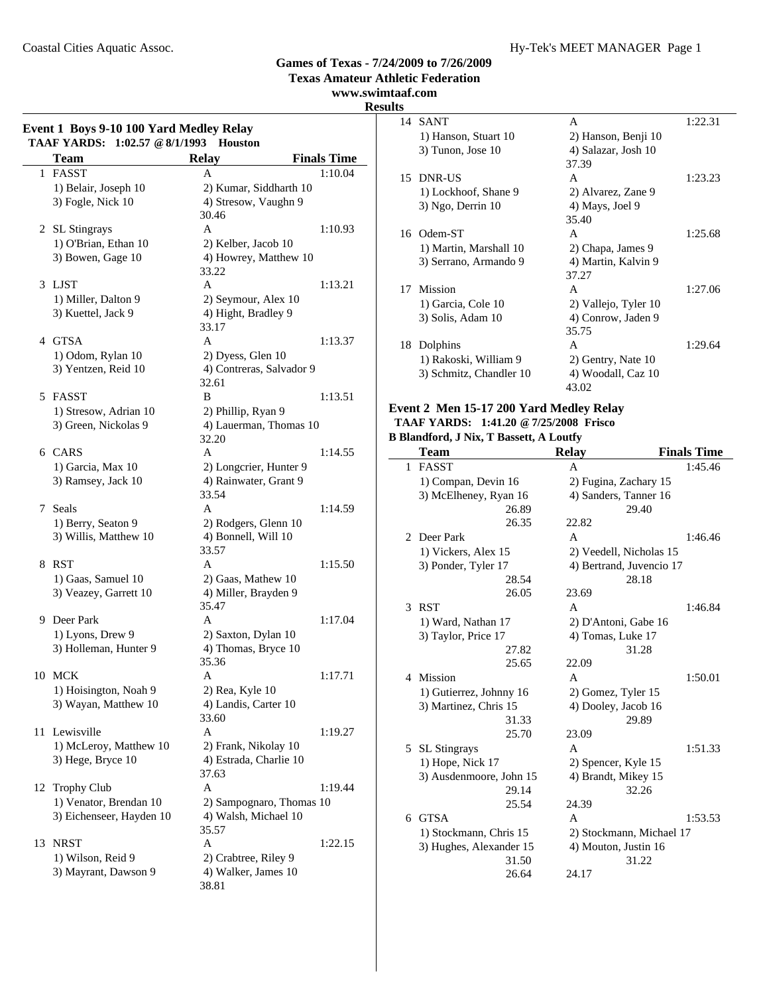**Texas Amateur Athletic Federation**

**www.swimtaaf.com**

#### **Results**

 $\overline{\phantom{a}}$ 

|    | <b>TAAF YARDS:</b><br>1:02.57 @ 8/1/1993<br><b>Team</b> | <b>Houston</b><br><b>Relay</b>              | <b>Finals Time</b> |
|----|---------------------------------------------------------|---------------------------------------------|--------------------|
| 1  | FASST                                                   | A                                           | 1:10.04            |
|    | 1) Belair, Joseph 10                                    | 2) Kumar, Siddharth 10                      |                    |
|    | 3) Fogle, Nick 10                                       | 4) Stresow, Vaughn 9                        |                    |
|    |                                                         | 30.46                                       |                    |
|    | 2 SL Stingrays                                          | A                                           | 1:10.93            |
|    | 1) O'Brian, Ethan 10                                    | 2) Kelber, Jacob 10                         |                    |
|    | 3) Bowen, Gage 10                                       | 4) Howrey, Matthew 10                       |                    |
|    |                                                         | 33.22                                       |                    |
|    | 3 LJST                                                  | A                                           | 1:13.21            |
|    | 1) Miller, Dalton 9                                     | 2) Seymour, Alex 10                         |                    |
|    | 3) Kuettel, Jack 9                                      | 4) Hight, Bradley 9                         |                    |
|    |                                                         | 33.17                                       |                    |
|    | 4 GTSA                                                  | A                                           | 1:13.37            |
|    | 1) Odom, Rylan 10                                       | 2) Dyess, Glen 10                           |                    |
|    | 3) Yentzen, Reid 10                                     | 4) Contreras, Salvador 9                    |                    |
|    |                                                         | 32.61                                       |                    |
|    | 5 FASST                                                 | B                                           | 1:13.51            |
|    | 1) Stresow, Adrian 10                                   | 2) Phillip, Ryan 9                          |                    |
|    | 3) Green, Nickolas 9                                    | 4) Lauerman, Thomas 10                      |                    |
|    |                                                         | 32.20                                       |                    |
|    | 6 CARS                                                  | A                                           | 1:14.55            |
|    | 1) Garcia, Max 10                                       | 2) Longcrier, Hunter 9                      |                    |
|    | 3) Ramsey, Jack 10                                      | 4) Rainwater, Grant 9                       |                    |
|    |                                                         | 33.54                                       |                    |
| 7  | Seals                                                   | A                                           | 1:14.59            |
|    | 1) Berry, Seaton 9                                      | 2) Rodgers, Glenn 10                        |                    |
|    | 3) Willis, Matthew 10                                   | 4) Bonnell, Will 10                         |                    |
|    |                                                         | 33.57                                       |                    |
|    | 8 RST                                                   | A                                           | 1:15.50            |
|    | 1) Gaas, Samuel 10                                      | 2) Gaas, Mathew 10                          |                    |
|    | 3) Veazey, Garrett 10                                   | 4) Miller, Brayden 9                        |                    |
|    |                                                         | 35.47                                       |                    |
| 9  | Deer Park                                               | A                                           | 1:17.04            |
|    | 1) Lyons, Drew 9                                        | 2) Saxton, Dylan 10                         |                    |
|    | 3) Holleman, Hunter 9                                   | 4) Thomas, Bryce 10                         |                    |
|    |                                                         | 35.36                                       |                    |
|    | 10 MCK                                                  | А                                           | 1:17.71            |
|    | 1) Hoisington, Noah 9                                   | 2) Rea, Kyle 10                             |                    |
|    | 3) Wayan, Matthew 10                                    | 4) Landis, Carter 10                        |                    |
|    |                                                         | 33.60                                       |                    |
| 11 | Lewisville                                              | A                                           | 1:19.27            |
|    | 1) McLeroy, Matthew 10                                  | 2) Frank, Nikolay 10                        |                    |
|    | 3) Hege, Bryce 10                                       | 4) Estrada, Charlie 10                      |                    |
|    |                                                         | 37.63                                       |                    |
| 12 | <b>Trophy Club</b>                                      | A                                           | 1:19.44            |
|    | 1) Venator, Brendan 10                                  | 2) Sampognaro, Thomas 10                    |                    |
|    | 3) Eichenseer, Hayden 10                                | 4) Walsh, Michael 10                        |                    |
|    |                                                         | 35.57                                       |                    |
| 13 | <b>NRST</b>                                             | A                                           | 1:22.15            |
|    | 1) Wilson, Reid 9<br>3) Mayrant, Dawson 9               | 2) Crabtree, Riley 9<br>4) Walker, James 10 |                    |
|    |                                                         | 38.81                                       |                    |
|    |                                                         |                                             |                    |

| ञ  |                         |                      |         |
|----|-------------------------|----------------------|---------|
|    | 14 SANT                 | A                    | 1:22.31 |
|    | 1) Hanson, Stuart 10    | 2) Hanson, Benji 10  |         |
|    | 3) Tunon, Jose 10       | 4) Salazar, Josh 10  |         |
|    |                         | 37.39                |         |
|    | 15 DNR-US               | A                    | 1:23.23 |
|    | 1) Lockhoof, Shane 9    | 2) Alvarez, Zane 9   |         |
|    | $3)$ Ngo, Derrin 10     | 4) Mays, Joel 9      |         |
|    |                         | 35.40                |         |
|    | 16 Odem-ST              | A                    | 1:25.68 |
|    | 1) Martin, Marshall 10  | 2) Chapa, James 9    |         |
|    | 3) Serrano, Armando 9   | 4) Martin, Kalvin 9  |         |
|    |                         | 37.27                |         |
|    | 17 Mission              | A                    | 1:27.06 |
|    | 1) Garcia, Cole 10      | 2) Vallejo, Tyler 10 |         |
|    | 3) Solis, Adam 10       | 4) Conrow, Jaden 9   |         |
|    |                         | 35.75                |         |
| 18 | Dolphins                | A                    | 1:29.64 |
|    | 1) Rakoski, William 9   | 2) Gentry, Nate 10   |         |
|    | 3) Schmitz, Chandler 10 | 4) Woodall, Caz 10   |         |
|    |                         | 43.02                |         |

#### **Event 2 Men 15-17 200 Yard Medley Relay**

#### **TAAF YARDS: 1:41.20 @7/25/2008 Frisco B Blandford, J Nix, T Bassett, A Loutfy**

|                | $r_{\rm d}$ and $r_{\rm u}$ , $r_{\rm d}$ is $r_{\rm d}$ , $r_{\rm d}$ bassett, $r_{\rm d}$ Loutly |                          |                    |
|----------------|----------------------------------------------------------------------------------------------------|--------------------------|--------------------|
|                | <b>Team</b>                                                                                        | <b>Relay</b>             | <b>Finals Time</b> |
| $\mathbf{1}$   | <b>FASST</b>                                                                                       | A                        | 1:45.46            |
|                | 1) Compan, Devin 16                                                                                | 2) Fugina, Zachary 15    |                    |
|                | 3) McElheney, Ryan 16                                                                              | 4) Sanders, Tanner 16    |                    |
|                | 26.89                                                                                              | 29.40                    |                    |
|                | 26.35                                                                                              | 22.82                    |                    |
| $\overline{2}$ | Deer Park                                                                                          | A                        | 1:46.46            |
|                | 1) Vickers, Alex 15                                                                                | 2) Veedell, Nicholas 15  |                    |
|                | 3) Ponder, Tyler 17                                                                                | 4) Bertrand, Juvencio 17 |                    |
|                | 28.54                                                                                              | 28.18                    |                    |
|                | 26.05                                                                                              | 23.69                    |                    |
| 3              | <b>RST</b>                                                                                         | A                        | 1:46.84            |
|                | 1) Ward, Nathan 17                                                                                 | 2) D'Antoni, Gabe 16     |                    |
|                | 3) Taylor, Price 17                                                                                | 4) Tomas, Luke 17        |                    |
|                | 27.82                                                                                              | 31.28                    |                    |
|                | 25.65                                                                                              | 22.09                    |                    |
| 4              | Mission                                                                                            | A                        | 1:50.01            |
|                | 1) Gutierrez, Johnny 16                                                                            | 2) Gomez, Tyler 15       |                    |
|                | 3) Martinez, Chris 15                                                                              | 4) Dooley, Jacob 16      |                    |
|                | 31.33                                                                                              | 29.89                    |                    |
|                | 25.70                                                                                              | 23.09                    |                    |
| 5              | <b>SL</b> Stingrays                                                                                | A                        | 1:51.33            |
|                | 1) Hope, Nick 17                                                                                   | 2) Spencer, Kyle 15      |                    |
|                | 3) Ausdenmoore, John 15                                                                            | 4) Brandt, Mikey 15      |                    |
|                | 29.14                                                                                              | 32.26                    |                    |
|                | 25.54                                                                                              | 24.39                    |                    |
| 6              | <b>GTSA</b>                                                                                        | A                        | 1:53.53            |
|                | 1) Stockmann, Chris 15                                                                             | 2) Stockmann, Michael 17 |                    |
|                | 3) Hughes, Alexander 15                                                                            | 4) Mouton, Justin 16     |                    |
|                | 31.50                                                                                              | 31.22                    |                    |
|                | 26.64                                                                                              | 24.17                    |                    |
|                |                                                                                                    |                          |                    |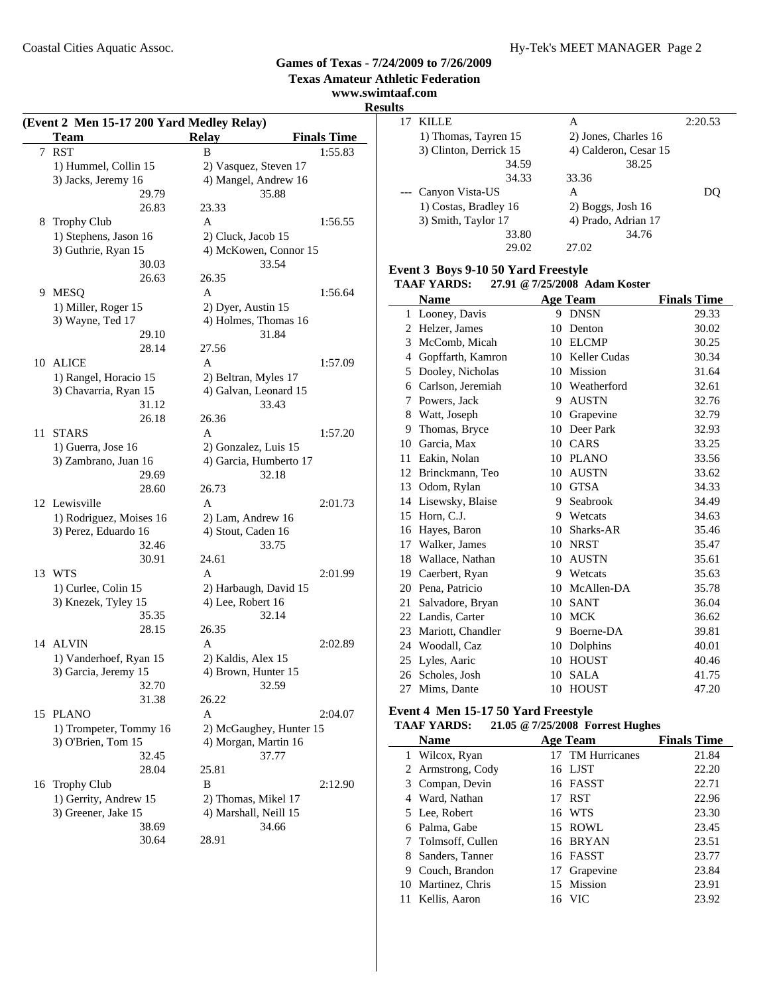**Texas Amateur Athletic Federation**

#### **www.swimtaaf.com Result**

 $\overline{a}$ 

|    | (Event 2 Men 15-17 200 Yard Medley Relay) |                         |                    |
|----|-------------------------------------------|-------------------------|--------------------|
|    | Team                                      | <b>Relay</b>            | <b>Finals Time</b> |
| 7  | <b>RST</b>                                | B                       | 1:55.83            |
|    | 1) Hummel, Collin 15                      | 2) Vasquez, Steven 17   |                    |
|    | 3) Jacks, Jeremy 16                       | 4) Mangel, Andrew 16    |                    |
|    | 29.79                                     | 35.88                   |                    |
|    | 26.83                                     | 23.33                   |                    |
|    | 8 Trophy Club                             | A                       | 1:56.55            |
|    | 1) Stephens, Jason 16                     | 2) Cluck, Jacob 15      |                    |
|    | 3) Guthrie, Ryan 15                       | 4) McKowen, Connor 15   |                    |
|    | 30.03                                     | 33.54                   |                    |
|    | 26.63                                     | 26.35                   |                    |
|    | 9 MESQ                                    | A                       | 1:56.64            |
|    | 1) Miller, Roger 15                       | 2) Dyer, Austin 15      |                    |
|    | 3) Wayne, Ted 17                          | 4) Holmes, Thomas 16    |                    |
|    | 29.10                                     | 31.84                   |                    |
|    | 28.14                                     | 27.56                   |                    |
|    | 10 ALICE                                  | A                       | 1:57.09            |
|    | 1) Rangel, Horacio 15                     | 2) Beltran, Myles 17    |                    |
|    | 3) Chavarria, Ryan 15<br>31.12            | 4) Galvan, Leonard 15   |                    |
|    | 26.18                                     | 33.43<br>26.36          |                    |
|    | 11 STARS                                  | A                       | 1:57.20            |
|    | 1) Guerra, Jose 16                        | 2) Gonzalez, Luis 15    |                    |
|    | 3) Zambrano, Juan 16                      | 4) Garcia, Humberto 17  |                    |
|    | 29.69                                     | 32.18                   |                    |
|    | 28.60                                     | 26.73                   |                    |
|    | 12 Lewisville                             | A                       | 2:01.73            |
|    | 1) Rodriguez, Moises 16                   | 2) Lam, Andrew 16       |                    |
|    | 3) Perez, Eduardo 16                      | 4) Stout, Caden 16      |                    |
|    | 32.46                                     | 33.75                   |                    |
|    | 30.91                                     | 24.61                   |                    |
|    | 13 WTS                                    | A                       | 2:01.99            |
|    | 1) Curlee, Colin 15                       | 2) Harbaugh, David 15   |                    |
|    | 3) Knezek, Tyley 15                       | 4) Lee, Robert 16       |                    |
|    | 35.35                                     | 32.14                   |                    |
|    | 28.15                                     | 26.35                   |                    |
| 14 | <b>ALVIN</b>                              | A                       | 2:02.89            |
|    | 1) Vanderhoef, Ryan 15                    | 2) Kaldis, Alex 15      |                    |
|    | 3) Garcia, Jeremy 15                      | 4) Brown, Hunter 15     |                    |
|    | 32.70                                     | 32.59                   |                    |
|    | 31.38                                     | 26.22                   |                    |
| 15 | <b>PLANO</b>                              | A                       | 2:04.07            |
|    | 1) Trompeter, Tommy 16                    | 2) McGaughey, Hunter 15 |                    |
|    | 3) O'Brien, Tom 15                        | 4) Morgan, Martin 16    |                    |
|    | 32.45<br>28.04                            | 37.77<br>25.81          |                    |
|    |                                           | В                       | 2:12.90            |
|    | 16 Trophy Club<br>1) Gerrity, Andrew 15   | 2) Thomas, Mikel 17     |                    |
|    | 3) Greener, Jake 15                       | 4) Marshall, Neill 15   |                    |
|    | 38.69                                     | 34.66                   |                    |
|    | 30.64                                     | 28.91                   |                    |
|    |                                           |                         |                    |

| elay                          | <b>Finals Time</b> |
|-------------------------------|--------------------|
| B                             | 1:55.83            |
| 2) Vasquez, Steven 17         |                    |
| 4) Mangel, Andrew 16<br>35.88 |                    |
| 23.33                         |                    |
| $\mathbf{A}$                  | 1:56.55            |
| 2) Cluck, Jacob 15            |                    |
| 4) McKowen, Connor 15         |                    |
| 33.54                         |                    |
| 26.35                         |                    |
| $\overline{A}$                | 1:56.64            |
| 2) Dyer, Austin 15            |                    |
| 4) Holmes, Thomas 16          |                    |
| 31.84                         |                    |
| 27.56                         |                    |
| $\mathbf{A}$                  | 1:57.09            |
|                               |                    |
| 2) Beltran, Myles 17          |                    |
| 4) Galvan, Leonard 15         |                    |
| 33.43                         |                    |
| 26.36                         |                    |
| $\mathbf{A}$                  | 1:57.20            |
| 2) Gonzalez, Luis 15          |                    |
| 4) Garcia, Humberto 17        |                    |
| 32.18                         |                    |
| 26.73                         |                    |
| $\overline{A}$                | 2:01.73            |
| 2) Lam, Andrew 16             |                    |
| 4) Stout, Caden 16            |                    |
| 33.75                         |                    |
| 24.61                         |                    |
| $\mathbf{A}$                  | 2:01.99            |
| 2) Harbaugh, David 15         |                    |
| 4) Lee, Robert 16             |                    |
| 32.14                         |                    |
| 26.35                         |                    |
| $\mathbf{A}$                  | 2:02.89            |
| 2) Kaldis, Alex 15            |                    |
| 4) Brown, Hunter 15           |                    |
| 32.59                         |                    |
| 26.22                         |                    |
| $\overline{A}$                | 2:04.07            |
| 2) McGaughey, Hunter 15       |                    |
| 4) Morgan, Martin 16          |                    |
| 37.77                         |                    |
| 25.81                         |                    |
| B                             | 2:12.90            |
|                               |                    |
| 2) Thomas, Mikel 17           |                    |
| 4) Marshall, Neill 15         |                    |
| 34.66                         |                    |
| 28.91                         |                    |
|                               |                    |

| lts |                        |                       |         |
|-----|------------------------|-----------------------|---------|
|     | KILLE                  | А                     | 2:20.53 |
|     | 1) Thomas, Tayren 15   | 2) Jones, Charles 16  |         |
|     | 3) Clinton, Derrick 15 | 4) Calderon, Cesar 15 |         |
|     | 34.59                  | 38.25                 |         |
|     | 34.33                  | 33.36                 |         |
|     | Canyon Vista-US        | A                     |         |
|     | 1) Costas, Bradley 16  | $2)$ Boggs, Josh 16   |         |
|     | 3) Smith, Taylor 17    | 4) Prado, Adrian 17   |         |
|     | 33.80                  | 34.76                 |         |
|     | 29.02                  | 27.02                 |         |

## **Event 3 Boys 9-10 50 Yard Freestyle**

**TAAF YARDS: 27.91 @7/25/2008 Adam Koster**

|    | <b>Name</b>       |    | Age Team       | <b>Finals Time</b> |
|----|-------------------|----|----------------|--------------------|
|    | 1 Looney, Davis   | 9  | <b>DNSN</b>    | 29.33              |
| 2  | Helzer, James     | 10 | Denton         | 30.02              |
| 3  | McComb, Micah     | 10 | <b>ELCMP</b>   | 30.25              |
| 4  | Gopffarth, Kamron | 10 | Keller Cudas   | 30.34              |
| 5  | Dooley, Nicholas  | 10 | Mission        | 31.64              |
| 6  | Carlson, Jeremiah |    | 10 Weatherford | 32.61              |
| 7  | Powers, Jack      | 9  | <b>AUSTN</b>   | 32.76              |
| 8  | Watt, Joseph      | 10 | Grapevine      | 32.79              |
| 9  | Thomas, Bryce     | 10 | Deer Park      | 32.93              |
| 10 | Garcia, Max       | 10 | CARS           | 33.25              |
| 11 | Eakin, Nolan      | 10 | <b>PLANO</b>   | 33.56              |
| 12 | Brinckmann, Teo   | 10 | <b>AUSTN</b>   | 33.62              |
| 13 | Odom, Rylan       | 10 | <b>GTSA</b>    | 34.33              |
| 14 | Lisewsky, Blaise  | 9  | Seabrook       | 34.49              |
| 15 | Horn, C.J.        | 9  | Wetcats        | 34.63              |
| 16 | Hayes, Baron      | 10 | Sharks-AR      | 35.46              |
| 17 | Walker, James     | 10 | <b>NRST</b>    | 35.47              |
| 18 | Wallace, Nathan   | 10 | <b>AUSTN</b>   | 35.61              |
| 19 | Caerbert, Ryan    | 9  | Wetcats        | 35.63              |
| 20 | Pena, Patricio    | 10 | McAllen-DA     | 35.78              |
| 21 | Salvadore, Bryan  | 10 | <b>SANT</b>    | 36.04              |
| 22 | Landis, Carter    | 10 | <b>MCK</b>     | 36.62              |
| 23 | Mariott, Chandler | 9  | Boerne-DA      | 39.81              |
| 24 | Woodall, Caz      | 10 | Dolphins       | 40.01              |
| 25 | Lyles, Aaric      | 10 | <b>HOUST</b>   | 40.46              |
| 26 | Scholes, Josh     | 10 | <b>SALA</b>    | 41.75              |
| 27 | Mims, Dante       | 10 | <b>HOUST</b>   | 47.20              |

## **Event 4 Men 15-17 50 Yard Freestyle**

|   | TAAF YARDS:        | 21.05 @ 7/25/2008 Forrest Hughes |                    |
|---|--------------------|----------------------------------|--------------------|
|   | <b>Name</b>        | <b>Age Team</b>                  | <b>Finals Time</b> |
|   | Wilcox, Ryan       | 17 TM Hurricanes                 | 21.84              |
|   | 2 Armstrong, Cody  | 16 LJST                          | 22.20              |
|   | 3 Compan, Devin    | 16 FASST                         | 22.71              |
|   | 4 Ward, Nathan     | 17 RST                           | 22.96              |
|   | 5 Lee, Robert      | 16 WTS                           | 23.30              |
|   | 6 Palma, Gabe      | 15 ROWL                          | 23.45              |
|   | 7 Tolmsoff, Cullen | 16 BRYAN                         | 23.51              |
|   | 8 Sanders, Tanner  | 16 FASST                         | 23.77              |
| 9 | Couch, Brandon     | 17 Grapevine                     | 23.84              |
|   | 10 Martinez, Chris | 15 Mission                       | 23.91              |
|   | 11 Kellis, Aaron   | 16 VIC                           | 23.92              |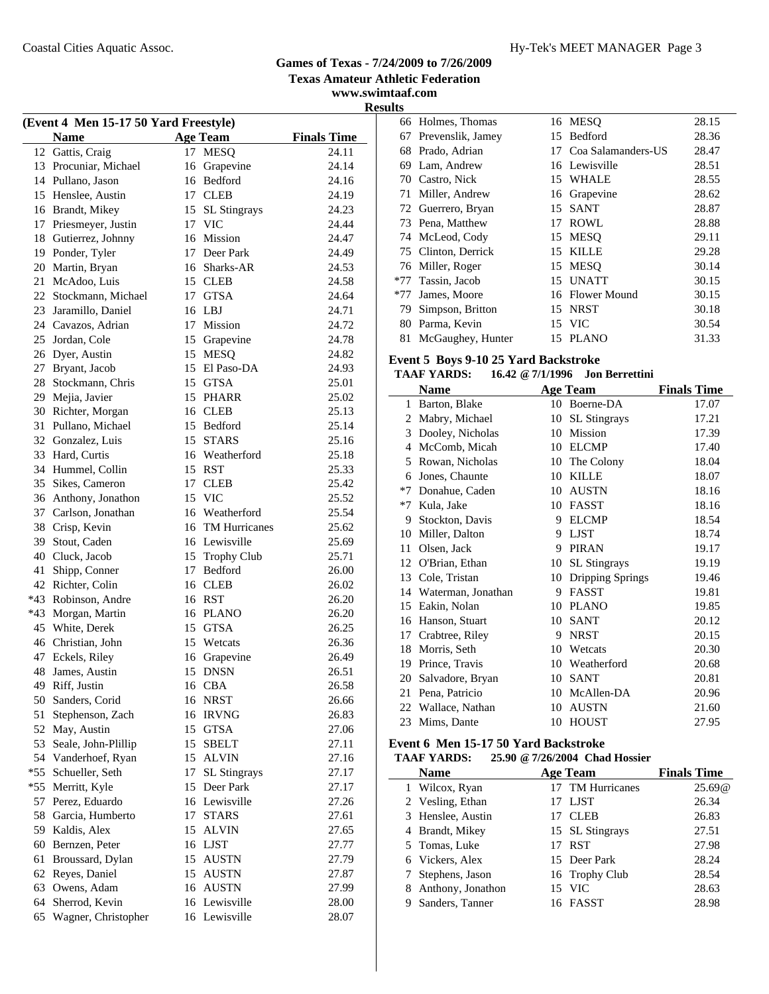#### Coastal Cities Aquatic Assoc. The Coastal Cities Aquatic Assoc. The Coastal Cities Aquatic Assoc.

#### **Games of Texas - 7/24/2009 to 7/26/2009 Texas Amateur Athletic Federation**

**www.swimtaaf.com Results**

| (Event 4 Men 15-17 50 Yard Freestyle) |                       |    |                     |                    |  |
|---------------------------------------|-----------------------|----|---------------------|--------------------|--|
|                                       | <b>Name</b>           |    | <b>Age Team</b>     | <b>Finals Time</b> |  |
|                                       | 12 Gattis, Craig      | 17 | <b>MESQ</b>         | 24.11              |  |
|                                       | 13 Procuniar, Michael | 16 | Grapevine           | 24.14              |  |
|                                       | 14 Pullano, Jason     | 16 | Bedford             | 24.16              |  |
|                                       | 15 Henslee, Austin    |    | 17 CLEB             | 24.19              |  |
|                                       | 16 Brandt, Mikey      | 15 | <b>SL Stingrays</b> | 24.23              |  |
|                                       | 17 Priesmeyer, Justin |    | 17 VIC              | 24.44              |  |
|                                       | 18 Gutierrez, Johnny  |    | 16 Mission          | 24.47              |  |
| 19                                    | Ponder, Tyler         |    | 17 Deer Park        | 24.49              |  |
| 20                                    | Martin, Bryan         |    | 16 Sharks-AR        | 24.53              |  |
| 21                                    | McAdoo, Luis          |    | 15 CLEB             | 24.58              |  |
|                                       | 22 Stockmann, Michael | 17 | GTSA                | 24.64              |  |
| 23                                    | Jaramillo, Daniel     | 16 | LBJ                 | 24.71              |  |
|                                       | 24 Cavazos, Adrian    | 17 | Mission             | 24.72              |  |
|                                       | 25 Jordan, Cole       |    | 15 Grapevine        | 24.78              |  |
|                                       | 26 Dyer, Austin       |    | 15 MESQ             | 24.82              |  |
| 27                                    | Bryant, Jacob         |    | 15 El Paso-DA       | 24.93              |  |
| 28                                    | Stockmann, Chris      |    | 15 GTSA             | 25.01              |  |
|                                       | 29 Mejia, Javier      |    | 15 PHARR            | 25.02              |  |
| 30                                    | Richter, Morgan       |    | 16 CLEB             | 25.13              |  |
| 31                                    | Pullano, Michael      |    | 15 Bedford          | 25.14              |  |
|                                       | 32 Gonzalez, Luis     |    | 15 STARS            | 25.16              |  |
| 33                                    | Hard, Curtis          | 16 | Weatherford         | 25.18              |  |
|                                       | 34 Hummel, Collin     | 15 | RST                 | 25.33              |  |
| 35                                    | Sikes, Cameron        | 17 | <b>CLEB</b>         | 25.42              |  |
| 36                                    | Anthony, Jonathon     | 15 | <b>VIC</b>          | 25.52              |  |
| 37                                    | Carlson, Jonathan     |    | 16 Weatherford      | 25.54              |  |
| 38                                    | Crisp, Kevin          |    | 16 TM Hurricanes    | 25.62              |  |
| 39                                    | Stout, Caden          |    | 16 Lewisville       | 25.69              |  |
|                                       | 40 Cluck, Jacob       | 15 | <b>Trophy Club</b>  | 25.71              |  |
| 41                                    | Shipp, Conner         | 17 | Bedford             | 26.00              |  |
| 42                                    | Richter, Colin        |    | 16 CLEB             | 26.02              |  |
| *43                                   | Robinson, Andre       | 16 | RST                 | 26.20              |  |
| *43                                   | Morgan, Martin        |    | 16 PLANO            | 26.20              |  |
| 45                                    | White, Derek          | 15 | GTSA                | 26.25              |  |
|                                       | 46 Christian, John    | 15 | Wetcats             | 26.36              |  |
| 47                                    | Eckels, Riley         | 16 | Grapevine           | 26.49              |  |
| 48                                    | James, Austin         | 15 | <b>DNSN</b>         | 26.51              |  |
| 49                                    | Riff, Justin          |    | 16 CBA              | 26.58              |  |
| 50                                    | Sanders, Corid        | 16 | <b>NRST</b>         | 26.66              |  |
| 51                                    | Stephenson, Zach      | 16 | <b>IRVNG</b>        | 26.83              |  |
| 52                                    | May, Austin           | 15 | <b>GTSA</b>         | 27.06              |  |
| 53                                    | Seale, John-Plillip   | 15 | <b>SBELT</b>        | 27.11              |  |
| 54                                    | Vanderhoef, Ryan      | 15 | <b>ALVIN</b>        | 27.16              |  |
| $*55$                                 | Schueller, Seth       | 17 | <b>SL Stingrays</b> | 27.17              |  |
| *55                                   | Merritt, Kyle         | 15 | Deer Park           | 27.17              |  |
| 57                                    | Perez, Eduardo        | 16 | Lewisville          | 27.26              |  |
| 58                                    | Garcia, Humberto      | 17 | <b>STARS</b>        | 27.61              |  |
| 59                                    | Kaldis, Alex          | 15 | <b>ALVIN</b>        | 27.65              |  |
| 60                                    | Bernzen, Peter        | 16 | <b>LJST</b>         | 27.77              |  |
| 61                                    | Broussard, Dylan      | 15 | <b>AUSTN</b>        | 27.79              |  |
| 62                                    | Reyes, Daniel         | 15 | <b>AUSTN</b>        | 27.87              |  |
| 63                                    | Owens, Adam           | 16 | <b>AUSTN</b>        | 27.99              |  |
| 64                                    | Sherrod, Kevin        | 16 | Lewisville          | 28.00              |  |
| 65                                    | Wagner, Christopher   |    | 16 Lewisville       | 28.07              |  |
|                                       |                       |    |                     |                    |  |

| ய     |                     |    |                       |       |
|-------|---------------------|----|-----------------------|-------|
|       | 66 Holmes, Thomas   |    | 16 MESO               | 28.15 |
| 67    | Prevenslik, Jamey   | 15 | Bedford               | 28.36 |
| 68    | Prado, Adrian       |    | 17 Coa Salamanders-US | 28.47 |
| 69.   | Lam, Andrew         |    | 16 Lewisville         | 28.51 |
|       | 70 Castro, Nick     |    | 15 WHALE              | 28.55 |
| 71    | Miller, Andrew      |    | 16 Grapevine          | 28.62 |
|       | 72 Guerrero, Bryan  | 15 | <b>SANT</b>           | 28.87 |
|       | 73 Pena, Matthew    | 17 | <b>ROWL</b>           | 28.88 |
|       | 74 McLeod, Cody     | 15 | <b>MESO</b>           | 29.11 |
|       | 75 Clinton, Derrick | 15 | <b>KILLE</b>          | 29.28 |
|       | 76 Miller, Roger    | 15 | <b>MESO</b>           | 30.14 |
|       | *77 Tassin, Jacob   | 15 | <b>UNATT</b>          | 30.15 |
| $*77$ | James, Moore        |    | 16 Flower Mound       | 30.15 |
| 79    | Simpson, Britton    |    | 15 NRST               | 30.18 |
| 80    | Parma, Kevin        |    | 15 VIC                | 30.54 |
| 81    | McGaughey, Hunter   |    | 15 PLANO              | 31.33 |
|       |                     |    |                       |       |

## **Event 5 Boys 9-10 25 Yard Backstroke**

**TAAF YARDS: 16.42 @7/1/1996 Jon Berrettini**

|      | Name               |    | <b>Age Team</b>     | <b>Finals Time</b> |
|------|--------------------|----|---------------------|--------------------|
| 1    | Barton, Blake      | 10 | Boerne-DA           | 17.07              |
| 2    | Mabry, Michael     | 10 | <b>SL</b> Stingrays | 17.21              |
| 3    | Dooley, Nicholas   | 10 | Mission             | 17.39              |
| 4    | McComb, Micah      | 10 | <b>ELCMP</b>        | 17.40              |
| 5    | Rowan, Nicholas    | 10 | The Colony          | 18.04              |
| 6    | Jones, Chaunte     | 10 | <b>KILLE</b>        | 18.07              |
| $*7$ | Donahue, Caden     | 10 | <b>AUSTN</b>        | 18.16              |
| $*7$ | Kula, Jake         | 10 | <b>FASST</b>        | 18.16              |
| 9    | Stockton, Davis    | 9  | <b>ELCMP</b>        | 18.54              |
| 10   | Miller, Dalton     | 9  | <b>LJST</b>         | 18.74              |
| 11   | Olsen, Jack        | 9  | <b>PIRAN</b>        | 19.17              |
| 12   | O'Brian, Ethan     | 10 | <b>SL</b> Stingrays | 19.19              |
| 13   | Cole, Tristan      | 10 | Dripping Springs    | 19.46              |
| 14   | Waterman, Jonathan | 9  | FASST               | 19.81              |
| 15   | Eakin, Nolan       | 10 | <b>PLANO</b>        | 19.85              |
| 16   | Hanson, Stuart     | 10 | <b>SANT</b>         | 20.12              |
| 17   | Crabtree, Riley    | 9  | <b>NRST</b>         | 20.15              |
| 18   | Morris, Seth       | 10 | Wetcats             | 20.30              |
| 19   | Prince, Travis     | 10 | Weatherford         | 20.68              |
| 20   | Salvadore, Bryan   | 10 | <b>SANT</b>         | 20.81              |
| 21   | Pena, Patricio     | 10 | McAllen-DA          | 20.96              |
| 22   | Wallace, Nathan    | 10 | <b>AUSTN</b>        | 21.60              |
| 23   | Mims, Dante        | 10 | <b>HOUST</b>        | 27.95              |

## **Event 6 Men 15-17 50 Yard Backstroke**

#### **TAAF YARDS: 25.90 @7/26/2004 Chad Hossier**

| <b>Name</b>         | <b>Age Team</b>  | <b>Finals Time</b> |
|---------------------|------------------|--------------------|
| 1 Wilcox, Ryan      | 17 TM Hurricanes | 25.69@             |
| 2 Vesling, Ethan    | 17 LJST          | 26.34              |
| 3 Henslee, Austin   | 17 CLEB          | 26.83              |
| 4 Brandt, Mikey     | 15 SL Stingrays  | 27.51              |
| 5 Tomas, Luke       | 17 RST           | 27.98              |
| 6 Vickers, Alex     | 15 Deer Park     | 28.24              |
| 7 Stephens, Jason   | 16 Trophy Club   | 28.54              |
| 8 Anthony, Jonathon | 15 VIC           | 28.63              |
| Sanders, Tanner     | 16 FASST         | 28.98              |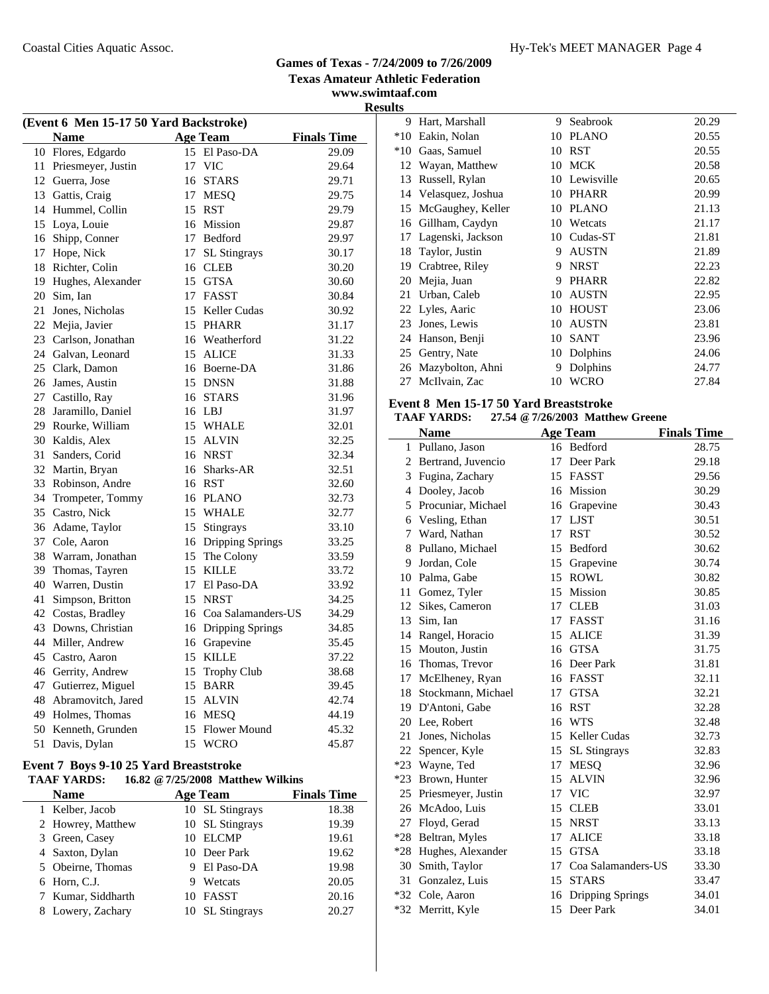#### Coastal Cities Aquatic Assoc. The Coastal Cities Aquatic Assoc. The Coastal Cities Aquatic Assoc.

# **Games of Texas - 7/24/2009 to 7/26/2009**

**Texas Amateur Athletic Federation**

**www.swimtaaf.com Results**

|    | (Event 6 Men 15-17 50 Yard Backstroke) |    |                       |                    |  |  |
|----|----------------------------------------|----|-----------------------|--------------------|--|--|
|    | Name                                   |    | <b>Age Team</b>       | <b>Finals Time</b> |  |  |
|    | 10 Flores, Edgardo                     | 15 | El Paso-DA            | 29.09              |  |  |
| 11 | Priesmeyer, Justin                     | 17 | <b>VIC</b>            | 29.64              |  |  |
| 12 | Guerra, Jose                           |    | 16 STARS              | 29.71              |  |  |
| 13 | Gattis, Craig                          |    | 17 MESQ               | 29.75              |  |  |
| 14 | Hummel, Collin                         | 15 | <b>RST</b>            | 29.79              |  |  |
| 15 | Loya, Louie                            |    | 16 Mission            | 29.87              |  |  |
| 16 | Shipp, Conner                          |    | 17 Bedford            | 29.97              |  |  |
| 17 | Hope, Nick                             | 17 | SL Stingrays          | 30.17              |  |  |
| 18 | Richter, Colin                         |    | 16 CLEB               | 30.20              |  |  |
| 19 | Hughes, Alexander                      |    | 15 GTSA               | 30.60              |  |  |
| 20 | Sim, Ian                               |    | 17 FASST              | 30.84              |  |  |
| 21 | Jones, Nicholas                        | 15 | Keller Cudas          | 30.92              |  |  |
| 22 | Mejia, Javier                          |    | 15 PHARR              | 31.17              |  |  |
|    | 23 Carlson, Jonathan                   |    | 16 Weatherford        | 31.22              |  |  |
| 24 | Galvan, Leonard                        | 15 | <b>ALICE</b>          | 31.33              |  |  |
| 25 | Clark, Damon                           |    | 16 Boerne-DA          | 31.86              |  |  |
| 26 | James, Austin                          |    | 15 DNSN               | 31.88              |  |  |
| 27 | Castillo, Ray                          |    | 16 STARS              | 31.96              |  |  |
| 28 | Jaramillo, Daniel                      |    | 16 LBJ                | 31.97              |  |  |
| 29 | Rourke, William                        |    | 15 WHALE              | 32.01              |  |  |
| 30 | Kaldis, Alex                           | 15 | <b>ALVIN</b>          | 32.25              |  |  |
| 31 | Sanders, Corid                         |    | 16 NRST               | 32.34              |  |  |
| 32 | Martin, Bryan                          |    | 16 Sharks-AR          | 32.51              |  |  |
| 33 | Robinson, Andre                        |    | 16 RST                | 32.60              |  |  |
| 34 | Trompeter, Tommy                       |    | 16 PLANO              | 32.73              |  |  |
| 35 | Castro, Nick                           |    | 15 WHALE              | 32.77              |  |  |
| 36 | Adame, Taylor                          |    | 15 Stingrays          | 33.10              |  |  |
| 37 | Cole, Aaron                            |    | 16 Dripping Springs   | 33.25              |  |  |
| 38 | Warram, Jonathan                       |    | 15 The Colony         | 33.59              |  |  |
| 39 | Thomas, Tayren                         |    | 15 KILLE              | 33.72              |  |  |
| 40 | Warren, Dustin                         |    | 17 El Paso-DA         | 33.92              |  |  |
| 41 | Simpson, Britton                       |    | 15 NRST               | 34.25              |  |  |
| 42 | Costas, Bradley                        |    | 16 Coa Salamanders-US | 34.29              |  |  |
| 43 | Downs, Christian                       |    | 16 Dripping Springs   | 34.85              |  |  |
| 44 | Miller, Andrew                         |    | 16 Grapevine          | 35.45              |  |  |
| 45 | Castro, Aaron                          |    | 15 KILLE              | 37.22              |  |  |
| 46 | Gerrity, Andrew                        | 15 | Trophy Club           | 38.68              |  |  |
| 47 | Gutierrez, Miguel                      | 15 | <b>BARR</b>           | 39.45              |  |  |
| 48 | Abramovitch, Jared                     |    | 15 ALVIN              | 42.74              |  |  |
| 49 | Holmes, Thomas                         |    | 16 MESQ               | 44.19              |  |  |
| 50 | Kenneth, Grunden                       | 15 | Flower Mound          | 45.32              |  |  |
| 51 | Davis, Dylan                           | 15 | <b>WCRO</b>           | 45.87              |  |  |

#### **Event 7 Boys 9-10 25 Yard Breaststroke TAAF YARDS: 16.82 @7/25/2008 Matthew Wilkins**

| <b>Name</b>        | <b>Age Team</b> | <b>Finals Time</b> |
|--------------------|-----------------|--------------------|
| 1 Kelber, Jacob    | 10 SL Stingrays | 18.38              |
| 2 Howrey, Matthew  | 10 SL Stingrays | 19.39              |
| 3 Green, Casey     | 10 ELCMP        | 19.61              |
| 4 Saxton, Dylan    | 10 Deer Park    | 19.62              |
| 5 Obeirne, Thomas  | El Paso-DA      | 19.98              |
| 6 Horn, C.J.       | Wetcats<br>9    | 20.05              |
| 7 Kumar, Siddharth | 10 FASST        | 20.16              |
| 8 Lowery, Zachary  | 10 SL Stingrays | 20.27              |

| படை   |                   |    |              |       |
|-------|-------------------|----|--------------|-------|
| 9     | Hart, Marshall    | 9  | Seabrook     | 20.29 |
| $*10$ | Eakin, Nolan      | 10 | <b>PLANO</b> | 20.55 |
| $*10$ | Gaas, Samuel      | 10 | <b>RST</b>   | 20.55 |
| 12    | Wayan, Matthew    | 10 | MCK          | 20.58 |
| 13    | Russell, Rylan    | 10 | Lewisville   | 20.65 |
| 14    | Velasquez, Joshua | 10 | <b>PHARR</b> | 20.99 |
| 15    | McGaughey, Keller | 10 | <b>PLANO</b> | 21.13 |
| 16    | Gillham, Caydyn   | 10 | Wetcats      | 21.17 |
| 17    | Lagenski, Jackson | 10 | Cudas-ST     | 21.81 |
| 18    | Taylor, Justin    | 9  | AUSTN        | 21.89 |
| 19    | Crabtree, Riley   | 9  | <b>NRST</b>  | 22.23 |
| 20    | Mejia, Juan       | 9  | <b>PHARR</b> | 22.82 |
| 21    | Urban, Caleb      | 10 | AUSTN        | 22.95 |
|       | 22 Lyles, Aaric   | 10 | <b>HOUST</b> | 23.06 |
| 23    | Jones, Lewis      | 10 | AUSTN        | 23.81 |
| 24    | Hanson, Benji     | 10 | SANT         | 23.96 |
| 25    | Gentry, Nate      | 10 | Dolphins     | 24.06 |
| 26    | Mazybolton, Ahni  | 9  | Dolphins     | 24.77 |
| 27    | McIlvain, Zac     | 10 | WCRO         | 27.84 |
|       |                   |    |              |       |

## **Event 8 Men 15-17 50 Yard Breaststroke**

|              | <b>Name</b>           |    | <b>Age Team</b>     | <b>Finals Time</b> |
|--------------|-----------------------|----|---------------------|--------------------|
| $\mathbf{1}$ | Pullano, Jason        |    | 16 Bedford          | 28.75              |
|              | 2 Bertrand, Juvencio  |    | 17 Deer Park        | 29.18              |
|              | 3 Fugina, Zachary     |    | 15 FASST            | 29.56              |
|              | 4 Dooley, Jacob       | 16 | Mission             | 30.29              |
| 5            | Procuniar, Michael    | 16 | Grapevine           | 30.43              |
| 6            | Vesling, Ethan        | 17 | <b>LJST</b>         | 30.51              |
| 7            | Ward, Nathan          | 17 | <b>RST</b>          | 30.52              |
| 8            | Pullano, Michael      | 15 | <b>Bedford</b>      | 30.62              |
|              | 9 Jordan, Cole        | 15 | Grapevine           | 30.74              |
|              | 10 Palma, Gabe        | 15 | <b>ROWL</b>         | 30.82              |
| 11           | Gomez, Tyler          | 15 | Mission             | 30.85              |
|              | 12 Sikes, Cameron     | 17 | <b>CLEB</b>         | 31.03              |
|              | 13 Sim, Ian           | 17 | <b>FASST</b>        | 31.16              |
|              | 14 Rangel, Horacio    | 15 | <b>ALICE</b>        | 31.39              |
| 15           | Mouton, Justin        | 16 | <b>GTSA</b>         | 31.75              |
|              | 16 Thomas, Trevor     | 16 | Deer Park           | 31.81              |
|              | 17 McElheney, Ryan    |    | 16 FASST            | 32.11              |
|              | 18 Stockmann, Michael | 17 | <b>GTSA</b>         | 32.21              |
|              | 19 D'Antoni, Gabe     | 16 | <b>RST</b>          | 32.28              |
|              | 20 Lee, Robert        |    | 16 WTS              | 32.48              |
| 21           | Jones, Nicholas       | 15 | <b>Keller Cudas</b> | 32.73              |
|              | 22 Spencer, Kyle      | 15 | SL Stingrays        | 32.83              |
|              | *23 Wayne, Ted        | 17 | <b>MESO</b>         | 32.96              |
|              | *23 Brown, Hunter     | 15 | <b>ALVIN</b>        | 32.96              |
|              | 25 Priesmeyer, Justin | 17 | <b>VIC</b>          | 32.97              |
|              | 26 McAdoo, Luis       | 15 | <b>CLEB</b>         | 33.01              |
| 27           | Floyd, Gerad          | 15 | <b>NRST</b>         | 33.13              |
|              | *28 Beltran, Myles    | 17 | <b>ALICE</b>        | 33.18              |
|              | *28 Hughes, Alexander | 15 | <b>GTSA</b>         | 33.18              |
|              | 30 Smith, Taylor      | 17 | Coa Salamanders-US  | 33.30              |
| 31           | Gonzalez, Luis        | 15 | <b>STARS</b>        | 33.47              |
|              | *32 Cole, Aaron       | 16 | Dripping Springs    | 34.01              |
| $*32$        | Merritt, Kyle         | 15 | Deer Park           | 34.01              |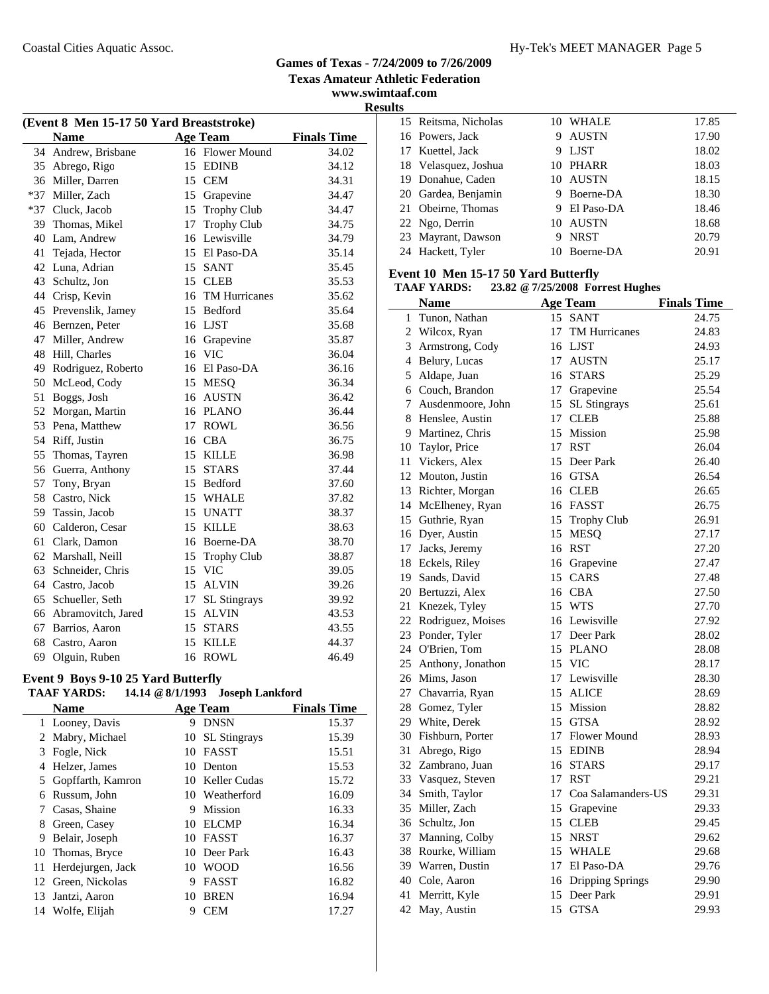**www.swimtaaf.com**

**Results**

| (Event 8 Men 15-17 50 Yard Breaststroke)             |                    |    |                     |       |  |  |  |
|------------------------------------------------------|--------------------|----|---------------------|-------|--|--|--|
| <b>Finals Time</b><br><b>Name</b><br><b>Age Team</b> |                    |    |                     |       |  |  |  |
| 34                                                   | Andrew, Brisbane   |    | 16 Flower Mound     | 34.02 |  |  |  |
| 35                                                   | Abrego, Rigo       | 15 | <b>EDINB</b>        | 34.12 |  |  |  |
| 36                                                   | Miller, Darren     |    | 15 CEM              | 34.31 |  |  |  |
| $*37$                                                | Miller, Zach       | 15 | Grapevine           | 34.47 |  |  |  |
| $*37$                                                | Cluck, Jacob       | 15 | Trophy Club         | 34.47 |  |  |  |
| 39                                                   | Thomas, Mikel      | 17 | Trophy Club         | 34.75 |  |  |  |
| 40                                                   | Lam, Andrew        |    | 16 Lewisville       | 34.79 |  |  |  |
| 41                                                   | Tejada, Hector     |    | 15 El Paso-DA       | 35.14 |  |  |  |
| 42                                                   | Luna, Adrian       |    | 15 SANT             | 35.45 |  |  |  |
| 43                                                   | Schultz, Jon       |    | 15 CLEB             | 35.53 |  |  |  |
| 44                                                   | Crisp, Kevin       |    | 16 TM Hurricanes    | 35.62 |  |  |  |
| 45                                                   | Prevenslik, Jamey  | 15 | Bedford             | 35.64 |  |  |  |
| 46                                                   | Bernzen, Peter     |    | 16 LJST             | 35.68 |  |  |  |
| 47                                                   | Miller, Andrew     |    | 16 Grapevine        | 35.87 |  |  |  |
| 48                                                   | Hill, Charles      | 16 | <b>VIC</b>          | 36.04 |  |  |  |
| 49                                                   | Rodriguez, Roberto |    | 16 El Paso-DA       | 36.16 |  |  |  |
| 50                                                   | McLeod, Cody       |    | 15 MESO             | 36.34 |  |  |  |
| 51                                                   | Boggs, Josh        | 16 | <b>AUSTN</b>        | 36.42 |  |  |  |
| 52                                                   | Morgan, Martin     |    | 16 PLANO            | 36.44 |  |  |  |
| 53                                                   | Pena, Matthew      | 17 | <b>ROWL</b>         | 36.56 |  |  |  |
| 54                                                   | Riff, Justin       |    | 16 CBA              | 36.75 |  |  |  |
| 55                                                   | Thomas, Tayren     | 15 | <b>KILLE</b>        | 36.98 |  |  |  |
| 56                                                   | Guerra, Anthony    | 15 | <b>STARS</b>        | 37.44 |  |  |  |
| 57                                                   | Tony, Bryan        |    | 15 Bedford          | 37.60 |  |  |  |
| 58                                                   | Castro, Nick       |    | 15 WHALE            | 37.82 |  |  |  |
| 59                                                   | Tassin, Jacob      | 15 | <b>UNATT</b>        | 38.37 |  |  |  |
| 60                                                   | Calderon, Cesar    | 15 | <b>KILLE</b>        | 38.63 |  |  |  |
| 61                                                   | Clark, Damon       |    | 16 Boerne-DA        | 38.70 |  |  |  |
| 62                                                   | Marshall, Neill    | 15 | <b>Trophy Club</b>  | 38.87 |  |  |  |
| 63                                                   | Schneider, Chris   | 15 | <b>VIC</b>          | 39.05 |  |  |  |
| 64                                                   | Castro, Jacob      | 15 | <b>ALVIN</b>        | 39.26 |  |  |  |
| 65                                                   | Schueller, Seth    | 17 | <b>SL</b> Stingrays | 39.92 |  |  |  |
| 66                                                   | Abramovitch, Jared | 15 | <b>ALVIN</b>        | 43.53 |  |  |  |
| 67                                                   | Barrios, Aaron     | 15 | <b>STARS</b>        | 43.55 |  |  |  |
| 68                                                   | Castro, Aaron      | 15 | <b>KILLE</b>        | 44.37 |  |  |  |
| 69                                                   | Olguin, Ruben      | 16 | <b>ROWL</b>         | 46.49 |  |  |  |

# **Event 9 Boys 9-10 25 Yard Butterfly**

| <b>TAAF YARDS:</b> |  | 14.14 @ 8/1/1993 Joseph Lankford |
|--------------------|--|----------------------------------|
|--------------------|--|----------------------------------|

|    | <b>Name</b>          |    | <b>Age Team</b>     | <b>Finals Time</b> |
|----|----------------------|----|---------------------|--------------------|
|    | 1 Looney, Davis      | 9  | <b>DNSN</b>         | 15.37              |
|    | 2 Mabry, Michael     | 10 | <b>SL</b> Stingrays | 15.39              |
|    | 3 Fogle, Nick        | 10 | <b>FASST</b>        | 15.51              |
| 4  | Helzer, James        | 10 | Denton              | 15.53              |
|    | 5 Gopffarth, Kamron  |    | 10 Keller Cudas     | 15.72              |
| 6  | Russum, John         |    | 10 Weatherford      | 16.09              |
|    | Casas, Shaine        | 9  | Mission             | 16.33              |
| 8  | Green, Casey         | 10 | <b>ELCMP</b>        | 16.34              |
| 9  | Belair, Joseph       | 10 | FASST               | 16.37              |
|    | 10 Thomas, Bryce     |    | 10 Deer Park        | 16.43              |
|    | 11 Herdejurgen, Jack | 10 | <b>WOOD</b>         | 16.56              |
|    | 12 Green, Nickolas   | 9  | <b>FASST</b>        | 16.82              |
|    | 13 Jantzi, Aaron     | 10 | <b>BREN</b>         | 16.94              |
| 14 | Wolfe, Elijah        | 9  | CEM                 | 17.27              |
|    |                      |    |                     |                    |

| πы |                      |   |              |       |
|----|----------------------|---|--------------|-------|
|    | 15 Reitsma, Nicholas |   | 10 WHALE     | 17.85 |
|    | 16 Powers, Jack      | 9 | <b>AUSTN</b> | 17.90 |
|    | 17 Kuettel, Jack     | 9 | LJST         | 18.02 |
|    | 18 Velasquez, Joshua |   | 10 PHARR     | 18.03 |
|    | 19 Donahue, Caden    |   | 10 AUSTN     | 18.15 |
|    | 20 Gardea, Benjamin  | 9 | Boerne-DA    | 18.30 |
|    | 21 Obeirne, Thomas   |   | 9 El Paso-DA | 18.46 |
|    | 22 Ngo, Derrin       |   | 10 AUSTN     | 18.68 |
|    | 23 Mayrant, Dawson   | 9 | <b>NRST</b>  | 20.79 |
|    | 24 Hackett, Tyler    |   | 10 Boerne-DA | 20.91 |
|    |                      |   |              |       |

## **Event 10 Men 15-17 50 Yard Butterfly**

**TAAF YARDS: 23.82 @7/25/2008 Forrest Hughes**

|              | <b>Name</b>          |    | <b>Age Team</b>      | <b>Finals Time</b> |
|--------------|----------------------|----|----------------------|--------------------|
| $\mathbf{1}$ | Tunon, Nathan        | 15 | <b>SANT</b>          | 24.75              |
|              | 2 Wilcox, Ryan       | 17 | <b>TM Hurricanes</b> | 24.83              |
|              | 3 Armstrong, Cody    |    | 16 LJST              | 24.93              |
|              | 4 Belury, Lucas      | 17 | <b>AUSTN</b>         | 25.17              |
| 5            | Aldape, Juan         | 16 | <b>STARS</b>         | 25.29              |
|              | 6 Couch, Brandon     | 17 | Grapevine            | 25.54              |
| 7            | Ausdenmoore, John    | 15 | <b>SL Stingrays</b>  | 25.61              |
|              | 8 Henslee, Austin    | 17 | <b>CLEB</b>          | 25.88              |
|              | 9 Martinez, Chris    | 15 | Mission              | 25.98              |
|              | 10 Taylor, Price     | 17 | <b>RST</b>           | 26.04              |
|              | 11 Vickers, Alex     | 15 | Deer Park            | 26.40              |
|              | 12 Mouton, Justin    | 16 | <b>GTSA</b>          | 26.54              |
|              | 13 Richter, Morgan   |    | 16 CLEB              | 26.65              |
|              | 14 McElheney, Ryan   |    | 16 FASST             | 26.75              |
|              | 15 Guthrie, Ryan     | 15 | <b>Trophy Club</b>   | 26.91              |
|              | 16 Dyer, Austin      | 15 | <b>MESQ</b>          | 27.17              |
|              | 17 Jacks, Jeremy     |    | 16 RST               | 27.20              |
|              | 18 Eckels, Riley     | 16 | Grapevine            | 27.47              |
|              | 19 Sands, David      | 15 | CARS                 | 27.48              |
|              | 20 Bertuzzi, Alex    | 16 | <b>CBA</b>           | 27.50              |
|              | 21 Knezek, Tyley     |    | 15 WTS               | 27.70              |
|              | 22 Rodriguez, Moises |    | 16 Lewisville        | 27.92              |
|              | 23 Ponder, Tyler     |    | 17 Deer Park         | 28.02              |
|              | 24 O'Brien, Tom      |    | 15 PLANO             | 28.08              |
|              | 25 Anthony, Jonathon |    | 15 VIC               | 28.17              |
|              | 26 Mims, Jason       |    | 17 Lewisville        | 28.30              |
|              | 27 Chavarria, Ryan   |    | 15 ALICE             | 28.69              |
|              | 28 Gomez, Tyler      | 15 | Mission              | 28.82              |
|              | 29 White, Derek      |    | 15 GTSA              | 28.92              |
|              | 30 Fishburn, Porter  | 17 | Flower Mound         | 28.93              |
|              | 31 Abrego, Rigo      |    | 15 EDINB             | 28.94              |
|              | 32 Zambrano, Juan    |    | 16 STARS             | 29.17              |
|              | 33 Vasquez, Steven   | 17 | <b>RST</b>           | 29.21              |
|              | 34 Smith, Taylor     | 17 | Coa Salamanders-US   | 29.31              |
|              | 35 Miller, Zach      | 15 | Grapevine            | 29.33              |
|              | 36 Schultz, Jon      | 15 | <b>CLEB</b>          | 29.45              |
|              | 37 Manning, Colby    | 15 | <b>NRST</b>          | 29.62              |
|              | 38 Rourke, William   | 15 | WHALE                | 29.68              |
|              | 39 Warren, Dustin    | 17 | El Paso-DA           | 29.76              |
|              | 40 Cole, Aaron       | 16 | Dripping Springs     | 29.90              |
| 41           | Merritt, Kyle        | 15 | Deer Park            | 29.91              |
| 42           | May, Austin          | 15 | <b>GTSA</b>          | 29.93              |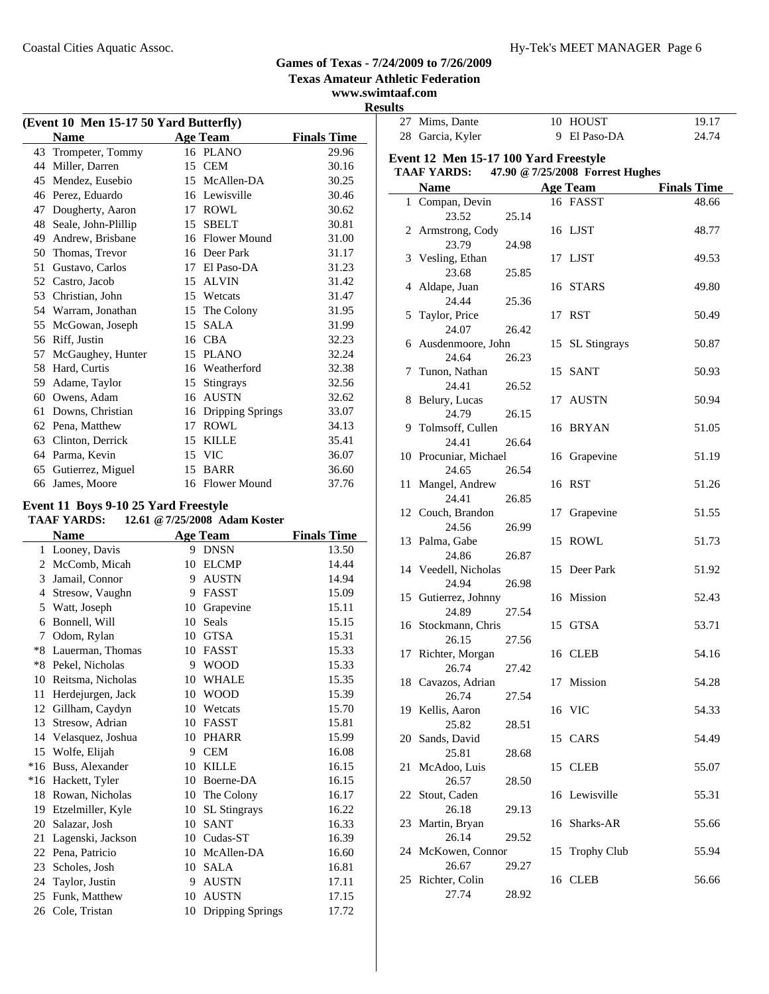**Texas Amateur Athletic Federation www.swimtaaf.com**

# **Results**

| (Event 10 Men 15-17 50 Yard Butterfly) |                     |    |                     |                    |  |
|----------------------------------------|---------------------|----|---------------------|--------------------|--|
|                                        | <b>Name</b>         |    | <b>Age Team</b>     | <b>Finals Time</b> |  |
| 43                                     | Trompeter, Tommy    |    | 16 PLANO            | 29.96              |  |
| 44                                     | Miller, Darren      | 15 | <b>CEM</b>          | 30.16              |  |
| 45                                     | Mendez, Eusebio     | 15 | McAllen-DA          | 30.25              |  |
| 46                                     | Perez, Eduardo      | 16 | Lewisville          | 30.46              |  |
| 47                                     | Dougherty, Aaron    | 17 | ROWL                | 30.62              |  |
| 48                                     | Seale, John-Plillip | 15 | <b>SBELT</b>        | 30.81              |  |
| 49                                     | Andrew, Brisbane    | 16 | <b>Flower Mound</b> | 31.00              |  |
| 50                                     | Thomas, Trevor      | 16 | Deer Park           | 31.17              |  |
| 51                                     | Gustavo, Carlos     | 17 | El Paso-DA          | 31.23              |  |
| 52                                     | Castro, Jacob       | 15 | <b>ALVIN</b>        | 31.42              |  |
| 53                                     | Christian, John     | 15 | Wetcats             | 31.47              |  |
| 54                                     | Warram, Jonathan    | 15 | The Colony          | 31.95              |  |
| 55                                     | McGowan, Joseph     | 15 | <b>SALA</b>         | 31.99              |  |
| 56                                     | Riff, Justin        | 16 | <b>CBA</b>          | 32.23              |  |
| 57                                     | McGaughey, Hunter   | 15 | <b>PLANO</b>        | 32.24              |  |
| 58                                     | Hard, Curtis        | 16 | Weatherford         | 32.38              |  |
| 59                                     | Adame, Taylor       | 15 | <b>Stingrays</b>    | 32.56              |  |
| 60                                     | Owens, Adam         | 16 | <b>AUSTN</b>        | 32.62              |  |
| 61                                     | Downs, Christian    | 16 | Dripping Springs    | 33.07              |  |
| 62                                     | Pena, Matthew       | 17 | <b>ROWL</b>         | 34.13              |  |
| 63                                     | Clinton, Derrick    | 15 | <b>KILLE</b>        | 35.41              |  |
| 64                                     | Parma, Kevin        | 15 | <b>VIC</b>          | 36.07              |  |
| 65                                     | Gutierrez, Miguel   | 15 | <b>BARR</b>         | 36.60              |  |
| 66                                     | James, Moore        | 16 | <b>Flower Mound</b> | 37.76              |  |

# **Event 11 Boys 9-10 25 Yard Freestyle**

| <b>TAAF YARDS:</b> | 12.61 @ 7/25/2008 Adam Koster |  |
|--------------------|-------------------------------|--|
|--------------------|-------------------------------|--|

| <b>Name</b> |                   |    | <b>Age Team</b>     | <b>Finals Time</b> |
|-------------|-------------------|----|---------------------|--------------------|
| 1           | Looney, Davis     | 9  | <b>DNSN</b>         | 13.50              |
| 2           | McComb, Micah     | 10 | <b>ELCMP</b>        | 14.44              |
| 3           | Jamail, Connor    | 9  | <b>AUSTN</b>        | 14.94              |
| 4           | Stresow, Vaughn   | 9  | <b>FASST</b>        | 15.09              |
| 5           | Watt, Joseph      | 10 | Grapevine           | 15.11              |
| 6           | Bonnell, Will     | 10 | Seals               | 15.15              |
| 7           | Odom, Rylan       | 10 | <b>GTSA</b>         | 15.31              |
| $*8$        | Lauerman, Thomas  | 10 | <b>FASST</b>        | 15.33              |
| $*8$        | Pekel, Nicholas   | 9  | <b>WOOD</b>         | 15.33              |
| 10          | Reitsma, Nicholas | 10 | WHALE               | 15.35              |
| 11          | Herdejurgen, Jack | 10 | <b>WOOD</b>         | 15.39              |
| 12          | Gillham, Caydyn   | 10 | Wetcats             | 15.70              |
| 13          | Stresow, Adrian   | 10 | <b>FASST</b>        | 15.81              |
| 14          | Velasquez, Joshua | 10 | <b>PHARR</b>        | 15.99              |
| 15          | Wolfe, Elijah     | 9  | <b>CEM</b>          | 16.08              |
| $*16$       | Buss, Alexander   | 10 | <b>KILLE</b>        | 16.15              |
| $*16$       | Hackett, Tyler    | 10 | Boerne-DA           | 16.15              |
| 18          | Rowan, Nicholas   | 10 | The Colony          | 16.17              |
| 19          | Etzelmiller, Kyle | 10 | <b>SL Stingrays</b> | 16.22              |
| 20          | Salazar, Josh     | 10 | <b>SANT</b>         | 16.33              |
| 21          | Lagenski, Jackson | 10 | Cudas-ST            | 16.39              |
| 22          | Pena, Patricio    | 10 | McAllen-DA          | 16.60              |
| 23          | Scholes, Josh     | 10 | <b>SALA</b>         | 16.81              |
| 24          | Taylor, Justin    | 9  | <b>AUSTN</b>        | 17.11              |
| 25          | Funk, Matthew     | 10 | <b>AUSTN</b>        | 17.15              |
| 26          | Cole, Tristan     | 10 | Dripping Springs    | 17.72              |
|             |                   |    |                     |                    |

|    | 27 Mims, Dante                        |       |    | 10 HOUST                         | 19.17              |
|----|---------------------------------------|-------|----|----------------------------------|--------------------|
|    | 28 Garcia, Kyler                      |       | 9  | El Paso-DA                       | 24.74              |
|    |                                       |       |    |                                  |                    |
|    | Event 12 Men 15-17 100 Yard Freestyle |       |    |                                  |                    |
|    | <b>TAAF YARDS:</b>                    |       |    | 47.90 @ 7/25/2008 Forrest Hughes |                    |
|    | <b>Name</b>                           |       |    | <b>Age Team</b>                  | <b>Finals Time</b> |
|    | 1 Compan, Devin                       |       |    | 16 FASST                         | 48.66              |
|    | 23.52                                 | 25.14 |    |                                  |                    |
|    | 2 Armstrong, Cody                     |       |    | 16 LJST                          | 48.77              |
|    | 23.79                                 | 24.98 |    |                                  |                    |
|    | 3 Vesling, Ethan                      |       |    | 17 LJST                          | 49.53              |
|    | 23.68                                 | 25.85 |    |                                  |                    |
|    | 4 Aldape, Juan                        |       |    | 16 STARS                         | 49.80              |
|    | 24.44                                 | 25.36 |    |                                  |                    |
|    | 5 Taylor, Price                       |       |    | 17 RST                           | 50.49              |
|    | 24.07                                 | 26.42 |    |                                  |                    |
|    | 6 Ausdenmoore, John                   |       | 15 | <b>SL</b> Stingrays              | 50.87              |
|    | 24.64                                 | 26.23 |    |                                  |                    |
|    | 7 Tunon, Nathan                       |       |    | 15 SANT                          | 50.93              |
|    | 24.41                                 | 26.52 |    |                                  |                    |
|    |                                       |       |    | 17 AUSTN                         | 50.94              |
|    | 8 Belury, Lucas<br>24.79              | 26.15 |    |                                  |                    |
|    |                                       |       |    |                                  |                    |
|    | 9 Tolmsoff, Cullen                    |       |    | 16 BRYAN                         | 51.05              |
|    | 24.41                                 | 26.64 |    |                                  |                    |
|    | 10 Procuniar, Michael                 |       |    | 16 Grapevine                     | 51.19              |
|    | 24.65                                 | 26.54 |    |                                  |                    |
| 11 | Mangel, Andrew                        |       |    | 16 RST                           | 51.26              |
|    | 24.41                                 | 26.85 |    |                                  |                    |
|    | 12 Couch, Brandon                     |       | 17 | Grapevine                        | 51.55              |
|    | 24.56                                 | 26.99 |    |                                  |                    |
|    | 13 Palma, Gabe                        |       |    | 15 ROWL                          | 51.73              |
|    | 24.86                                 | 26.87 |    |                                  |                    |
|    | 14 Veedell, Nicholas                  |       |    | 15 Deer Park                     | 51.92              |
|    | 24.94                                 | 26.98 |    |                                  |                    |
|    | 15 Gutierrez, Johnny                  |       |    | 16 Mission                       | 52.43              |
|    | 24.89                                 | 27.54 |    |                                  |                    |
|    | 16 Stockmann, Chris                   |       |    | 15 GTSA                          | 53.71              |
|    | 26.15                                 | 27.56 |    |                                  |                    |
|    | 17 Richter, Morgan                    |       |    | 16 CLEB                          | 54.16              |
|    | 26.74                                 | 27.42 |    |                                  |                    |
|    | 18 Cavazos, Adrian                    |       |    | 17 Mission                       | 54.28              |
|    | 26.74                                 | 27.54 |    |                                  |                    |
|    | 19 Kellis, Aaron                      |       |    | 16 VIC                           | 54.33              |
|    | 25.82                                 | 28.51 |    |                                  |                    |
|    | 20 Sands, David                       |       |    | 15 CARS                          | 54.49              |
|    | 25.81                                 | 28.68 |    |                                  |                    |
| 21 | McAdoo, Luis                          |       |    | 15 CLEB                          | 55.07              |
|    | 26.57                                 | 28.50 |    |                                  |                    |
|    | 22 Stout, Caden                       |       |    | 16 Lewisville                    | 55.31              |
|    | 26.18                                 | 29.13 |    |                                  |                    |
|    | 23 Martin, Bryan                      |       |    | 16 Sharks-AR                     | 55.66              |
|    | 26.14                                 | 29.52 |    |                                  |                    |
|    | 24 McKowen, Connor                    |       | 15 | <b>Trophy Club</b>               | 55.94              |
|    | 26.67                                 | 29.27 |    |                                  |                    |
|    | 25 Richter, Colin                     |       |    | 16 CLEB                          | 56.66              |
|    | 27.74                                 | 28.92 |    |                                  |                    |
|    |                                       |       |    |                                  |                    |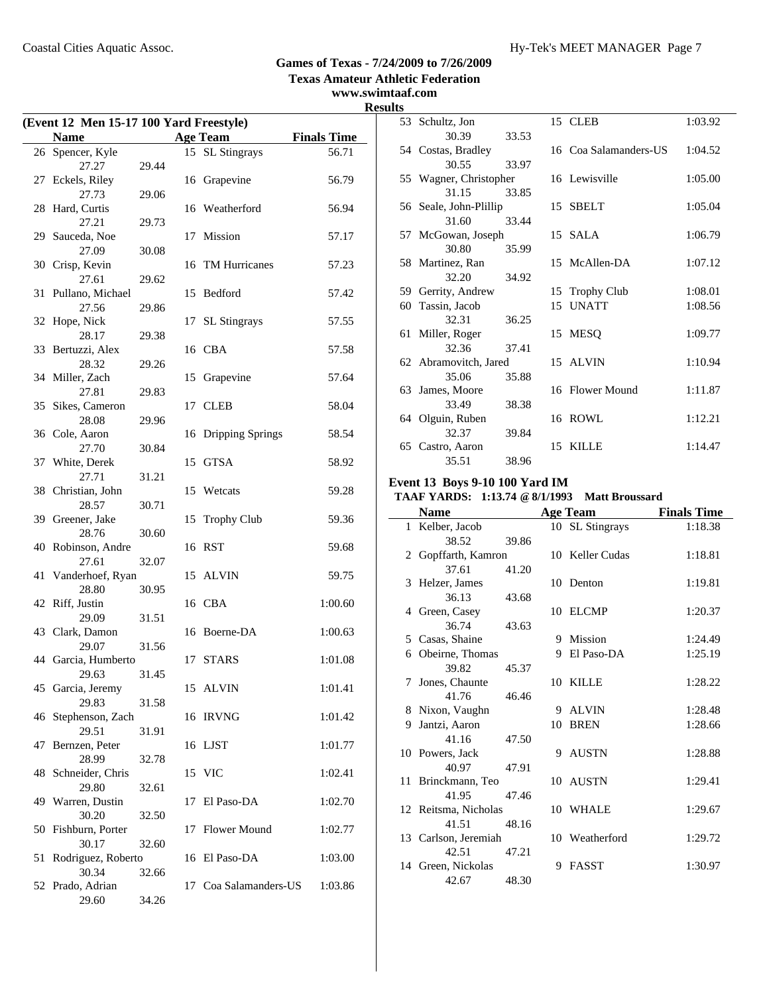#### **Games of Texas - 7/24/2009 to 7/26/2009 Texas Amateur Athletic Federation www.swimtaaf.com**

# **Results**

| (Event 12 Men 15-17 100 Yard Freestyle) |                           |       |    |                     |                    |  |
|-----------------------------------------|---------------------------|-------|----|---------------------|--------------------|--|
|                                         | <b>Name</b>               |       |    | <b>Age Team</b>     | <b>Finals Time</b> |  |
|                                         | 26 Spencer, Kyle          |       |    | 15 SL Stingrays     | 56.71              |  |
|                                         | 27.27                     | 29.44 |    |                     |                    |  |
| 27                                      | Eckels, Riley             |       |    | 16 Grapevine        | 56.79              |  |
|                                         | 27.73                     | 29.06 |    |                     |                    |  |
| 28                                      | Hard, Curtis              |       |    | 16 Weatherford      | 56.94              |  |
|                                         | 27.21                     | 29.73 |    |                     |                    |  |
|                                         | 29 Sauceda, Noe<br>27.09  | 30.08 | 17 | Mission             | 57.17              |  |
|                                         | 30 Crisp, Kevin           |       | 16 | TM Hurricanes       | 57.23              |  |
|                                         | 27.61                     | 29.62 |    |                     |                    |  |
|                                         | 31 Pullano, Michael       |       |    | 15 Bedford          | 57.42              |  |
|                                         | 27.56                     | 29.86 |    |                     |                    |  |
|                                         | 32 Hope, Nick             |       | 17 | <b>SL</b> Stingrays | 57.55              |  |
|                                         | 28.17                     | 29.38 |    |                     |                    |  |
|                                         | 33 Bertuzzi, Alex         |       |    | 16 CBA              | 57.58              |  |
|                                         | 28.32                     | 29.26 |    |                     |                    |  |
|                                         | 34 Miller, Zach           |       | 15 | Grapevine           | 57.64              |  |
|                                         | 27.81                     | 29.83 |    |                     |                    |  |
|                                         | 35 Sikes, Cameron         |       | 17 | <b>CLEB</b>         | 58.04              |  |
|                                         | 28.08                     | 29.96 |    |                     | 58.54              |  |
|                                         | 36 Cole, Aaron<br>27.70   | 30.84 |    | 16 Dripping Springs |                    |  |
|                                         | 37 White, Derek           |       |    | 15 GTSA             | 58.92              |  |
|                                         | 27.71                     | 31.21 |    |                     |                    |  |
|                                         | 38 Christian, John        |       | 15 | Wetcats             | 59.28              |  |
|                                         | 28.57                     | 30.71 |    |                     |                    |  |
|                                         | 39 Greener, Jake          |       | 15 | <b>Trophy Club</b>  | 59.36              |  |
|                                         | 28.76                     | 30.60 |    |                     |                    |  |
|                                         | 40 Robinson, Andre        |       |    | 16 RST              | 59.68              |  |
|                                         | 27.61                     | 32.07 |    |                     |                    |  |
| 41                                      | Vanderhoef, Ryan<br>28.80 | 30.95 |    | 15 ALVIN            | 59.75              |  |
|                                         | 42 Riff, Justin           |       |    | 16 CBA              | 1:00.60            |  |
|                                         | 29.09                     | 31.51 |    |                     |                    |  |
|                                         | 43 Clark, Damon           |       |    | 16 Boerne-DA        | 1:00.63            |  |
|                                         | 29.07                     | 31.56 |    |                     |                    |  |
|                                         | 44 Garcia, Humberto       |       |    | 17 STARS            | 1:01.08            |  |
|                                         | 29.63                     | 31.45 |    |                     |                    |  |
|                                         | 45 Garcia, Jeremy         |       |    | 15 ALVIN            | 1:01.41            |  |
|                                         | 29.83                     | 31.58 |    |                     |                    |  |
| 46                                      | Stephenson, Zach          |       |    | 16 IRVNG            | 1:01.42            |  |
|                                         | 29.51                     | 31.91 |    |                     |                    |  |
| 47                                      | Bernzen, Peter<br>28.99   |       |    | 16 LJST             | 1:01.77            |  |
| 48                                      | Schneider, Chris          | 32.78 | 15 | <b>VIC</b>          | 1:02.41            |  |
|                                         | 29.80                     | 32.61 |    |                     |                    |  |
| 49                                      | Warren, Dustin            |       | 17 | El Paso-DA          | 1:02.70            |  |
|                                         | 30.20                     | 32.50 |    |                     |                    |  |
|                                         | 50 Fishburn, Porter       |       | 17 | Flower Mound        | 1:02.77            |  |
|                                         | 30.17                     | 32.60 |    |                     |                    |  |
| 51                                      | Rodriguez, Roberto        |       |    | 16 El Paso-DA       | 1:03.00            |  |
|                                         | 30.34                     | 32.66 |    |                     |                    |  |
|                                         | 52 Prado, Adrian          |       | 17 | Coa Salamanders-US  | 1:03.86            |  |
|                                         | 29.60                     | 34.26 |    |                     |                    |  |

|    | 53 Schultz, Jon        |       | 15 CLEB               | 1:03.92 |
|----|------------------------|-------|-----------------------|---------|
|    | 30.39                  | 33.53 |                       |         |
|    | 54 Costas, Bradley     |       | 16 Coa Salamanders-US | 1:04.52 |
|    | 30.55                  | 33.97 |                       |         |
|    | 55 Wagner, Christopher |       | 16 Lewisville         | 1:05.00 |
|    | 31.15                  | 33.85 |                       |         |
|    | 56 Seale, John-Plillip |       | 15 SBELT              | 1:05.04 |
|    | 31.60                  | 33.44 |                       |         |
|    | 57 McGowan, Joseph     |       | 15 SALA               | 1:06.79 |
|    | 30.80                  | 35.99 |                       |         |
|    | 58 Martinez, Ran       |       | 15 McAllen-DA         | 1:07.12 |
|    | 32.20                  | 34.92 |                       |         |
|    | 59 Gerrity, Andrew     |       | 15 Trophy Club        | 1:08.01 |
| 60 | Tassin, Jacob          |       | 15 UNATT              | 1:08.56 |
|    | 32.31                  | 36.25 |                       |         |
|    | 61 Miller, Roger       |       | 15 MESQ               | 1:09.77 |
|    | 32.36                  | 37.41 |                       |         |
|    | 62 Abramovitch, Jared  |       | 15 ALVIN              | 1:10.94 |
|    | 35.06                  | 35.88 |                       |         |
|    | 63 James, Moore        |       | 16 Flower Mound       | 1:11.87 |
|    | 33.49                  | 38.38 |                       |         |
|    | 64 Olguin, Ruben       |       | 16 ROWL               | 1:12.21 |
|    | 32.37                  | 39.84 |                       |         |
|    | 65 Castro, Aaron       |       | 15 KILLE              | 1:14.47 |
|    | 35.51                  | 38.96 |                       |         |

#### **Event 13 Boys 9-10 100 Yard IM**

# **TAAF YARDS: 1:13.74 @8/1/1993 Matt Broussard**

| Name |                      |       | <b>Age Team</b> | <b>Finals Time</b> |         |
|------|----------------------|-------|-----------------|--------------------|---------|
|      | 1 Kelber, Jacob      |       |                 | 10 SL Stingrays    | 1:18.38 |
|      | 38.52                | 39.86 |                 |                    |         |
|      | 2 Gopffarth, Kamron  |       |                 | 10 Keller Cudas    | 1:18.81 |
|      | 37.61                | 41.20 |                 |                    |         |
|      | 3 Helzer, James      |       |                 | 10 Denton          | 1:19.81 |
|      | 36.13                | 43.68 |                 |                    |         |
|      | 4 Green, Casey       |       |                 | 10 ELCMP           | 1:20.37 |
|      | 36.74                | 43.63 |                 |                    |         |
|      | 5 Casas, Shaine      |       |                 | 9 Mission          | 1:24.49 |
|      | 6 Obeirne, Thomas    |       | 9               | El Paso-DA         | 1:25.19 |
|      | 39.82                | 45.37 |                 |                    |         |
|      | 7 Jones, Chaunte     |       |                 | 10 KILLE           | 1:28.22 |
|      | 41.76                | 46.46 |                 |                    |         |
|      | 8 Nixon, Vaughn      |       | 9               | <b>ALVIN</b>       | 1:28.48 |
|      | 9 Jantzi, Aaron      |       | 10              | <b>BREN</b>        | 1:28.66 |
|      | 41.16                | 47.50 |                 |                    |         |
|      | 10 Powers, Jack      |       |                 | 9 AUSTN            | 1:28.88 |
|      | 40.97                | 47.91 |                 |                    |         |
|      | 11 Brinckmann, Teo   |       |                 | 10 AUSTN           | 1:29.41 |
|      | 41.95                | 47.46 |                 |                    |         |
|      | 12 Reitsma, Nicholas |       |                 | 10 WHALE           | 1:29.67 |
|      | 41.51                | 48.16 |                 |                    |         |
|      | 13 Carlson, Jeremiah |       |                 | 10 Weatherford     | 1:29.72 |
|      | 42.51                | 47.21 |                 |                    |         |
|      | 14 Green, Nickolas   |       | 9               | FASST              | 1:30.97 |
|      | 42.67                | 48.30 |                 |                    |         |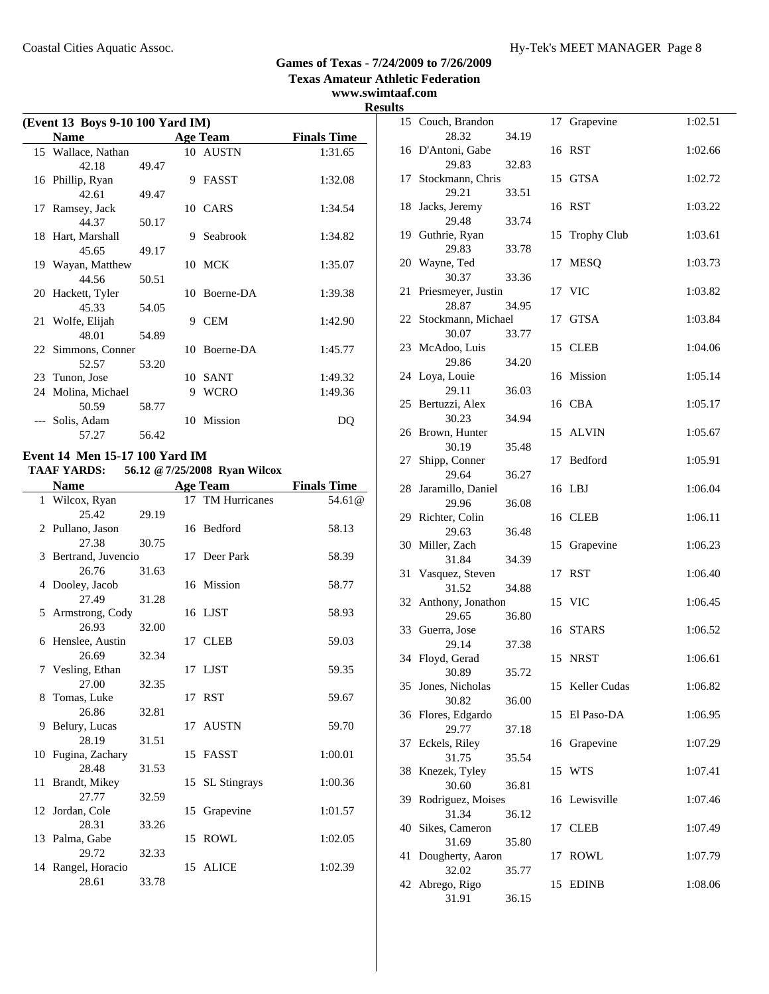**www.swimtaaf.com**

# **Results**

| (Event 13 Boys 9-10 100 Yard IM) |       |    |                 |                    |  |  |
|----------------------------------|-------|----|-----------------|--------------------|--|--|
| <b>Name</b>                      |       |    | <b>Age Team</b> | <b>Finals Time</b> |  |  |
| 15 Wallace, Nathan               |       |    | 10 AUSTN        | 1:31.65            |  |  |
| 42.18                            | 49.47 |    |                 |                    |  |  |
| 16 Phillip, Ryan                 |       |    | 9 FASST         | 1:32.08            |  |  |
| 42.61                            | 49.47 |    |                 |                    |  |  |
| 17 Ramsey, Jack                  |       |    | 10 CARS         | 1:34.54            |  |  |
| 44.37                            | 50.17 |    |                 |                    |  |  |
| 18 Hart, Marshall                |       | 9  | Seabrook        | 1:34.82            |  |  |
| 45.65                            | 49.17 |    |                 |                    |  |  |
| 19 Wayan, Matthew                |       |    | 10 MCK          | 1:35.07            |  |  |
| 44.56                            | 50.51 |    |                 |                    |  |  |
| 20 Hackett, Tyler                |       |    | 10 Boerne-DA    | 1:39.38            |  |  |
| 45.33                            | 54.05 |    |                 |                    |  |  |
| 21 Wolfe, Elijah                 |       | 9  | <b>CEM</b>      | 1:42.90            |  |  |
| 48.01                            | 54.89 |    |                 |                    |  |  |
| 22 Simmons, Conner               |       |    | 10 Boerne-DA    | 1:45.77            |  |  |
| 52.57                            | 53.20 |    |                 |                    |  |  |
| 23 Tunon, Jose                   |       | 10 | <b>SANT</b>     | 1:49.32            |  |  |
| 24 Molina, Michael               |       | 9  | <b>WCRO</b>     | 1:49.36            |  |  |
| 50.59                            | 58.77 |    |                 |                    |  |  |
| Solis, Adam                      |       |    | 10 Mission      | DО                 |  |  |
| 57.27                            | 56.42 |    |                 |                    |  |  |

# **Event 14 Men 15-17 100 Yard IM**

## **TAAF YARDS: 56.12 @7/25/2008 Ryan Wilcox**

| <b>Name</b>                 |       |    | <b>Age Team</b>  | <b>Finals Time</b>   |
|-----------------------------|-------|----|------------------|----------------------|
| 1 Wilcox, Ryan              |       |    | 17 TM Hurricanes | 54.61 <sup>(a)</sup> |
| 25.42                       | 29.19 |    |                  |                      |
| 2 Pullano, Jason            |       |    | 16 Bedford       | 58.13                |
| 27.38                       | 30.75 |    |                  |                      |
| 3 Bertrand, Juvencio        |       |    | 17 Deer Park     | 58.39                |
| 26.76                       | 31.63 |    |                  |                      |
| 4 Dooley, Jacob             |       |    | 16 Mission       | 58.77                |
| 27.49                       | 31.28 |    |                  |                      |
| 5 Armstrong, Cody           |       |    | 16 LJST          | 58.93                |
| 26.93                       | 32.00 |    |                  |                      |
| 6 Henslee, Austin           |       |    | 17 CLEB          | 59.03                |
| 26.69                       | 32.34 |    |                  |                      |
| 7 Vesling, Ethan            |       |    | 17 LJST          | 59.35                |
| 27.00                       | 32.35 |    |                  |                      |
| 8 Tomas, Luke               |       |    | 17 RST           | 59.67                |
| 26.86                       | 32.81 |    |                  |                      |
| 9 Belury, Lucas             |       |    | 17 AUSTN         | 59.70                |
| 28.19                       | 31.51 |    |                  |                      |
| 10 Fugina, Zachary<br>28.48 | 31.53 |    | 15 FASST         | 1:00.01              |
| 11 Brandt, Mikey            |       |    |                  | 1:00.36              |
| 27.77                       | 32.59 |    | 15 SL Stingrays  |                      |
| 12 Jordan, Cole             |       | 15 | Grapevine        | 1:01.57              |
| 28.31                       | 33.26 |    |                  |                      |
| 13 Palma, Gabe              |       |    | 15 ROWL          | 1:02.05              |
| 29.72                       | 32.33 |    |                  |                      |
| 14 Rangel, Horacio          |       |    | 15 ALICE         | 1:02.39              |
| 28.61                       | 33.78 |    |                  |                      |
|                             |       |    |                  |                      |

| ĽS |                            |       |    |                    |         |
|----|----------------------------|-------|----|--------------------|---------|
|    | 15 Couch, Brandon          |       | 17 | Grapevine          | 1:02.51 |
|    | 28.32<br>16 D'Antoni, Gabe | 34.19 |    | 16 RST             | 1:02.66 |
|    | 29.83                      | 32.83 |    |                    |         |
| 17 | Stockmann, Chris           |       |    | 15 GTSA            | 1:02.72 |
|    | 29.21                      | 33.51 |    |                    |         |
| 18 | Jacks, Jeremy              |       |    | 16 RST             | 1:03.22 |
|    | 29.48                      | 33.74 |    |                    |         |
|    | 19 Guthrie, Ryan<br>29.83  | 33.78 | 15 | <b>Trophy Club</b> | 1:03.61 |
| 20 | Wayne, Ted                 |       | 17 | <b>MESQ</b>        | 1:03.73 |
|    | 30.37                      | 33.36 |    |                    |         |
| 21 | Priesmeyer, Justin         |       |    | 17 VIC             | 1:03.82 |
|    | 28.87                      | 34.95 |    |                    |         |
|    | 22 Stockmann, Michael      |       | 17 | GTSA               | 1:03.84 |
|    | 30.07                      | 33.77 |    |                    |         |
|    | 23 McAdoo, Luis<br>29.86   | 34.20 |    | 15 CLEB            | 1:04.06 |
|    | 24 Loya, Louie             |       |    | 16 Mission         | 1:05.14 |
|    | 29.11                      | 36.03 |    |                    |         |
|    | 25 Bertuzzi, Alex          |       |    | 16 CBA             | 1:05.17 |
|    | 30.23                      | 34.94 |    |                    |         |
| 26 | Brown, Hunter<br>30.19     |       | 15 | <b>ALVIN</b>       | 1:05.67 |
| 27 | Shipp, Conner              | 35.48 | 17 | Bedford            | 1:05.91 |
|    | 29.64                      | 36.27 |    |                    |         |
| 28 | Jaramillo, Daniel          |       |    | 16 LBJ             | 1:06.04 |
|    | 29.96                      | 36.08 |    |                    |         |
|    | 29 Richter, Colin          |       |    | 16 CLEB            | 1:06.11 |
| 30 | 29.63                      | 36.48 |    |                    | 1:06.23 |
|    | Miller, Zach<br>31.84      | 34.39 | 15 | Grapevine          |         |
| 31 | Vasquez, Steven            |       | 17 | <b>RST</b>         | 1:06.40 |
|    | 31.52                      | 34.88 |    |                    |         |
| 32 | Anthony, Jonathon          |       |    | 15 VIC             | 1:06.45 |
|    | 29.65                      | 36.80 |    |                    |         |
|    | 33 Guerra, Jose<br>29.14   | 37.38 |    | 16 STARS           | 1:06.52 |
|    | 34 Floyd, Gerad            |       |    | 15 NRST            | 1:06.61 |
|    | 30.89                      | 35.72 |    |                    |         |
| 35 | Jones, Nicholas            |       |    | 15 Keller Cudas    | 1:06.82 |
|    | 30.82                      | 36.00 |    |                    |         |
| 36 | Flores, Edgardo<br>29.77   |       | 15 | El Paso-DA         | 1:06.95 |
| 37 | Eckels, Riley              | 37.18 | 16 | Grapevine          | 1:07.29 |
|    | 31.75                      | 35.54 |    |                    |         |
| 38 | Knezek, Tyley              |       | 15 | WTS                | 1:07.41 |
|    | 30.60                      | 36.81 |    |                    |         |
| 39 | Rodriguez, Moises          |       |    | 16 Lewisville      | 1:07.46 |
| 40 | 31.34<br>Sikes, Cameron    | 36.12 | 17 | <b>CLEB</b>        | 1:07.49 |
|    | 31.69                      | 35.80 |    |                    |         |
| 41 | Dougherty, Aaron           |       | 17 | <b>ROWL</b>        | 1:07.79 |
|    | 32.02                      | 35.77 |    |                    |         |
| 42 | Abrego, Rigo               |       | 15 | <b>EDINB</b>       | 1:08.06 |
|    | 31.91                      | 36.15 |    |                    |         |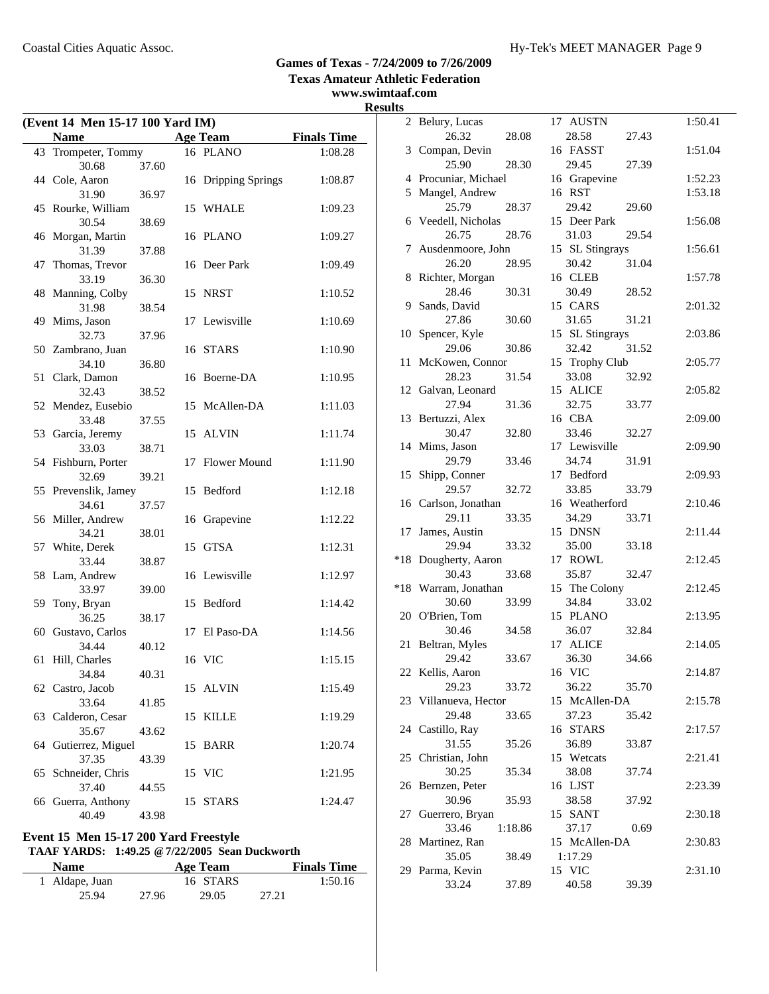#### **Games of Texas - 7/24/2009 to 7/26/2009 Texas Amateur Athletic Federation www.swimtaaf.com**

# **Results**

| (Event 14 Men 15-17 100 Yard IM) |                              |       |    |                     |                    |  |
|----------------------------------|------------------------------|-------|----|---------------------|--------------------|--|
|                                  | <b>Name</b>                  |       |    | <b>Age Team</b>     | <b>Finals Time</b> |  |
|                                  | 43 Trompeter, Tommy          |       |    | 16 PLANO            | 1:08.28            |  |
|                                  | 30.68                        | 37.60 |    |                     |                    |  |
|                                  | 44 Cole, Aaron               |       |    | 16 Dripping Springs | 1:08.87            |  |
|                                  | 31.90                        | 36.97 |    |                     |                    |  |
|                                  | 45 Rourke, William           |       |    | 15 WHALE            | 1:09.23            |  |
|                                  | 30.54                        | 38.69 |    |                     |                    |  |
|                                  | 46 Morgan, Martin            |       |    | 16 PLANO            | 1:09.27            |  |
|                                  | 31.39                        | 37.88 |    |                     |                    |  |
| 47                               | Thomas, Trevor               |       |    | 16 Deer Park        | 1:09.49            |  |
|                                  | 33.19                        | 36.30 |    |                     |                    |  |
| 48                               | Manning, Colby               |       | 15 | NRST                | 1:10.52            |  |
|                                  | 31.98                        | 38.54 |    |                     |                    |  |
|                                  | 49 Mims, Jason               |       |    | 17 Lewisville       | 1:10.69            |  |
|                                  | 32.73                        | 37.96 |    |                     |                    |  |
|                                  | 50 Zambrano, Juan            |       |    | 16 STARS            | 1:10.90            |  |
|                                  | 34.10                        | 36.80 |    |                     |                    |  |
| 51                               | Clark, Damon                 |       | 16 | Boerne-DA           | 1:10.95            |  |
|                                  | 32.43                        | 38.52 |    |                     |                    |  |
|                                  | 52 Mendez, Eusebio           |       | 15 | McAllen-DA          | 1:11.03            |  |
|                                  | 33.48                        | 37.55 |    |                     |                    |  |
|                                  | 53 Garcia, Jeremy            |       |    | 15 ALVIN            | 1:11.74            |  |
|                                  | 33.03                        | 38.71 |    | Flower Mound        |                    |  |
|                                  | 54 Fishburn, Porter<br>32.69 | 39.21 | 17 |                     | 1:11.90            |  |
|                                  | 55 Prevenslik, Jamey         |       |    | 15 Bedford          | 1:12.18            |  |
|                                  | 34.61                        | 37.57 |    |                     |                    |  |
|                                  | 56 Miller, Andrew            |       | 16 | Grapevine           | 1:12.22            |  |
|                                  | 34.21                        | 38.01 |    |                     |                    |  |
|                                  | 57 White, Derek              |       | 15 | <b>GTSA</b>         | 1:12.31            |  |
|                                  | 33.44                        | 38.87 |    |                     |                    |  |
| 58                               | Lam, Andrew                  |       |    | 16 Lewisville       | 1:12.97            |  |
|                                  | 33.97                        | 39.00 |    |                     |                    |  |
| 59                               | Tony, Bryan                  |       |    | 15 Bedford          | 1:14.42            |  |
|                                  | 36.25                        | 38.17 |    |                     |                    |  |
|                                  | 60 Gustavo, Carlos           |       | 17 | El Paso-DA          | 1:14.56            |  |
|                                  | 34.44                        | 40.12 |    |                     |                    |  |
| 61                               | Hill, Charles                |       |    | 16 VIC              | 1:15.15            |  |
|                                  | 34.84                        | 40.31 |    |                     |                    |  |
|                                  | 62 Castro, Jacob             |       |    | 15 ALVIN            | 1:15.49            |  |
|                                  | 33.64                        | 41.85 |    |                     |                    |  |
| 63                               | Calderon, Cesar              |       |    | 15 KILLE            | 1:19.29            |  |
|                                  | 35.67                        | 43.62 |    |                     |                    |  |
| 64                               | Gutierrez, Miguel            |       | 15 | <b>BARR</b>         | 1:20.74            |  |
|                                  | 37.35                        | 43.39 |    |                     |                    |  |
| 65                               | Schneider, Chris             |       |    | 15 VIC              | 1:21.95            |  |
|                                  | 37.40                        | 44.55 |    |                     |                    |  |
| 66                               | Guerra, Anthony              |       | 15 | <b>STARS</b>        | 1:24.47            |  |
|                                  | 40.49                        | 43.98 |    |                     |                    |  |

# **Event 15 Men 15-17 200 Yard Freestyle TAAF YARDS: 1:49.25 @7/22/2005 Sean Duckworth Name Age Team**

| Name           |       | Age ream |       | <b>Finals</b> lime |
|----------------|-------|----------|-------|--------------------|
| 1 Aldape, Juan |       | 16 STARS |       | 1:50.16            |
| 25.94          | 27.96 | 29.05    | 27.21 |                    |

|       | 2 Belury, Lucas              |         | 17 AUSTN        |       | 1:50.41 |
|-------|------------------------------|---------|-----------------|-------|---------|
|       | 26.32                        | 28.08   | 28.58           | 27.43 |         |
| 3     | Compan, Devin                |         | 16 FASST        |       | 1:51.04 |
|       | 25.90                        | 28.30   | 29.45           | 27.39 |         |
|       | 4 Procuniar, Michael         |         | 16 Grapevine    |       | 1:52.23 |
|       | 5 Mangel, Andrew             |         | 16 RST          |       | 1:53.18 |
|       | 25.79                        | 28.37   | 29.42           | 29.60 |         |
|       | 6 Veedell, Nicholas          |         | 15 Deer Park    |       | 1:56.08 |
|       | 26.75                        | 28.76   | 31.03           | 29.54 |         |
|       |                              |         | 15 SL Stingrays |       | 1:56.61 |
|       | 7 Ausdenmoore, John<br>26.20 |         |                 |       |         |
|       |                              | 28.95   | 30.42           | 31.04 |         |
|       | 8 Richter, Morgan            |         | 16 CLEB         |       | 1:57.78 |
|       | 28.46                        | 30.31   | 30.49           | 28.52 |         |
| 9     | Sands, David                 |         | 15 CARS         |       | 2:01.32 |
|       | 27.86                        | 30.60   | 31.65           | 31.21 |         |
| 10    | Spencer, Kyle                |         | 15 SL Stingrays |       | 2:03.86 |
|       | 29.06                        | 30.86   | 32.42           | 31.52 |         |
| 11    | McKowen, Connor              |         | 15 Trophy Club  |       | 2:05.77 |
|       | 28.23                        | 31.54   | 33.08           | 32.92 |         |
| 12    | Galvan, Leonard              |         | 15 ALICE        |       | 2:05.82 |
|       | 27.94                        | 31.36   | 32.75           | 33.77 |         |
|       | 13 Bertuzzi, Alex            |         | 16 CBA          |       | 2:09.00 |
|       | 30.47                        | 32.80   | 33.46           | 32.27 |         |
|       | 14 Mims, Jason               |         | 17 Lewisville   |       | 2:09.90 |
|       | 29.79                        | 33.46   | 34.74           | 31.91 |         |
| 15    | Shipp, Conner                |         | 17 Bedford      |       | 2:09.93 |
|       | 29.57                        | 32.72   | 33.85           | 33.79 |         |
|       | 16 Carlson, Jonathan         |         | 16 Weatherford  |       | 2:10.46 |
|       | 29.11                        | 33.35   | 34.29           | 33.71 |         |
|       |                              |         |                 |       |         |
| 17    | James, Austin                |         | 15 DNSN         |       | 2:11.44 |
|       | 29.94                        | 33.32   | 35.00           | 33.18 |         |
| $*18$ | Dougherty, Aaron             |         | 17 ROWL         |       | 2:12.45 |
|       | 30.43                        | 33.68   | 35.87           | 32.47 |         |
| $*18$ | Warram, Jonathan             |         | 15 The Colony   |       | 2:12.45 |
|       | 30.60                        | 33.99   | 34.84           | 33.02 |         |
| 20    | O'Brien, Tom                 |         | 15 PLANO        |       | 2:13.95 |
|       | 30.46                        | 34.58   | 36.07           | 32.84 |         |
|       | 21 Beltran, Myles            |         | 17 ALICE        |       | 2:14.05 |
|       | 29.42                        | 33.67   | 36.30           | 34.66 |         |
|       | 22 Kellis, Aaron             |         | 16 VIC          |       | 2:14.87 |
|       | 29.23                        | 33.72   | 36.22           | 35.70 |         |
|       | 23 Villanueva, Hector        |         | 15 McAllen-DA   |       | 2:15.78 |
|       | 29.48                        | 33.65   | 37.23           | 35.42 |         |
|       | 24 Castillo, Ray             |         | 16 STARS        |       | 2:17.57 |
|       | 31.55                        | 35.26   | 36.89           | 33.87 |         |
|       | 25 Christian, John           |         | 15 Wetcats      |       | 2:21.41 |
|       | 30.25                        | 35.34   | 38.08           | 37.74 |         |
|       | 26 Bernzen, Peter            |         | 16 LJST         |       | 2:23.39 |
|       |                              |         | 38.58           | 37.92 |         |
|       | 30.96                        | 35.93   |                 |       |         |
|       | 27 Guerrero, Bryan           |         | 15 SANT         |       | 2:30.18 |
|       | 33.46                        | 1:18.86 | 37.17           | 0.69  |         |
|       | 28 Martinez, Ran             |         | 15 McAllen-DA   |       | 2:30.83 |
|       | 35.05                        | 38.49   | 1:17.29         |       |         |
|       | 29 Parma, Kevin              |         | 15 VIC          |       | 2:31.10 |
|       | 33.24                        | 37.89   | 40.58           | 39.39 |         |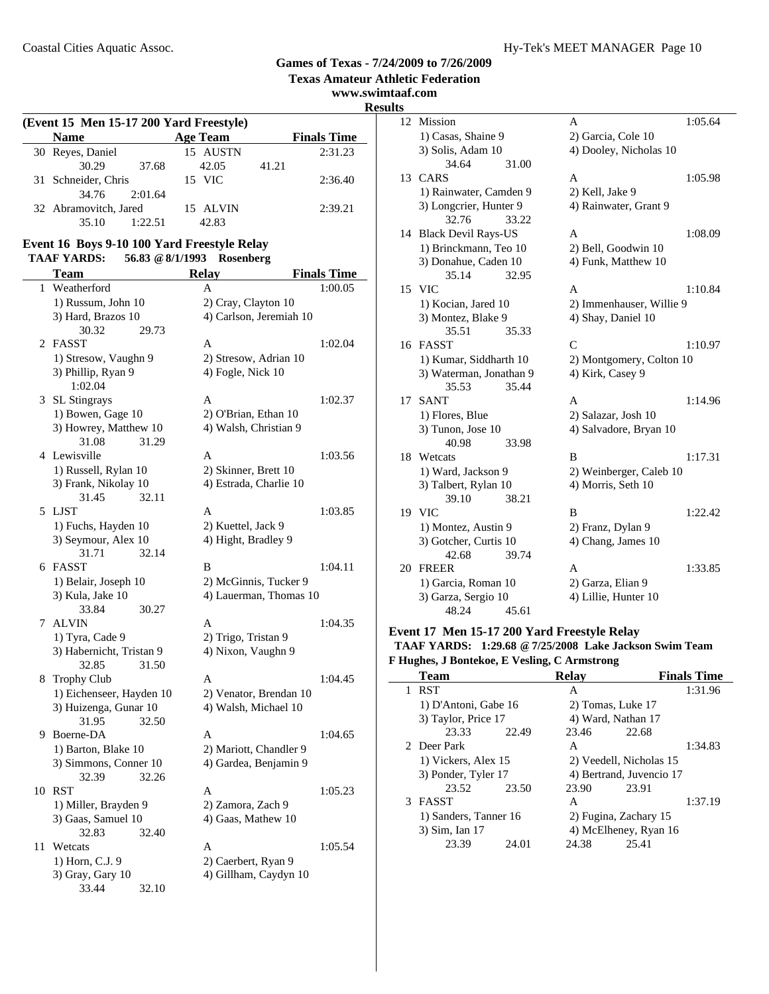#### **Texas Amateur Athletic Federation www.swimtaaf.com Results (Event 15 Men 15-17 200 Yard Freestyle) Name Finals Time Age Team** 30 Reyes, Daniel 30.29 37.68 42.05 41.21 31 2:36.40 Schneider, Chris 15 VIC 34.76 2:01.64 32 Abramovitch, Jared 15 ALVIN 2:39.21 35.10 1:22.51 42.83 **Event 16 Boys 9-10 100 Yard Freestyle Relay TAAF YARDS: 56.83 @8/1/1993 Rosenberg Team Relay Finals Time** 1 Weatherford A 1:00.05 1) Russum, John 10 2) Cray, Clayton 10 3) Hard, Brazos 10 4) Carlson, Jeremiah 10 30.32 29.73 2 FASST A 1:02.04 1) Stresow, Vaughn 9 2) Stresow, Adrian 10 3) Phillip, Ryan 9 4) Fogle, Nick 10 1:02.04 3 1:02.37 SL Stingrays A 1) Bowen, Gage 10 2) O'Brian, Ethan 10 3) Howrey, Matthew 10 4) Walsh, Christian 9 31.08 31.29 4 1:03.56 Lewisville A 1) Russell, Rylan 10 2) Skinner, Brett 10 3) Frank, Nikolay 10 4) Estrada, Charlie 10 31.45 32.11 5 1:03.85 LJST A 1) Fuchs, Hayden 10 2) Kuettel, Jack 9 3) Seymour, Alex 10 4) Hight, Bradley 9 31.71 32.14 6 FASST B 1:04.11 1) Belair, Joseph 10 2) McGinnis, Tucker 9 3) Kula, Jake 10 4) Lauerman, Thomas 10 33.84 30.27 7 ALVIN A 1:04.35 1) Tyra, Cade 9 2) Trigo, Tristan 9 3) Habernicht, Tristan 9 4) Nixon, Vaughn 9 32.85 31.50 8 Trophy Club A 1:04.45 1) Eichenseer, Hayden 10 2) Venator, Brendan 10 3) Huizenga, Gunar 10 4) Walsh, Michael 10 31.95 32.50 9 Boerne-DA A 1:04.65 1) Barton, Blake 10 2) Mariott, Chandler 9 3) Simmons, Conner 10 4) Gardea, Benjamin 9 32.39 32.26 10 RST A 1:05.23 1) Miller, Brayden 9 2) Zamora, Zach 9  $3)$  Gaas, Samuel 10  $\hspace{1.6cm}$  4) Gaas, Mathew 10 32.83 32.40 11 Wetcats **A** 1:05.54

1) Horn, C.J. 9 2) Caerbert, Ryan 9 3) Gray, Gary 10 4) Gillham, Caydyn 10

33.44 32.10

#### 12 Mission A 1:05.64 1) Casas, Shaine 9 2) Garcia, Cole 10 3) Solis, Adam 10 4) Dooley, Nicholas 10 34.64 31.00 13 CARS A 1:05.98 1) Rainwater, Camden 9 2) Kell, Jake 9 3) Longcrier, Hunter 9 4) Rainwater, Grant 9 32.76 33.22 14 Black Devil Rays-US A 1:08.09 1) Brinckmann, Teo 10 2) Bell, Goodwin 10 3) Donahue, Caden 10 4) Funk, Matthew 10 35.14 32.95 15 1:10.84 VIC A 1) Kocian, Jared 10 2) Immenhauser, Willie 9 3) Montez, Blake 9 4) Shay, Daniel 10 35.51 35.33 16 FASST C 1:10.97 1) Kumar, Siddharth 10 2) Montgomery, Colton 10 3) Waterman, Jonathan 9 4) Kirk, Casey 9 35.53 35.44 17 SANT A 1:14.96 1) Flores, Blue 2) Salazar, Josh 10 3) Tunon, Jose 10 4) Salvadore, Bryan 10 40.98 33.98 18 Wetcats **B** 1:17.31 1) Ward, Jackson 9 2) Weinberger, Caleb 10 3) Talbert, Rylan 10 4) Morris, Seth 10 39.10 38.21 19 VIC B 1:22.42 1) Montez, Austin 9 2) Franz, Dylan 9 3) Gotcher, Curtis 10 4) Chang, James 10 42.68 39.74

| $+2.00$             | 1, 1, 1 |                      |         |
|---------------------|---------|----------------------|---------|
| 20 FREER            |         | А                    | 1:33.85 |
| 1) Garcia, Roman 10 |         | 2) Garza, Elian 9    |         |
| 3) Garza, Sergio 10 |         | 4) Lillie, Hunter 10 |         |
| 48.24               | 45.61   |                      |         |
|                     |         |                      |         |

#### **Event 17 Men 15-17 200 Yard Freestyle Relay TAAF YARDS: 1:29.68 @7/25/2008 Lake Jackson Swim Team F Hughes, J Bontekoe, E Vesling, C Armstrong**

| <b>Team</b>           |       | <b>Relav</b>       |                          | <b>Finals Time</b> |
|-----------------------|-------|--------------------|--------------------------|--------------------|
| <b>RST</b>            |       | А                  |                          | 1:31.96            |
| 1) D'Antoni, Gabe 16  |       | 2) Tomas, Luke 17  |                          |                    |
| 3) Taylor, Price 17   |       | 4) Ward, Nathan 17 |                          |                    |
| 23.33                 | 22.49 | 23.46              | 22.68                    |                    |
| 2 Deer Park           |       | A                  |                          | 1:34.83            |
| 1) Vickers, Alex 15   |       |                    | 2) Veedell, Nicholas 15  |                    |
| 3) Ponder, Tyler 17   |       |                    | 4) Bertrand, Juvencio 17 |                    |
| 23.52                 | 23.50 | 23.90              | 23.91                    |                    |
| 3 FASST               |       | A                  |                          | 1:37.19            |
| 1) Sanders, Tanner 16 |       |                    | 2) Fugina, Zachary 15    |                    |
| 3) Sim, Ian 17        |       |                    | 4) McElheney, Ryan 16    |                    |
| 23.39                 | 24.01 | 24.38              | 25.41                    |                    |

**Games of Texas - 7/24/2009 to 7/26/2009**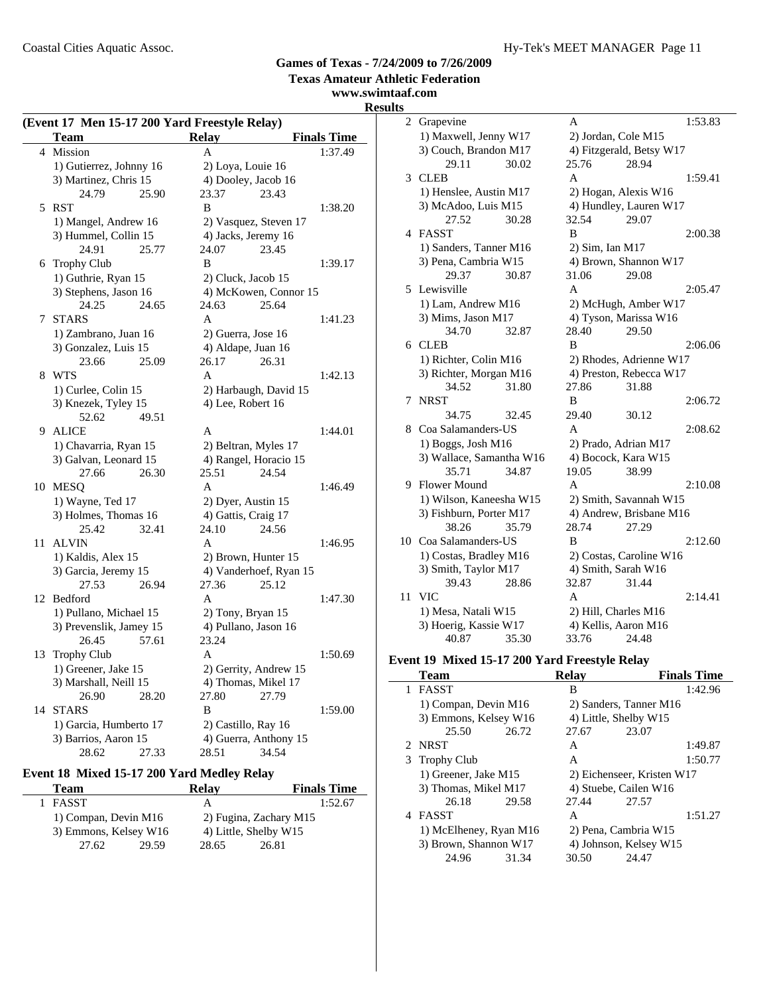**www.swimtaaf.com**

## **Results**

| (Event 17 Men 15-17 200 Yard Freestyle Relay) |                         |                        |                    |  |
|-----------------------------------------------|-------------------------|------------------------|--------------------|--|
|                                               | Team                    | <b>Relay</b>           | <b>Finals Time</b> |  |
| 4                                             | Mission                 | A                      | 1:37.49            |  |
|                                               | 1) Gutierrez, Johnny 16 | 2) Loya, Louie 16      |                    |  |
|                                               | 3) Martinez, Chris 15   | 4) Dooley, Jacob 16    |                    |  |
|                                               | 24.79<br>25.90          | 23.37<br>23.43         |                    |  |
| 5                                             | <b>RST</b>              | B                      | 1:38.20            |  |
|                                               | 1) Mangel, Andrew 16    | 2) Vasquez, Steven 17  |                    |  |
|                                               | 3) Hummel, Collin 15    | 4) Jacks, Jeremy 16    |                    |  |
|                                               | 24.91<br>25.77          | 24.07<br>23.45         |                    |  |
| 6                                             | Trophy Club             | B                      | 1:39.17            |  |
|                                               | 1) Guthrie, Ryan 15     | 2) Cluck, Jacob 15     |                    |  |
|                                               | 3) Stephens, Jason 16   | 4) McKowen, Connor 15  |                    |  |
|                                               | 24.25<br>24.65          | 24.63<br>25.64         |                    |  |
| 7                                             | <b>STARS</b>            | A                      | 1:41.23            |  |
|                                               | 1) Zambrano, Juan 16    | 2) Guerra, Jose 16     |                    |  |
|                                               | 3) Gonzalez, Luis 15    | 4) Aldape, Juan 16     |                    |  |
|                                               | 23.66<br>25.09          | 26.31<br>26.17         |                    |  |
| 8                                             | <b>WTS</b>              | A                      | 1:42.13            |  |
|                                               | 1) Curlee, Colin 15     | 2) Harbaugh, David 15  |                    |  |
|                                               | 3) Knezek, Tyley 15     | 4) Lee, Robert 16      |                    |  |
|                                               | 52.62<br>49.51          |                        |                    |  |
| 9                                             | <b>ALICE</b>            | A                      | 1:44.01            |  |
|                                               | 1) Chavarria, Ryan 15   | 2) Beltran, Myles 17   |                    |  |
|                                               | 3) Galvan, Leonard 15   | 4) Rangel, Horacio 15  |                    |  |
|                                               | 27.66<br>26.30          | 24.54<br>25.51         |                    |  |
|                                               | 10 MESQ                 | A                      | 1:46.49            |  |
|                                               | 1) Wayne, Ted 17        | 2) Dyer, Austin 15     |                    |  |
|                                               | 3) Holmes, Thomas 16    | 4) Gattis, Craig 17    |                    |  |
|                                               | 25.42<br>32.41          | 24.56<br>24.10         |                    |  |
| 11                                            | <b>ALVIN</b>            | A                      | 1:46.95            |  |
|                                               | 1) Kaldis, Alex 15      | 2) Brown, Hunter 15    |                    |  |
|                                               | 3) Garcia, Jeremy 15    | 4) Vanderhoef, Ryan 15 |                    |  |
|                                               | 27.53<br>26.94          | 25.12<br>27.36         |                    |  |
|                                               | 12 Bedford              | A                      | 1:47.30            |  |
|                                               | 1) Pullano, Michael 15  | 2) Tony, Bryan 15      |                    |  |
|                                               | 3) Prevenslik, Jamey 15 | 4) Pullano, Jason 16   |                    |  |
|                                               | 26.45<br>57.61          | 23.24                  |                    |  |
| 13                                            | <b>Trophy Club</b>      | A                      | 1:50.69            |  |
|                                               | 1) Greener, Jake 15     | 2) Gerrity, Andrew 15  |                    |  |
|                                               | 3) Marshall, Neill 15   | 4) Thomas, Mikel 17    |                    |  |
|                                               | 26.90<br>28.20          | 27.80<br>27.79         |                    |  |
| 14                                            | <b>STARS</b>            | B                      | 1:59.00            |  |
|                                               | 1) Garcia, Humberto 17  | 2) Castillo, Ray 16    |                    |  |
|                                               | 3) Barrios, Aaron 15    | 4) Guerra, Anthony 15  |                    |  |
|                                               | 27.33<br>28.62          | 28.51<br>34.54         |                    |  |

# **Event 18 Mixed 15-17 200 Yard Medley Relay**

| <b>Team</b>           |       | <b>Relay</b> | <b>Finals Time</b>     |
|-----------------------|-------|--------------|------------------------|
| <b>FASST</b>          |       | А            | 1:52.67                |
| 1) Compan, Devin M16  |       |              | 2) Fugina, Zachary M15 |
| 3) Emmons, Kelsey W16 |       |              | 4) Little, Shelby W15  |
| 27.62                 | 29.59 | 28.65        | 26.81                  |

| $\bf{s}$       |                          |       |                        |                          |         |
|----------------|--------------------------|-------|------------------------|--------------------------|---------|
| $\overline{c}$ | Grapevine                |       | A                      |                          | 1:53.83 |
|                | 1) Maxwell, Jenny W17    |       | 2) Jordan, Cole M15    |                          |         |
|                | 3) Couch, Brandon M17    |       |                        | 4) Fitzgerald, Betsy W17 |         |
|                | 29.11                    | 30.02 | 25.76                  | 28.94                    |         |
| 3              | <b>CLEB</b>              |       | A                      |                          | 1:59.41 |
|                | 1) Henslee, Austin M17   |       |                        | 2) Hogan, Alexis W16     |         |
|                | 3) McAdoo, Luis M15      |       |                        | 4) Hundley, Lauren W17   |         |
|                | 27.52                    | 30.28 | 32.54                  | 29.07                    |         |
| 4              | FASST                    |       | B                      |                          | 2:00.38 |
|                | 1) Sanders, Tanner M16   |       | 2) Sim, Ian M17        |                          |         |
|                | 3) Pena, Cambria W15     |       |                        | 4) Brown, Shannon W17    |         |
|                | 29.37                    | 30.87 | 31.06                  | 29.08                    |         |
| 5              | Lewisville               |       | A                      |                          | 2:05.47 |
|                | 1) Lam, Andrew M16       |       |                        | 2) McHugh, Amber W17     |         |
|                | 3) Mims, Jason M17       |       |                        | 4) Tyson, Marissa W16    |         |
|                | 34.70                    | 32.87 | 28.40                  | 29.50                    |         |
|                | 6 CLEB                   |       | B                      |                          | 2:06.06 |
|                | 1) Richter, Colin M16    |       |                        | 2) Rhodes, Adrienne W17  |         |
|                | 3) Richter, Morgan M16   |       |                        | 4) Preston, Rebecca W17  |         |
|                | 34.52                    | 31.80 | 27.86                  | 31.88                    |         |
| 7              | <b>NRST</b>              |       | B                      |                          | 2:06.72 |
|                | 34.75                    | 32.45 | 29.40                  | 30.12                    |         |
| 8              | Coa Salamanders-US       |       | A                      |                          | 2:08.62 |
|                | 1) Boggs, Josh $M16$     |       | 2) Prado, Adrian M17   |                          |         |
|                | 3) Wallace, Samantha W16 |       | 4) Bocock, Kara W15    |                          |         |
|                | 35.71                    | 34.87 | 19.05                  | 38.99                    |         |
| 9              | Flower Mound             |       | A                      |                          | 2:10.08 |
|                | 1) Wilson, Kaneesha W15  |       | 2) Smith, Savannah W15 |                          |         |
|                | 3) Fishburn, Porter M17  |       |                        | 4) Andrew, Brisbane M16  |         |
|                | 38.26                    | 35.79 | 28.74                  | 27.29                    |         |
| 10             | Coa Salamanders-US       |       | B                      |                          | 2:12.60 |
|                | 1) Costas, Bradley M16   |       |                        | 2) Costas, Caroline W16  |         |
|                | 3) Smith, Taylor M17     |       | 4) Smith, Sarah W16    |                          |         |
|                | 39.43                    | 28.86 | 32.87                  | 31.44                    |         |
| 11             | VIC                      |       | A                      |                          | 2:14.41 |
|                | 1) Mesa, Natali W15      |       | 2) Hill, Charles M16   |                          |         |
|                | 3) Hoerig, Kassie W17    |       | 4) Kellis, Aaron M16   |                          |         |
|                | 40.87                    | 35.30 | 33.76                  | 24.48                    |         |

#### **Event 19 Mixed 15-17 200 Yard Freestyle Relay**

| <b>Team</b>            |       | <b>Relav</b>          | <b>Finals Time</b>         |
|------------------------|-------|-----------------------|----------------------------|
| 1 FASST                |       | B                     | 1:42.96                    |
| 1) Compan, Devin M16   |       |                       | 2) Sanders, Tanner M16     |
| 3) Emmons, Kelsey W16  |       | 4) Little, Shelby W15 |                            |
| 25.50                  | 26.72 | 27.67                 | 23.07                      |
| 2 NRST                 |       | A                     | 1:49.87                    |
| 3 Trophy Club          |       | A                     | 1:50.77                    |
| 1) Greener, Jake M15   |       |                       | 2) Eichenseer, Kristen W17 |
| 3) Thomas, Mikel M17   |       |                       | 4) Stuebe, Cailen W16      |
| 26.18                  | 29.58 | 27.44                 | 27.57                      |
| 4 FASST                |       | A                     | 1:51.27                    |
| 1) McElheney, Ryan M16 |       |                       | 2) Pena, Cambria W15       |
| 3) Brown, Shannon W17  |       |                       | 4) Johnson, Kelsey W15     |
| 24.96                  | 31.34 | 30.50                 | 24.47                      |
|                        |       |                       |                            |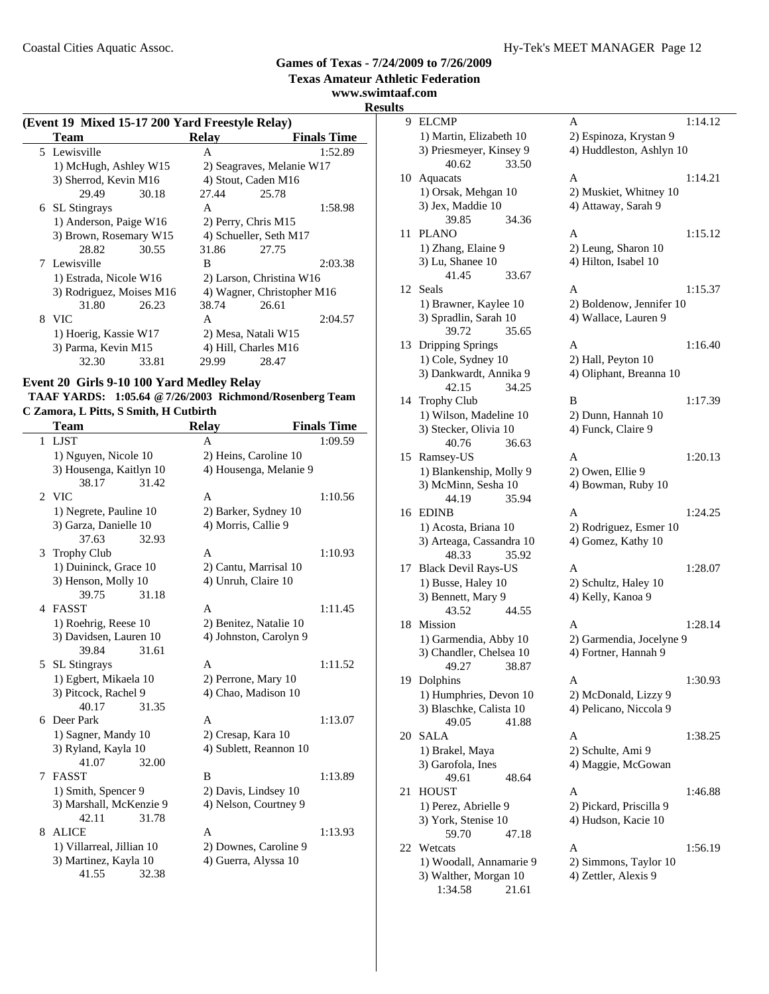**Texas Amateur Athletic Federation**

#### **www.swimtaaf.com Results**

**(Event 19 Mixed 15-17 200 Yard Freestyle Relay)**

| $($ event 15 - Mixeu 15-17 200 - Faru Freestyle Kelay) |                          |       |              |                            |                    |
|--------------------------------------------------------|--------------------------|-------|--------------|----------------------------|--------------------|
|                                                        | Team                     |       | <b>Relay</b> |                            | <b>Finals Time</b> |
|                                                        | 5 Lewisville             |       | A            |                            | 1:52.89            |
|                                                        | 1) McHugh, Ashley W15    |       |              | 2) Seagraves, Melanie W17  |                    |
|                                                        | 3) Sherrod, Kevin M16    |       |              | 4) Stout, Caden M16        |                    |
|                                                        | 29.49                    | 30.18 | 27.44        | 25.78                      |                    |
|                                                        | 6 SL Stingrays           |       | A            |                            | 1:58.98            |
|                                                        | 1) Anderson, Paige W16   |       |              | 2) Perry, Chris M15        |                    |
|                                                        | 3) Brown, Rosemary W15   |       |              | 4) Schueller, Seth M17     |                    |
|                                                        | 28.82                    | 30.55 | 31.86        | 27.75                      |                    |
|                                                        | 7 Lewisville             |       | B            |                            | 2:03.38            |
|                                                        | 1) Estrada, Nicole W16   |       |              | 2) Larson, Christina W16   |                    |
|                                                        | 3) Rodriguez, Moises M16 |       |              | 4) Wagner, Christopher M16 |                    |
|                                                        | 31.80                    | 26.23 | 38.74        | 26.61                      |                    |
|                                                        | 8 VIC                    |       | A            |                            | 2:04.57            |
|                                                        | 1) Hoerig, Kassie W17    |       |              | 2) Mesa, Natali W15        |                    |
|                                                        | 3) Parma, Kevin M15      |       |              | 4) Hill, Charles M16       |                    |
|                                                        | 32.30                    | 33.81 | 29.99        | 28.47                      |                    |

#### **Event 20 Girls 9-10 100 Yard Medley Relay**

|                                        | TAAF YARDS: 1:05.64 @ 7/26/2003 Richmond/Rosenberg Team |  |
|----------------------------------------|---------------------------------------------------------|--|
| C Zamora, L Pitts, S Smith, H Cutbirth |                                                         |  |

|   | Team                      |       | <b>Relay</b>           | <b>Finals Time</b> |
|---|---------------------------|-------|------------------------|--------------------|
| 1 | <b>LJST</b>               |       | A                      | 1:09.59            |
|   | 1) Nguyen, Nicole 10      |       | 2) Heins, Caroline 10  |                    |
|   | 3) Housenga, Kaitlyn 10   |       | 4) Housenga, Melanie 9 |                    |
|   | 38.17                     | 31.42 |                        |                    |
|   | 2 VIC                     |       | A                      | 1:10.56            |
|   | 1) Negrete, Pauline 10    |       | 2) Barker, Sydney 10   |                    |
|   | 3) Garza, Danielle 10     |       | 4) Morris, Callie 9    |                    |
|   | 37.63                     | 32.93 |                        |                    |
| 3 | <b>Trophy Club</b>        |       | A                      | 1:10.93            |
|   | 1) Duininck, Grace 10     |       | 2) Cantu, Marrisal 10  |                    |
|   | 3) Henson, Molly 10       |       | 4) Unruh, Claire 10    |                    |
|   | 39.75                     | 31.18 |                        |                    |
|   | 4 FASST                   |       | A                      | 1:11.45            |
|   | 1) Roehrig, Reese 10      |       | 2) Benitez, Natalie 10 |                    |
|   | 3) Davidsen, Lauren 10    |       | 4) Johnston, Carolyn 9 |                    |
|   | 39.84                     | 31.61 |                        |                    |
| 5 | <b>SL</b> Stingrays       |       | A                      | 1:11.52            |
|   | 1) Egbert, Mikaela 10     |       | 2) Perrone, Mary 10    |                    |
|   | 3) Pitcock, Rachel 9      |       | 4) Chao, Madison 10    |                    |
|   | 40.17                     | 31.35 |                        |                    |
|   | 6 Deer Park               |       | A                      | 1:13.07            |
|   | 1) Sagner, Mandy 10       |       | 2) Cresap, Kara 10     |                    |
|   | 3) Ryland, Kayla 10       |       | 4) Sublett, Reannon 10 |                    |
|   | 41.07                     | 32.00 |                        |                    |
| 7 | <b>FASST</b>              |       | B                      | 1:13.89            |
|   | 1) Smith, Spencer 9       |       | 2) Davis, Lindsey 10   |                    |
|   | 3) Marshall, McKenzie 9   |       | 4) Nelson, Courtney 9  |                    |
|   | 42.11                     | 31.78 |                        |                    |
| 8 | <b>ALICE</b>              |       | A                      | 1:13.93            |
|   | 1) Villarreal, Jillian 10 |       | 2) Downes, Caroline 9  |                    |
|   | 3) Martinez, Kayla 10     |       | 4) Guerra, Alyssa 10   |                    |
|   | 41.55                     | 32.38 |                        |                    |

|        | ат.сош                                            |                                        |
|--------|---------------------------------------------------|----------------------------------------|
| S<br>9 | <b>ELCMP</b>                                      | 1:14.12<br>A                           |
|        | 1) Martin, Elizabeth 10                           | 2) Espinoza, Krystan 9                 |
|        | 3) Priesmeyer, Kinsey 9<br>40.62<br>33.50         | 4) Huddleston, Ashlyn 10               |
| 10     | Aquacats                                          | 1:14.21<br>A                           |
|        | 1) Orsak, Mehgan 10                               | 2) Muskiet, Whitney 10                 |
|        | 3) Jex, Maddie 10                                 | 4) Attaway, Sarah 9                    |
|        | 39.85<br>34.36                                    |                                        |
| 11     | <b>PLANO</b>                                      | A<br>1:15.12                           |
|        | 1) Zhang, Elaine 9                                | 2) Leung, Sharon 10                    |
|        | 3) Lu, Shanee 10                                  | 4) Hilton, Isabel 10                   |
|        | 41.45<br>33.67                                    |                                        |
| 12     | Seals                                             | 1:15.37<br>A                           |
|        | 1) Brawner, Kaylee 10                             | 2) Boldenow, Jennifer 10               |
|        | 3) Spradlin, Sarah 10<br>39.72<br>35.65           | 4) Wallace, Lauren 9                   |
| 13     | Dripping Springs                                  | A<br>1:16.40                           |
|        | 1) Cole, Sydney 10                                | 2) Hall, Peyton 10                     |
|        | 3) Dankwardt, Annika 9                            | 4) Oliphant, Breanna 10                |
|        | 42.15<br>34.25                                    |                                        |
| 14     | <b>Trophy Club</b>                                | 1:17.39<br>B                           |
|        | 1) Wilson, Madeline 10                            | 2) Dunn, Hannah 10                     |
|        | 3) Stecker, Olivia 10                             | 4) Funck, Claire 9                     |
|        | 40.76<br>36.63                                    |                                        |
| 15     | Ramsey-US                                         | 1:20.13<br>A                           |
|        | 1) Blankenship, Molly 9<br>3) McMinn, Sesha 10    | 2) Owen, Ellie 9<br>4) Bowman, Ruby 10 |
|        | 35.94<br>44.19                                    |                                        |
| 16     | EDINB                                             | 1:24.25<br>A                           |
|        | 1) Acosta, Briana 10                              | 2) Rodriguez, Esmer 10                 |
|        | 3) Arteaga, Cassandra 10                          | 4) Gomez, Kathy 10                     |
|        | 48.33<br>35.92                                    |                                        |
| 17     | <b>Black Devil Rays-US</b>                        | 1:28.07<br>A                           |
|        | 1) Busse, Haley 10                                | 2) Schultz, Haley 10                   |
|        | 3) Bennett, Mary 9                                | 4) Kelly, Kanoa 9                      |
|        | 44.55<br>43.52                                    |                                        |
| 18     | <b>Mission</b>                                    | A<br>1:28.14                           |
|        | 1) Garmendia, Abby 10                             | 2) Garmendia, Jocelyne 9               |
|        | 3) Chandler, Chelsea 10                           | 4) Fortner, Hannah 9                   |
|        | 49.27<br>38.87                                    |                                        |
| 19     | Dolphins                                          | A<br>1:30.93                           |
|        | 1) Humphries, Devon 10<br>3) Blaschke, Calista 10 | 2) McDonald, Lizzy 9                   |
|        | 49.05<br>41.88                                    | 4) Pelicano, Niccola 9                 |
| 20     | SALA                                              | 1:38.25<br>А                           |
|        | 1) Brakel, Maya                                   | 2) Schulte, Ami 9                      |
|        | 3) Garofola, Ines                                 | 4) Maggie, McGowan                     |
|        | 49.61<br>48.64                                    |                                        |
| 21     | <b>HOUST</b>                                      | A<br>1:46.88                           |
|        | 1) Perez, Abrielle 9                              | 2) Pickard, Priscilla 9                |
|        | 3) York, Stenise 10                               | 4) Hudson, Kacie 10                    |
|        | 59.70<br>47.18                                    |                                        |
| 22     | Wetcats                                           | A<br>1:56.19                           |
|        | 1) Woodall, Annamarie 9                           | 2) Simmons, Taylor 10                  |
|        | 3) Walther, Morgan 10                             | 4) Zettler, Alexis 9                   |
|        | 1:34.58<br>21.61                                  |                                        |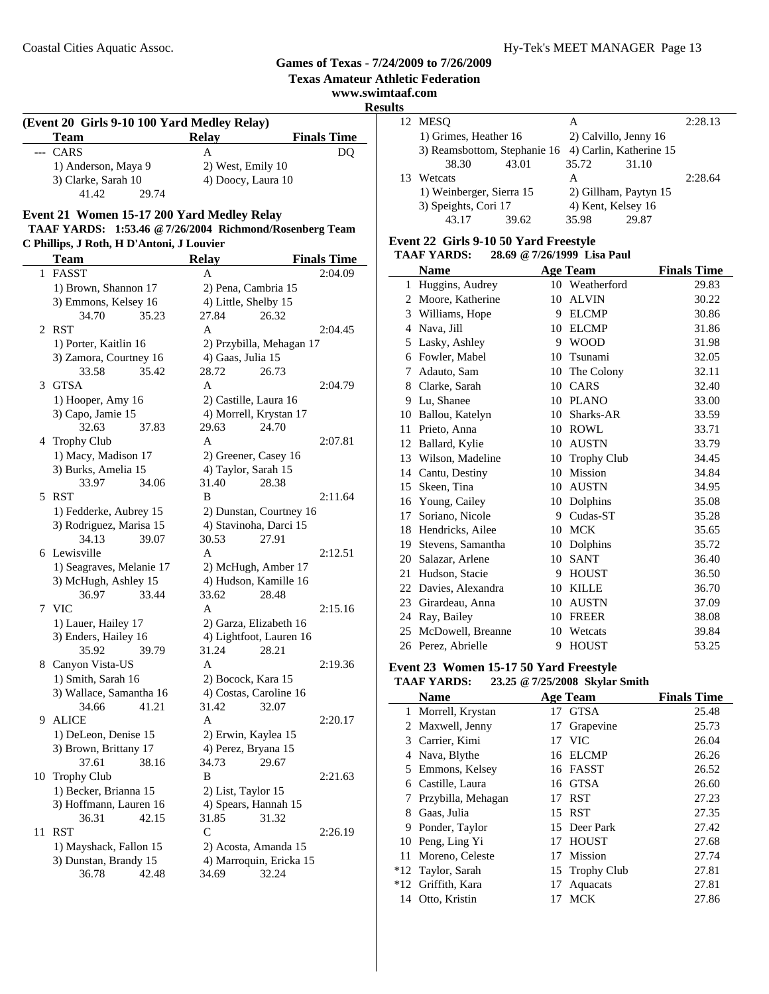#### **www.swimtaaf.com Result (Event 20 Girls 9-10 100 Yard Medley Relay) Team** Relay Finals Time<br>CARS A DQ --- CARS A 1) Anderson, Maya 9 2) West, Emily 10 3) Clarke, Sarah 10 4) Doocy, Laura 10 41.42 29.74

## **Event 21 Women 15-17 200 Yard Medley Relay**

#### **TAAF YARDS: 1:53.46 @7/26/2004 Richmond/Rosenberg Team C Phillips, J Roth, H D'Antoni, J Louvier**

|    | <b>Team</b>                              | <b>Relay</b>                  | <b>Finals Time</b>       |
|----|------------------------------------------|-------------------------------|--------------------------|
| 1  | FASST                                    | A                             | 2:04.09                  |
|    | 1) Brown, Shannon 17                     | 2) Pena, Cambria 15           |                          |
|    | 3) Emmons, Kelsey 16                     | 4) Little, Shelby 15          |                          |
|    | 34.70<br>35.23                           | 27.84                         | 26.32                    |
| 2  | <b>RST</b>                               | A                             | 2:04.45                  |
|    | 1) Porter, Kaitlin 16                    |                               | 2) Przybilla, Mehagan 17 |
|    | 3) Zamora, Courtney 16                   | 4) Gaas, Julia 15             |                          |
|    | 33.58<br>35.42                           | 28.72                         | 26.73                    |
| 3  | <b>GTSA</b>                              | A                             | 2:04.79                  |
|    | 1) Hooper, Amy 16                        | 2) Castille, Laura 16         |                          |
|    | 3) Capo, Jamie 15                        | 4) Morrell, Krystan 17        |                          |
|    | 32.63<br>37.83                           | 29.63                         | 24.70                    |
|    | 4 Trophy Club                            | A                             | 2:07.81                  |
|    | 1) Macy, Madison 17                      | 2) Greener, Casey 16          |                          |
|    | 3) Burks, Amelia 15                      | 4) Taylor, Sarah 15           |                          |
|    | 33.97<br>34.06                           | 31.40                         | 28.38                    |
| 5  | <b>RST</b>                               | B                             | 2:11.64                  |
|    | 1) Fedderke, Aubrey 15                   | 2) Dunstan, Courtney 16       |                          |
|    | 3) Rodriguez, Marisa 15                  | 4) Stavinoha, Darci 15        |                          |
|    | 34.13<br>39.07                           | 30.53                         | 27.91                    |
|    | 6 Lewisville                             | A                             | 2:12.51                  |
|    | 1) Seagraves, Melanie 17                 | 2) McHugh, Amber 17           |                          |
|    | 3) McHugh, Ashley 15                     | 4) Hudson, Kamille 16         |                          |
|    | 33.44<br>36.97                           | 33.62                         | 28.48                    |
| 7  | <b>VIC</b>                               | A                             | 2:15.16                  |
|    | 1) Lauer, Hailey 17                      | 2) Garza, Elizabeth 16        |                          |
|    | 3) Enders, Hailey 16                     | 4) Lightfoot, Lauren 16       |                          |
|    | 35.92<br>39.79                           | 31.24                         | 28.21                    |
|    | 8 Canyon Vista-US                        | A                             | 2:19.36                  |
|    | 1) Smith, Sarah 16                       | 2) Bocock, Kara 15            |                          |
|    | 3) Wallace, Samantha 16                  | 4) Costas, Caroline 16        |                          |
|    | 34.66<br>41.21                           | 31.42                         | 32.07                    |
| 9  | <b>ALICE</b>                             | A                             | 2:20.17                  |
|    | 1) DeLeon, Denise 15                     | 2) Erwin, Kaylea 15           |                          |
|    | 3) Brown, Brittany 17                    | 4) Perez, Bryana 15           |                          |
|    | 38.16<br>37.61                           | 34.73                         | 29.67                    |
|    | 10 Trophy Club<br>1) Becker, Brianna 15  | B                             | 2:21.63                  |
|    |                                          | 2) List, Taylor 15            |                          |
|    | 3) Hoffmann, Lauren 16<br>36.31<br>42.15 | 4) Spears, Hannah 15<br>31.85 | 31.32                    |
| 11 | <b>RST</b>                               | C                             | 2:26.19                  |
|    | 1) Mayshack, Fallon 15                   | 2) Acosta, Amanda 15          |                          |
|    | 3) Dunstan, Brandy 15                    | 4) Marroquin, Ericka 15       |                          |
|    | 36.78<br>42.48                           | 34.69                         | 32.24                    |
|    |                                          |                               |                          |

| lts |                              |       |                         |       |         |
|-----|------------------------------|-------|-------------------------|-------|---------|
|     | 12 MESO                      |       | А                       |       | 2:28.13 |
|     | 1) Grimes, Heather 16        |       | 2) Calvillo, Jenny 16   |       |         |
|     | 3) Reamsbottom, Stephanie 16 |       | 4) Carlin, Katherine 15 |       |         |
|     | 38.30                        | 43.01 | 35.72                   | 31.10 |         |
|     | 13 Wetcats                   |       | А                       |       | 2:28.64 |
|     | 1) Weinberger, Sierra 15     |       | 2) Gillham, Paytyn 15   |       |         |
|     | 3) Speights, Cori 17         |       | 4) Kent, Kelsey 16      |       |         |
|     | 43.17                        | 39.62 | 35.98                   | 29.87 |         |
|     |                              |       |                         |       |         |

#### **Event 22 Girls 9-10 50 Yard Freestyle**

**Games of Texas - 7/24/2009 to 7/26/2009 Texas Amateur Athletic Federation**

 $\ddot{\phantom{a}}$ 

 $\overline{\phantom{a}}$ 

| <b>TAAF YARDS:</b> |  | 28.69 @ 7/26/1999 Lisa Paul |  |
|--------------------|--|-----------------------------|--|
|--------------------|--|-----------------------------|--|

|    | Name              |    | <b>Age Team</b>    | <b>Finals Time</b> |
|----|-------------------|----|--------------------|--------------------|
| 1  | Huggins, Audrey   | 10 | Weatherford        | 29.83              |
| 2  | Moore, Katherine  | 10 | <b>ALVIN</b>       | 30.22              |
| 3  | Williams, Hope    | 9  | <b>ELCMP</b>       | 30.86              |
| 4  | Nava, Jill        | 10 | <b>ELCMP</b>       | 31.86              |
| 5  | Lasky, Ashley     | 9  | <b>WOOD</b>        | 31.98              |
| 6  | Fowler, Mabel     | 10 | Tsunami            | 32.05              |
| 7  | Adauto, Sam       | 10 | The Colony         | 32.11              |
| 8  | Clarke, Sarah     | 10 | CARS               | 32.40              |
| 9  | Lu, Shanee        | 10 | <b>PLANO</b>       | 33.00              |
| 10 | Ballou, Katelyn   | 10 | Sharks-AR          | 33.59              |
| 11 | Prieto, Anna      | 10 | <b>ROWL</b>        | 33.71              |
| 12 | Ballard, Kylie    | 10 | <b>AUSTN</b>       | 33.79              |
| 13 | Wilson, Madeline  | 10 | <b>Trophy Club</b> | 34.45              |
| 14 | Cantu, Destiny    | 10 | Mission            | 34.84              |
| 15 | Skeen, Tina       | 10 | <b>AUSTN</b>       | 34.95              |
| 16 | Young, Cailey     | 10 | Dolphins           | 35.08              |
| 17 | Soriano, Nicole   | 9  | Cudas-ST           | 35.28              |
| 18 | Hendricks, Ailee  | 10 | <b>MCK</b>         | 35.65              |
| 19 | Stevens, Samantha | 10 | Dolphins           | 35.72              |
| 20 | Salazar, Arlene   | 10 | <b>SANT</b>        | 36.40              |
| 21 | Hudson, Stacie    | 9  | <b>HOUST</b>       | 36.50              |
| 22 | Davies, Alexandra | 10 | <b>KILLE</b>       | 36.70              |
| 23 | Girardeau, Anna   | 10 | <b>AUSTN</b>       | 37.09              |
| 24 | Ray, Bailey       | 10 | <b>FREER</b>       | 38.08              |
| 25 | McDowell, Breanne | 10 | Wetcats            | 39.84              |
| 26 | Perez, Abrielle   | 9  | <b>HOUST</b>       | 53.25              |

#### **Event 23 Women 15-17 50 Yard Freestyle**

|              | <b>TAAF YARDS:</b> |    | 23.25 @ 7/25/2008 Skylar Smith |                    |
|--------------|--------------------|----|--------------------------------|--------------------|
|              | <b>Name</b>        |    | <b>Age Team</b>                | <b>Finals Time</b> |
| $\mathbf{1}$ | Morrell, Krystan   |    | 17 GTSA                        | 25.48              |
|              | 2 Maxwell, Jenny   | 17 | Grapevine                      | 25.73              |
|              | 3 Carrier, Kimi    | 17 | - VIC                          | 26.04              |
|              | 4 Nava, Blythe     |    | 16 ELCMP                       | 26.26              |
|              | 5 Emmons, Kelsey   |    | 16 FASST                       | 26.52              |
| 6            | Castille, Laura    |    | 16 GTSA                        | 26.60              |
| 7            | Przybilla, Mehagan | 17 | <b>RST</b>                     | 27.23              |
| 8            | Gaas, Julia        |    | 15 RST                         | 27.35              |
| 9            | Ponder, Taylor     |    | 15 Deer Park                   | 27.42              |
| 10           | Peng, Ling Yi      | 17 | HOUST                          | 27.68              |
|              | 11 Moreno, Celeste | 17 | Mission                        | 27.74              |
|              | *12 Taylor, Sarah  |    | 15 Trophy Club                 | 27.81              |
|              | *12 Griffith, Kara | 17 | Aquacats                       | 27.81              |
| 14           | Otto, Kristin      | 17 | MCK                            | 27.86              |
|              |                    |    |                                |                    |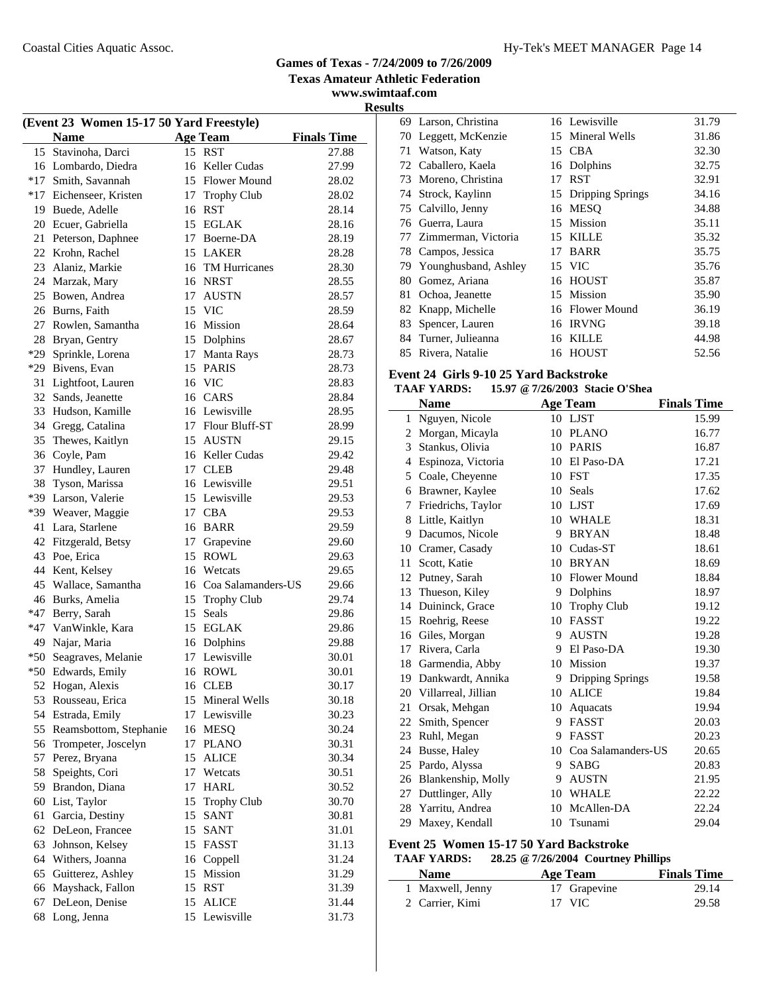**www.swimtaaf.com**

**Results**

| (Event 23 Women 15-17 50 Yard Freestyle) |                         |    |                       |                    |  |
|------------------------------------------|-------------------------|----|-----------------------|--------------------|--|
|                                          | <b>Name</b>             |    | <b>Age Team</b>       | <b>Finals Time</b> |  |
| 15                                       | Stavinoha, Darci        |    | 15 RST                | 27.88              |  |
|                                          | 16 Lombardo, Diedra     |    | 16 Keller Cudas       | 27.99              |  |
|                                          | *17 Smith, Savannah     |    | 15 Flower Mound       | 28.02              |  |
|                                          | *17 Eichenseer, Kristen | 17 | <b>Trophy Club</b>    | 28.02              |  |
| 19                                       | Buede, Adelle           | 16 | <b>RST</b>            | 28.14              |  |
| 20                                       | Ecuer, Gabriella        |    | 15 EGLAK              | 28.16              |  |
| 21                                       | Peterson, Daphnee       |    | 17 Boerne-DA          | 28.19              |  |
| 22                                       | Krohn, Rachel           |    | 15 LAKER              | 28.28              |  |
| 23                                       | Alaniz, Markie          |    | 16 TM Hurricanes      | 28.30              |  |
|                                          | 24 Marzak, Mary         |    | 16 NRST               | 28.55              |  |
| 25                                       | Bowen, Andrea           |    | 17 AUSTN              | 28.57              |  |
|                                          | 26 Burns, Faith         |    | 15 VIC                | 28.59              |  |
| 27                                       | Rowlen, Samantha        |    | 16 Mission            | 28.64              |  |
| 28                                       | Bryan, Gentry           |    | 15 Dolphins           | 28.67              |  |
| $*29$                                    | Sprinkle, Lorena        | 17 | Manta Rays            | 28.73              |  |
| *29                                      | Bivens, Evan            | 15 | <b>PARIS</b>          | 28.73              |  |
| 31                                       | Lightfoot, Lauren       |    | 16 VIC                | 28.83              |  |
| 32                                       | Sands, Jeanette         |    | 16 CARS               | 28.84              |  |
| 33                                       | Hudson, Kamille         |    | 16 Lewisville         | 28.95              |  |
| 34                                       | Gregg, Catalina         |    | 17 Flour Bluff-ST     | 28.99              |  |
| 35                                       | Thewes, Kaitlyn         |    | 15 AUSTN              | 29.15              |  |
| 36                                       | Coyle, Pam              |    | 16 Keller Cudas       | 29.42              |  |
| 37                                       | Hundley, Lauren         |    | 17 CLEB               | 29.48              |  |
| 38                                       | Tyson, Marissa          |    | 16 Lewisville         | 29.51              |  |
| *39                                      | Larson, Valerie         |    | 15 Lewisville         | 29.53              |  |
| *39                                      | Weaver, Maggie          |    | 17 CBA                | 29.53              |  |
| 41                                       | Lara, Starlene          |    | 16 BARR               | 29.59              |  |
| 42                                       | Fitzgerald, Betsy       |    | 17 Grapevine          | 29.60              |  |
| 43                                       | Poe, Erica              | 15 | <b>ROWL</b>           | 29.63              |  |
| 44                                       | Kent, Kelsey            |    | 16 Wetcats            | 29.65              |  |
| 45                                       | Wallace, Samantha       |    | 16 Coa Salamanders-US | 29.66              |  |
| 46                                       | Burks, Amelia           | 15 | <b>Trophy Club</b>    | 29.74              |  |
| $*47$                                    | Berry, Sarah            | 15 | Seals                 | 29.86              |  |
|                                          | *47 VanWinkle, Kara     |    | 15 EGLAK              | 29.86              |  |
|                                          | 49 Najar, Maria         |    | 16 Dolphins           | 29.88              |  |
|                                          | *50 Seagraves, Melanie  | 17 | Lewisville            | 30.01              |  |
|                                          | *50 Edwards, Emily      |    | 16 ROWL               | 30.01              |  |
| 52                                       | Hogan, Alexis           |    | 16 CLEB               | 30.17              |  |
|                                          | 53 Rousseau, Erica      |    | 15 Mineral Wells      | 30.18              |  |
|                                          | 54 Estrada, Emily       |    | 17 Lewisville         | 30.23              |  |
| 55                                       | Reamsbottom, Stephanie  |    | 16 MESQ               | 30.24              |  |
| 56                                       | Trompeter, Joscelyn     | 17 | <b>PLANO</b>          | 30.31              |  |
| 57                                       | Perez, Bryana           | 15 | <b>ALICE</b>          | 30.34              |  |
| 58                                       | Speights, Cori          | 17 | Wetcats               | 30.51              |  |
| 59                                       | Brandon, Diana          | 17 | <b>HARL</b>           | 30.52              |  |
| 60                                       | List, Taylor            | 15 | <b>Trophy Club</b>    | 30.70              |  |
| 61                                       | Garcia, Destiny         | 15 | <b>SANT</b>           | 30.81              |  |
| 62                                       | DeLeon, Francee         | 15 | <b>SANT</b>           | 31.01              |  |
| 63                                       | Johnson, Kelsey         |    | 15 FASST              | 31.13              |  |
| 64                                       | Withers, Joanna         |    | 16 Coppell            | 31.24              |  |
| 65                                       | Guitterez, Ashley       |    | 15 Mission            | 31.29              |  |
| 66                                       | Mayshack, Fallon        |    | 15 RST                | 31.39              |  |
| 67                                       | DeLeon, Denise          | 15 | <b>ALICE</b>          | 31.44              |  |
| 68                                       | Long, Jenna             |    | 15 Lewisville         | 31.73              |  |
|                                          |                         |    |                       |                    |  |

| ພ  |                         |    |                     |       |
|----|-------------------------|----|---------------------|-------|
|    | 69 Larson, Christina    |    | 16 Lewisville       | 31.79 |
| 70 | Leggett, McKenzie       |    | 15 Mineral Wells    | 31.86 |
| 71 | Watson, Katy            | 15 | <b>CBA</b>          | 32.30 |
|    | 72 Caballero, Kaela     |    | 16 Dolphins         | 32.75 |
| 73 | Moreno, Christina       | 17 | <b>RST</b>          | 32.91 |
|    | 74 Strock, Kaylinn      |    | 15 Dripping Springs | 34.16 |
|    | 75 Calvillo, Jenny      |    | 16 MESO             | 34.88 |
|    | 76 Guerra, Laura        | 15 | Mission             | 35.11 |
|    | 77 Zimmerman, Victoria  | 15 | <b>KILLE</b>        | 35.32 |
|    | 78 Campos, Jessica      | 17 | <b>BARR</b>         | 35.75 |
|    | 79 Younghusband, Ashley |    | 15 VIC              | 35.76 |
| 80 | Gomez, Ariana           | 16 | <b>HOUST</b>        | 35.87 |
| 81 | Ochoa, Jeanette         |    | 15 Mission          | 35.90 |
| 82 | Knapp, Michelle         |    | 16 Flower Mound     | 36.19 |
| 83 | Spencer, Lauren         | 16 | <b>IRVNG</b>        | 39.18 |
| 84 | Turner, Julieanna       | 16 | KILLE               | 44.98 |
| 85 | Rivera, Natalie         |    | 16 HOUST            | 52.56 |

#### **Event 24 Girls 9-10 25 Yard Backstroke TAAF YARDS: 15.97 @7/26/2003 Stacie O'Shea**

|    | © 77≝ຫ≝ໜັ              |    |                       |                    |  |  |
|----|------------------------|----|-----------------------|--------------------|--|--|
|    | <b>Name</b>            |    | <b>Age Team</b>       | <b>Finals Time</b> |  |  |
| 1  | Nguyen, Nicole         |    | 10 LJST               | 15.99              |  |  |
|    | 2 Morgan, Micayla      |    | 10 PLANO              | 16.77              |  |  |
| 3  | Stankus, Olivia        |    | 10 PARIS              | 16.87              |  |  |
| 4  | Espinoza, Victoria     |    | 10 El Paso-DA         | 17.21              |  |  |
| 5  | Coale, Cheyenne        |    | 10 FST                | 17.35              |  |  |
| 6  | Brawner, Kaylee        |    | 10 Seals              | 17.62              |  |  |
| 7  | Friedrichs, Taylor     |    | 10 LJST               | 17.69              |  |  |
|    | 8 Little, Kaitlyn      |    | 10 WHALE              | 18.31              |  |  |
| 9  | Dacumos, Nicole        | 9  | <b>BRYAN</b>          | 18.48              |  |  |
|    | 10 Cramer, Casady      |    | 10 Cudas-ST           | 18.61              |  |  |
| 11 | Scott, Katie           | 10 | <b>BRYAN</b>          | 18.69              |  |  |
|    | 12 Putney, Sarah       | 10 | <b>Flower Mound</b>   | 18.84              |  |  |
| 13 | Thueson, Kiley         | 9  | Dolphins              | 18.97              |  |  |
| 14 | Duininck, Grace        | 10 | <b>Trophy Club</b>    | 19.12              |  |  |
|    | 15 Roehrig, Reese      | 10 | <b>FASST</b>          | 19.22              |  |  |
|    | 16 Giles, Morgan       | 9  | <b>AUSTN</b>          | 19.28              |  |  |
| 17 | Rivera, Carla          | 9  | El Paso-DA            | 19.30              |  |  |
|    | 18 Garmendia, Abby     | 10 | Mission               | 19.37              |  |  |
|    | 19 Dankwardt, Annika   | 9  | Dripping Springs      | 19.58              |  |  |
|    | 20 Villarreal, Jillian |    | 10 ALICE              | 19.84              |  |  |
| 21 | Orsak, Mehgan          | 10 | Aquacats              | 19.94              |  |  |
| 22 | Smith, Spencer         | 9  | <b>FASST</b>          | 20.03              |  |  |
|    | 23 Ruhl, Megan         | 9  | <b>FASST</b>          | 20.23              |  |  |
| 24 | Busse, Haley           |    | 10 Coa Salamanders-US | 20.65              |  |  |
|    | 25 Pardo, Alyssa       | 9  | <b>SABG</b>           | 20.83              |  |  |
| 26 | Blankenship, Molly     | 9  | <b>AUSTN</b>          | 21.95              |  |  |
|    | 27 Duttlinger, Ally    |    | 10 WHALE              | 22.22              |  |  |
|    | 28 Yarritu, Andrea     | 10 | McAllen-DA            | 22.24              |  |  |
| 29 | Maxey, Kendall         | 10 | Tsunami               | 29.04              |  |  |

# **Event 25 Women 15-17 50 Yard Backstroke**

| <b>TAAF YARDS:</b> | 28.25 @ 7/26/2004 Courtney Phillips |  |
|--------------------|-------------------------------------|--|
|--------------------|-------------------------------------|--|

| <b>Name</b>      | Age Team     | <b>Finals Time</b> |
|------------------|--------------|--------------------|
| 1 Maxwell, Jenny | 17 Grapevine | 29.14              |
| 2 Carrier, Kimi  | 17 VIC       | 29.58              |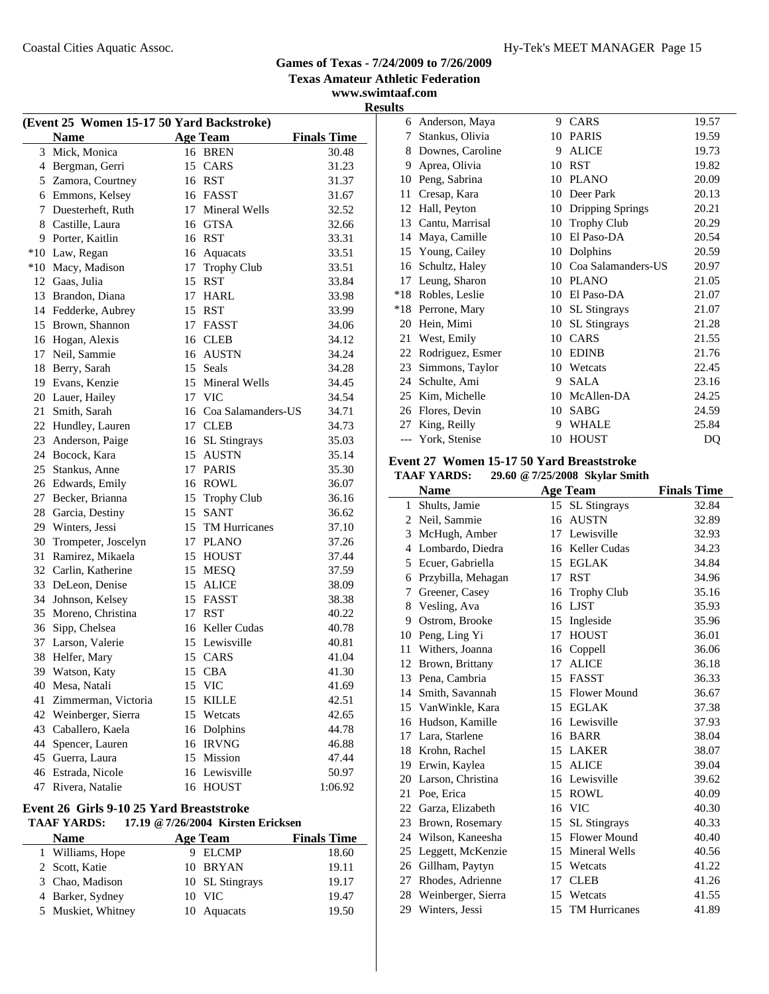**www.swimtaaf.com**

**Results**

| (Event 25 Women 15-17 50 Yard Backstroke) |                     |    |                       |         |  |
|-------------------------------------------|---------------------|----|-----------------------|---------|--|
|                                           | <b>Finals Time</b>  |    |                       |         |  |
| 3                                         | Mick, Monica        |    | 16 BREN               | 30.48   |  |
|                                           | 4 Bergman, Gerri    |    | 15 CARS               | 31.23   |  |
|                                           | 5 Zamora, Courtney  |    | 16 RST                | 31.37   |  |
|                                           | 6 Emmons, Kelsey    |    | 16 FASST              | 31.67   |  |
| 7                                         | Duesterheft, Ruth   | 17 | Mineral Wells         | 32.52   |  |
|                                           | 8 Castille, Laura   |    | 16 GTSA               | 32.66   |  |
|                                           | 9 Porter, Kaitlin   |    | 16 RST                | 33.31   |  |
|                                           | *10 Law, Regan      |    | 16 Aquacats           | 33.51   |  |
|                                           | *10 Macy, Madison   | 17 | <b>Trophy Club</b>    | 33.51   |  |
|                                           | 12 Gaas, Julia      |    | 15 RST                | 33.84   |  |
|                                           | 13 Brandon, Diana   |    | 17 HARL               | 33.98   |  |
|                                           | 14 Fedderke, Aubrey |    | 15 RST                | 33.99   |  |
| 15                                        | Brown, Shannon      |    | 17 FASST              | 34.06   |  |
|                                           | 16 Hogan, Alexis    |    | 16 CLEB               | 34.12   |  |
| 17                                        | Neil, Sammie        |    | 16 AUSTN              | 34.24   |  |
| 18                                        | Berry, Sarah        |    | 15 Seals              | 34.28   |  |
| 19                                        | Evans, Kenzie       |    | 15 Mineral Wells      | 34.45   |  |
| 20                                        | Lauer, Hailey       |    | 17 VIC                | 34.54   |  |
| 21                                        | Smith, Sarah        |    | 16 Coa Salamanders-US | 34.71   |  |
|                                           | 22 Hundley, Lauren  |    | 17 CLEB               | 34.73   |  |
| 23                                        | Anderson, Paige     |    | 16 SL Stingrays       | 35.03   |  |
|                                           | 24 Bocock, Kara     |    | 15 AUSTN              | 35.14   |  |
| 25                                        | Stankus, Anne       |    | 17 PARIS              | 35.30   |  |
|                                           | 26 Edwards, Emily   |    | 16 ROWL               | 36.07   |  |
| 27                                        | Becker, Brianna     |    | 15 Trophy Club        | 36.16   |  |
| 28                                        | Garcia, Destiny     |    | 15 SANT               | 36.62   |  |
| 29                                        | Winters, Jessi      |    | 15 TM Hurricanes      | 37.10   |  |
| 30                                        | Trompeter, Joscelyn |    | 17 PLANO              | 37.26   |  |
| 31                                        | Ramirez, Mikaela    |    | 15 HOUST              | 37.44   |  |
| 32                                        | Carlin, Katherine   | 15 | <b>MESQ</b>           | 37.59   |  |
| 33                                        | DeLeon, Denise      | 15 | <b>ALICE</b>          | 38.09   |  |
| 34                                        | Johnson, Kelsey     |    | 15 FASST              | 38.38   |  |
| 35                                        | Moreno, Christina   | 17 | <b>RST</b>            | 40.22   |  |
| 36                                        | Sipp, Chelsea       |    | 16 Keller Cudas       | 40.78   |  |
| 37                                        | Larson, Valerie     |    | 15 Lewisville         | 40.81   |  |
| 38                                        | Helfer, Mary        |    | 15 CARS               | 41.04   |  |
| 39                                        | Watson, Katy        | 15 | <b>CBA</b>            | 41.30   |  |
| 40                                        | Mesa, Natali        | 15 | <b>VIC</b>            | 41.69   |  |
| 41                                        | Zimmerman, Victoria | 15 | KILLE                 | 42.51   |  |
| 42                                        | Weinberger, Sierra  | 15 | Wetcats               | 42.65   |  |
| 43                                        | Caballero, Kaela    | 16 | Dolphins              | 44.78   |  |
| 44                                        | Spencer, Lauren     | 16 | <b>IRVNG</b>          | 46.88   |  |
| 45                                        | Guerra, Laura       | 15 | Mission               | 47.44   |  |
| 46                                        | Estrada, Nicole     |    | 16 Lewisville         | 50.97   |  |
| 47                                        | Rivera, Natalie     | 16 | <b>HOUST</b>          | 1:06.92 |  |

#### **Event 26 Girls 9-10 25 Yard Breaststroke TAAF YARDS: 17.19 @7/26/2004 Kirsten Ericksen**

| <b>Name</b>        | Age Team        | <b>Finals Time</b> |
|--------------------|-----------------|--------------------|
| 1 Williams, Hope   | 9 ELCMP         | 18.60              |
| 2 Scott, Katie     | 10 BRYAN        | 19.11              |
| 3 Chao, Madison    | 10 SL Stingrays | 19.17              |
| 4 Barker, Sydney   | $10$ VIC        | 19.47              |
| 5 Muskiet, Whitney | 10 Aquacats     | 19.50              |

|       | 6 Anderson, Maya | 9  | CARS                | 19.57 |
|-------|------------------|----|---------------------|-------|
| 7     | Stankus, Olivia  | 10 | <b>PARIS</b>        | 19.59 |
| 8     | Downes, Caroline | 9  | <b>ALICE</b>        | 19.73 |
| 9     | Aprea, Olivia    | 10 | <b>RST</b>          | 19.82 |
| 10    | Peng, Sabrina    | 10 | <b>PLANO</b>        | 20.09 |
| 11    | Cresap, Kara     | 10 | Deer Park           | 20.13 |
| 12    | Hall, Peyton     | 10 | Dripping Springs    | 20.21 |
| 13    | Cantu, Marrisal  | 10 | <b>Trophy Club</b>  | 20.29 |
| 14    | Maya, Camille    | 10 | El Paso-DA          | 20.54 |
| 15    | Young, Cailey    | 10 | Dolphins            | 20.59 |
| 16    | Schultz, Haley   | 10 | Coa Salamanders-US  | 20.97 |
| 17    | Leung, Sharon    | 10 | <b>PLANO</b>        | 21.05 |
| $*18$ | Robles, Leslie   | 10 | El Paso-DA          | 21.07 |
| $*18$ | Perrone, Mary    | 10 | <b>SL</b> Stingrays | 21.07 |
| 20    | Hein, Mimi       | 10 | <b>SL</b> Stingrays | 21.28 |
| 21    | West, Emily      | 10 | CARS                | 21.55 |
| 22    | Rodriguez, Esmer | 10 | <b>EDINB</b>        | 21.76 |
| 23    | Simmons, Taylor  | 10 | Wetcats             | 22.45 |
| 24    | Schulte, Ami     | 9  | <b>SALA</b>         | 23.16 |
| 25    | Kim, Michelle    | 10 | McAllen-DA          | 24.25 |
| 26    | Flores, Devin    | 10 | SABG                | 24.59 |
| 27    | King, Reilly     | 9  | WHALE               | 25.84 |
|       | York, Stenise    | 10 | <b>HOUST</b>        | DQ    |
|       |                  |    |                     |       |

## **Event 27 Women 15-17 50 Yard Breaststroke**

**TAAF YARDS: 29.60 @7/25/2008 Skylar Smith**

| <b>Name</b>         |    |                      | <b>Finals Time</b>                                                                                    |
|---------------------|----|----------------------|-------------------------------------------------------------------------------------------------------|
| Shults, Jamie       |    | <b>SL</b> Stingrays  | 32.84                                                                                                 |
| Neil, Sammie        | 16 | <b>AUSTN</b>         | 32.89                                                                                                 |
| McHugh, Amber       | 17 | Lewisville           | 32.93                                                                                                 |
| Lombardo, Diedra    |    |                      | 34.23                                                                                                 |
| Ecuer, Gabriella    | 15 | <b>EGLAK</b>         | 34.84                                                                                                 |
| Przybilla, Mehagan  | 17 | <b>RST</b>           | 34.96                                                                                                 |
| Greener, Casey      | 16 | <b>Trophy Club</b>   | 35.16                                                                                                 |
| Vesling, Ava        | 16 | <b>LJST</b>          | 35.93                                                                                                 |
| Ostrom, Brooke      | 15 | Ingleside            | 35.96                                                                                                 |
| Peng, Ling Yi       | 17 | <b>HOUST</b>         | 36.01                                                                                                 |
| Withers, Joanna     | 16 | Coppell              | 36.06                                                                                                 |
| Brown, Brittany     | 17 | <b>ALICE</b>         | 36.18                                                                                                 |
| Pena, Cambria       | 15 | <b>FASST</b>         | 36.33                                                                                                 |
| Smith, Savannah     | 15 | <b>Flower Mound</b>  | 36.67                                                                                                 |
| 15 VanWinkle, Kara  | 15 | <b>EGLAK</b>         | 37.38                                                                                                 |
| 16 Hudson, Kamille  |    |                      | 37.93                                                                                                 |
| 17 Lara, Starlene   |    |                      | 38.04                                                                                                 |
| Krohn, Rachel       | 15 |                      | 38.07                                                                                                 |
| Erwin, Kaylea       | 15 | <b>ALICE</b>         | 39.04                                                                                                 |
| Larson, Christina   |    |                      | 39.62                                                                                                 |
| 21<br>Poe, Erica    | 15 | ROWL                 | 40.09                                                                                                 |
| 22 Garza, Elizabeth | 16 | <b>VIC</b>           | 40.30                                                                                                 |
| Brown, Rosemary     | 15 | <b>SL Stingrays</b>  | 40.33                                                                                                 |
| Wilson, Kaneesha    | 15 | Flower Mound         | 40.40                                                                                                 |
| Leggett, McKenzie   | 15 | Mineral Wells        | 40.56                                                                                                 |
| Gillham, Paytyn     | 15 | Wetcats              | 41.22                                                                                                 |
| Rhodes, Adrienne    | 17 | <b>CLEB</b>          | 41.26                                                                                                 |
| Weinberger, Sierra  | 15 | Wetcats              | 41.55                                                                                                 |
| Winters, Jessi      | 15 | <b>TM Hurricanes</b> | 41.89                                                                                                 |
|                     |    |                      | <b>Age Team</b><br>15<br>16 Keller Cudas<br>16 Lewisville<br>16 BARR<br><b>LAKER</b><br>16 Lewisville |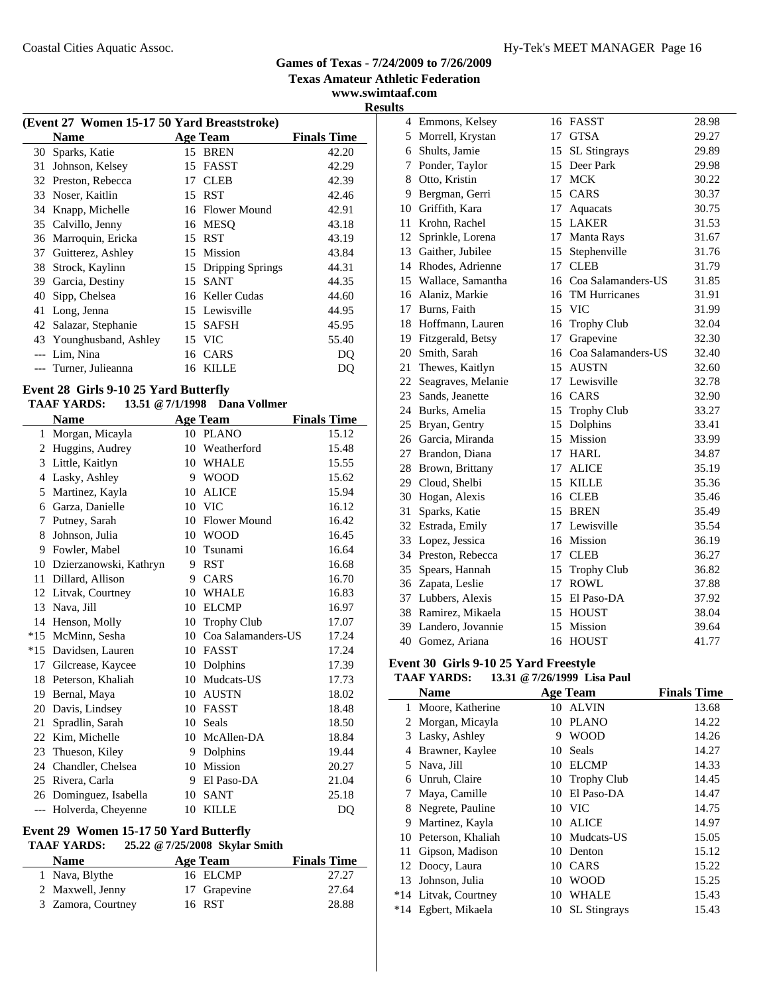**Texas Amateur Athletic Federation www.swimtaaf.com**

**Results**

|       | (Event 27 Women 15-17 50 Yard Breaststroke) |    |                     |                    |  |  |  |
|-------|---------------------------------------------|----|---------------------|--------------------|--|--|--|
|       | <b>Name</b>                                 |    | <b>Age Team</b>     | <b>Finals Time</b> |  |  |  |
|       | 30 Sparks, Katie                            |    | 15 BREN             | 42.20              |  |  |  |
| 31    | Johnson, Kelsey                             |    | 15 FASST            | 42.29              |  |  |  |
|       | 32 Preston, Rebecca                         | 17 | <b>CLEB</b>         | 42.39              |  |  |  |
|       | 33 Noser, Kaitlin                           |    | 15 RST              | 42.46              |  |  |  |
|       | 34 Knapp, Michelle                          |    | 16 Flower Mound     | 42.91              |  |  |  |
|       | 35 Calvillo, Jenny                          |    | 16 MESO             | 43.18              |  |  |  |
|       | 36 Marroquin, Ericka                        |    | 15 RST              | 43.19              |  |  |  |
| 37    | Guitterez, Ashley                           |    | 15 Mission          | 43.84              |  |  |  |
| 38    | Strock, Kaylinn                             |    | 15 Dripping Springs | 44.31              |  |  |  |
| 39.   | Garcia, Destiny                             |    | 15 SANT             | 44.35              |  |  |  |
| 40    | Sipp, Chelsea                               |    | 16 Keller Cudas     | 44.60              |  |  |  |
| 41    | Long, Jenna                                 |    | 15 Lewisville       | 44.95              |  |  |  |
|       | 42 Salazar, Stephanie                       |    | 15 SAFSH            | 45.95              |  |  |  |
|       | 43 Younghusband, Ashley                     |    | 15 VIC              | 55.40              |  |  |  |
| $---$ | Lim, Nina                                   |    | 16 CARS             | DO                 |  |  |  |
|       | Turner, Julieanna                           | 16 | KILLE               | DO                 |  |  |  |
|       |                                             |    |                     |                    |  |  |  |

#### **Event 28 Girls 9-10 25 Yard Butterfly**

#### **TAAF YARDS: 13.51 @7/1/1998 Dana Vollmer**

|       | <b>Name</b>            |    | <b>Age Team</b>     | <b>Finals Time</b> |
|-------|------------------------|----|---------------------|--------------------|
| 1     | Morgan, Micayla        |    | 10 PLANO            | 15.12              |
| 2     | Huggins, Audrey        | 10 | Weatherford         | 15.48              |
| 3     | Little, Kaitlyn        | 10 | <b>WHALE</b>        | 15.55              |
| 4     | Lasky, Ashley          | 9  | <b>WOOD</b>         | 15.62              |
| 5     | Martinez, Kayla        | 10 | <b>ALICE</b>        | 15.94              |
| 6     | Garza, Danielle        | 10 | <b>VIC</b>          | 16.12              |
| 7     | Putney, Sarah          | 10 | <b>Flower Mound</b> | 16.42              |
| 8     | Johnson, Julia         | 10 | <b>WOOD</b>         | 16.45              |
| 9     | Fowler, Mabel          | 10 | Tsunami             | 16.64              |
| 10    | Dzierzanowski, Kathryn | 9  | <b>RST</b>          | 16.68              |
| 11    | Dillard, Allison       | 9  | CARS                | 16.70              |
| 12    | Litvak, Courtney       | 10 | <b>WHALE</b>        | 16.83              |
| 13    | Nava, Jill             | 10 | <b>ELCMP</b>        | 16.97              |
| 14    | Henson, Molly          | 10 | <b>Trophy Club</b>  | 17.07              |
| $*15$ | McMinn, Sesha          | 10 | Coa Salamanders-US  | 17.24              |
| $*15$ | Davidsen, Lauren       | 10 | FASST               | 17.24              |
|       | 17 Gilcrease, Kaycee   | 10 | Dolphins            | 17.39              |
| 18    | Peterson, Khaliah      | 10 | Mudcats-US          | 17.73              |
| 19    | Bernal, Maya           | 10 | <b>AUSTN</b>        | 18.02              |
| 20    | Davis, Lindsey         | 10 | <b>FASST</b>        | 18.48              |
| 21    | Spradlin, Sarah        | 10 | Seals               | 18.50              |
| 22    | Kim, Michelle          | 10 | McAllen-DA          | 18.84              |
| 23    | Thueson, Kiley         | 9  | Dolphins            | 19.44              |
| 24    | Chandler, Chelsea      | 10 | Mission             | 20.27              |
| 25    | Rivera, Carla          | 9  | El Paso-DA          | 21.04              |
|       | 26 Dominguez, Isabella | 10 | <b>SANT</b>         | 25.18              |
| $---$ | Holverda, Cheyenne     | 10 | <b>KILLE</b>        | DO                 |

#### **Event 29 Women 15-17 50 Yard Butterfly TAAF YARDS: 25.22 @7/25/2008 Skylar Smith**

j.

| ТААГ ТАКРЭ;        | $25.22 \div 1125/2000$ SKYRIT SHIILII |                    |
|--------------------|---------------------------------------|--------------------|
| <b>Name</b>        | Age Team                              | <b>Finals Time</b> |
| 1 Nava, Blythe     | 16 ELCMP                              | 27.27              |
| 2 Maxwell, Jenny   | 17 Grapevine                          | 27.64              |
| 3 Zamora, Courtney | 16 RST                                | 28.88              |

|    | 4 Emmons, Kelsey     | 16 | FASST                | 28.98 |
|----|----------------------|----|----------------------|-------|
|    | 5 Morrell, Krystan   |    | 17 GTSA              | 29.27 |
|    | 6 Shults, Jamie      | 15 | SL Stingrays         | 29.89 |
| 7  | Ponder, Taylor       |    | 15 Deer Park         | 29.98 |
| 8  | Otto, Kristin        | 17 | <b>MCK</b>           | 30.22 |
| 9  | Bergman, Gerri       |    | 15 CARS              | 30.37 |
| 10 | Griffith, Kara       | 17 | Aquacats             | 30.75 |
| 11 | Krohn, Rachel        |    | 15 LAKER             | 31.53 |
| 12 | Sprinkle, Lorena     | 17 | Manta Rays           | 31.67 |
| 13 | Gaither, Jubilee     | 15 | Stephenville         | 31.76 |
|    | 14 Rhodes, Adrienne  | 17 | <b>CLEB</b>          | 31.79 |
|    | 15 Wallace, Samantha | 16 | Coa Salamanders-US   | 31.85 |
| 16 | Alaniz, Markie       | 16 | <b>TM Hurricanes</b> | 31.91 |
| 17 | Burns, Faith         | 15 | <b>VIC</b>           | 31.99 |
| 18 | Hoffmann, Lauren     |    | 16 Trophy Club       | 32.04 |
| 19 | Fitzgerald, Betsy    | 17 | Grapevine            | 32.30 |
| 20 | Smith, Sarah         | 16 | Coa Salamanders-US   | 32.40 |
| 21 | Thewes, Kaitlyn      | 15 | <b>AUSTN</b>         | 32.60 |
| 22 | Seagraves, Melanie   | 17 | Lewisville           | 32.78 |
| 23 | Sands, Jeanette      |    | 16 CARS              | 32.90 |
| 24 | Burks, Amelia        |    | 15 Trophy Club       | 33.27 |
| 25 | Bryan, Gentry        | 15 | Dolphins             | 33.41 |
|    | 26 Garcia, Miranda   | 15 | Mission              | 33.99 |
| 27 | Brandon, Diana       | 17 | <b>HARL</b>          | 34.87 |
| 28 | Brown, Brittany      | 17 | <b>ALICE</b>         | 35.19 |
|    | 29 Cloud, Shelbi     | 15 | <b>KILLE</b>         | 35.36 |
|    | 30 Hogan, Alexis     |    | 16 CLEB              | 35.46 |
| 31 | Sparks, Katie        | 15 | <b>BREN</b>          | 35.49 |
|    | 32 Estrada, Emily    |    | 17 Lewisville        | 35.54 |
|    | 33 Lopez, Jessica    |    | 16 Mission           | 36.19 |
|    | 34 Preston, Rebecca  |    | 17 CLEB              | 36.27 |
| 35 | Spears, Hannah       |    | 15 Trophy Club       | 36.82 |
|    | 36 Zapata, Leslie    | 17 | <b>ROWL</b>          | 37.88 |
|    | 37 Lubbers, Alexis   |    | 15 El Paso-DA        | 37.92 |
|    | 38 Ramirez, Mikaela  |    | 15 HOUST             | 38.04 |
|    | 39 Landero, Jovannie | 15 | Mission              | 39.64 |
| 40 | Gomez, Ariana        | 16 | <b>HOUST</b>         | 41.77 |

# **Event 30 Girls 9-10 25 Yard Freestyle**

# **TAAF YARDS: 13.31 @7/26/1999 Lisa Paul**

|              | <b>Name</b>          |    | <b>Age Team</b>     | <b>Finals Time</b> |
|--------------|----------------------|----|---------------------|--------------------|
| $\mathbf{1}$ | Moore, Katherine     | 10 | ALVIN               | 13.68              |
|              | 2 Morgan, Micayla    | 10 | <b>PLANO</b>        | 14.22              |
| 3            | Lasky, Ashley        | 9  | <b>WOOD</b>         | 14.26              |
| 4            | Brawner, Kaylee      | 10 | Seals               | 14.27              |
|              | 5 Nava, Jill         | 10 | <b>ELCMP</b>        | 14.33              |
| 6            | Unruh, Claire        | 10 | <b>Trophy Club</b>  | 14.45              |
|              | Maya, Camille        | 10 | El Paso-DA          | 14.47              |
| 8            | Negrete, Pauline     |    | 10 VIC              | 14.75              |
| 9            | Martinez, Kayla      | 10 | ALICE               | 14.97              |
|              | 10 Peterson, Khaliah |    | 10 Mudcats-US       | 15.05              |
| 11           | Gipson, Madison      | 10 | Denton              | 15.12              |
|              | 12 Doocy, Laura      | 10 | CARS                | 15.22              |
| 13           | Johnson, Julia       | 10 | <b>WOOD</b>         | 15.25              |
| *14          | Litvak, Courtney     | 10 | <b>WHALE</b>        | 15.43              |
| $*14$        | Egbert, Mikaela      | 10 | <b>SL</b> Stingrays | 15.43              |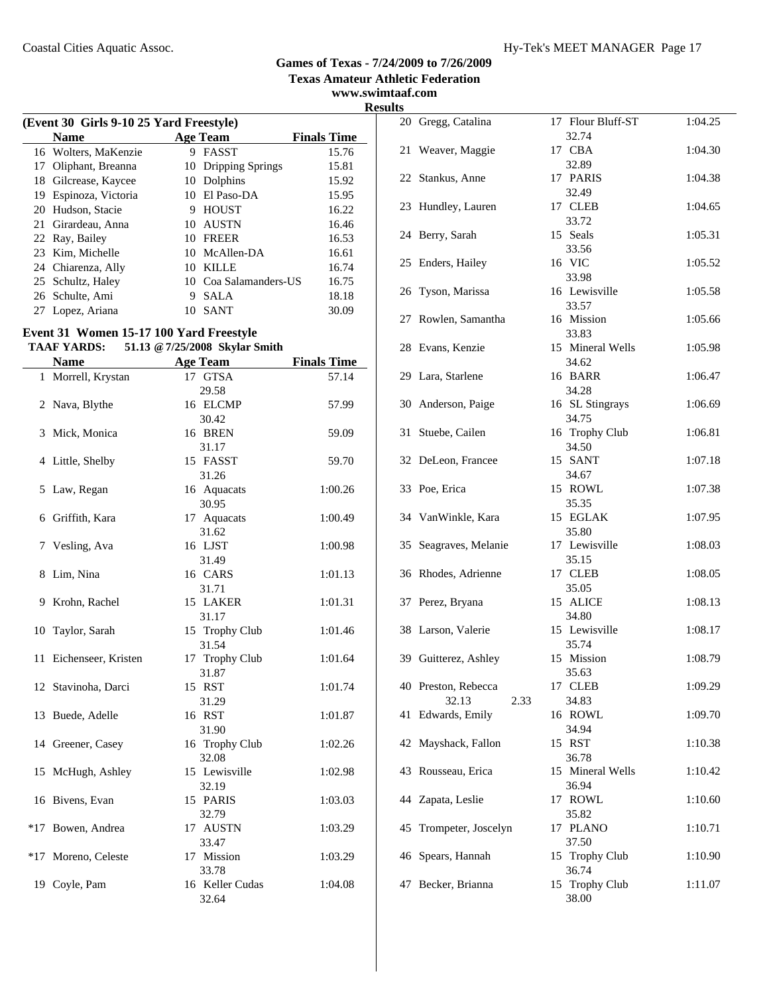**www.swimtaaf.com Results**

|    | (Event 30 Girls 9-10 25 Yard Freestyle) |    |                     |                    |  |  |
|----|-----------------------------------------|----|---------------------|--------------------|--|--|
|    | <b>Name</b>                             |    | <b>Age Team</b>     | <b>Finals Time</b> |  |  |
|    | 16 Wolters, MaKenzie                    | 9  | FASST               | 15.76              |  |  |
| 17 | Oliphant, Breanna                       |    | 10 Dripping Springs | 15.81              |  |  |
| 18 | Gilcrease, Kaycee                       |    | 10 Dolphins         | 15.92              |  |  |
| 19 | Espinoza, Victoria                      | 10 | El Paso-DA          | 15.95              |  |  |
| 20 | Hudson, Stacie                          | 9  | <b>HOUST</b>        | 16.22              |  |  |
|    | 21 Girardeau, Anna                      | 10 | <b>AUSTN</b>        | 16.46              |  |  |
|    | 22 Ray, Bailey                          | 10 | <b>FREER</b>        | 16.53              |  |  |
|    | 23 Kim, Michelle                        |    | 10 McAllen-DA       | 16.61              |  |  |
|    | 24 Chiarenza, Ally                      | 10 | <b>KILLE</b>        | 16.74              |  |  |
|    | 25 Schultz, Haley                       | 10 | Coa Salamanders-US  | 16.75              |  |  |
|    | 26 Schulte, Ami                         | 9  | <b>SALA</b>         | 18.18              |  |  |
| 27 | Lopez, Ariana                           | 10 | <b>SANT</b>         | 30.09              |  |  |

# **Event 31 Women 15-17 100 Yard Freestyle**

 $\overline{a}$ 

|       | <b>TAAF YARDS:</b>     | 51.13 @ 7/25/2008 Skylar Smith |                    |
|-------|------------------------|--------------------------------|--------------------|
|       | <b>Name</b>            | <b>Age Team</b>                | <b>Finals Time</b> |
|       | 1 Morrell, Krystan     | 17 GTSA                        | 57.14              |
|       |                        | 29.58                          |                    |
|       | 2 Nava, Blythe         | 16 ELCMP                       | 57.99              |
|       |                        | 30.42                          |                    |
| 3     | Mick, Monica           | 16 BREN                        | 59.09              |
|       |                        | 31.17                          |                    |
|       | 4 Little, Shelby       | 15 FASST                       | 59.70              |
|       |                        | 31.26                          |                    |
| 5     | Law, Regan             | 16 Aquacats                    | 1:00.26            |
|       |                        | 30.95                          |                    |
|       | 6 Griffith, Kara       | 17 Aquacats                    | 1:00.49            |
|       |                        | 31.62                          |                    |
|       | 7 Vesling, Ava         | 16 LJST                        | 1:00.98            |
|       |                        | 31.49                          |                    |
| 8     | Lim, Nina              | 16 CARS                        | 1:01.13            |
|       |                        | 31.71                          |                    |
| 9     | Krohn, Rachel          | 15 LAKER                       | 1:01.31            |
|       |                        | 31.17                          |                    |
| 10    | Taylor, Sarah          | 15 Trophy Club                 | 1:01.46            |
|       |                        | 31.54                          |                    |
|       | 11 Eichenseer, Kristen | 17 Trophy Club                 | 1:01.64            |
|       |                        | 31.87                          |                    |
|       | 12 Stavinoha, Darci    | 15 RST                         | 1:01.74            |
|       |                        | 31.29                          |                    |
|       | 13 Buede, Adelle       | 16 RST                         | 1:01.87            |
|       | 14 Greener, Casey      | 31.90<br>16 Trophy Club        | 1:02.26            |
|       |                        | 32.08                          |                    |
|       | 15 McHugh, Ashley      | 15 Lewisville                  | 1:02.98            |
|       |                        | 32.19                          |                    |
|       | 16 Bivens, Evan        | 15 PARIS                       | 1:03.03            |
|       |                        | 32.79                          |                    |
| $*17$ | Bowen, Andrea          | 17 AUSTN                       | 1:03.29            |
|       |                        | 33.47                          |                    |
|       | *17 Moreno, Celeste    | 17 Mission                     | 1:03.29            |
|       |                        | 33.78                          |                    |
|       | 19 Coyle, Pam          | 16 Keller Cudas                | 1:04.08            |
|       |                        | 32.64                          |                    |

| πь |                                      |                            |         |
|----|--------------------------------------|----------------------------|---------|
|    | 20 Gregg, Catalina                   | 17 Flour Bluff-ST<br>32.74 | 1:04.25 |
|    | 21 Weaver, Maggie                    | 17 CBA<br>32.89            | 1:04.30 |
|    | 22 Stankus, Anne                     | 17 PARIS                   | 1:04.38 |
|    | 23 Hundley, Lauren                   | 32.49<br>17 CLEB<br>33.72  | 1:04.65 |
|    | 24 Berry, Sarah                      | 15 Seals<br>33.56          | 1:05.31 |
|    | 25 Enders, Hailey                    | 16 VIC<br>33.98            | 1:05.52 |
|    | 26 Tyson, Marissa                    | 16 Lewisville<br>33.57     | 1:05.58 |
|    | 27 Rowlen, Samantha                  | 16 Mission<br>33.83        | 1:05.66 |
|    | 28 Evans, Kenzie                     | 15 Mineral Wells<br>34.62  | 1:05.98 |
|    | 29 Lara, Starlene                    | 16 BARR<br>34.28           | 1:06.47 |
|    | 30 Anderson, Paige                   | 16 SL Stingrays<br>34.75   | 1:06.69 |
|    | 31 Stuebe, Cailen                    | 16 Trophy Club<br>34.50    | 1:06.81 |
|    | 32 DeLeon, Francee                   | 15 SANT<br>34.67           | 1:07.18 |
|    | 33 Poe, Erica                        | 15 ROWL<br>35.35           | 1:07.38 |
|    | 34 VanWinkle, Kara                   | 15 EGLAK<br>35.80          | 1:07.95 |
|    | 35 Seagraves, Melanie                | 17 Lewisville<br>35.15     | 1:08.03 |
|    | 36 Rhodes, Adrienne                  | 17 CLEB<br>35.05           | 1:08.05 |
|    | 37 Perez, Bryana                     | 15 ALICE<br>34.80          | 1:08.13 |
|    | 38 Larson, Valerie                   | 15 Lewisville<br>35.74     | 1:08.17 |
|    | 39 Guitterez, Ashley                 | 15 Mission<br>35.63        | 1:08.79 |
|    | 40 Preston, Rebecca<br>32.13<br>2.33 | 17 CLEB<br>34.83           | 1:09.29 |
| 41 | Edwards, Emily                       | 16 ROWL<br>34.94           | 1:09.70 |
| 42 | Mayshack, Fallon                     | 15 RST<br>36.78            | 1:10.38 |
|    | 43 Rousseau, Erica                   | 15 Mineral Wells<br>36.94  | 1:10.42 |
| 44 | Zapata, Leslie                       | 17 ROWL<br>35.82           | 1:10.60 |
| 45 | Trompeter, Joscelyn                  | 17 PLANO<br>37.50          | 1:10.71 |
|    | 46 Spears, Hannah                    | 15 Trophy Club<br>36.74    | 1:10.90 |
| 47 | Becker, Brianna                      | 15 Trophy Club<br>38.00    | 1:11.07 |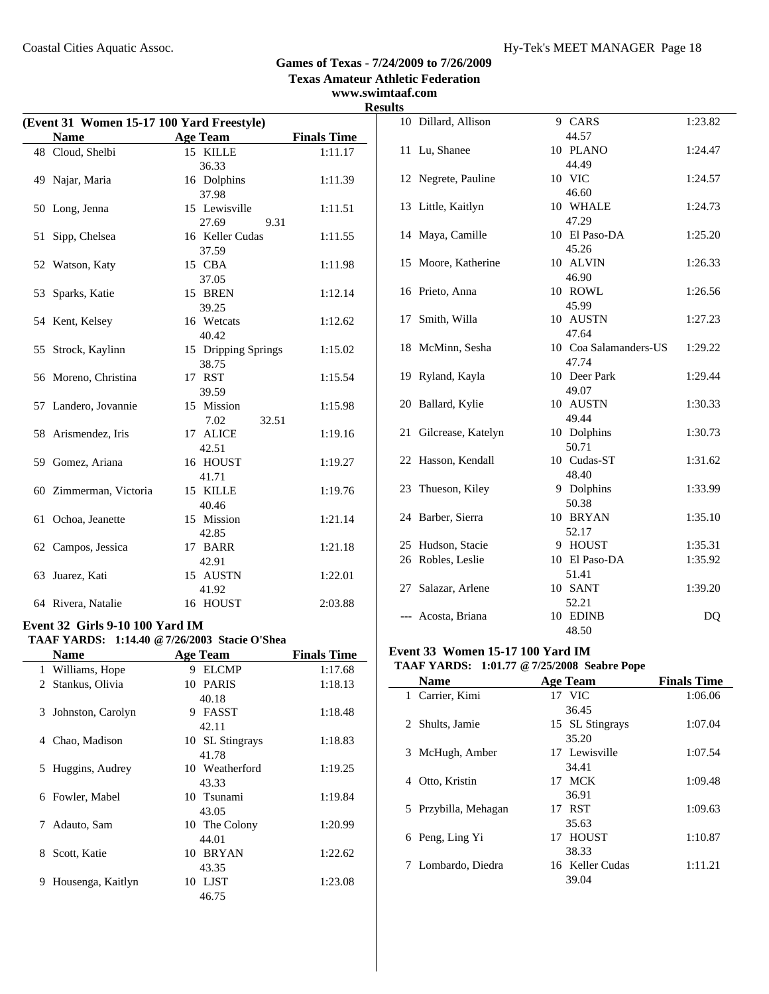**www.swimtaaf.com Results**

|    | (Event 31 Women 15-17 100 Yard Freestyle)<br><b>Name</b> | <b>Age Team</b>                               | <b>Finals Time</b> |
|----|----------------------------------------------------------|-----------------------------------------------|--------------------|
|    | 48 Cloud, Shelbi                                         | 15 KILLE                                      | 1:11.17            |
|    |                                                          | 36.33                                         |                    |
|    | 49 Najar, Maria                                          | 16 Dolphins                                   | 1:11.39            |
|    |                                                          | 37.98                                         |                    |
|    | 50 Long, Jenna                                           | 15 Lewisville                                 | 1:11.51            |
|    |                                                          | 27.69<br>9.31                                 |                    |
| 51 | Sipp, Chelsea                                            | 16 Keller Cudas                               | 1:11.55            |
|    |                                                          | 37.59                                         |                    |
|    | 52 Watson, Katy                                          | 15 CBA                                        | 1:11.98            |
|    |                                                          | 37.05                                         |                    |
| 53 | Sparks, Katie                                            | 15 BREN                                       | 1:12.14            |
|    |                                                          | 39.25                                         |                    |
|    | 54 Kent, Kelsey                                          | 16 Wetcats                                    | 1:12.62            |
|    |                                                          | 40.42                                         |                    |
| 55 | Strock, Kaylinn                                          | 15 Dripping Springs                           | 1:15.02            |
|    |                                                          | 38.75                                         |                    |
|    | 56 Moreno, Christina                                     | 17 RST                                        | 1:15.54            |
|    |                                                          | 39.59                                         |                    |
|    | 57 Landero, Jovannie                                     | 15 Mission                                    | 1:15.98            |
|    |                                                          | 7.02<br>32.51                                 |                    |
|    | 58 Arismendez, Iris                                      | 17 ALICE                                      | 1:19.16            |
|    |                                                          | 42.51                                         |                    |
|    | 59 Gomez, Ariana                                         | 16 HOUST                                      | 1:19.27            |
|    |                                                          | 41.71                                         |                    |
|    | 60 Zimmerman, Victoria                                   | 15 KILLE                                      | 1:19.76            |
|    |                                                          | 40.46                                         |                    |
| 61 | Ochoa, Jeanette                                          | 15 Mission                                    | 1:21.14            |
|    |                                                          | 42.85                                         |                    |
|    | 62 Campos, Jessica                                       | 17 BARR                                       | 1:21.18            |
|    |                                                          | 42.91                                         |                    |
| 63 | Juarez, Kati                                             | 15 AUSTN                                      | 1:22.01            |
|    |                                                          | 41.92                                         |                    |
|    | 64 Rivera, Natalie                                       | 16 HOUST                                      | 2:03.88            |
|    |                                                          |                                               |                    |
|    | Event 32 Girls 9-10 100 Yard IM                          |                                               |                    |
|    |                                                          | TAAF YARDS: 1:14.40 @ 7/26/2003 Stacie O'Shea |                    |
|    | <b>Name</b>                                              | <b>Age Team</b>                               | <b>Finals Time</b> |
|    | 1 Williams, Hope                                         | 9 ELCMP                                       | 1:17.68            |
| 2  | Stankus, Olivia                                          | 10 PARIS                                      | 1:18.13            |
|    |                                                          | 40.18                                         |                    |
| 3  | Johnston, Carolyn                                        | 9 FASST                                       | 1:18.48            |
|    |                                                          | 42.11                                         |                    |
|    | 4 Chao, Madison                                          | 10 SL Stingrays                               | 1:18.83            |
|    |                                                          | 41.78                                         |                    |
| 5  | Huggins, Audrey                                          | 10 Weatherford                                | 1:19.25            |
|    |                                                          | 43.33                                         |                    |
| 6  | Fowler, Mabel                                            | 10 Tsunami                                    | 1:19.84            |
|    |                                                          | 43.05                                         |                    |
| 7  | Adauto, Sam                                              | 10 The Colony                                 | 1:20.99            |
|    |                                                          | 44.01                                         |                    |
| 8  | Scott, Katie                                             | 10 BRYAN                                      | 1:22.62            |
|    |                                                          | 43.35                                         |                    |
| 9  | Housenga, Kaitlyn                                        | 10 LJST                                       | 1:23.08            |

46.75

| .  |                     |                                |         |
|----|---------------------|--------------------------------|---------|
|    | 10 Dillard, Allison | 9 CARS                         | 1:23.82 |
| 11 | Lu, Shanee          | 44.57<br>10 PLANO              | 1:24.47 |
|    |                     | 44.49                          |         |
|    | 12 Negrete, Pauline | 10 VIC                         | 1:24.57 |
|    |                     | 46.60                          |         |
|    | 13 Little, Kaitlyn  | 10 WHALE                       | 1:24.73 |
|    |                     | 47.29                          |         |
|    | 14 Maya, Camille    | 10 El Paso-DA                  | 1:25.20 |
| 15 | Moore, Katherine    | 45.26<br>10 ALVIN              | 1:26.33 |
|    |                     | 46.90                          |         |
|    | 16 Prieto, Anna     | 10 ROWL                        | 1:26.56 |
|    |                     | 45.99                          |         |
| 17 | Smith, Willa        | 10 AUSTN                       | 1:27.23 |
|    |                     | 47.64                          |         |
|    | 18 McMinn, Sesha    | 10 Coa Salamanders-US<br>47.74 | 1:29.22 |
| 19 | Ryland, Kayla       | 10 Deer Park                   | 1:29.44 |
|    |                     | 49.07                          |         |
| 20 | Ballard, Kylie      | 10 AUSTN                       | 1:30.33 |
|    |                     | 49.44                          |         |
| 21 | Gilcrease, Katelyn  | 10 Dolphins                    | 1:30.73 |
|    |                     | 50.71                          |         |
|    | 22 Hasson, Kendall  | 10 Cudas-ST<br>48.40           | 1:31.62 |
| 23 | Thueson, Kiley      | 9 Dolphins                     | 1:33.99 |
|    |                     | 50.38                          |         |
|    | 24 Barber, Sierra   | 10 BRYAN                       | 1:35.10 |
|    |                     | 52.17                          |         |
|    | 25 Hudson, Stacie   | 9 HOUST                        | 1:35.31 |
|    | 26 Robles, Leslie   | 10 El Paso-DA<br>51.41         | 1:35.92 |
| 27 | Salazar, Arlene     | 10 SANT                        | 1:39.20 |
|    |                     | 52.21                          |         |
|    | Acosta, Briana      | 10 EDINB                       | DQ      |
|    |                     | 48.50                          |         |
|    |                     |                                |         |

# **Event 33 Women 15-17 100 Yard IM**

#### **TAAF YARDS: 1:01.77 @7/25/2008 Seabre Pope**

| <b>Name</b>          | <b>Age Team</b> | <b>Finals Time</b> |
|----------------------|-----------------|--------------------|
| 1 Carrier, Kimi      | $17$ VIC        | 1:06.06            |
|                      | 36.45           |                    |
| 2 Shults, Jamie      | 15 SL Stingrays | 1:07.04            |
|                      | 35.20           |                    |
| 3 McHugh, Amber      | 17 Lewisville   | 1:07.54            |
|                      | 34.41           |                    |
| Otto, Kristin<br>4   | 17 MCK          | 1:09.48            |
|                      | 36.91           |                    |
| 5 Przybilla, Mehagan | 17 RST          | 1:09.63            |
|                      | 35.63           |                    |
| 6 Peng, Ling Yi      | 17 HOUST        | 1:10.87            |
|                      | 38.33           |                    |
| 7 Lombardo, Diedra   | 16 Keller Cudas | 1:11.21            |
|                      | 39.04           |                    |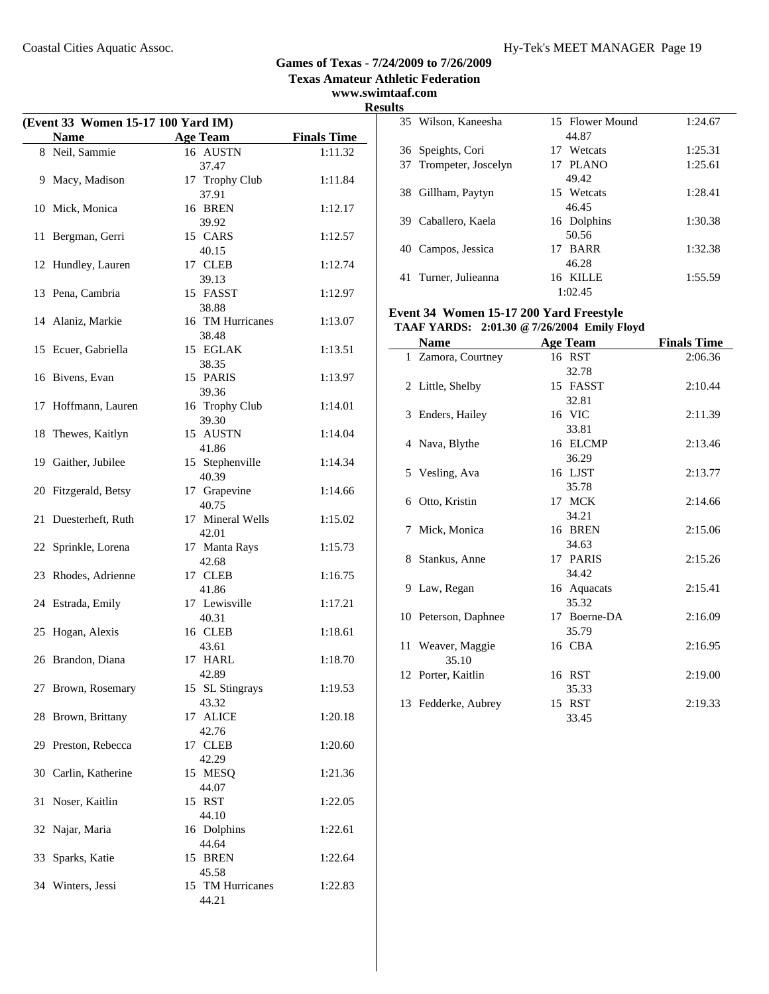**www.swimtaaf.com**

# **Results**

|    | (Event 33 Women 15-17 100 Yard IM) |                           | ĸ                  |
|----|------------------------------------|---------------------------|--------------------|
|    | <b>Name</b>                        | <b>Age Team</b>           | <b>Finals Time</b> |
|    | 8 Neil, Sammie                     | 16 AUSTN                  | 1:11.32            |
|    | 9 Macy, Madison                    | 37.47<br>17 Trophy Club   | 1:11.84            |
|    | 10 Mick, Monica                    | 37.91<br>16 BREN<br>39.92 | 1:12.17            |
|    | 11 Bergman, Gerri                  | 15 CARS<br>40.15          | 1:12.57            |
|    | 12 Hundley, Lauren                 | 17 CLEB<br>39.13          | 1:12.74            |
|    | 13 Pena, Cambria                   | 15 FASST<br>38.88         | 1:12.97            |
|    | 14 Alaniz, Markie                  | 16 TM Hurricanes<br>38.48 | 1:13.07            |
|    | 15 Ecuer, Gabriella                | 15 EGLAK<br>38.35         | 1:13.51            |
|    | 16 Bivens, Evan                    | 15 PARIS<br>39.36         | 1:13.97            |
| 17 | Hoffmann, Lauren                   | 16 Trophy Club<br>39.30   | 1:14.01            |
| 18 | Thewes, Kaitlyn                    | 15 AUSTN<br>41.86         | 1:14.04            |
| 19 | Gaither, Jubilee                   | 15 Stephenville<br>40.39  | 1:14.34            |
|    | 20 Fitzgerald, Betsy               | 17 Grapevine<br>40.75     | 1:14.66            |
| 21 | Duesterheft, Ruth                  | 17 Mineral Wells<br>42.01 | 1:15.02            |
|    | 22 Sprinkle, Lorena                | 17 Manta Rays<br>42.68    | 1:15.73            |
|    | 23 Rhodes, Adrienne                | 17 CLEB<br>41.86          | 1:16.75            |
|    | 24 Estrada, Emily                  | 17 Lewisville<br>40.31    | 1:17.21            |
| 25 | Hogan, Alexis                      | 16 CLEB<br>43.61          | 1:18.61            |
|    | 26 Brandon, Diana                  | 17 HARL<br>42.89          | 1:18.70            |
|    | 27 Brown, Rosemary                 | 15 SL Stingrays<br>43.32  | 1:19.53            |
|    | 28 Brown, Brittany                 | 17 ALICE<br>42.76         | 1:20.18            |
|    | 29 Preston, Rebecca                | 17 CLEB<br>42.29          | 1:20.60            |
|    | 30 Carlin, Katherine               | 15 MESQ<br>44.07          | 1:21.36            |
| 31 | Noser, Kaitlin                     | 15 RST<br>44.10           | 1:22.05            |
|    | 32 Najar, Maria                    | 16 Dolphins<br>44.64      | 1:22.61            |
|    | 33 Sparks, Katie                   | 15 BREN<br>45.58          | 1:22.64            |
|    | 34 Winters, Jessi                  | 15 TM Hurricanes<br>44.21 | 1:22.83            |

|    | 35 Wilson, Kaneesha    | 15 Flower Mound | 1:24.67 |
|----|------------------------|-----------------|---------|
|    |                        | 44.87           |         |
|    | 36 Speights, Cori      | 17 Wetcats      | 1:25.31 |
|    | 37 Trompeter, Joscelyn | 17 PLANO        | 1:25.61 |
|    |                        | 49.42           |         |
| 38 | Gillham, Paytyn        | 15 Wetcats      | 1:28.41 |
|    |                        | 46.45           |         |
|    | 39 Caballero, Kaela    | 16 Dolphins     | 1:30.38 |
|    |                        | 50.56           |         |
| 40 | Campos, Jessica        | 17 BARR         | 1:32.38 |
|    |                        | 46.28           |         |
| 41 | Turner, Julieanna      | 16 KILLE        | 1:55.59 |
|    |                        | 1:02.45         |         |

#### **Event 34 Women 15-17 200 Yard Freestyle TAAF YARDS: 2:01.30 @7/26/2004 Emily Floyd**

|   | Name                       | <b>Age Team</b>       | <b>Finals Time</b> |
|---|----------------------------|-----------------------|--------------------|
|   | 1 Zamora, Courtney         | 16 RST<br>32.78       | 2:06.36            |
|   | 2 Little, Shelby           | 15 FASST<br>32.81     | 2:10.44            |
|   | 3 Enders, Hailey           | 16 VIC<br>33.81       | 2:11.39            |
|   | 4 Nava, Blythe             | 16 ELCMP<br>36.29     | 2:13.46            |
|   | 5 Vesling, Ava             | 16 LJST<br>35.78      | 2:13.77            |
| 6 | Otto, Kristin              | 17 MCK<br>34.21       | 2:14.66            |
| 7 | Mick, Monica               | 16 BREN<br>34.63      | 2:15.06            |
|   | 8 Stankus, Anne            | 17 PARIS<br>34.42     | 2:15.26            |
|   | 9 Law, Regan               | 16 Aquacats<br>35.32  | 2:15.41            |
|   | 10 Peterson, Daphnee       | 17 Boerne-DA<br>35.79 | 2:16.09            |
|   | 11 Weaver, Maggie<br>35.10 | 16 CBA                | 2:16.95            |
|   | 12 Porter, Kaitlin         | 16 RST<br>35.33       | 2:19.00            |
|   | 13 Fedderke, Aubrey        | 15 RST<br>33.45       | 2:19.33            |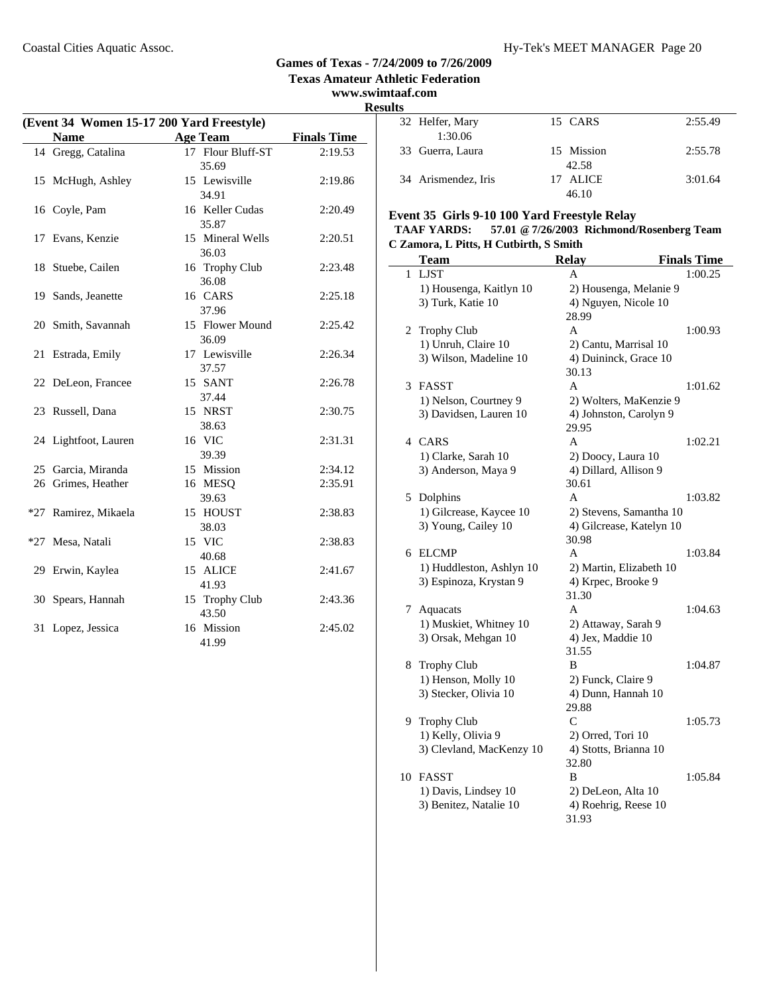**www.swimtaaf.com**

# **Results**

| (Event 34 Women 15-17 200 Yard Freestyle) |                      |                        |                    |  |  |
|-------------------------------------------|----------------------|------------------------|--------------------|--|--|
|                                           | <b>Name</b>          | <b>Age Team</b>        | <b>Finals Time</b> |  |  |
|                                           | 14 Gregg, Catalina   | 17 Flour Bluff-ST      | 2:19.53            |  |  |
|                                           |                      | 35.69                  |                    |  |  |
|                                           | 15 McHugh, Ashley    | 15 Lewisville          | 2:19.86            |  |  |
|                                           |                      | 34.91                  |                    |  |  |
|                                           | 16 Coyle, Pam        | 16 Keller Cudas        | 2:20.49            |  |  |
|                                           |                      | 35.87                  |                    |  |  |
|                                           | 17 Evans, Kenzie     | 15 Mineral Wells       | 2:20.51            |  |  |
|                                           |                      | 36.03                  |                    |  |  |
|                                           | 18 Stuebe, Cailen    | 16 Trophy Club         | 2:23.48            |  |  |
|                                           |                      | 36.08                  |                    |  |  |
|                                           | 19 Sands, Jeanette   | 16 CARS                | 2:25.18            |  |  |
|                                           |                      | 37.96                  |                    |  |  |
|                                           | 20 Smith, Savannah   | 15 Flower Mound        | 2:25.42            |  |  |
|                                           |                      | 36.09<br>17 Lewisville | 2:26.34            |  |  |
| 21                                        | Estrada, Emily       |                        |                    |  |  |
|                                           | 22 DeLeon, Francee   | 37.57<br>15 SANT       | 2:26.78            |  |  |
|                                           |                      | 37.44                  |                    |  |  |
|                                           | 23 Russell, Dana     | 15 NRST                | 2:30.75            |  |  |
|                                           |                      | 38.63                  |                    |  |  |
|                                           | 24 Lightfoot, Lauren | 16 VIC                 | 2:31.31            |  |  |
|                                           |                      | 39.39                  |                    |  |  |
|                                           | 25 Garcia, Miranda   | 15 Mission             | 2:34.12            |  |  |
|                                           | 26 Grimes, Heather   | 16 MESQ                | 2:35.91            |  |  |
|                                           |                      | 39.63                  |                    |  |  |
|                                           | *27 Ramirez, Mikaela | 15 HOUST               | 2:38.83            |  |  |
|                                           |                      | 38.03                  |                    |  |  |
| $*27$                                     | Mesa, Natali         | 15 VIC                 | 2:38.83            |  |  |
|                                           |                      | 40.68                  |                    |  |  |
|                                           | 29 Erwin, Kaylea     | 15 ALICE               | 2:41.67            |  |  |
|                                           |                      | 41.93                  |                    |  |  |
| 30                                        | Spears, Hannah       | 15 Trophy Club         | 2:43.36            |  |  |
|                                           |                      | 43.50                  |                    |  |  |
| 31                                        | Lopez, Jessica       | 16 Mission             | 2:45.02            |  |  |
|                                           |                      | 41.99                  |                    |  |  |

| 32 Helfer, Mary     | 15 CARS    | 2:55.49 |
|---------------------|------------|---------|
| 1:30.06             |            |         |
| 33 Guerra, Laura    | 15 Mission | 2:55.78 |
|                     | 42.58      |         |
| 34 Arismendez, Iris | 17 ALICE   | 3:01.64 |
|                     | 46.10      |         |

#### **Event 35 Girls 9-10 100 Yard Freestyle Relay**

#### **TAAF YARDS: 57.01 @7/26/2003 Richmond/Rosenberg Team C Zamora, L Pitts, H Cutbirth, S Smith**

|    | <b>Team</b>                                        | <b>Relay</b>             | <b>Finals Time</b> |
|----|----------------------------------------------------|--------------------------|--------------------|
| 1  | <b>LJST</b>                                        | A                        | 1:00.25            |
|    | 1) Housenga, Kaitlyn 10                            | 2) Housenga, Melanie 9   |                    |
|    | 3) Turk, Katie 10                                  | 4) Nguyen, Nicole 10     |                    |
|    |                                                    | 28.99                    |                    |
| 2  | <b>Trophy Club</b>                                 | A                        | 1:00.93            |
|    | 1) Unruh, Claire 10                                | 2) Cantu, Marrisal 10    |                    |
|    | 3) Wilson, Madeline 10                             | 4) Duininck, Grace 10    |                    |
|    |                                                    | 30.13                    |                    |
| 3  | <b>FASST</b>                                       | A                        | 1:01.62            |
|    | 1) Nelson, Courtney 9                              | 2) Wolters, MaKenzie 9   |                    |
|    | 3) Davidsen, Lauren 10                             | 4) Johnston, Carolyn 9   |                    |
|    |                                                    | 29.95                    |                    |
|    | 4 CARS                                             | A                        | 1:02.21            |
|    | 1) Clarke, Sarah 10                                | 2) Doocy, Laura 10       |                    |
|    | 3) Anderson, Maya 9                                | 4) Dillard, Allison 9    |                    |
|    |                                                    | 30.61                    |                    |
| 5. | Dolphins                                           | A                        | 1:03.82            |
|    | 1) Gilcrease, Kaycee 10                            | 2) Stevens, Samantha 10  |                    |
|    | 3) Young, Cailey 10                                | 4) Gilcrease, Katelyn 10 |                    |
| 6  | <b>ELCMP</b>                                       | 30.98<br>A               | 1:03.84            |
|    |                                                    | 2) Martin, Elizabeth 10  |                    |
|    | 1) Huddleston, Ashlyn 10<br>3) Espinoza, Krystan 9 | 4) Krpec, Brooke 9       |                    |
|    |                                                    | 31.30                    |                    |
| 7  | Aquacats                                           | A                        | 1:04.63            |
|    | 1) Muskiet, Whitney 10                             | 2) Attaway, Sarah 9      |                    |
|    | 3) Orsak, Mehgan 10                                | 4) Jex, Maddie 10        |                    |
|    |                                                    | 31.55                    |                    |
| 8  | <b>Trophy Club</b>                                 | B                        | 1:04.87            |
|    | 1) Henson, Molly 10                                | 2) Funck, Claire 9       |                    |
|    | 3) Stecker, Olivia 10                              | 4) Dunn, Hannah 10       |                    |
|    |                                                    | 29.88                    |                    |
| 9. | <b>Trophy Club</b>                                 | C                        | 1:05.73            |
|    | 1) Kelly, Olivia 9                                 | 2) Orred, Tori 10        |                    |
|    | 3) Clevland, MacKenzy 10                           | 4) Stotts, Brianna 10    |                    |
|    |                                                    | 32.80                    |                    |
| 10 | <b>FASST</b>                                       | B                        | 1:05.84            |
|    | 1) Davis, Lindsey 10                               | 2) DeLeon, Alta 10       |                    |
|    | 3) Benitez, Natalie 10                             | 4) Roehrig, Reese 10     |                    |
|    |                                                    | 31.93                    |                    |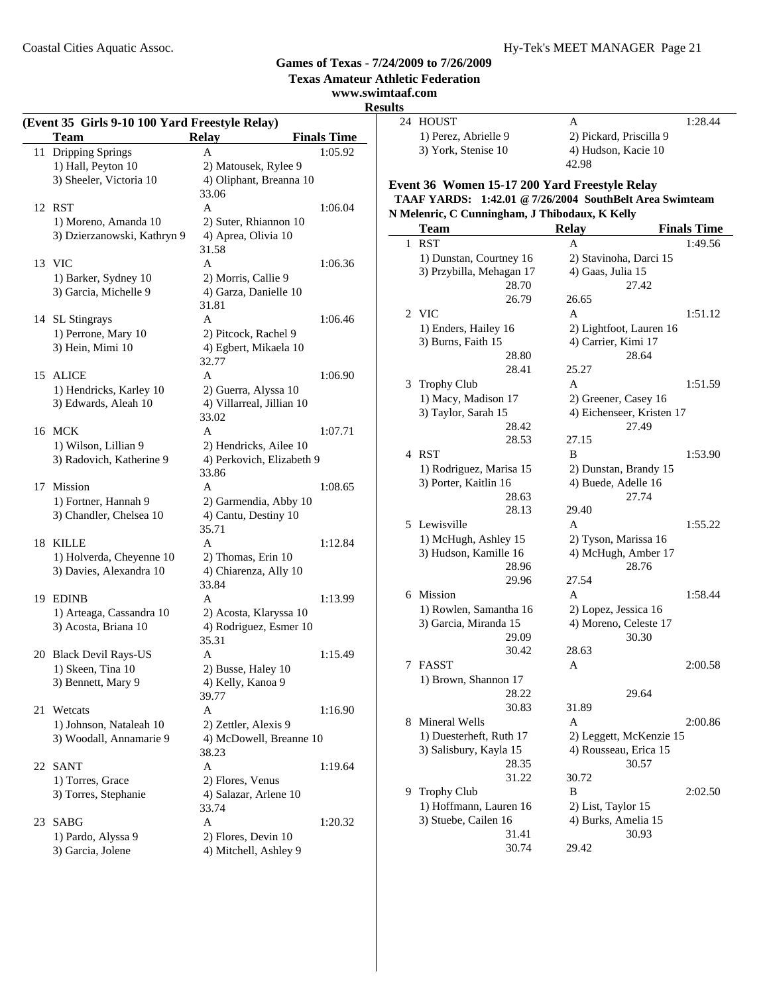**Texas Amateur Athletic Federation**

#### **www.swimtaaf.com Results**

|    | (Event 35 Girls 9-10 100 Yard Freestyle Relay)<br><b>Team</b> | <b>Relay</b>                     | <b>Finals Time</b> |
|----|---------------------------------------------------------------|----------------------------------|--------------------|
|    | 11 Dripping Springs                                           | A                                | 1:05.92            |
|    | 1) Hall, Peyton 10                                            | 2) Matousek, Rylee 9             |                    |
|    | 3) Sheeler, Victoria 10                                       | 4) Oliphant, Breanna 10          |                    |
|    |                                                               | 33.06                            |                    |
|    | 12 RST                                                        | A                                | 1:06.04            |
|    | 1) Moreno, Amanda 10                                          | 2) Suter, Rhiannon 10            |                    |
|    | 3) Dzierzanowski, Kathryn 9                                   | 4) Aprea, Olivia 10              |                    |
|    |                                                               | 31.58                            |                    |
|    | 13 VIC                                                        | A                                | 1:06.36            |
|    | 1) Barker, Sydney 10                                          | 2) Morris, Callie 9              |                    |
|    | 3) Garcia, Michelle 9                                         | 4) Garza, Danielle 10            |                    |
|    |                                                               | 31.81                            |                    |
|    | 14 SL Stingrays                                               | A                                | 1:06.46            |
|    | 1) Perrone, Mary 10                                           | 2) Pitcock, Rachel 9             |                    |
|    | 3) Hein, Mimi 10                                              | 4) Egbert, Mikaela 10<br>32.77   |                    |
|    | 15 ALICE                                                      | A                                | 1:06.90            |
|    | 1) Hendricks, Karley 10                                       | 2) Guerra, Alyssa 10             |                    |
|    | 3) Edwards, Aleah 10                                          | 4) Villarreal, Jillian 10        |                    |
|    |                                                               | 33.02                            |                    |
|    | 16 MCK                                                        | A                                | 1:07.71            |
|    | 1) Wilson, Lillian 9                                          | 2) Hendricks, Ailee 10           |                    |
|    | 3) Radovich, Katherine 9                                      | 4) Perkovich, Elizabeth 9        |                    |
|    |                                                               | 33.86                            |                    |
|    | 17 Mission                                                    | A                                | 1:08.65            |
|    | 1) Fortner, Hannah 9                                          | 2) Garmendia, Abby 10            |                    |
|    | 3) Chandler, Chelsea 10                                       | 4) Cantu, Destiny 10             |                    |
|    |                                                               | 35.71                            |                    |
| 18 | KILLE                                                         | A                                | 1:12.84            |
|    | 1) Holverda, Cheyenne 10                                      | 2) Thomas, Erin 10               |                    |
|    | 3) Davies, Alexandra 10                                       | 4) Chiarenza, Ally 10            |                    |
|    |                                                               | 33.84                            |                    |
| 19 | <b>EDINB</b>                                                  | A                                | 1:13.99            |
|    | 1) Arteaga, Cassandra 10                                      | 2) Acosta, Klaryssa 10           |                    |
|    | 3) Acosta, Briana 10                                          | 4) Rodriguez, Esmer 10           |                    |
|    |                                                               | 35.31                            |                    |
|    | 20 Black Devil Rays-US                                        | Α                                | 1:15.49            |
|    | 1) Skeen, Tina 10                                             | 2) Busse, Haley 10               |                    |
|    | 3) Bennett, Mary 9                                            | 4) Kelly, Kanoa 9                |                    |
|    |                                                               | 39.77                            |                    |
| 21 | Wetcats                                                       | A                                | 1:16.90            |
|    | 1) Johnson, Nataleah 10                                       | 2) Zettler, Alexis 9             |                    |
|    | 3) Woodall, Annamarie 9                                       | 4) McDowell, Breanne 10<br>38.23 |                    |
|    | 22 SANT                                                       | A                                | 1:19.64            |
|    | 1) Torres, Grace                                              | 2) Flores, Venus                 |                    |
|    | 3) Torres, Stephanie                                          | 4) Salazar, Arlene 10            |                    |
|    |                                                               | 33.74                            |                    |
| 23 | SABG                                                          | A                                | 1:20.32            |
|    | 1) Pardo, Alyssa 9                                            | 2) Flores, Devin 10              |                    |
|    | 3) Garcia, Jolene                                             | 4) Mitchell, Ashley 9            |                    |

| 24 HOUST             | А                       | 1:28.44 |
|----------------------|-------------------------|---------|
| 1) Perez, Abrielle 9 | 2) Pickard, Priscilla 9 |         |
| 3) York, Stenise 10  | 4) Hudson, Kacie 10     |         |
|                      | 42. Q8                  |         |

# **Event 36 Women 15-17 200 Yard Freestyle Relay TAAF YARDS: 1:42.01 @7/26/2004 SouthBelt Area Swimteam**

|   | Team                                         | <b>Relay</b><br><b>Finals Time</b> |  |
|---|----------------------------------------------|------------------------------------|--|
| 1 | <b>RST</b>                                   | 1:49.56<br>A                       |  |
|   | 1) Dunstan, Courtney 16                      | 2) Stavinoha, Darci 15             |  |
|   | 3) Przybilla, Mehagan 17                     | 4) Gaas, Julia 15                  |  |
|   | 28.70                                        | 27.42                              |  |
|   | 26.79                                        | 26.65                              |  |
|   | 2 VIC                                        | A<br>1:51.12                       |  |
|   | 1) Enders, Hailey 16                         | 2) Lightfoot, Lauren 16            |  |
|   | 3) Burns, Faith 15                           | 4) Carrier, Kimi 17                |  |
|   | 28.80                                        | 28.64                              |  |
|   | 28.41                                        | 25.27                              |  |
|   | 3 Trophy Club                                | A<br>1:51.59                       |  |
|   | 1) Macy, Madison 17                          | 2) Greener, Casey 16               |  |
|   | 3) Taylor, Sarah 15                          | 4) Eichenseer, Kristen 17          |  |
|   | 28.42                                        | 27.49                              |  |
|   | 28.53                                        | 27.15                              |  |
|   | 4 RST                                        | <sub>B</sub><br>1:53.90            |  |
|   | 1) Rodriguez, Marisa 15                      | 2) Dunstan, Brandy 15              |  |
|   | 3) Porter, Kaitlin 16                        | 4) Buede, Adelle 16                |  |
|   | 28.63                                        | 27.74                              |  |
|   | 28.13                                        | 29.40                              |  |
|   | 5 Lewisville                                 | $\mathsf{A}$<br>1:55.22            |  |
|   | 1) McHugh, Ashley 15                         | 2) Tyson, Marissa 16               |  |
|   | 3) Hudson, Kamille 16                        | 4) McHugh, Amber 17                |  |
|   | 28.96                                        | 28.76                              |  |
|   | 29.96                                        | 27.54                              |  |
|   | 6 Mission                                    | A<br>1:58.44                       |  |
|   | 1) Rowlen, Samantha 16                       | 2) Lopez, Jessica 16               |  |
|   | 3) Garcia, Miranda 15                        | 4) Moreno, Celeste 17              |  |
|   | 29.09                                        | 30.30                              |  |
|   | 30.42                                        | 28.63                              |  |
| 7 | <b>FASST</b>                                 | A<br>2:00.58                       |  |
|   | 1) Brown, Shannon 17                         |                                    |  |
|   | 28.22                                        | 29.64                              |  |
|   | 30.83                                        | 31.89                              |  |
|   | 8 Mineral Wells                              | $\mathsf{A}$<br>2:00.86            |  |
|   | 1) Duesterheft, Ruth 17                      | 2) Leggett, McKenzie 15            |  |
|   | 3) Salisbury, Kayla 15<br>28.35              | 4) Rousseau, Erica 15<br>30.57     |  |
|   | 31.22                                        | 30.72                              |  |
| 9 |                                              | B<br>2:02.50                       |  |
|   | <b>Trophy Club</b><br>1) Hoffmann, Lauren 16 | 2) List, Taylor 15                 |  |
|   | 3) Stuebe, Cailen 16                         | 4) Burks, Amelia 15                |  |
|   | 31.41                                        | 30.93                              |  |
|   | 30.74                                        | 29.42                              |  |
|   |                                              |                                    |  |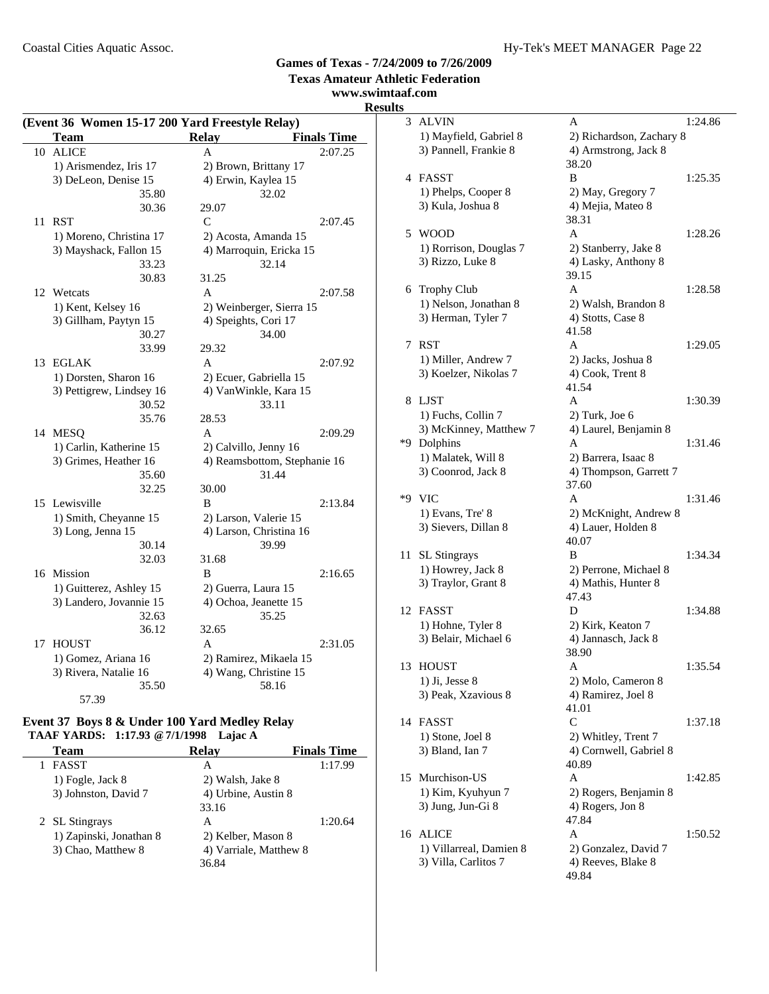**www.swimtaaf.com**

# **Results** 3 A

| 10 |                                                              | <b>Relay</b>                                 | <b>Finals Time</b> |  |
|----|--------------------------------------------------------------|----------------------------------------------|--------------------|--|
|    | <b>ALICE</b>                                                 | A                                            | 2:07.25            |  |
|    | 1) Arismendez, Iris 17                                       | 2) Brown, Brittany 17                        |                    |  |
|    | 3) DeLeon, Denise 15                                         | 4) Erwin, Kaylea 15                          |                    |  |
|    | 35.80                                                        | 32.02                                        |                    |  |
|    | 30.36                                                        | 29.07                                        |                    |  |
| 11 | <b>RST</b>                                                   | $\mathsf{C}$                                 | 2:07.45            |  |
|    | 1) Moreno, Christina 17                                      | 2) Acosta, Amanda 15                         |                    |  |
|    | 3) Mayshack, Fallon 15                                       | 4) Marroquin, Ericka 15                      |                    |  |
|    | 33.23                                                        | 32.14                                        |                    |  |
|    | 30.83                                                        | 31.25                                        |                    |  |
|    | 12 Wetcats                                                   | A                                            | 2:07.58            |  |
|    | 1) Kent, Kelsey 16                                           | 2) Weinberger, Sierra 15                     |                    |  |
|    | 3) Gillham, Paytyn 15                                        | 4) Speights, Cori 17                         |                    |  |
|    | 30.27                                                        | 34.00                                        |                    |  |
|    | 33.99                                                        | 29.32                                        |                    |  |
| 13 | <b>EGLAK</b>                                                 | A                                            | 2:07.92            |  |
|    | 1) Dorsten, Sharon 16                                        | 2) Ecuer, Gabriella 15                       |                    |  |
|    | 3) Pettigrew, Lindsey 16                                     | 4) VanWinkle, Kara 15                        |                    |  |
|    | 30.52                                                        | 33.11                                        |                    |  |
|    | 35.76                                                        | 28.53                                        |                    |  |
|    | 14 MESQ                                                      | A                                            | 2:09.29            |  |
|    | 1) Carlin, Katherine 15                                      | 2) Calvillo, Jenny 16                        |                    |  |
|    | 3) Grimes, Heather 16                                        | 4) Reamsbottom, Stephanie 16                 |                    |  |
|    | 35.60                                                        | 31.44                                        |                    |  |
|    | 32.25                                                        | 30.00                                        |                    |  |
|    | 15 Lewisville                                                | B                                            | 2:13.84            |  |
|    | 1) Smith, Cheyanne 15                                        | 2) Larson, Valerie 15                        |                    |  |
|    | 3) Long, Jenna 15                                            | 4) Larson, Christina 16                      |                    |  |
|    | 30.14<br>32.03                                               | 39.99                                        |                    |  |
|    |                                                              | 31.68<br>B                                   |                    |  |
|    | 16 Mission                                                   |                                              | 2:16.65            |  |
|    | 1) Guitterez, Ashley 15<br>3) Landero, Jovannie 15           | 2) Guerra, Laura 15<br>4) Ochoa, Jeanette 15 |                    |  |
|    | 32.63                                                        | 35.25                                        |                    |  |
|    | 36.12                                                        | 32.65                                        |                    |  |
| 17 | <b>HOUST</b>                                                 | A                                            | 2:31.05            |  |
|    | 1) Gomez, Ariana 16                                          | 2) Ramirez, Mikaela 15                       |                    |  |
|    | 3) Rivera, Natalie 16                                        | 4) Wang, Christine 15                        |                    |  |
|    | 35.50                                                        | 58.16                                        |                    |  |
|    | 57.39                                                        |                                              |                    |  |
|    | <b>Event 37 Roys &amp; &amp; Under 100 Vard Medley Relay</b> |                                              |                    |  |

#### **Event 37 Boys 8 & Under 100 Yard Medley Relay TAAF YARDS: 1:17.93 @7/1/1998 Lajac A**

| Team                    | <b>Relav</b>           | <b>Finals Time</b> |
|-------------------------|------------------------|--------------------|
| <b>FASST</b>            | А                      | 1:17.99            |
| 1) Fogle, Jack 8        | 2) Walsh, Jake 8       |                    |
| 3) Johnston, David 7    | 4) Urbine, Austin 8    |                    |
|                         | 33.16                  |                    |
| 2 SL Stingrays          | А                      | 1:20.64            |
| 1) Zapinski, Jonathan 8 | 2) Kelber, Mason 8     |                    |
| 3) Chao, Matthew 8      | 4) Varriale, Matthew 8 |                    |
|                         | 36.84                  |                    |

| S  |                         |                            |  |
|----|-------------------------|----------------------------|--|
| 3  | <b>ALVIN</b>            | 1:24.86<br>А               |  |
|    | 1) Mayfield, Gabriel 8  | 2) Richardson, Zachary 8   |  |
|    | 3) Pannell, Frankie 8   | 4) Armstrong, Jack 8       |  |
|    |                         | 38.20                      |  |
| 4  | <b>FASST</b>            | B<br>1:25.35               |  |
|    | 1) Phelps, Cooper 8     | 2) May, Gregory 7          |  |
|    | 3) Kula, Joshua 8       | 4) Mejia, Mateo 8          |  |
|    |                         | 38.31                      |  |
| 5  | <b>WOOD</b>             | A<br>1:28.26               |  |
|    | 1) Rorrison, Douglas 7  | 2) Stanberry, Jake 8       |  |
|    | 3) Rizzo, Luke 8        | 4) Lasky, Anthony 8        |  |
|    |                         | 39.15                      |  |
| 6  | <b>Trophy Club</b>      | A<br>1:28.58               |  |
|    | 1) Nelson, Jonathan 8   | 2) Walsh, Brandon 8        |  |
|    | 3) Herman, Tyler 7      | 4) Stotts, Case 8<br>41.58 |  |
| 7  | <b>RST</b>              | A<br>1:29.05               |  |
|    | 1) Miller, Andrew 7     | 2) Jacks, Joshua 8         |  |
|    | 3) Koelzer, Nikolas 7   | 4) Cook, Trent 8           |  |
|    |                         | 41.54                      |  |
| 8  | LJST                    | 1:30.39<br>A               |  |
|    | 1) Fuchs, Collin 7      | 2) Turk, Joe 6             |  |
|    | 3) McKinney, Matthew 7  | 4) Laurel, Benjamin 8      |  |
| *9 | Dolphins                | A<br>1:31.46               |  |
|    | 1) Malatek, Will 8      | 2) Barrera, Isaac 8        |  |
|    | 3) Coonrod, Jack 8      | 4) Thompson, Garrett 7     |  |
|    |                         | 37.60                      |  |
| *9 | VIC                     | 1:31.46<br>A               |  |
|    | 1) Evans, Tre' 8        | 2) McKnight, Andrew 8      |  |
|    | 3) Sievers, Dillan 8    | 4) Lauer, Holden 8         |  |
|    |                         | 40.07                      |  |
| 11 | <b>SL</b> Stingrays     | B<br>1:34.34               |  |
|    | 1) Howrey, Jack 8       | 2) Perrone, Michael 8      |  |
|    | 3) Traylor, Grant 8     | 4) Mathis, Hunter 8        |  |
| 12 | FASST                   | 47.43<br>1:34.88<br>D      |  |
|    | 1) Hohne, Tyler 8       | 2) Kirk, Keaton 7          |  |
|    | 3) Belair, Michael 6    | 4) Jannasch, Jack 8        |  |
|    |                         | 38.90                      |  |
| 13 | HOUST                   | 1:35.54<br>А               |  |
|    | $1)$ Ji, Jesse $8$      | 2) Molo, Cameron 8         |  |
|    | 3) Peak, Xzavious 8     | 4) Ramirez, Joel 8         |  |
|    |                         | 41.01                      |  |
| 14 | FASST                   | $\mathsf{C}$<br>1:37.18    |  |
|    | 1) Stone, Joel 8        | 2) Whitley, Trent 7        |  |
|    | 3) Bland, Ian 7         | 4) Cornwell, Gabriel 8     |  |
|    |                         | 40.89                      |  |
| 15 | Murchison-US            | 1:42.85<br>А               |  |
|    | 1) Kim, Kyuhyun 7       | 2) Rogers, Benjamin 8      |  |
|    | 3) Jung, Jun-Gi 8       | 4) Rogers, Jon 8           |  |
|    |                         | 47.84                      |  |
| 16 | ALICE                   | A<br>1:50.52               |  |
|    | 1) Villarreal, Damien 8 | 2) Gonzalez, David 7       |  |
|    | 3) Villa, Carlitos 7    | 4) Reeves, Blake 8         |  |
|    |                         | 49.84                      |  |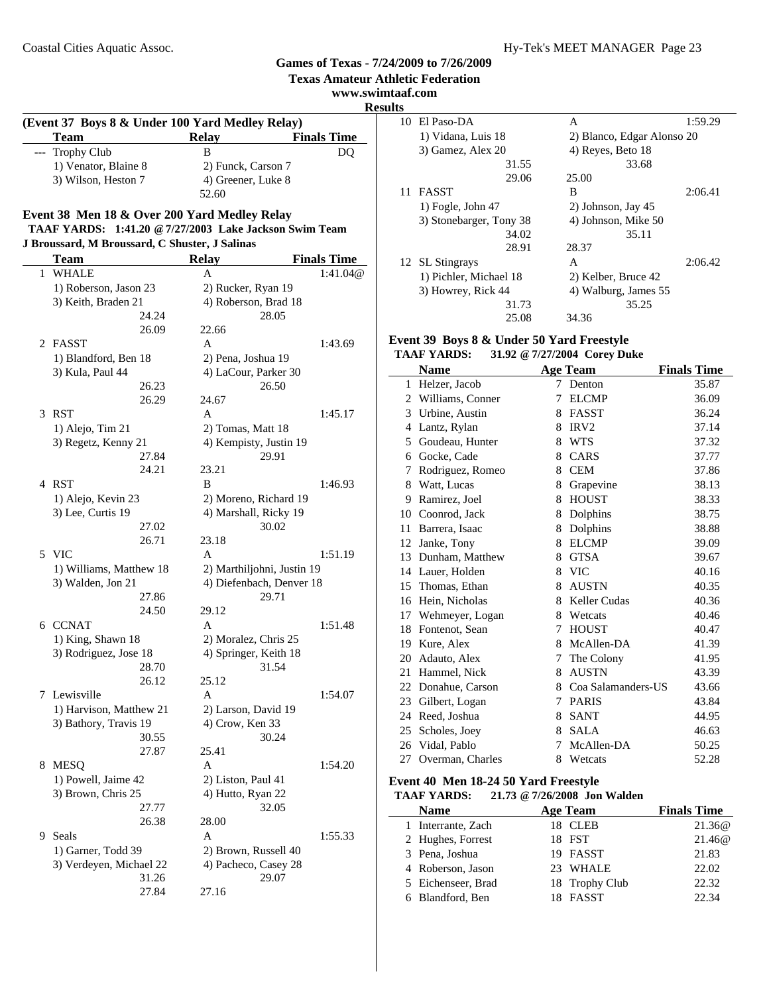#### **Texas Amateur Athletic Federation www.swimtaaf.com Results (Event 37 Boys 8 & Under 100 Yard Medley Relay) Team Relay Finals Time**<br>Trophy Club B DO --- Trophy Club B DQ 1) Venator, Blaine 8 2) Funck, Carson 7 3) Wilson, Heston 7 4) Greener, Luke 8 52.60 **Event 38 Men 18 & Over 200 Yard Medley Relay TAAF YARDS: 1:41.20 @7/27/2003 Lake Jackson Swim Team J Broussard, M Broussard, C Shuster, J Salinas Team Relay Finals Time** 1 WHALE A 1:41.04@ 1) Roberson, Jason 23 2) Rucker, Ryan 19 3) Keith, Braden 21 4) Roberson, Brad 18 24.24 28.05 26.09 22.66 2 FASST A 1:43.69 1) Blandford, Ben 18 2) Pena, Joshua 19<br>
3) Kula, Paul 44 4 4) LaCour, Parker 4) LaCour, Parker 30 26.23 26.50 26.29 24.67 3 RST A 1:45.17 1) Alejo, Tim 21 2) Tomas, Matt 18 3) Regetz, Kenny 21 4) Kempisty, Justin 19 27.84 29.91 24.21 23.21 4 RST B 1:46.93 1) Alejo, Kevin 23 2) Moreno, Richard 19 3) Lee, Curtis 19 4) Marshall, Ricky 19 27.02 30.02 26.71 23.18 5 VIC A 1:51.19 1) Williams, Matthew 18 2) Marthiljohni, Justin 19 3) Walden, Jon 21 4) Diefenbach, Denver 18 27.86 29.71 24.50 29.12 6 CCNAT A 1:51.48 1) King, Shawn 18 2) Moralez, Chris 25 3) Rodriguez, Jose 18 4) Springer, Keith 18 28.70 31.54 26.12 25.12 7 1:54.07 Lewisville A 1) Harvison, Matthew 21 2) Larson, David 19 3) Bathory, Travis 19 4) Crow, Ken 33 30.55 30.24 27.87 25.41 8 MESO A 1:54.20 1) Powell, Jaime 42 2) Liston, Paul 41 3) Brown, Chris 25 4) Hutto, Ryan 22 27.77 32.05 26.38 28.00 9 Seals A 1:55.33 1) Garner, Todd 39 2) Brown, Russell 40 3) Verdeyen, Michael 22 4) Pacheco, Casey 28 31.26 29.07

27.84 27.16

|    | 10 El Paso-DA           | A                          | 1:59.29 |
|----|-------------------------|----------------------------|---------|
|    | 1) Vidana, Luis 18      | 2) Blanco, Edgar Alonso 20 |         |
|    | 3) Gamez, Alex 20       | 4) Reyes, Beto 18          |         |
|    | 31.55                   | 33.68                      |         |
|    | 29.06                   | 25.00                      |         |
| 11 | <b>FASST</b>            | B                          | 2:06.41 |
|    | $1)$ Fogle, John 47     | 2) Johnson, Jay 45         |         |
|    | 3) Stonebarger, Tony 38 | 4) Johnson, Mike 50        |         |
|    | 34.02                   | 35.11                      |         |
|    | 28.91                   | 28.37                      |         |
|    | 12 SL Stingrays         | A                          | 2:06.42 |
|    | 1) Pichler, Michael 18  | 2) Kelber, Bruce 42        |         |
|    | 3) Howrey, Rick 44      | 4) Walburg, James 55       |         |
|    | 31.73                   | 35.25                      |         |
|    | 25.08                   | 34.36                      |         |

#### **Event 39 Boys 8 & Under 50 Yard Freestyle**<br>TAAF VARDS: 31.92 @ 7/27/2004 Corey Du **TAAF YARDS: 31.92 @7/27/2004 Corey Duke**

**Games of Texas - 7/24/2009 to 7/26/2009**

| іллі ілішэ.<br>$51.74 \& 11211200$ T Corey Dunc |                  |   |                     |                    |  |
|-------------------------------------------------|------------------|---|---------------------|--------------------|--|
|                                                 | <b>Name</b>      |   | <b>Age Team</b>     | <b>Finals Time</b> |  |
| $\mathbf{1}$                                    | Helzer, Jacob    | 7 | Denton              | 35.87              |  |
| $\overline{2}$                                  | Williams, Conner | 7 | <b>ELCMP</b>        | 36.09              |  |
| 3                                               | Urbine, Austin   | 8 | <b>FASST</b>        | 36.24              |  |
| 4                                               | Lantz, Rylan     | 8 | IRV <sub>2</sub>    | 37.14              |  |
| 5                                               | Goudeau, Hunter  | 8 | <b>WTS</b>          | 37.32              |  |
| 6                                               | Gocke, Cade      | 8 | CARS                | 37.77              |  |
| 7                                               | Rodriguez, Romeo | 8 | <b>CEM</b>          | 37.86              |  |
| 8                                               | Watt, Lucas      | 8 | Grapevine           | 38.13              |  |
| 9                                               | Ramirez, Joel    | 8 | <b>HOUST</b>        | 38.33              |  |
| 10                                              | Coonrod, Jack    | 8 | Dolphins            | 38.75              |  |
| 11                                              | Barrera, Isaac   | 8 | Dolphins            | 38.88              |  |
| 12                                              | Janke, Tony      | 8 | <b>ELCMP</b>        | 39.09              |  |
| 13                                              | Dunham, Matthew  | 8 | <b>GTSA</b>         | 39.67              |  |
| 14                                              | Lauer, Holden    | 8 | <b>VIC</b>          | 40.16              |  |
| 15                                              | Thomas, Ethan    | 8 | <b>AUSTN</b>        | 40.35              |  |
| 16                                              | Hein, Nicholas   | 8 | <b>Keller Cudas</b> | 40.36              |  |
| 17                                              | Wehmeyer, Logan  | 8 | Wetcats             | 40.46              |  |
| 18                                              | Fontenot, Sean   | 7 | <b>HOUST</b>        | 40.47              |  |
| 19                                              | Kure, Alex       | 8 | McAllen-DA          | 41.39              |  |
| 20                                              | Adauto, Alex     | 7 | The Colony          | 41.95              |  |
| 21                                              | Hammel, Nick     | 8 | <b>AUSTN</b>        | 43.39              |  |
| 22                                              | Donahue, Carson  | 8 | Coa Salamanders-US  | 43.66              |  |
| 23                                              | Gilbert, Logan   | 7 | <b>PARIS</b>        | 43.84              |  |
| 24                                              | Reed, Joshua     | 8 | <b>SANT</b>         | 44.95              |  |
| 25                                              | Scholes, Joey    | 8 | <b>SALA</b>         | 46.63              |  |
| 26                                              | Vidal, Pablo     | 7 | McAllen-DA          | 50.25              |  |
| 27                                              | Overman, Charles | 8 | Wetcats             | 52.28              |  |

#### **Event 40 Men 18-24 50 Yard Freestyle**

**TAAF YARDS: 21.73 @7/26/2008 Jon Walden**

| <b>Name</b>        | <b>Age Team</b> | <b>Finals Time</b> |
|--------------------|-----------------|--------------------|
| 1 Interrante, Zach | 18 CLEB         | 21.36@             |
| 2 Hughes, Forrest  | 18 FST          | 21.46@             |
| 3 Pena, Joshua     | 19 FASST        | 21.83              |
| 4 Roberson, Jason  | 23 WHALE        | 22.02              |
| 5 Eichenseer, Brad | 18 Trophy Club  | 22.32              |
| 6 Blandford, Ben   | 18 FASST        | 22.34              |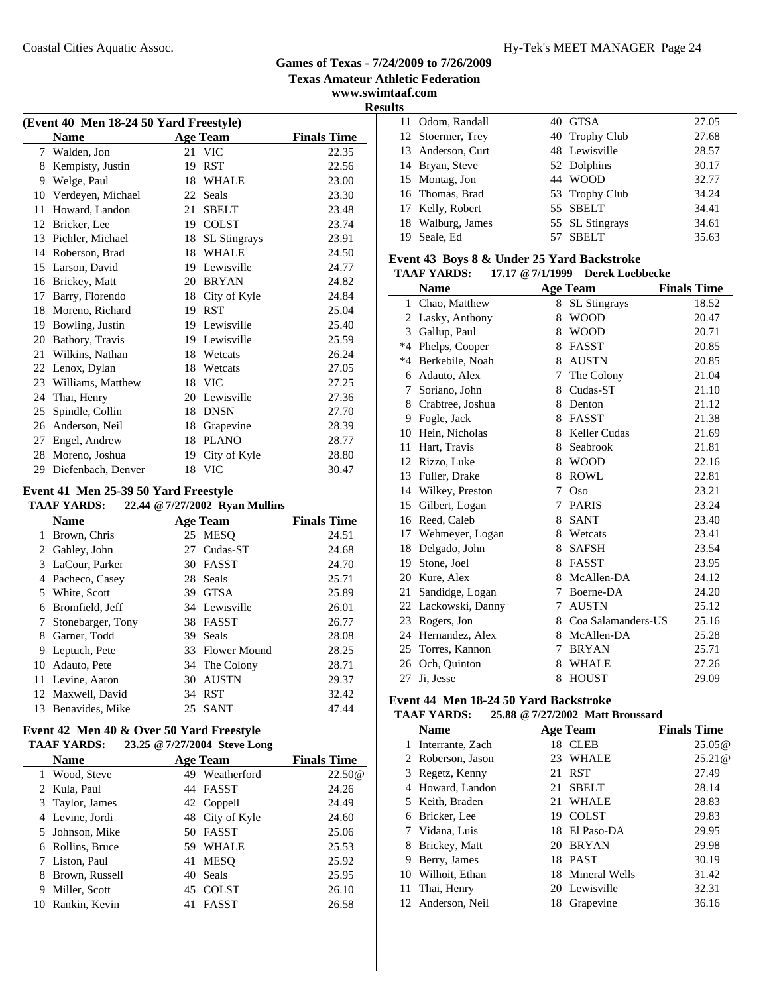#### Coastal Cities Aquatic Assoc. Hy-Tek's MEET MANAGER Page 24

#### **Games of Texas - 7/24/2009 to 7/26/2009 Texas Amateur Athletic Federation**

**www.swimtaaf.com**

**Results**

| (Event 40 Men 18-24 50 Yard Freestyle) |                    |    |                     |                    |  |
|----------------------------------------|--------------------|----|---------------------|--------------------|--|
|                                        | <b>Name</b>        |    | <b>Age Team</b>     | <b>Finals Time</b> |  |
| 7                                      | Walden, Jon        |    | 21 VIC              | 22.35              |  |
| 8                                      | Kempisty, Justin   | 19 | <b>RST</b>          | 22.56              |  |
| 9                                      | Welge, Paul        |    | 18 WHALE            | 23.00              |  |
| 10                                     | Verdeyen, Michael  | 22 | Seals               | 23.30              |  |
| 11                                     | Howard, Landon     | 21 | <b>SBELT</b>        | 23.48              |  |
| 12                                     | Bricker, Lee       | 19 | <b>COLST</b>        | 23.74              |  |
| 13                                     | Pichler, Michael   | 18 | <b>SL Stingrays</b> | 23.91              |  |
| 14                                     | Roberson, Brad     | 18 | <b>WHALE</b>        | 24.50              |  |
| 15                                     | Larson, David      |    | 19 Lewisville       | 24.77              |  |
| 16                                     | Brickey, Matt      |    | 20 BRYAN            | 24.82              |  |
| 17                                     | Barry, Florendo    | 18 | City of Kyle        | 24.84              |  |
| 18                                     | Moreno, Richard    | 19 | <b>RST</b>          | 25.04              |  |
| 19                                     | Bowling, Justin    |    | 19 Lewisville       | 25.40              |  |
| 20                                     | Bathory, Travis    |    | 19 Lewisville       | 25.59              |  |
| 21                                     | Wilkins, Nathan    | 18 | Wetcats             | 26.24              |  |
| 22                                     | Lenox, Dylan       | 18 | Wetcats             | 27.05              |  |
| 23                                     | Williams, Matthew  | 18 | <b>VIC</b>          | 27.25              |  |
| 24                                     | Thai, Henry        | 20 | Lewisville          | 27.36              |  |
| 25                                     | Spindle, Collin    | 18 | <b>DNSN</b>         | 27.70              |  |
| 26                                     | Anderson, Neil     | 18 | Grapevine           | 28.39              |  |
| 27                                     | Engel, Andrew      | 18 | <b>PLANO</b>        | 28.77              |  |
|                                        | 28 Moreno, Joshua  | 19 | City of Kyle        | 28.80              |  |
| 29                                     | Diefenbach, Denver | 18 | <b>VIC</b>          | 30.47              |  |
|                                        |                    |    |                     |                    |  |

## **Event 41 Men 25-39 50 Yard Freestyle**

#### **TAAF YARDS: 22.44 @7/27/2002 Ryan Mullins**

|    | <b>Name</b>       |     | <b>Age Team</b> | <b>Finals Time</b> |
|----|-------------------|-----|-----------------|--------------------|
| 1  | Brown, Chris      |     | 25 MESO         | 24.51              |
|    | 2 Gahley, John    | 27  | Cudas-ST        | 24.68              |
|    | 3 LaCour, Parker  |     | 30 FASST        | 24.70              |
|    | 4 Pacheco, Casey  |     | 28 Seals        | 25.71              |
|    | 5 White, Scott    | 39. | <b>GTSA</b>     | 25.89              |
| 6  | Bromfield, Jeff   |     | 34 Lewisville   | 26.01              |
|    | Stonebarger, Tony |     | 38 FASST        | 26.77              |
| 8  | Garner, Todd      | 39. | Seals           | 28.08              |
| 9  | Leptuch, Pete     |     | 33 Flower Mound | 28.25              |
|    | 10 Adauto, Pete   |     | 34 The Colony   | 28.71              |
|    | 11 Levine, Aaron  | 30  | <b>AUSTN</b>    | 29.37              |
|    | 12 Maxwell, David |     | 34 RST          | 32.42              |
| 13 | Benavides, Mike   |     | 25 SANT         | 47.44              |
|    |                   |     |                 |                    |

#### **Event 42 Men 40 & Over 50 Yard Freestyle TAAF YARDS: 23.25 @7/27/2004 Steve Long**

|    | IAAF IARDS:      | 23.23 @ $1/21/2004$ Steve Long |                 |                    |
|----|------------------|--------------------------------|-----------------|--------------------|
|    | <b>Name</b>      |                                | <b>Age Team</b> | <b>Finals Time</b> |
|    | 1 Wood, Steve    | 49                             | Weatherford     | 22.50@             |
|    | 2 Kula, Paul     |                                | 44 FASST        | 24.26              |
|    | 3 Taylor, James  |                                | 42 Coppell      | 24.49              |
|    | 4 Levine, Jordi  |                                | 48 City of Kyle | 24.60              |
|    | 5 Johnson, Mike  |                                | 50 FASST        | 25.06              |
|    | 6 Rollins, Bruce | 59.                            | WHALE           | 25.53              |
|    | 7 Liston, Paul   | 41                             | MESO            | 25.92              |
| 8  | Brown, Russell   | 40                             | Seals           | 25.95              |
| 9  | Miller, Scott    | 45                             | <b>COLST</b>    | 26.10              |
| 10 | Rankin, Kevin    | 41                             | <b>FASST</b>    | 26.58              |

| . . |                   |                 |       |
|-----|-------------------|-----------------|-------|
|     | 11 Odom, Randall  | 40 GTSA         | 27.05 |
|     | 12 Stoermer, Trey | 40 Trophy Club  | 27.68 |
|     | 13 Anderson, Curt | 48 Lewisville   | 28.57 |
|     | 14 Bryan, Steve   | 52 Dolphins     | 30.17 |
|     | 15 Montag, Jon    | 44 WOOD         | 32.77 |
|     | 16 Thomas, Brad   | 53 Trophy Club  | 34.24 |
|     | 17 Kelly, Robert  | 55 SBELT        | 34.41 |
|     | 18 Walburg, James | 55 SL Stingrays | 34.61 |
| 19  | Seale, Ed         | 57 SBELT        | 35.63 |
|     |                   |                 |       |

#### **Event 43 Boys 8 & Under 25 Yard Backstroke TAAF YARDS: 17.17 @7/1/1999 Derek Loebbecke**

|             | <b>Name</b>        |             | <b>Age Team</b>      | <b>Finals Time</b> |
|-------------|--------------------|-------------|----------------------|--------------------|
|             | 1 Chao, Matthew    |             | 8 SL Stingrays       | 18.52              |
|             | 2 Lasky, Anthony   | 8           | <b>WOOD</b>          | 20.47              |
| 3           | Gallup, Paul       | 8           | <b>WOOD</b>          | 20.71              |
|             | *4 Phelps, Cooper  | 8           | <b>FASST</b>         | 20.85              |
| $*4$        | Berkebile, Noah    |             | 8 AUSTN              | 20.85              |
| 6           | Adauto, Alex       | 7           | The Colony           | 21.04              |
| $7^{\circ}$ | Soriano, John      | 8           | Cudas-ST             | 21.10              |
| 8           | Crabtree, Joshua   | 8           | Denton               | 21.12              |
| 9           | Fogle, Jack        | 8           | <b>FASST</b>         | 21.38              |
| 10          | Hein, Nicholas     | 8           | <b>Keller Cudas</b>  | 21.69              |
| 11          | Hart, Travis       | 8           | Seabrook             | 21.81              |
|             | 12 Rizzo, Luke     | 8           | <b>WOOD</b>          | 22.16              |
| 13          | Fuller, Drake      | 8           | <b>ROWL</b>          | 22.81              |
|             | 14 Wilkey, Preston | 7           | Oso                  | 23.21              |
|             | 15 Gilbert, Logan  | 7           | <b>PARIS</b>         | 23.24              |
| 16          | Reed, Caleb        | 8           | <b>SANT</b>          | 23.40              |
|             | 17 Wehmeyer, Logan | 8           | Wetcats              | 23.41              |
| 18          | Delgado, John      | 8           | <b>SAFSH</b>         | 23.54              |
| 19          | Stone, Joel        |             | 8 FASST              | 23.95              |
|             | 20 Kure, Alex      | 8           | McAllen-DA           | 24.12              |
| 21          | Sandidge, Logan    | $7^{\circ}$ | Boerne-DA            | 24.20              |
| 22          | Lackowski, Danny   | 7           | <b>AUSTN</b>         | 25.12              |
|             | 23 Rogers, Jon     |             | 8 Coa Salamanders-US | 25.16              |
|             | 24 Hernandez, Alex |             | 8 McAllen-DA         | 25.28              |
|             | 25 Torres, Kannon  | 7           | <b>BRYAN</b>         | 25.71              |
|             | 26 Och, Quinton    | 8           | <b>WHALE</b>         | 27.26              |
| 27          | Ji, Jesse          | 8           | <b>HOUST</b>         | 29.09              |

## **Event 44 Men 18-24 50 Yard Backstroke**

## **TAAF YARDS: 25.88 @7/27/2002 Matt Broussard**

|   | <b>Name</b>       |    | <b>Age Team</b>  | <b>Finals Time</b> |
|---|-------------------|----|------------------|--------------------|
|   | Interrante, Zach  | 18 | <b>CLEB</b>      | 25.05@             |
|   | 2 Roberson, Jason | 23 | WHALE            | 25.21@             |
|   | 3 Regetz, Kenny   | 21 | <b>RST</b>       | 27.49              |
|   | 4 Howard, Landon  | 21 | <b>SBELT</b>     | 28.14              |
|   | 5 Keith, Braden   | 21 | <b>WHALE</b>     | 28.83              |
| 6 | Bricker, Lee      | 19 | <b>COLST</b>     | 29.83              |
|   | 7 Vidana, Luis    |    | 18 El Paso-DA    | 29.95              |
| 8 | Brickey, Matt     | 20 | <b>BRYAN</b>     | 29.98              |
| 9 | Berry, James      | 18 | <b>PAST</b>      | 30.19              |
|   | 10 Wilhoit, Ethan |    | 18 Mineral Wells | 31.42              |
|   | 11 Thai, Henry    |    | 20 Lewisville    | 32.31              |
|   | 12 Anderson, Neil | 18 | Grapevine        | 36.16              |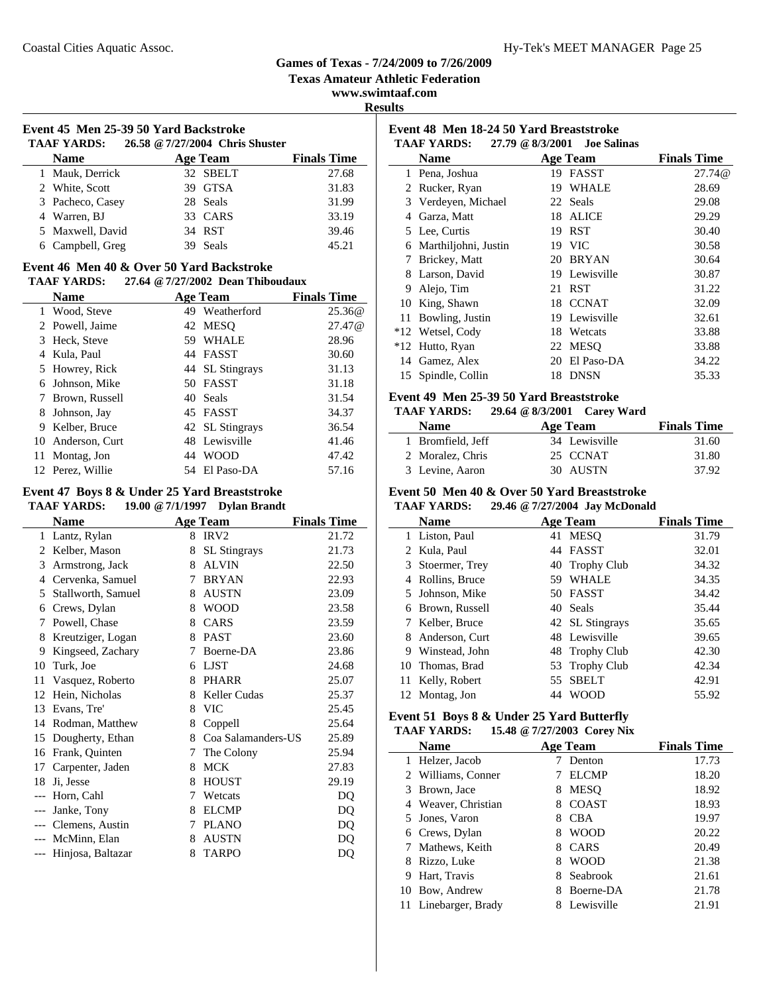L.

#### **Games of Texas - 7/24/2009 to 7/26/2009**

**Texas Amateur Athletic Federation**

**www.swimtaaf.com**

**Results**

## **Event 45 Men 25-39 50 Yard Backstroke TAAF YARDS: 26.58 @7/27/2004 Chris Shuster**

| <b>Name</b>      | Age Team | <b>Finals Time</b> |
|------------------|----------|--------------------|
| 1 Mauk, Derrick  | 32 SBELT | 27.68              |
| 2 White, Scott   | 39 GTSA  | 31.83              |
| 3 Pacheco, Casey | 28 Seals | 31.99              |
| 4 Warren, BJ     | 33 CARS  | 33.19              |
| 5 Maxwell, David | 34 RST   | 39.46              |
| 6 Campbell, Greg | Seals    | 45.21              |

# **Event 46 Men 40 & Over 50 Yard Backstroke**

#### **TAAF YARDS: 27.64 @7/27/2002 Dean Thiboudaux**

|    | <b>Name</b>      |    | <b>Age Team</b> | <b>Finals Time</b> |
|----|------------------|----|-----------------|--------------------|
|    | 1 Wood, Steve    | 49 | Weatherford     | 25.36@             |
|    | 2 Powell, Jaime  |    | 42 MESO         | 27.47@             |
|    | 3 Heck, Steve    | 59 | <b>WHALE</b>    | 28.96              |
| 4  | Kula, Paul       |    | 44 FASST        | 30.60              |
|    | 5 Howrey, Rick   |    | 44 SL Stingrays | 31.13              |
| 6  | Johnson, Mike    |    | 50 FASST        | 31.18              |
|    | Brown, Russell   |    | 40 Seals        | 31.54              |
| 8  | Johnson, Jay     |    | 45 FASST        | 34.37              |
| 9  | Kelber, Bruce    |    | 42 SL Stingrays | 36.54              |
| 10 | Anderson, Curt   |    | 48 Lewisville   | 41.46              |
| 11 | Montag, Jon      | 44 | <b>WOOD</b>     | 47.42              |
|    | 12 Perez, Willie | 54 | El Paso-DA      | 57.16              |

### **Event 47 Boys 8 & Under 25 Yard Breaststroke**

#### **TAAF YARDS: 19.00 @7/1/1997 Dylan Brandt**

|       | Name               |   | <b>Age Team</b>     | <b>Finals Time</b> |
|-------|--------------------|---|---------------------|--------------------|
| 1     | Lantz, Rylan       | 8 | IRV <sub>2</sub>    | 21.72              |
| 2     | Kelber, Mason      | 8 | <b>SL</b> Stingrays | 21.73              |
| 3     | Armstrong, Jack    | 8 | <b>ALVIN</b>        | 22.50              |
| 4     | Cervenka, Samuel   | 7 | <b>BRYAN</b>        | 22.93              |
| 5     | Stallworth, Samuel | 8 | <b>AUSTN</b>        | 23.09              |
| 6     | Crews, Dylan       | 8 | <b>WOOD</b>         | 23.58              |
| 7     | Powell, Chase      | 8 | CARS                | 23.59              |
| 8     | Kreutziger, Logan  | 8 | <b>PAST</b>         | 23.60              |
| 9     | Kingseed, Zachary  | 7 | Boerne-DA           | 23.86              |
| 10    | Turk, Joe          | 6 | <b>LJST</b>         | 24.68              |
| 11    | Vasquez, Roberto   | 8 | <b>PHARR</b>        | 25.07              |
| 12    | Hein, Nicholas     | 8 | Keller Cudas        | 25.37              |
| 13    | Evans, Tre'        | 8 | <b>VIC</b>          | 25.45              |
| 14    | Rodman, Matthew    | 8 | Coppell             | 25.64              |
| 15    | Dougherty, Ethan   | 8 | Coa Salamanders-US  | 25.89              |
| 16    | Frank, Quinten     | 7 | The Colony          | 25.94              |
| 17    | Carpenter, Jaden   | 8 | <b>MCK</b>          | 27.83              |
| 18    | Ji, Jesse          | 8 | <b>HOUST</b>        | 29.19              |
|       | Horn, Cahl         | 7 | Wetcats             | DQ                 |
| $---$ | Janke, Tony        | 8 | <b>ELCMP</b>        | DQ                 |
|       | Clemens, Austin    | 7 | <b>PLANO</b>        | DQ                 |
| $---$ | McMinn, Elan       | 8 | <b>AUSTN</b>        | DQ                 |
|       | Hinjosa, Baltazar  | 8 | <b>TARPO</b>        | DQ                 |
|       |                    |   |                     |                    |

#### **Event 48 Men 18-24 50 Yard Breaststroke TAAF YARDS: 27.79 @8/3/2001 Joe Salinas**

|    | TAAF YAKDS:          | $21.79$ (a $8/3/2001$ | <b>Joe Salinas</b> |                    |
|----|----------------------|-----------------------|--------------------|--------------------|
|    | <b>Name</b>          |                       | <b>Age Team</b>    | <b>Finals Time</b> |
|    | 1 Pena, Joshua       |                       | 19 FASST           | 27.74@             |
| 2  | Rucker, Ryan         | 19                    | WHALE              | 28.69              |
|    | 3 Verdeyen, Michael  |                       | 22 Seals           | 29.08              |
| 4  | Garza, Matt          | 18                    | <b>ALICE</b>       | 29.29              |
|    | 5 Lee, Curtis        | 19                    | RST                | 30.40              |
| 6  | Marthiljohni, Justin |                       | 19 VIC             | 30.58              |
| 7  | Brickey, Matt        |                       | 20 BRYAN           | 30.64              |
| 8. | Larson, David        |                       | 19 Lewisville      | 30.87              |
| 9  | Alejo, Tim           | 21                    | <b>RST</b>         | 31.22              |
| 10 | King, Shawn          | 18                    | <b>CCNAT</b>       | 32.09              |
| 11 | Bowling, Justin      |                       | 19 Lewisville      | 32.61              |
|    | *12 Wetsel, Cody     |                       | 18 Wetcats         | 33.88              |
|    | *12 Hutto, Ryan      |                       | 22 MESO            | 33.88              |
|    | 14 Gamez, Alex       | 20                    | El Paso-DA         | 34.22              |
|    | 15 Spindle, Collin   |                       | 18 DNSN            | 35.33              |

#### **Event 49 Men 25-39 50 Yard Breaststroke**

**TAAF YARDS: 29.64 @8/3/2001 Carey Ward**

| <b>Name</b>       | Age Team      | <b>Finals Time</b> |
|-------------------|---------------|--------------------|
| 1 Bromfield, Jeff | 34 Lewisville | 31.60              |
| 2 Moralez, Chris  | 25 CCNAT      | 31.80              |
| 3 Levine, Aaron   | 30 AUSTN      | 37.92              |

#### **Event 50 Men 40 & Over 50 Yard Breaststroke**

#### **TAAF YARDS: 29.46 @7/27/2004 Jay McDonald**

|    | Name             |     | <b>Age Team</b> | <b>Finals Time</b> |
|----|------------------|-----|-----------------|--------------------|
|    | 1 Liston, Paul   | 41  | <b>MESO</b>     | 31.79              |
|    | 2 Kula, Paul     |     | 44 FASST        | 32.01              |
|    | 3 Stoermer, Trey |     | 40 Trophy Club  | 34.32              |
|    | 4 Rollins, Bruce | 59. | <b>WHALE</b>    | 34.35              |
|    | 5 Johnson, Mike  |     | 50 FASST        | 34.42              |
| 6  | Brown, Russell   |     | 40 Seals        | 35.44              |
|    | 7 Kelber, Bruce  |     | 42 SL Stingrays | 35.65              |
|    | 8 Anderson, Curt |     | 48 Lewisville   | 39.65              |
| 9  | Winstead, John   |     | 48 Trophy Club  | 42.30              |
|    | 10 Thomas, Brad  |     | 53 Trophy Club  | 42.34              |
| 11 | Kelly, Robert    | 55  | <b>SBELT</b>    | 42.91              |
|    | 12 Montag, Jon   | 44  | <b>WOOD</b>     | 55.92              |

#### **Event 51 Boys 8 & Under 25 Yard Butterfly**

#### **TAAF YARDS: 15.48 @7/27/2003 Corey Nix**

|    | Name                 |   | Age Team     | <b>Finals Time</b> |
|----|----------------------|---|--------------|--------------------|
|    | 1 Helzer, Jacob      |   | Denton       | 17.73              |
|    | 2 Williams, Conner   |   | <b>ELCMP</b> | 18.20              |
|    | 3 Brown, Jace        | 8 | <b>MESO</b>  | 18.92              |
|    | 4 Weaver, Christian  | 8 | <b>COAST</b> | 18.93              |
|    | 5 Jones, Varon       | 8 | <b>CBA</b>   | 19.97              |
|    | 6 Crews, Dylan       | 8 | <b>WOOD</b>  | 20.22              |
|    | 7 Mathews, Keith     | 8 | CARS         | 20.49              |
| 8  | Rizzo, Luke          | 8 | <b>WOOD</b>  | 21.38              |
| 9  | Hart, Travis         | 8 | Seabrook     | 21.61              |
| 10 | Bow, Andrew          | 8 | Boerne-DA    | 21.78              |
|    | 11 Linebarger, Brady |   | Lewisville   | 21.91              |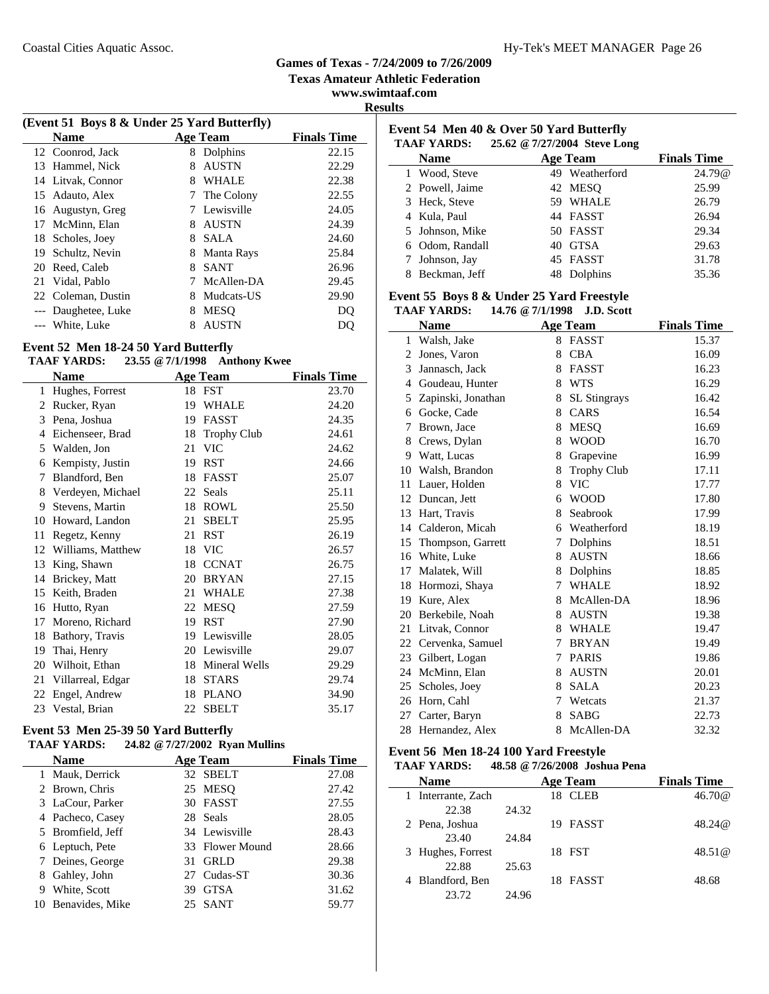**Texas Amateur Athletic Federation**

**www.swimtaaf.com Results**

|    | (Event 51 Boys 8 & Under 25 Yard Butterfly) |   |                 |                    |  |  |  |
|----|---------------------------------------------|---|-----------------|--------------------|--|--|--|
|    | <b>Name</b>                                 |   | <b>Age Team</b> | <b>Finals Time</b> |  |  |  |
|    | 12 Coonrod, Jack                            | 8 | Dolphins        | 22.15              |  |  |  |
| 13 | Hammel, Nick                                | 8 | <b>AUSTN</b>    | 22.29              |  |  |  |
|    | 14 Litvak, Connor                           | 8 | <b>WHALE</b>    | 22.38              |  |  |  |
| 15 | Adauto, Alex                                | 7 | The Colony      | 22.55              |  |  |  |
| 16 | Augustyn, Greg                              |   | Lewisville      | 24.05              |  |  |  |
| 17 | McMinn, Elan                                | 8 | <b>AUSTN</b>    | 24.39              |  |  |  |
| 18 | Scholes, Joey                               | 8 | <b>SALA</b>     | 24.60              |  |  |  |
| 19 | Schultz, Nevin                              | 8 | Manta Rays      | 25.84              |  |  |  |
| 20 | Reed, Caleb                                 | 8 | <b>SANT</b>     | 26.96              |  |  |  |
| 21 | Vidal, Pablo                                |   | McAllen-DA      | 29.45              |  |  |  |
| 22 | Coleman, Dustin                             | 8 | Mudcats-US      | 29.90              |  |  |  |
|    | --- Daughetee, Luke                         | 8 | <b>MESO</b>     | DO                 |  |  |  |
|    | White, Luke                                 | 8 | <b>AUSTN</b>    |                    |  |  |  |
|    |                                             |   |                 |                    |  |  |  |

#### **Event 52 Men 18-24 50 Yard Butterfly**

#### **TAAF YARDS: 23.55 @7/1/1998 Anthony Kwee**

|    | <b>Name</b>       |    | <b>Age Team</b>    | <b>Finals Time</b> |
|----|-------------------|----|--------------------|--------------------|
| 1  | Hughes, Forrest   | 18 | FST                | 23.70              |
| 2  | Rucker, Ryan      | 19 | <b>WHALE</b>       | 24.20              |
| 3  | Pena, Joshua      | 19 | FASST              | 24.35              |
| 4  | Eichenseer, Brad  | 18 | <b>Trophy Club</b> | 24.61              |
| 5  | Walden, Jon       | 21 | <b>VIC</b>         | 24.62              |
| 6  | Kempisty, Justin  | 19 | <b>RST</b>         | 24.66              |
| 7  | Blandford, Ben    | 18 | <b>FASST</b>       | 25.07              |
| 8  | Verdeyen, Michael | 22 | Seals              | 25.11              |
| 9  | Stevens, Martin   | 18 | <b>ROWL</b>        | 25.50              |
| 10 | Howard, Landon    | 21 | <b>SBELT</b>       | 25.95              |
| 11 | Regetz, Kenny     | 21 | <b>RST</b>         | 26.19              |
| 12 | Williams, Matthew | 18 | <b>VIC</b>         | 26.57              |
| 13 | King, Shawn       | 18 | <b>CCNAT</b>       | 26.75              |
| 14 | Brickey, Matt     | 20 | <b>BRYAN</b>       | 27.15              |
| 15 | Keith, Braden     | 21 | <b>WHALE</b>       | 27.38              |
| 16 | Hutto, Ryan       | 22 | <b>MESO</b>        | 27.59              |
| 17 | Moreno, Richard   | 19 | <b>RST</b>         | 27.90              |
| 18 | Bathory, Travis   | 19 | Lewisville         | 28.05              |
| 19 | Thai, Henry       | 20 | Lewisville         | 29.07              |
| 20 | Wilhoit, Ethan    | 18 | Mineral Wells      | 29.29              |
| 21 | Villarreal, Edgar | 18 | <b>STARS</b>       | 29.74              |
| 22 | Engel, Andrew     | 18 | <b>PLANO</b>       | 34.90              |
| 23 | Vestal, Brian     | 22 | <b>SBELT</b>       | 35.17              |
|    |                   |    |                    |                    |

#### **Event 53 Men 25-39 50 Yard Butterfly TAAF YARDS: 24.82 @7/27/2002 Ryan Mullins**

|              | іллі ілішэ.       |    | $27.02 \approx 7/27/2002$ Kyan Muhims |                    |
|--------------|-------------------|----|---------------------------------------|--------------------|
|              | <b>Name</b>       |    | <b>Age Team</b>                       | <b>Finals Time</b> |
| $\mathbf{1}$ | Mauk, Derrick     |    | 32 SBELT                              | 27.08              |
|              | 2 Brown, Chris    |    | 25 MESQ                               | 27.42              |
|              | 3 LaCour, Parker  |    | 30 FASST                              | 27.55              |
|              | 4 Pacheco, Casey  |    | 28 Seals                              | 28.05              |
|              | 5 Bromfield, Jeff |    | 34 Lewisville                         | 28.43              |
|              | 6 Leptuch, Pete   |    | 33 Flower Mound                       | 28.66              |
|              | Deines, George    | 31 | <b>GRLD</b>                           | 29.38              |
| 8            | Gahley, John      |    | 27 Cudas-ST                           | 30.36              |
| 9            | White, Scott      | 39 | <b>GTSA</b>                           | 31.62              |
| 10           | Benavides, Mike   |    | 25 SANT                               | 59.77              |
|              |                   |    |                                       |                    |

# **Event 54 Men 40 & Over 50 Yard Butterfly**

| <b>TAAF YARDS:</b> | 25.62 @ 7/27/2004 Steve Long |                |                    |
|--------------------|------------------------------|----------------|--------------------|
| <b>Name</b>        | <b>Age Team</b>              |                | <b>Finals Time</b> |
| 1 Wood, Steve      |                              | 49 Weatherford | 24.79@             |
| 2 Powell, Jaime    |                              | 42 MESO        | 25.99              |
| 3 Heck, Steve      | 59.                          | WHALE          | 26.79              |
| 4 Kula, Paul       |                              | 44 FASST       | 26.94              |
| 5 Johnson, Mike    |                              | 50 FASST       | 29.34              |
| 6 Odom, Randall    | 40                           | <b>GTSA</b>    | 29.63              |
| 7 Johnson, Jay     |                              | 45 FASST       | 31.78              |
| Beckman, Jeff      |                              | Dolphins       | 35.36              |

# **Event 55 Boys 8 & Under 25 Yard Freestyle**

|                | <b>TAAF YARDS:</b>   |   | 14.76 @ 7/1/1998 J.D. Scott |                    |
|----------------|----------------------|---|-----------------------------|--------------------|
|                | <b>Name</b>          |   | <b>Age Team</b>             | <b>Finals Time</b> |
|                | 1 Walsh, Jake        |   | 8 FASST                     | 15.37              |
| 2              | Jones, Varon         | 8 | <b>CBA</b>                  | 16.09              |
| 3              | Jannasch, Jack       | 8 | <b>FASST</b>                | 16.23              |
| $\overline{4}$ | Goudeau, Hunter      | 8 | <b>WTS</b>                  | 16.29              |
| 5              | Zapinski, Jonathan   | 8 | <b>SL</b> Stingrays         | 16.42              |
| 6              | Gocke, Cade          | 8 | CARS                        | 16.54              |
| 7              | Brown, Jace          | 8 | <b>MESQ</b>                 | 16.69              |
| 8              | Crews, Dylan         | 8 | <b>WOOD</b>                 | 16.70              |
| 9              | Watt, Lucas          | 8 | Grapevine                   | 16.99              |
|                | 10 Walsh, Brandon    | 8 | <b>Trophy Club</b>          | 17.11              |
|                | 11 Lauer, Holden     | 8 | <b>VIC</b>                  | 17.77              |
|                | 12 Duncan, Jett      | 6 | <b>WOOD</b>                 | 17.80              |
| 13             | Hart, Travis         | 8 | Seabrook                    | 17.99              |
| 14             | Calderon, Micah      |   | 6 Weatherford               | 18.19              |
|                | 15 Thompson, Garrett | 7 | Dolphins                    | 18.51              |
|                | 16 White, Luke       | 8 | <b>AUSTN</b>                | 18.66              |
| 17             | Malatek, Will        | 8 | Dolphins                    | 18.85              |
|                | 18 Hormozi, Shaya    | 7 | <b>WHALE</b>                | 18.92              |
|                | 19 Kure, Alex        | 8 | McAllen-DA                  | 18.96              |
|                | 20 Berkebile, Noah   | 8 | <b>AUSTN</b>                | 19.38              |
| 21             | Litvak, Connor       | 8 | <b>WHALE</b>                | 19.47              |
|                | 22 Cervenka, Samuel  | 7 | <b>BRYAN</b>                | 19.49              |
| 23             | Gilbert, Logan       | 7 | <b>PARIS</b>                | 19.86              |
| 24             | McMinn, Elan         | 8 | <b>AUSTN</b>                | 20.01              |
| 25             | Scholes, Joey        | 8 | <b>SALA</b>                 | 20.23              |
|                | 26 Horn, Cahl        | 7 | Wetcats                     | 21.37              |
| 27             | Carter, Baryn        | 8 | <b>SABG</b>                 | 22.73              |
| 28             | Hernandez, Alex      | 8 | McAllen-DA                  | 32.32              |

#### **Event 56 Men 18-24 100 Yard Freestyle**

 $\mathbb{R}^2$ 

#### **TAAF YARDS: 48.58 @7/26/2008 Joshua Pena**

| <b>Name</b>       |       | Age Team            | <b>Finals Time</b> |
|-------------------|-------|---------------------|--------------------|
| Interrante, Zach  |       | <b>CLEB</b><br>18   | 46.70@             |
| 22.38             | 24.32 |                     |                    |
| 2 Pena, Joshua    |       | <b>FASST</b><br>19. | 48.24@             |
| 23.40             | 24.84 |                     |                    |
| 3 Hughes, Forrest |       | 18 FST              | 48.51@             |
| 22.88             | 25.63 |                     |                    |
| Blandford, Ben    |       | <b>FASST</b><br>18  | 48.68              |
| 23.72             | 24.96 |                     |                    |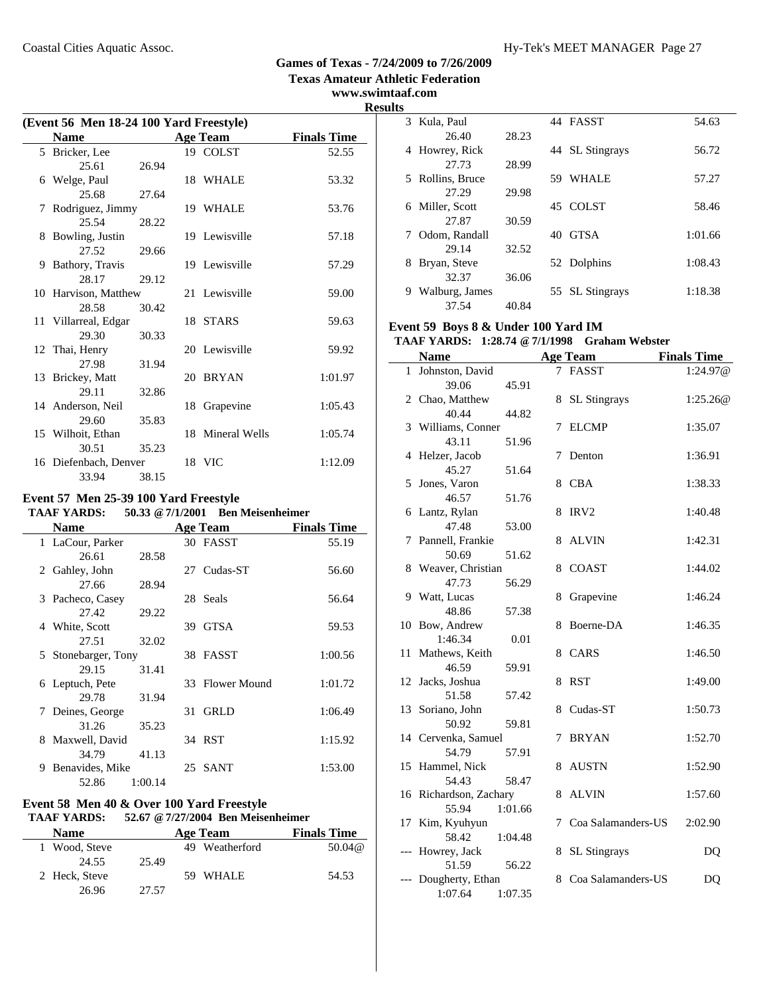#### Coastal Cities Aquatic Assoc. The Coastal Cities Aquatic Assoc. The Coastal Cities Aquatic Assoc.

#### **Games of Texas - 7/24/2009 to 7/26/2009 Texas Amateur Athletic Federation**

**www.swimtaaf.com Results**

| (Event 56 Men 18-24 100 Yard Freestyle) |       |    |                  |                    |  |
|-----------------------------------------|-------|----|------------------|--------------------|--|
| <b>Name</b>                             |       |    | <b>Age Team</b>  | <b>Finals Time</b> |  |
| 5 Bricker, Lee                          |       |    | 19 COLST         | 52.55              |  |
| 25.61                                   | 26.94 |    |                  |                    |  |
| 6 Welge, Paul                           |       |    | 18 WHALE         | 53.32              |  |
| 25.68                                   | 27.64 |    |                  |                    |  |
| 7 Rodriguez, Jimmy                      |       |    | 19 WHALE         | 53.76              |  |
| 25.54                                   | 28.22 |    |                  |                    |  |
| 8 Bowling, Justin                       |       |    | 19 Lewisville    | 57.18              |  |
| 27.52                                   | 29.66 |    |                  |                    |  |
| 9 Bathory, Travis                       |       |    | 19 Lewisville    | 57.29              |  |
| 28.17                                   | 29.12 |    |                  |                    |  |
| 10 Harvison, Matthew                    |       |    | 21 Lewisville    | 59.00              |  |
| 28.58                                   | 30.42 |    |                  |                    |  |
| 11 Villarreal, Edgar                    |       |    | 18 STARS         | 59.63              |  |
| 29.30                                   | 30.33 |    |                  |                    |  |
| 12 Thai, Henry                          |       |    | 20 Lewisville    | 59.92              |  |
| 27.98                                   | 31.94 |    |                  |                    |  |
| 13 Brickey, Matt                        |       |    | 20 BRYAN         | 1:01.97            |  |
| 29.11                                   | 32.86 |    |                  |                    |  |
| 14 Anderson, Neil                       |       | 18 | Grapevine        | 1:05.43            |  |
| 29.60                                   | 35.83 |    |                  |                    |  |
| 15 Wilhoit, Ethan                       |       |    | 18 Mineral Wells | 1:05.74            |  |
| 30.51                                   | 35.23 |    |                  |                    |  |
| 16 Diefenbach, Denver                   |       |    | 18 VIC           | 1:12.09            |  |
| 33.94                                   | 38.15 |    |                  |                    |  |

#### **Event 57 Men 25-39 100 Yard Freestyle TAAF YARDS: 50.33 @7/1/2001 Ben Meisenheimer**

|   | <b>Name</b>         |         |    | <b>Age Team</b> | <b>Finals Time</b> |
|---|---------------------|---------|----|-----------------|--------------------|
|   | 1 LaCour, Parker    |         |    | 30 FASST        | 55.19              |
|   | 26.61               | 28.58   |    |                 |                    |
|   | 2 Gahley, John      |         |    | 27 Cudas-ST     | 56.60              |
|   | 27.66               | 28.94   |    |                 |                    |
|   | 3 Pacheco, Casey    |         |    | 28 Seals        | 56.64              |
|   | 27.42               | 29.22   |    |                 |                    |
|   | 4 White, Scott      |         | 39 | <b>GTSA</b>     | 59.53              |
|   | 27.51               | 32.02   |    |                 |                    |
|   | 5 Stonebarger, Tony |         |    | 38 FASST        | 1:00.56            |
|   | 29.15               | 31.41   |    |                 |                    |
|   | 6 Leptuch, Pete     |         |    | 33 Flower Mound | 1:01.72            |
|   | 29.78               | 31.94   |    |                 |                    |
|   | 7 Deines, George    |         | 31 | <b>GRLD</b>     | 1:06.49            |
|   | 31.26               | 35.23   |    |                 |                    |
|   | 8 Maxwell, David    |         |    | 34 RST          | 1:15.92            |
|   | 34.79               | 41.13   |    |                 |                    |
| 9 | Benavides, Mike     |         | 25 | <b>SANT</b>     | 1:53.00            |
|   | 52.86               | 1:00.14 |    |                 |                    |

#### **Event 58 Men 40 & Over 100 Yard Freestyle TAAF YARDS: 52.67 @7/27/2004 Ben Meisenheimer**

#### **Name Age Team Finals Time** 1 Wood, Steve 49 Weatherford 50.04@ 24.55 25.49 2 Heck, Steve 59 WHALE 54.53 26.96 27.57

| LS. |                  |       |     |                     |         |
|-----|------------------|-------|-----|---------------------|---------|
| 3   | Kula, Paul       |       |     | 44 FASST            | 54.63   |
|     | 26.40            | 28.23 |     |                     |         |
| 4   | Howrey, Rick     |       |     | 44 SL Stingrays     | 56.72   |
|     | 27.73            | 28.99 |     |                     |         |
|     | 5 Rollins, Bruce |       | 59  | WHALE               | 57.27   |
|     | 27.29            | 29.98 |     |                     |         |
| 6   | Miller, Scott    |       |     | 45 COLST            | 58.46   |
|     | 27.87            | 30.59 |     |                     |         |
|     | Odom, Randall    |       | 40. | <b>GTSA</b>         | 1:01.66 |
|     | 29.14            | 32.52 |     |                     |         |
| 8   | Bryan, Steve     |       |     | 52 Dolphins         | 1:08.43 |
|     | 32.37            | 36.06 |     |                     |         |
| 9   | Walburg, James   |       | 55  | <b>SL</b> Stingrays | 1:18.38 |
|     | 37.54            | 40.84 |     |                     |         |

## **Event 59 Boys 8 & Under 100 Yard IM**

## **TAAF YARDS: 1:28.74 @7/1/1998 Graham Webster**

|       | <b>Name</b>            |         |   | <b>Age Team</b>      | <b>Finals Time</b> |
|-------|------------------------|---------|---|----------------------|--------------------|
| 1     | Johnston, David        |         |   | 7 FASST              | 1:24.97@           |
|       | 39.06                  | 45.91   |   |                      |                    |
|       | 2 Chao, Matthew        |         |   | 8 SL Stingrays       | 1:25.26@           |
|       | 40.44                  | 44.82   |   |                      |                    |
|       | 3 Williams, Conner     |         | 7 | <b>ELCMP</b>         | 1:35.07            |
|       | 43.11                  | 51.96   |   |                      |                    |
|       | 4 Helzer, Jacob        |         | 7 | Denton               | 1:36.91            |
|       | 45.27                  | 51.64   |   |                      |                    |
|       | 5 Jones, Varon         |         | 8 | <b>CBA</b>           | 1:38.33            |
|       | 46.57                  | 51.76   |   |                      |                    |
|       | 6 Lantz, Rylan         |         | 8 | IRV <sub>2</sub>     | 1:40.48            |
|       | 47.48                  | 53.00   |   |                      |                    |
| 7     | Pannell, Frankie       |         | 8 | <b>ALVIN</b>         | 1:42.31            |
|       | 50.69                  | 51.62   |   |                      |                    |
|       | 8 Weaver, Christian    |         | 8 | <b>COAST</b>         | 1:44.02            |
|       | 47.73                  | 56.29   |   |                      |                    |
|       | 9 Watt, Lucas          |         | 8 | Grapevine            | 1:46.24            |
|       | 48.86                  | 57.38   |   |                      |                    |
| 10    | Bow, Andrew            |         | 8 | Boerne-DA            | 1:46.35            |
|       | 1:46.34                | 0.01    |   |                      |                    |
| 11    | Mathews, Keith         |         | 8 | CARS                 | 1:46.50            |
|       | 46.59                  | 59.91   |   |                      |                    |
|       | 12 Jacks, Joshua       |         | 8 | <b>RST</b>           | 1:49.00            |
|       | 51.58                  | 57.42   |   |                      |                    |
| 13    | Soriano, John          |         |   | 8 Cudas-ST           | 1:50.73            |
|       | 50.92                  | 59.81   |   |                      |                    |
|       | 14 Cervenka, Samuel    |         | 7 | <b>BRYAN</b>         | 1:52.70            |
|       | 54.79                  | 57.91   |   |                      |                    |
|       | 15 Hammel, Nick        |         | 8 | <b>AUSTN</b>         | 1:52.90            |
|       | 54.43                  | 58.47   |   |                      |                    |
|       | 16 Richardson, Zachary |         |   | 8 ALVIN              | 1:57.60            |
|       | 55.94                  | 1:01.66 |   |                      |                    |
| 17    | Kim, Kyuhyun           |         |   | 7 Coa Salamanders-US | 2:02.90            |
|       | 58.42                  | 1:04.48 |   |                      |                    |
| $---$ | Howrey, Jack           |         | 8 | <b>SL Stingrays</b>  | DQ                 |
|       | 51.59                  | 56.22   |   |                      |                    |
|       | Dougherty, Ethan       |         | 8 | Coa Salamanders-US   | DQ                 |
|       | 1:07.64                | 1:07.35 |   |                      |                    |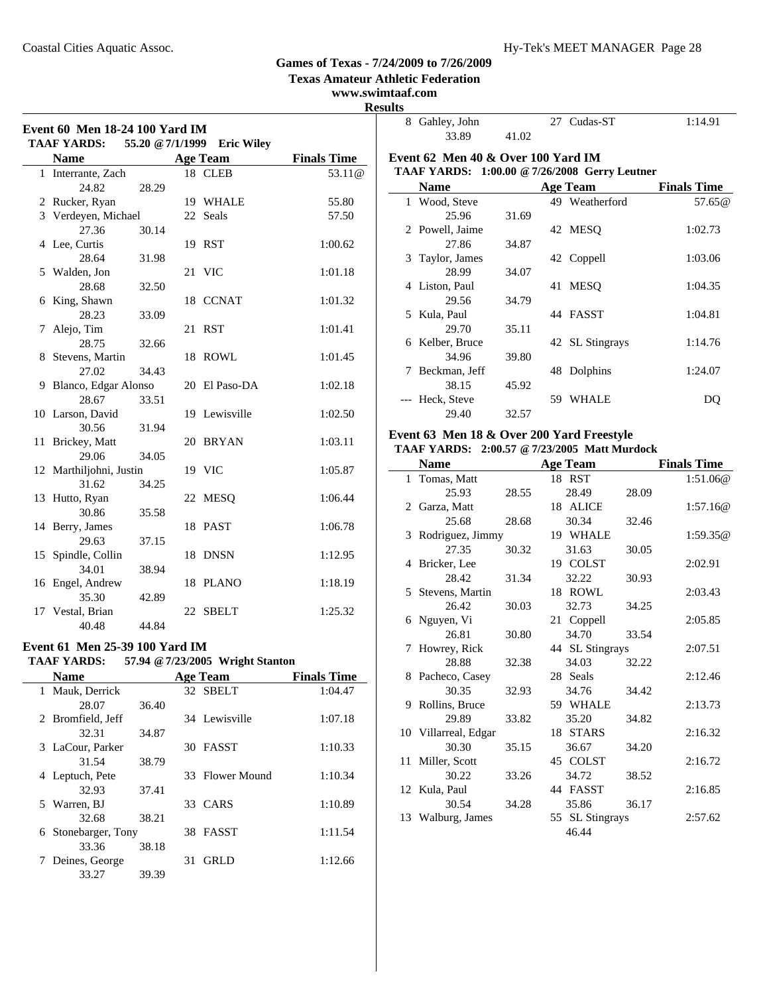**Texas Amateur Athletic Federation**

**www.swimtaaf.com**

| Event 60 Men 18-24 100 Yard IM<br><b>TAAF YARDS:</b><br>55.20 @ 7/1/1999<br><b>Eric Wiley</b> |                         |       |    |                 |                    |
|-----------------------------------------------------------------------------------------------|-------------------------|-------|----|-----------------|--------------------|
|                                                                                               | <b>Name</b>             |       |    | <b>Age Team</b> | <b>Finals Time</b> |
|                                                                                               | 1 Interrante, Zach      |       |    | 18 CLEB         | 53.11@             |
|                                                                                               | 24.82                   | 28.29 |    |                 |                    |
|                                                                                               | 2 Rucker, Ryan          |       |    | 19 WHALE        | 55.80              |
|                                                                                               | 3 Verdeyen, Michael     |       |    | 22 Seals        | 57.50              |
|                                                                                               | 27.36                   | 30.14 |    |                 |                    |
|                                                                                               | 4 Lee, Curtis           |       |    | 19 RST          | 1:00.62            |
|                                                                                               | 28.64                   | 31.98 |    |                 |                    |
| 5                                                                                             | Walden, Jon             |       |    | 21 VIC          | 1:01.18            |
|                                                                                               | 28.68                   | 32.50 |    |                 |                    |
| 6                                                                                             | King, Shawn             |       |    | 18 CCNAT        | 1:01.32            |
|                                                                                               | 28.23                   | 33.09 |    |                 |                    |
| 7                                                                                             | Alejo, Tim              |       | 21 | <b>RST</b>      | 1:01.41            |
|                                                                                               | 28.75                   | 32.66 |    |                 |                    |
| 8                                                                                             | Stevens, Martin         |       | 18 | ROWL            | 1:01.45            |
|                                                                                               | 27.02                   | 34.43 |    |                 |                    |
| 9                                                                                             | Blanco, Edgar Alonso    |       |    | 20 El Paso-DA   | 1:02.18            |
|                                                                                               | 28.67                   | 33.51 |    |                 |                    |
|                                                                                               | 10 Larson, David        |       |    | 19 Lewisville   | 1:02.50            |
|                                                                                               | 30.56                   | 31.94 |    |                 |                    |
| 11                                                                                            | Brickey, Matt           |       |    | 20 BRYAN        | 1:03.11            |
|                                                                                               | 29.06                   | 34.05 |    |                 |                    |
|                                                                                               | 12 Marthiljohni, Justin |       |    | 19 VIC          | 1:05.87            |
|                                                                                               | 31.62                   | 34.25 |    |                 |                    |
|                                                                                               | 13 Hutto, Ryan          |       |    | 22 MESQ         | 1:06.44            |
|                                                                                               | 30.86                   | 35.58 |    |                 |                    |
|                                                                                               | 14 Berry, James         |       | 18 | <b>PAST</b>     | 1:06.78            |
|                                                                                               | 29.63                   | 37.15 |    |                 |                    |
|                                                                                               | 15 Spindle, Collin      |       | 18 | <b>DNSN</b>     | 1:12.95            |
|                                                                                               | 34.01                   | 38.94 |    |                 |                    |
|                                                                                               | 16 Engel, Andrew        |       | 18 | <b>PLANO</b>    | 1:18.19            |
|                                                                                               | 35.30                   | 42.89 |    |                 |                    |
|                                                                                               | 17 Vestal, Brian        |       |    | 22 SBELT        | 1:25.32            |
|                                                                                               | 40.48                   | 44.84 |    |                 |                    |

| Event 61 Men 25-39 100 Yard IM |       |    | <b>TAAF YARDS:</b> 57.94 @ 7/23/2005 Wright Stanton |                    |
|--------------------------------|-------|----|-----------------------------------------------------|--------------------|
| <b>Name</b>                    |       |    | <b>Age Team</b>                                     | <b>Finals Time</b> |
| 1 Mauk, Derrick                |       |    | 32 SBELT                                            | 1:04.47            |
| 28.07                          | 36.40 |    |                                                     |                    |
| 2 Bromfield, Jeff              |       |    | 34 Lewisville                                       | 1:07.18            |
| 32.31                          | 34.87 |    |                                                     |                    |
| 3 LaCour, Parker               |       |    | 30 FASST                                            | 1:10.33            |
| 31.54                          | 38.79 |    |                                                     |                    |
| 4 Leptuch, Pete                |       |    | 33 Flower Mound                                     | 1:10.34            |
| 32.93                          | 37.41 |    |                                                     |                    |
| 5 Warren, BJ                   |       |    | 33 CARS                                             | 1:10.89            |
| 32.68                          | 38.21 |    |                                                     |                    |
| 6 Stonebarger, Tony            |       |    | 38 FASST                                            | 1:11.54            |
| 33.36                          | 38.18 |    |                                                     |                    |
| 7 Deines, George               |       | 31 | GRLD                                                | 1:12.66            |

33.27 39.39

| 8 Gahley, John                                       |       |     | 27 Cudas-ST     | 1:14.91            |  |  |
|------------------------------------------------------|-------|-----|-----------------|--------------------|--|--|
| 33.89                                                | 41.02 |     |                 |                    |  |  |
| Event 62 Men 40 & Over 100 Yard IM                   |       |     |                 |                    |  |  |
| <b>TAAF YARDS: 1:00.00 @ 7/26/2008 Gerry Leutner</b> |       |     |                 |                    |  |  |
| <b>Name</b>                                          |       |     | <b>Age Team</b> | <b>Finals Time</b> |  |  |
| 1 Wood, Steve                                        |       |     | 49 Weatherford  | 57.65@             |  |  |
| 25.96                                                | 31.69 |     |                 |                    |  |  |
| 2 Powell, Jaime                                      |       |     | 42 MESQ         | 1:02.73            |  |  |
| 27.86                                                | 34.87 |     |                 |                    |  |  |
| 3 Taylor, James                                      |       |     | 42 Coppell      | 1:03.06            |  |  |
| 28.99                                                | 34.07 |     |                 |                    |  |  |
| 4 Liston, Paul                                       |       |     | 41 MESO         | 1:04.35            |  |  |
| 29.56                                                | 34.79 |     |                 |                    |  |  |
| 5 Kula, Paul                                         |       |     | 44 FASST        | 1:04.81            |  |  |
| 29.70                                                | 35.11 |     |                 |                    |  |  |
| 6 Kelber, Bruce                                      |       |     | 42 SL Stingrays | 1:14.76            |  |  |
| 34.96                                                | 39.80 |     |                 |                    |  |  |
| 7 Beckman, Jeff                                      |       | 48. | Dolphins        | 1:24.07            |  |  |
| 38.15                                                | 45.92 |     |                 |                    |  |  |
| --- Heck, Steve                                      |       | 59  | WHALE           | DO                 |  |  |
| 29.40                                                | 32.57 |     |                 |                    |  |  |

#### **Event 63 Men 18 & Over 200 Yard Freestyle TAAF YARDS: 2:00.57 @7/23/2005 Matt Murdock**

|   | <b>Name</b>          |       | <b>Age Team</b> |       | <b>Finals Time</b> |
|---|----------------------|-------|-----------------|-------|--------------------|
|   | 1 Tomas, Matt        |       | 18 RST          |       | 1:51.06@           |
|   | 25.93                | 28.55 | 28.49           | 28.09 |                    |
|   | 2 Garza, Matt        |       | 18 ALICE        |       | 1:57.16@           |
|   | 25.68                | 28.68 | 30.34           | 32.46 |                    |
|   | 3 Rodriguez, Jimmy   |       | 19 WHALE        |       | 1:59.35@           |
|   | 27.35                | 30.32 | 31.63           | 30.05 |                    |
|   | 4 Bricker, Lee       |       | 19 COLST        |       | 2:02.91            |
|   | 28.42                | 31.34 | 32.22           | 30.93 |                    |
|   | 5 Stevens, Martin    |       | 18 ROWL         |       | 2:03.43            |
|   | 26.42                | 30.03 | 32.73           | 34.25 |                    |
|   | 6 Nguyen, Vi         |       | 21 Coppell      |       | 2:05.85            |
|   | 26.81                | 30.80 | 34.70           | 33.54 |                    |
| 7 | Howrey, Rick         |       | 44 SL Stingrays |       | 2:07.51            |
|   | 28.88                | 32.38 | 34.03           | 32.22 |                    |
|   | 8 Pacheco, Casey     |       | 28 Seals        |       | 2:12.46            |
|   | 30.35                | 32.93 | 34.76           | 34.42 |                    |
|   | 9 Rollins, Bruce     |       | 59 WHALE        |       | 2:13.73            |
|   | 29.89                | 33.82 | 35.20           | 34.82 |                    |
|   | 10 Villarreal, Edgar |       | 18 STARS        |       | 2:16.32            |
|   | 30.30                | 35.15 | 36.67           | 34.20 |                    |
|   | 11 Miller, Scott     |       | 45 COLST        |       | 2:16.72            |
|   | 30.22                | 33.26 | 34.72           | 38.52 |                    |
|   | 12 Kula, Paul        |       | 44 FASST        |       | 2:16.85            |
|   | 30.54                | 34.28 | 35.86           | 36.17 |                    |
|   | 13 Walburg, James    |       | 55 SL Stingrays |       | 2:57.62            |
|   |                      |       | 46.44           |       |                    |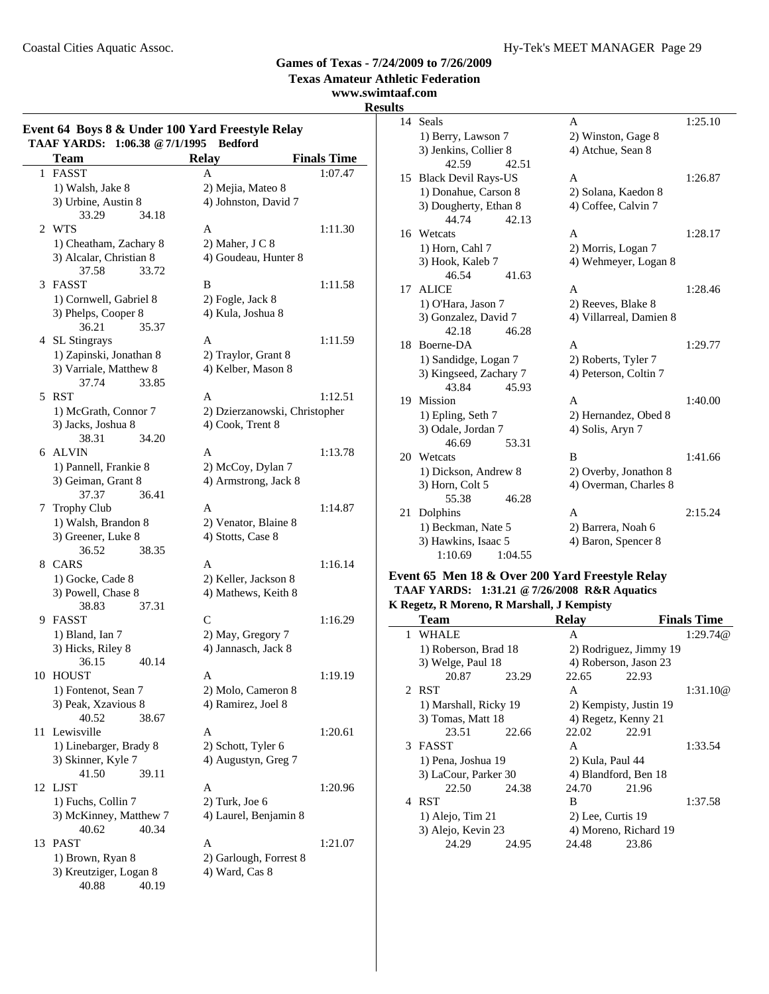Ļ.

# **Games of Texas - 7/24/2009 to 7/26/2009**

**Texas Amateur Athletic Federation**

# **www.swimtaaf.com**

# **Results**

| Event 64 Boys 8 & Under 100 Yard Freestyle Relay<br>TAAF YARDS: 1:06.38 @ 7/1/1995<br><b>Bedford</b> |                         |                               |                    |  |
|------------------------------------------------------------------------------------------------------|-------------------------|-------------------------------|--------------------|--|
|                                                                                                      | <b>Team</b>             | <b>Relay</b>                  | <b>Finals Time</b> |  |
| 1                                                                                                    | <b>FASST</b>            | A                             | 1:07.47            |  |
|                                                                                                      | 1) Walsh, Jake 8        | 2) Mejia, Mateo 8             |                    |  |
|                                                                                                      | 3) Urbine, Austin 8     | 4) Johnston, David 7          |                    |  |
|                                                                                                      | 33.29<br>34.18          |                               |                    |  |
|                                                                                                      | 2 WTS                   | A                             | 1:11.30            |  |
|                                                                                                      | 1) Cheatham, Zachary 8  | 2) Maher, J C 8               |                    |  |
|                                                                                                      | 3) Alcalar, Christian 8 | 4) Goudeau, Hunter 8          |                    |  |
|                                                                                                      | 37.58<br>33.72          |                               |                    |  |
| 3                                                                                                    | <b>FASST</b>            | B                             | 1:11.58            |  |
|                                                                                                      | 1) Cornwell, Gabriel 8  | 2) Fogle, Jack 8              |                    |  |
|                                                                                                      | 3) Phelps, Cooper 8     | 4) Kula, Joshua 8             |                    |  |
|                                                                                                      | 36.21<br>35.37          |                               |                    |  |
|                                                                                                      | 4 SL Stingrays          | A                             | 1:11.59            |  |
|                                                                                                      | 1) Zapinski, Jonathan 8 | 2) Traylor, Grant 8           |                    |  |
|                                                                                                      | 3) Varriale, Matthew 8  | 4) Kelber, Mason 8            |                    |  |
|                                                                                                      | 37.74<br>33.85          |                               |                    |  |
| 5                                                                                                    | RST                     | A                             | 1:12.51            |  |
|                                                                                                      | 1) McGrath, Connor 7    | 2) Dzierzanowski, Christopher |                    |  |
|                                                                                                      | 3) Jacks, Joshua 8      | 4) Cook, Trent 8              |                    |  |
|                                                                                                      | 38.31<br>34.20          |                               |                    |  |
|                                                                                                      | 6 ALVIN                 | A                             | 1:13.78            |  |
|                                                                                                      | 1) Pannell, Frankie 8   | 2) McCoy, Dylan 7             |                    |  |
|                                                                                                      | 3) Geiman, Grant 8      | 4) Armstrong, Jack 8          |                    |  |
|                                                                                                      | 36.41<br>37.37          |                               |                    |  |
| 7                                                                                                    | <b>Trophy Club</b>      | A                             | 1:14.87            |  |
|                                                                                                      | 1) Walsh, Brandon 8     | 2) Venator, Blaine 8          |                    |  |
|                                                                                                      | 3) Greener, Luke 8      | 4) Stotts, Case 8             |                    |  |
|                                                                                                      | 38.35<br>36.52          |                               |                    |  |
| 8                                                                                                    | <b>CARS</b>             | A                             | 1:16.14            |  |
|                                                                                                      | 1) Gocke, Cade 8        | 2) Keller, Jackson 8          |                    |  |
|                                                                                                      | 3) Powell, Chase 8      | 4) Mathews, Keith 8           |                    |  |
|                                                                                                      | 38.83<br>37.31          |                               |                    |  |
|                                                                                                      | 9 FASST                 | C                             | 1:16.29            |  |
|                                                                                                      | 1) Bland, Ian 7         | 2) May, Gregory 7             |                    |  |
|                                                                                                      | 3) Hicks, Riley 8       | 4) Jannasch, Jack 8           |                    |  |
|                                                                                                      | 36.15<br>40.14          |                               |                    |  |
|                                                                                                      | 10 HOUST                | А                             | 1:19.19            |  |
|                                                                                                      | 1) Fontenot, Sean 7     | 2) Molo, Cameron 8            |                    |  |
|                                                                                                      | 3) Peak, Xzavious 8     | 4) Ramirez, Joel 8            |                    |  |
|                                                                                                      | 40.52<br>38.67          |                               |                    |  |
| 11                                                                                                   | Lewisville              | A                             | 1:20.61            |  |
|                                                                                                      | 1) Linebarger, Brady 8  | 2) Schott, Tyler 6            |                    |  |
|                                                                                                      | 3) Skinner, Kyle 7      | 4) Augustyn, Greg 7           |                    |  |
|                                                                                                      | 41.50<br>39.11          |                               |                    |  |
| 12                                                                                                   | LJST                    | A                             | 1:20.96            |  |
|                                                                                                      | 1) Fuchs, Collin 7      | $2)$ Turk, Joe $6$            |                    |  |
|                                                                                                      | 3) McKinney, Matthew 7  | 4) Laurel, Benjamin 8         |                    |  |
|                                                                                                      | 40.62<br>40.34          |                               |                    |  |
| 13                                                                                                   | PAST                    | A                             | 1:21.07            |  |
|                                                                                                      | 1) Brown, Ryan 8        | 2) Garlough, Forrest 8        |                    |  |
|                                                                                                      | 3) Kreutziger, Logan 8  | 4) Ward, Cas 8                |                    |  |
|                                                                                                      | 40.88<br>40.19          |                               |                    |  |

| 14 | Seals                  |         | A                       | 1:25.10 |
|----|------------------------|---------|-------------------------|---------|
|    | 1) Berry, Lawson 7     |         | 2) Winston, Gage 8      |         |
|    | 3) Jenkins, Collier 8  |         | 4) Atchue, Sean 8       |         |
|    | 42.59                  | 42.51   |                         |         |
|    | 15 Black Devil Rays-US |         | A                       | 1:26.87 |
|    | 1) Donahue, Carson 8   |         | 2) Solana, Kaedon 8     |         |
|    | 3) Dougherty, Ethan 8  |         | 4) Coffee, Calvin 7     |         |
|    | 44.74                  | 42.13   |                         |         |
|    | 16 Wetcats             |         | A                       | 1:28.17 |
|    | 1) Horn, Cahl 7        |         | 2) Morris, Logan 7      |         |
|    | 3) Hook, Kaleb 7       |         | 4) Wehmeyer, Logan 8    |         |
|    | 46.54                  | 41.63   |                         |         |
| 17 | ALICE                  |         | A                       | 1:28.46 |
|    | 1) O'Hara, Jason 7     |         | 2) Reeves, Blake 8      |         |
|    | 3) Gonzalez, David 7   |         | 4) Villarreal, Damien 8 |         |
|    | 42.18                  | 46.28   |                         |         |
| 18 | Boerne-DA              |         | A                       | 1:29.77 |
|    | 1) Sandidge, Logan 7   |         | 2) Roberts, Tyler 7     |         |
|    | 3) Kingseed, Zachary 7 |         | 4) Peterson, Coltin 7   |         |
|    | 43.84                  | 45.93   |                         |         |
| 19 | Mission                |         | A                       | 1:40.00 |
|    | 1) Epling, Seth 7      |         | 2) Hernandez, Obed 8    |         |
|    | 3) Odale, Jordan 7     |         | 4) Solis, Aryn 7        |         |
|    | 46.69                  | 53.31   |                         |         |
| 20 | Wetcats                |         | B                       | 1:41.66 |
|    | 1) Dickson, Andrew 8   |         | 2) Overby, Jonathon 8   |         |
|    | 3) Horn, Colt 5        |         | 4) Overman, Charles 8   |         |
|    | 55.38                  | 46.28   |                         |         |
| 21 | Dolphins               |         | A                       | 2:15.24 |
|    | 1) Beckman, Nate 5     |         | 2) Barrera, Noah 6      |         |
|    | 3) Hawkins, Isaac 5    |         | 4) Baron, Spencer 8     |         |
|    | 1:10.69                | 1:04.55 |                         |         |

#### **Event 65 Men 18 & Over 200 Yard Freestyle Relay TAAF YARDS: 1:31.21 @7/26/2008 R&R Aquatics K Regetz, R Moreno, R Marshall, J Kempisty**

|   | <b>Team</b>           |       | <b>Relay</b>           |                        | <b>Finals Time</b> |
|---|-----------------------|-------|------------------------|------------------------|--------------------|
| 1 | <b>WHALE</b>          |       | А                      |                        | 1:29.74@           |
|   | 1) Roberson, Brad 18  |       |                        | 2) Rodriguez, Jimmy 19 |                    |
|   | 3) Welge, Paul 18     |       | 4) Roberson, Jason 23  |                        |                    |
|   | 20.87                 | 23.29 | 22.65                  | 22.93                  |                    |
|   | 2 RST                 |       | A                      |                        | 1:31.10@           |
|   | 1) Marshall, Ricky 19 |       | 2) Kempisty, Justin 19 |                        |                    |
|   | 3) Tomas, Matt 18     |       | 4) Regetz, Kenny 21    |                        |                    |
|   | 23.51                 | 22.66 | 22.02                  | 22.91                  |                    |
|   | 3 FASST               |       | A                      |                        | 1:33.54            |
|   | 1) Pena, Joshua 19    |       | 2) Kula, Paul 44       |                        |                    |
|   | 3) LaCour, Parker 30  |       | 4) Blandford, Ben 18   |                        |                    |
|   | 22.50                 | 24.38 | 24.70                  | 21.96                  |                    |
|   | 4 RST                 |       | B                      |                        | 1:37.58            |
|   | 1) Alejo, Tim 21      |       | 2) Lee, Curtis 19      |                        |                    |
|   | 3) Alejo, Kevin 23    |       | 4) Moreno, Richard 19  |                        |                    |
|   | 24.29                 | 24.95 | 24.48                  | 23.86                  |                    |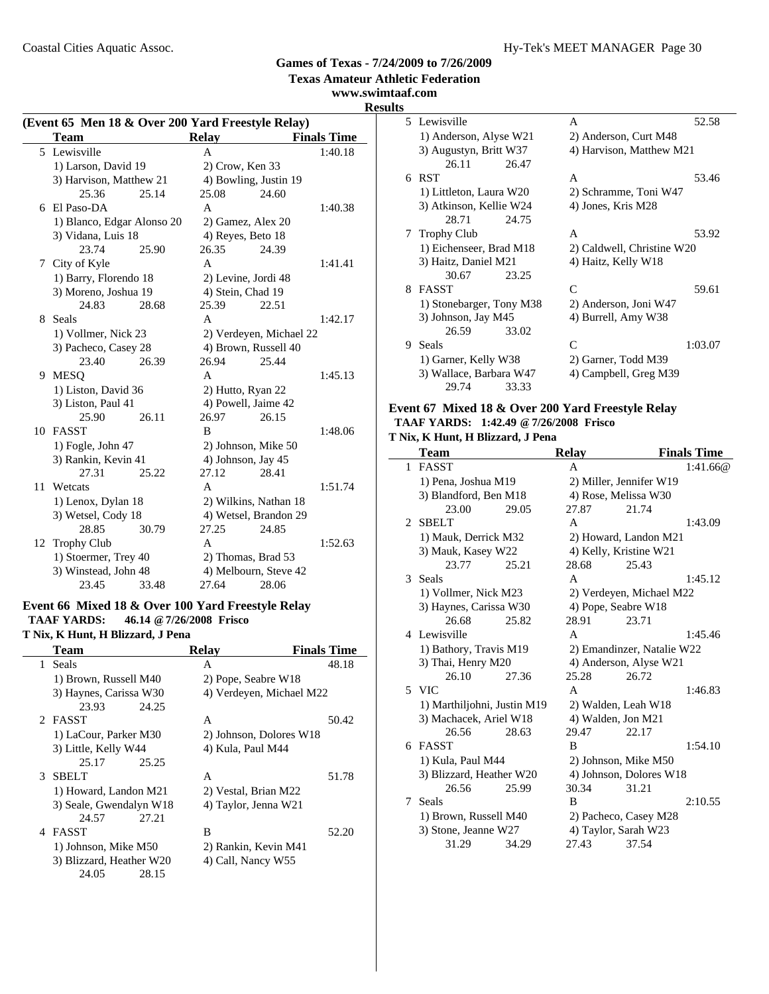**www.swimtaaf.com**

# **Results**

|    | (Event 65 Men 18 & Over 200 Yard Freestyle Relay) |       |                       |                         |                    |  |  |
|----|---------------------------------------------------|-------|-----------------------|-------------------------|--------------------|--|--|
|    | <b>Team</b>                                       |       | <b>Relay</b>          |                         | <b>Finals Time</b> |  |  |
|    | 5 Lewisville                                      |       | A                     |                         | 1:40.18            |  |  |
|    | 1) Larson, David 19                               |       | 2) Crow, Ken 33       |                         |                    |  |  |
|    | 3) Harvison, Matthew 21                           |       | 4) Bowling, Justin 19 |                         |                    |  |  |
|    | 25.36                                             | 25.14 | 25.08                 | 24.60                   |                    |  |  |
| 6  | El Paso-DA                                        |       | A                     |                         | 1:40.38            |  |  |
|    | 1) Blanco, Edgar Alonso 20                        |       | 2) Gamez, Alex 20     |                         |                    |  |  |
|    | 3) Vidana, Luis 18                                |       | 4) Reyes, Beto 18     |                         |                    |  |  |
|    | 23.74                                             | 25.90 | 26.35                 | 24.39                   |                    |  |  |
| 7  | City of Kyle                                      |       | A                     |                         | 1:41.41            |  |  |
|    | 1) Barry, Florendo 18                             |       | 2) Levine, Jordi 48   |                         |                    |  |  |
|    | 3) Moreno, Joshua 19                              |       | 4) Stein, Chad 19     |                         |                    |  |  |
|    | 24.83                                             | 28.68 | 25.39                 | 22.51                   |                    |  |  |
| 8  | Seals                                             |       | A                     |                         | 1:42.17            |  |  |
|    | 1) Vollmer, Nick 23                               |       |                       | 2) Verdeyen, Michael 22 |                    |  |  |
|    | 3) Pacheco, Casey 28                              |       | 4) Brown, Russell 40  |                         |                    |  |  |
|    | 23.40                                             | 26.39 | 26.94                 | 25.44                   |                    |  |  |
| 9  | MESO                                              |       | A                     |                         | 1:45.13            |  |  |
|    | 1) Liston, David 36                               |       | 2) Hutto, Ryan 22     |                         |                    |  |  |
|    | 3) Liston, Paul 41                                |       | 4) Powell, Jaime 42   |                         |                    |  |  |
|    | 25.90                                             | 26.11 | 26.97                 | 26.15                   |                    |  |  |
| 10 | <b>FASST</b>                                      |       | B                     |                         | 1:48.06            |  |  |
|    | $1)$ Fogle, John 47                               |       | 2) Johnson, Mike 50   |                         |                    |  |  |
|    | 3) Rankin, Kevin 41                               |       | 4) Johnson, Jay 45    |                         |                    |  |  |
|    | 27.31                                             | 25.22 | 27.12                 | 28.41                   |                    |  |  |
| 11 | Wetcats                                           |       | A                     |                         | 1:51.74            |  |  |
|    | 1) Lenox, Dylan 18                                |       | 2) Wilkins, Nathan 18 |                         |                    |  |  |
|    | 3) Wetsel, Cody 18                                |       | 4) Wetsel, Brandon 29 |                         |                    |  |  |
|    | 28.85                                             | 30.79 | 27.25                 | 24.85                   |                    |  |  |
| 12 | <b>Trophy Club</b>                                |       | A                     |                         | 1:52.63            |  |  |
|    | 1) Stoermer, Trey 40                              |       | 2) Thomas, Brad 53    |                         |                    |  |  |
|    | 3) Winstead, John 48                              |       | 4) Melbourn, Steve 42 |                         |                    |  |  |
|    | 23.45                                             | 33.48 | 27.64                 | 28.06                   |                    |  |  |

## **Event 66 Mixed 18 & Over 100 Yard Freestyle Relay TAAF YARDS: 46.14 @7/26/2008 Frisco**

**T Nix, K Hunt, H Blizzard, J Pena**

| Team                     | <b>Relay</b>             | <b>Finals Time</b> |
|--------------------------|--------------------------|--------------------|
| 1 Seals                  | А                        | 48.18              |
| 1) Brown, Russell M40    | 2) Pope, Seabre W18      |                    |
| 3) Haynes, Carissa W30   | 4) Verdeyen, Michael M22 |                    |
| 24.25<br>23.93           |                          |                    |
| 2 FASST                  | A                        | 50.42              |
| 1) LaCour, Parker M30    | 2) Johnson, Dolores W18  |                    |
| 3) Little, Kelly W44     | 4) Kula, Paul M44        |                    |
| 25.17<br>25.25           |                          |                    |
| <b>SBELT</b><br>3        | A                        | 51.78              |
| 1) Howard, Landon M21    | 2) Vestal, Brian M22     |                    |
| 3) Seale, Gwendalyn W18  | 4) Taylor, Jenna W21     |                    |
| 24.57<br>27.21           |                          |                    |
| 4 FASST                  | B                        | 52.20              |
| 1) Johnson, Mike M50     | 2) Rankin, Kevin M41     |                    |
| 3) Blizzard, Heather W20 | 4) Call, Nancy W55       |                    |
| 24.05<br>28.15           |                          |                    |
|                          |                          |                    |

|    | 5 Lewisville             | A                          | 52.58   |
|----|--------------------------|----------------------------|---------|
|    | 1) Anderson, Alyse W21   | 2) Anderson, Curt M48      |         |
|    | 3) Augustyn, Britt W37   | 4) Harvison, Matthew M21   |         |
|    | 26.11<br>26.47           |                            |         |
| 6  | <b>RST</b>               | A                          | 53.46   |
|    | 1) Littleton, Laura W20  | 2) Schramme, Toni W47      |         |
|    | 3) Atkinson, Kellie W24  | 4) Jones, Kris M28         |         |
|    | 28.71<br>24.75           |                            |         |
| Τ  | <b>Trophy Club</b>       | A                          | 53.92   |
|    | 1) Eichenseer, Brad M18  | 2) Caldwell, Christine W20 |         |
|    | 3) Haitz, Daniel M21     | 4) Haitz, Kelly W18        |         |
|    | 30.67<br>23.25           |                            |         |
| 8. | <b>FASST</b>             | C                          | 59.61   |
|    | 1) Stonebarger, Tony M38 | 2) Anderson, Joni W47      |         |
|    | 3) Johnson, Jay M45      | 4) Burrell, Amy W38        |         |
|    | 26.59<br>33.02           |                            |         |
| 9  | Seals                    | $\mathcal{C}$              | 1:03.07 |
|    | 1) Garner, Kelly W38     | 2) Garner, Todd M39        |         |
|    | 3) Wallace, Barbara W47  | 4) Campbell, Greg M39      |         |
|    | 29.74<br>33.33           |                            |         |

#### **Event 67 Mixed 18 & Over 200 Yard Freestyle Relay TAAF YARDS: 1:42.49 @7/26/2008 Frisco**

#### **T Nix, K Hunt, H Blizzard, J Pena**

|               | <b>Team</b>                 |       | <b>Relay</b> |                            | <b>Finals Time</b> |
|---------------|-----------------------------|-------|--------------|----------------------------|--------------------|
| $\mathbf{1}$  | <b>FASST</b>                |       | A            |                            | 1:41.66@           |
|               | 1) Pena, Joshua M19         |       |              | 2) Miller, Jennifer W19    |                    |
|               | 3) Blandford, Ben M18       |       |              | 4) Rose, Melissa W30       |                    |
|               | 23.00                       | 29.05 | 27.87        | 21.74                      |                    |
| 2             | <b>SBELT</b>                |       | A            |                            | 1:43.09            |
|               | 1) Mauk, Derrick M32        |       |              | 2) Howard, Landon M21      |                    |
|               | 3) Mauk, Kasey W22          |       |              | 4) Kelly, Kristine W21     |                    |
|               | 23.77                       | 25.21 | 28.68        | 25.43                      |                    |
| $\mathcal{F}$ | Seals                       |       | A            |                            | 1:45.12            |
|               | 1) Vollmer, Nick M23        |       |              | 2) Verdeyen, Michael M22   |                    |
|               | 3) Haynes, Carissa W30      |       |              | 4) Pope, Seabre W18        |                    |
|               | 26.68                       | 25.82 | 28.91        | 23.71                      |                    |
|               | 4 Lewisville                |       | A            |                            | 1:45.46            |
|               | 1) Bathory, Travis M19      |       |              | 2) Emandinzer, Natalie W22 |                    |
|               | 3) Thai, Henry M20          |       |              | 4) Anderson, Alyse W21     |                    |
|               | 26.10                       | 27.36 | 25.28        | 26.72                      |                    |
|               | 5 VIC                       |       | A            |                            | 1:46.83            |
|               | 1) Marthiljohni, Justin M19 |       |              | 2) Walden, Leah W18        |                    |
|               | 3) Machacek, Ariel W18      |       |              | 4) Walden, Jon M21         |                    |
|               | 26.56                       | 28.63 | 29.47        | 22.17                      |                    |
|               | 6 FASST                     |       | B            |                            | 1:54.10            |
|               | 1) Kula, Paul M44           |       |              | 2) Johnson, Mike M50       |                    |
|               | 3) Blizzard, Heather W20    |       |              | 4) Johnson, Dolores W18    |                    |
|               | 26.56                       | 25.99 | 30.34        | 31.21                      |                    |
| 7             | Seals                       |       | B            |                            | 2:10.55            |
|               | 1) Brown, Russell M40       |       |              | 2) Pacheco, Casey M28      |                    |
|               | 3) Stone, Jeanne W27        |       |              | 4) Taylor, Sarah W23       |                    |
|               | 31.29                       | 34.29 | 27.43        | 37.54                      |                    |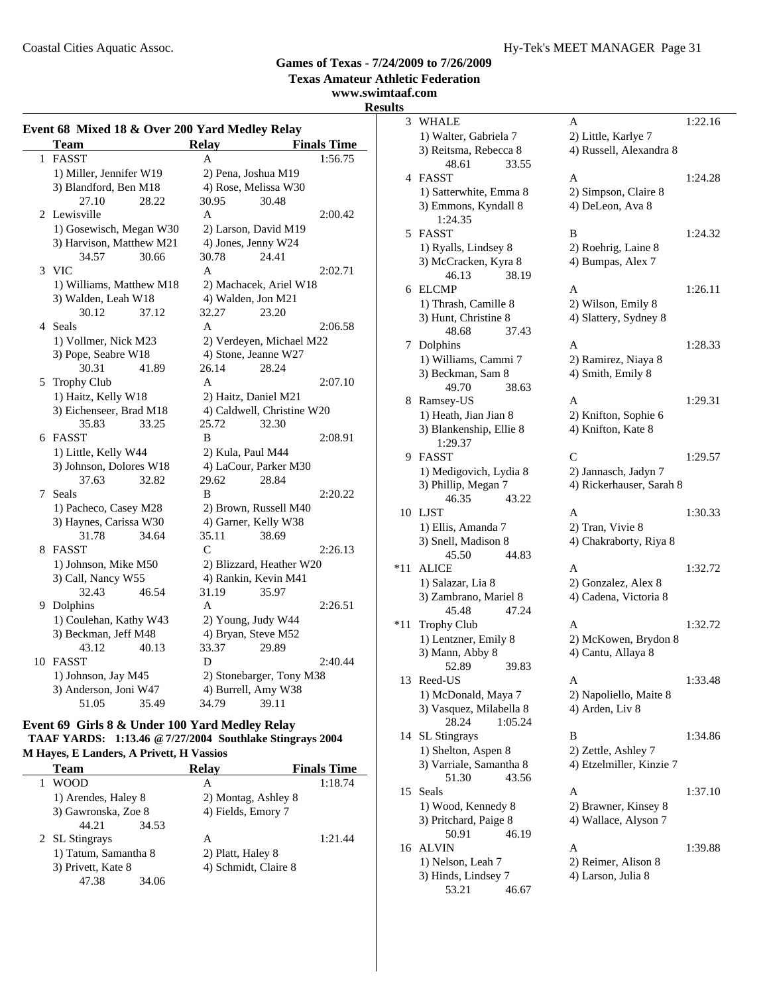**Texas Amateur Athletic Federation**

#### **www.swimtaaf.com Results**

#### **Event 68 Mixed 18 & Over 200 Yard Medley Relay Team Relay Finals Time** 1 FASST A 1:56.75 1) Miller, Jennifer W19 2) Pena, Joshua M19 3) Blandford, Ben M18 4) Rose, Melissa W30 27.10 28.22 30.95 30.48 2 2:00.42 Lewisville A 1) Gosewisch, Megan W30 2) Larson, David M19 3) Harvison, Matthew M21 4) Jones, Jenny W24 34.57 30.66 30.78 24.41 3 VIC A 2:02.71 1) Williams, Matthew M18 2) Machacek, Ariel W18 3) Walden, Leah W18 4) Walden, Jon M21 30.12 37.12 32.27 23.20 4 Seals A 2:06.58 1) Vollmer, Nick M23 2) Verdeyen, Michael M22 3) Pope, Seabre W18 4) Stone, Jeanne W27 30.31 41.89 26.14 28.24 5 Trophy Club A 2:07.10 1) Haitz, Kelly W18 2) Haitz, Daniel M21 3) Eichenseer, Brad M18 4) Caldwell, Christine W20 35.83 33.25 25.72 32.30 6 2:08.91 FASST B 1) Little, Kelly W44 2) Kula, Paul M44 3) Johnson, Dolores W18 4) LaCour, Parker M30 37.63 32.82 29.62 28.84 7 Seals B 2:20.22 1) Pacheco, Casey M28 2) Brown, Russell M40 3) Haynes, Carissa W30 4) Garner, Kelly W38 31.78 34.64 35.11 38.69 8 FASST C 2:26.13 1) Johnson, Mike M50 2) Blizzard, Heather W20 3) Call, Nancy W55 4) Rankin, Kevin M41 32.43 46.54 31.19 35.97 9 2:26.51 Dolphins A 1) Coulehan, Kathy W43 2) Young, Judy W44 3) Beckman, Jeff M48 4) Bryan, Steve M52 43.12 40.13 33.37 29.89 10 FASST D 2:40.44 1) Johnson, Jay M45 2) Stonebarger, Tony M38  $3)$  Anderson, Joni W47  $4)$  Burrell, Amy W38 51.05 35.49 34.79 39.11

#### **Event 69 Girls 8 & Under 100 Yard Medley Relay TAAF YARDS: 1:13.46 @7/27/2004 Southlake Stingrays 2004 M Hayes, E Landers, A Privett, H Vassios**

| <b>Team</b>          | <b>Relay</b>         | <b>Finals Time</b> |
|----------------------|----------------------|--------------------|
| <b>WOOD</b>          | А                    | 1:18.74            |
| 1) Arendes, Haley 8  | 2) Montag, Ashley 8  |                    |
| 3) Gawronska, Zoe 8  | 4) Fields, Emory 7   |                    |
| 44.21<br>34.53       |                      |                    |
| 2 SL Stingrays       | А                    | 1:21.44            |
| 1) Tatum, Samantha 8 | 2) Platt, Haley 8    |                    |
| 3) Privett, Kate 8   | 4) Schmidt, Claire 8 |                    |
| 47.38<br>34.06       |                      |                    |

| ts  |                                         |                                            |         |
|-----|-----------------------------------------|--------------------------------------------|---------|
| 3   | WHALE                                   | Α                                          | 1:22.16 |
|     | 1) Walter, Gabriela 7                   | 2) Little, Karlye 7                        |         |
|     | 3) Reitsma, Rebecca 8                   | 4) Russell, Alexandra 8                    |         |
|     | 48.61<br>33.55                          |                                            |         |
|     | 4 FASST                                 | А                                          | 1:24.28 |
|     | 1) Satterwhite, Emma 8                  | 2) Simpson, Claire 8                       |         |
|     | 3) Emmons, Kyndall 8                    | 4) DeLeon, Ava 8                           |         |
|     | 1:24.35                                 |                                            |         |
|     | 5 FASST                                 | B                                          | 1:24.32 |
|     | 1) Ryalls, Lindsey 8                    | 2) Roehrig, Laine 8                        |         |
|     | 3) McCracken, Kyra 8                    | 4) Bumpas, Alex 7                          |         |
|     | 46.13<br>38.19                          |                                            |         |
|     | 6 ELCMP                                 | A                                          | 1:26.11 |
|     | 1) Thrash, Camille 8                    | 2) Wilson, Emily 8                         |         |
|     | 3) Hunt, Christine 8                    | 4) Slattery, Sydney 8                      |         |
|     | 48.68<br>37.43                          |                                            |         |
|     | 7 Dolphins                              | A                                          | 1:28.33 |
|     | 1) Williams, Cammi 7                    | 2) Ramirez, Niaya 8                        |         |
|     | 3) Beckman, Sam 8                       | 4) Smith, Emily 8                          |         |
|     | 49.70<br>38.63                          |                                            |         |
|     | 8 Ramsey-US                             | A                                          | 1:29.31 |
|     | 1) Heath, Jian Jian 8                   | 2) Knifton, Sophie 6                       |         |
|     | 3) Blankenship, Ellie 8                 | 4) Knifton, Kate 8                         |         |
|     | 1:29.37                                 |                                            |         |
|     | 9 FASST                                 | C                                          | 1:29.57 |
|     | 1) Medigovich, Lydia 8                  | 2) Jannasch, Jadyn 7                       |         |
|     | 3) Phillip, Megan 7                     | 4) Rickerhauser, Sarah 8                   |         |
|     | 46.35<br>43.22                          |                                            |         |
|     | 10 LJST                                 | A                                          | 1:30.33 |
|     | 1) Ellis, Amanda 7                      | 2) Tran, Vivie 8                           |         |
|     | 3) Snell, Madison 8                     | 4) Chakraborty, Riya 8                     |         |
|     | 45.50<br>44.83                          |                                            |         |
| *11 | <b>ALICE</b>                            | A                                          | 1:32.72 |
|     | 1) Salazar, Lia 8                       | 2) Gonzalez, Alex 8                        |         |
|     | 3) Zambrano, Mariel 8                   | 4) Cadena, Victoria 8                      |         |
|     | 45.48<br>47.24                          |                                            |         |
| *11 | Trophy Club                             | A                                          | 1:32.72 |
|     | 1) Lentzner, Emily 8<br>3) Mann, Abby 8 | 2) McKowen, Brydon 8<br>4) Cantu, Allaya 8 |         |
|     | 52.89<br>39.83                          |                                            |         |
|     | 13 Reed-US                              | А                                          | 1:33.48 |
|     | 1) McDonald, Maya 7                     | 2) Napoliello, Maite 8                     |         |
|     | 3) Vasquez, Milabella 8                 | 4) Arden, Liv 8                            |         |
|     | 28.24<br>1:05.24                        |                                            |         |
| 14  | SL Stingrays                            | В                                          | 1:34.86 |
|     | 1) Shelton, Aspen 8                     | 2) Zettle, Ashley 7                        |         |
|     | 3) Varriale, Samantha 8                 | 4) Etzelmiller, Kinzie 7                   |         |
|     | 43.56<br>51.30                          |                                            |         |
| 15  | Seals                                   | A                                          | 1:37.10 |
|     | 1) Wood, Kennedy 8                      | 2) Brawner, Kinsey 8                       |         |
|     | 3) Pritchard, Paige 8                   | 4) Wallace, Alyson 7                       |         |
|     | 46.19<br>50.91                          |                                            |         |
| 16  | <b>ALVIN</b>                            | А                                          | 1:39.88 |
|     | 1) Nelson, Leah 7                       | 2) Reimer, Alison 8                        |         |
|     | 3) Hinds, Lindsey 7                     | 4) Larson, Julia 8                         |         |
|     | 53.21<br>46.67                          |                                            |         |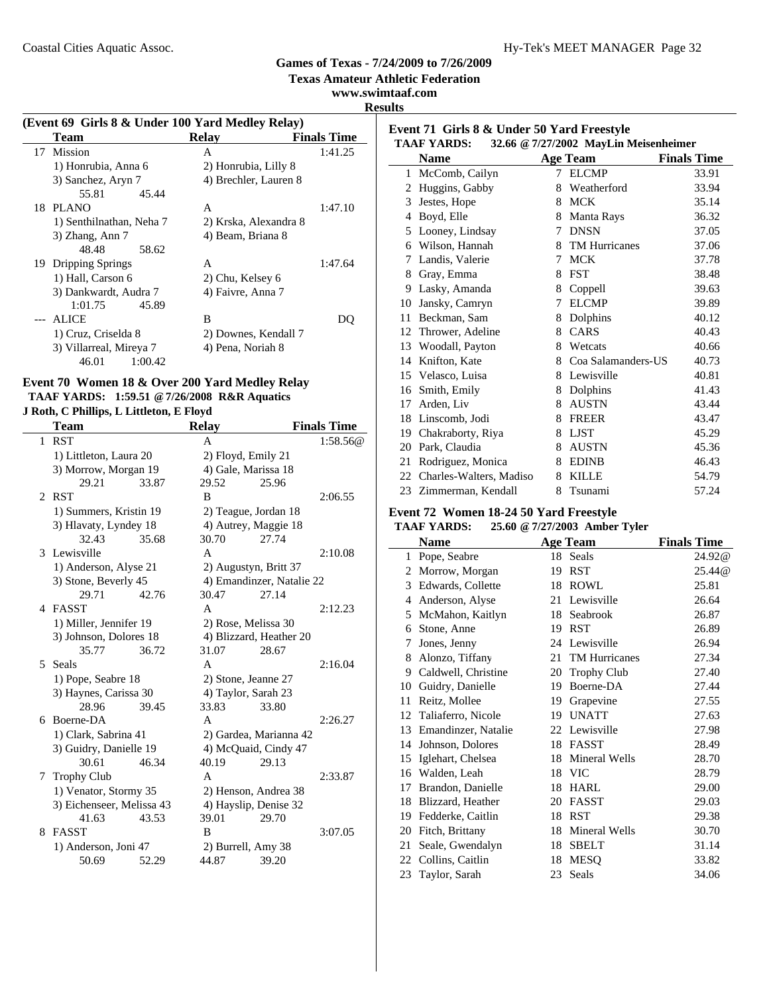**Texas Amateur Athletic Federation**

**www.swimtaaf.com**

**Results**

| (Event 69 Girls 8 & Under 100 Yard Medley Relay) |                       |                    |
|--------------------------------------------------|-----------------------|--------------------|
| Team                                             | <b>Relay</b>          | <b>Finals Time</b> |
| 17 Mission                                       | A                     | 1:41.25            |
| 1) Honrubia, Anna 6                              | 2) Honrubia, Lilly 8  |                    |
| 3) Sanchez, Aryn 7                               | 4) Brechler, Lauren 8 |                    |
| 55.81<br>45.44                                   |                       |                    |
| 18 PLANO                                         | A                     | 1:47.10            |
| 1) Senthilnathan, Neha 7                         | 2) Krska, Alexandra 8 |                    |
| 3) Zhang, Ann 7                                  | 4) Beam, Briana 8     |                    |
| 48.48<br>58.62                                   |                       |                    |
| 19 Dripping Springs                              | A                     | 1:47.64            |
| 1) Hall, Carson 6                                | 2) Chu, Kelsey 6      |                    |
| 3) Dankwardt, Audra 7                            | 4) Faivre, Anna 7     |                    |
| 1:01.75<br>45.89                                 |                       |                    |
| ALICE                                            | B                     | D()                |
| 1) Cruz, Criselda 8                              | 2) Downes, Kendall 7  |                    |
| 3) Villarreal, Mireya 7                          | 4) Pena, Noriah 8     |                    |
| 46.01<br>1:00.42                                 |                       |                    |

#### **Event 70 Women 18 & Over 200 Yard Medley Relay TAAF YARDS: 1:59.51 @7/26/2008 R&R Aquatics J Roth, C Phillips, L Littleton, E Floyd**

|                | Team                      |       | <b>Relay</b>        |                           | <b>Finals Time</b> |
|----------------|---------------------------|-------|---------------------|---------------------------|--------------------|
| 1              | <b>RST</b>                |       | A                   |                           | 1:58.56@           |
|                | 1) Littleton, Laura 20    |       |                     | 2) Floyd, Emily 21        |                    |
|                | 3) Morrow, Morgan 19      |       |                     | 4) Gale, Marissa 18       |                    |
|                | 29.21                     | 33.87 | 29.52               | 25.96                     |                    |
| $\mathfrak{D}$ | <b>RST</b>                |       | B                   |                           | 2:06.55            |
|                | 1) Summers, Kristin 19    |       |                     | 2) Teague, Jordan 18      |                    |
|                | 3) Hlavaty, Lyndey 18     |       |                     | 4) Autrey, Maggie 18      |                    |
|                | 32.43                     | 35.68 | 30.70               | 27.74                     |                    |
|                | 3 Lewisville              |       | A                   |                           | 2:10.08            |
|                | 1) Anderson, Alyse 21     |       |                     | 2) Augustyn, Britt 37     |                    |
|                | 3) Stone, Beverly 45      |       |                     | 4) Emandinzer, Natalie 22 |                    |
|                | 29.71                     | 42.76 | 30.47               | 27.14                     |                    |
|                | 4 FASST                   |       | $\mathsf{A}$        |                           | 2:12.23            |
|                | 1) Miller, Jennifer 19    |       | 2) Rose, Melissa 30 |                           |                    |
|                | 3) Johnson, Dolores 18    |       |                     | 4) Blizzard, Heather 20   |                    |
|                | 35.77                     | 36.72 | 31.07               | 28.67                     |                    |
| 5.             | Seals                     |       | A                   |                           | 2:16.04            |
|                | 1) Pope, Seabre 18        |       |                     | 2) Stone, Jeanne 27       |                    |
|                | 3) Haynes, Carissa 30     |       |                     | 4) Taylor, Sarah 23       |                    |
|                | 28.96                     | 39.45 | 33.83               | 33.80                     |                    |
|                | 6 Boerne-DA               |       | A                   |                           | 2:26.27            |
|                | 1) Clark, Sabrina 41      |       |                     | 2) Gardea, Marianna 42    |                    |
|                | 3) Guidry, Danielle 19    |       |                     | 4) McQuaid, Cindy 47      |                    |
|                | 30.61                     | 46.34 | 40.19               | 29.13                     |                    |
| 7              | <b>Trophy Club</b>        |       | A                   |                           | 2:33.87            |
|                | 1) Venator, Stormy 35     |       |                     | 2) Henson, Andrea 38      |                    |
|                | 3) Eichenseer, Melissa 43 |       |                     | 4) Hayslip, Denise 32     |                    |
|                | 41.63                     | 43.53 | 39.01               | 29.70                     |                    |
| 8              | <b>FASST</b>              |       | B                   |                           | 3:07.05            |
|                | 1) Anderson, Joni 47      |       |                     | 2) Burrell, Amy 38        |                    |
|                | 50.69                     | 52.29 | 44.87               | 39.20                     |                    |
|                |                           |       |                     |                           |                    |

| Event 71 Girls 8 & Under 50 Yard Freestyle<br><b>TAAF YARDS:</b><br>32.66 @ 7/27/2002 MayLin Meisenheimer |                         |   |                      |                    |
|-----------------------------------------------------------------------------------------------------------|-------------------------|---|----------------------|--------------------|
|                                                                                                           | <b>Name</b>             |   | Age Team             | <b>Finals Time</b> |
| $\mathbf{1}$                                                                                              | McComb, Cailyn          | 7 | <b>ELCMP</b>         | 33.91              |
| 2                                                                                                         | Huggins, Gabby          | 8 | Weatherford          | 33.94              |
| 3                                                                                                         | Jestes, Hope            | 8 | <b>MCK</b>           | 35.14              |
| 4                                                                                                         | Boyd, Elle              | 8 | Manta Rays           | 36.32              |
| 5                                                                                                         | Looney, Lindsay         | 7 | <b>DNSN</b>          | 37.05              |
| 6                                                                                                         | Wilson, Hannah          | 8 | <b>TM Hurricanes</b> | 37.06              |
| 7                                                                                                         | Landis, Valerie         | 7 | <b>MCK</b>           | 37.78              |
| 8                                                                                                         | Gray, Emma              | 8 | <b>FST</b>           | 38.48              |
| 9                                                                                                         | Lasky, Amanda           | 8 | Coppell              | 39.63              |
| 10                                                                                                        | Jansky, Camryn          | 7 | <b>ELCMP</b>         | 39.89              |
| 11                                                                                                        | Beckman, Sam            | 8 | Dolphins             | 40.12              |
| 12                                                                                                        | Thrower, Adeline        | 8 | CARS                 | 40.43              |
|                                                                                                           | 13 Woodall, Payton      | 8 | Wetcats              | 40.66              |
| 14                                                                                                        | Knifton, Kate           | 8 | Coa Salamanders-US   | 40.73              |
|                                                                                                           | 15 Velasco, Luisa       | 8 | Lewisville           | 40.81              |
| 16                                                                                                        | Smith, Emily            | 8 | Dolphins             | 41.43              |
| 17                                                                                                        | Arden, Liv              | 8 | <b>AUSTN</b>         | 43.44              |
| 18                                                                                                        | Linscomb, Jodi          | 8 | <b>FREER</b>         | 43.47              |
| 19                                                                                                        | Chakraborty, Riya       | 8 | <b>LJST</b>          | 45.29              |
| 20                                                                                                        | Park, Claudia           | 8 | <b>AUSTN</b>         | 45.36              |
| 21                                                                                                        | Rodriguez, Monica       | 8 | <b>EDINB</b>         | 46.43              |
| 22                                                                                                        | Charles-Walters, Madiso | 8 | <b>KILLE</b>         | 54.79              |
| 23                                                                                                        | Zimmerman, Kendall      | 8 | Tsunami              | 57.24              |

## **Event 72 Women 18-24 50 Yard Freestyle**

#### **TAAF YARDS: 25.60 @7/27/2003 Amber Tyler**

|    | <b>Name</b>         |    | <b>Age Team</b>      | <b>Finals Time</b> |
|----|---------------------|----|----------------------|--------------------|
| 1  | Pope, Seabre        |    | 18 Seals             | 24.92@             |
| 2  | Morrow, Morgan      | 19 | <b>RST</b>           | 25.44@             |
| 3  | Edwards, Collette   | 18 | <b>ROWL</b>          | 25.81              |
| 4  | Anderson, Alyse     | 21 | Lewisville           | 26.64              |
| 5  | McMahon, Kaitlyn    | 18 | Seabrook             | 26.87              |
| 6  | Stone, Anne         | 19 | <b>RST</b>           | 26.89              |
| 7  | Jones, Jenny        | 24 | Lewisville           | 26.94              |
| 8  | Alonzo, Tiffany     | 21 | <b>TM Hurricanes</b> | 27.34              |
| 9  | Caldwell, Christine | 20 | <b>Trophy Club</b>   | 27.40              |
| 10 | Guidry, Danielle    | 19 | Boerne-DA            | 27.44              |
| 11 | Reitz, Mollee       | 19 | Grapevine            | 27.55              |
| 12 | Taliaferro, Nicole  | 19 | <b>UNATT</b>         | 27.63              |
| 13 | Emandinzer, Natalie |    | 22 Lewisville        | 27.98              |
| 14 | Johnson, Dolores    | 18 | FASST                | 28.49              |
| 15 | Iglehart, Chelsea   | 18 | Mineral Wells        | 28.70              |
| 16 | Walden, Leah        | 18 | <b>VIC</b>           | 28.79              |
| 17 | Brandon, Danielle   | 18 | <b>HARL</b>          | 29.00              |
| 18 | Blizzard, Heather   | 20 | <b>FASST</b>         | 29.03              |
| 19 | Fedderke, Caitlin   | 18 | <b>RST</b>           | 29.38              |
| 20 | Fitch, Brittany     | 18 | Mineral Wells        | 30.70              |
| 21 | Seale, Gwendalyn    | 18 | <b>SBELT</b>         | 31.14              |
| 22 | Collins, Caitlin    | 18 | <b>MESO</b>          | 33.82              |
| 23 | Taylor, Sarah       | 23 | Seals                | 34.06              |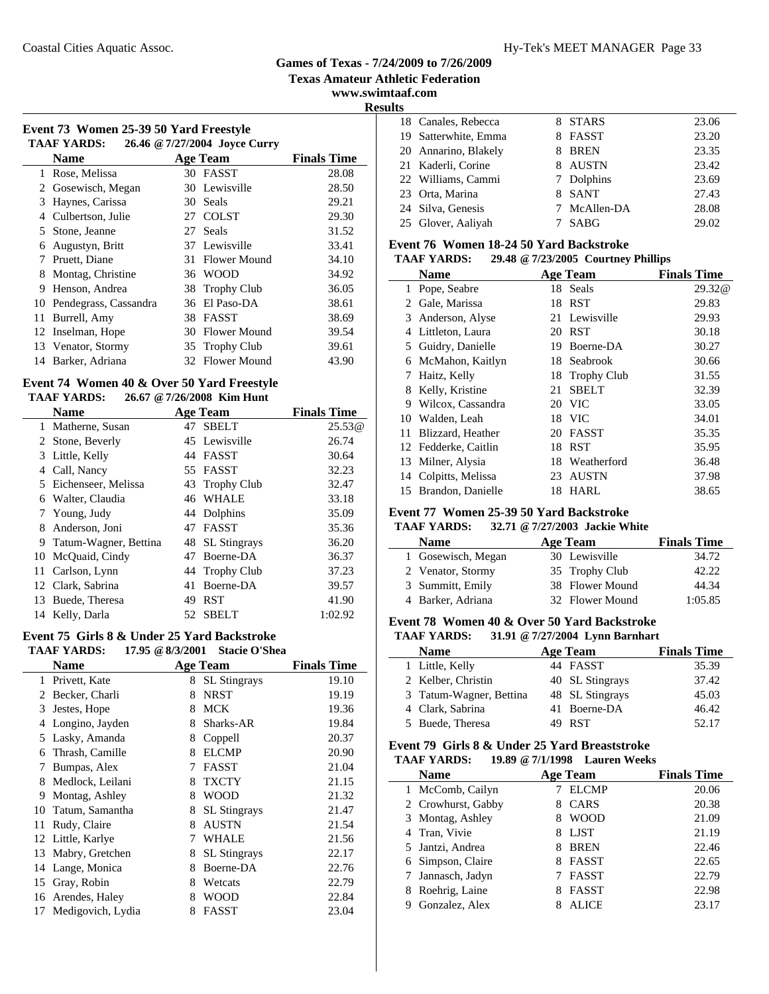#### Coastal Cities Aquatic Assoc. The Coastal Cities Aquatic Assoc. The Coastal Cities Aquatic Assoc.

## **Games of Texas - 7/24/2009 to 7/26/2009**

**Texas Amateur Athletic Federation**

 $\overline{\phantom{0}}$ 

j.

#### **www.swimtaaf.com Results**

| Event 73 Women 25-39 50 Yard Freestyle |  |  |                               |
|----------------------------------------|--|--|-------------------------------|
| <b>TAAF YARDS:</b>                     |  |  | 26.46 @ 7/27/2004 Joyce Curry |

|    | <b>Name</b>           |     | <b>Age Team</b>    | <b>Finals Time</b> |
|----|-----------------------|-----|--------------------|--------------------|
|    | Rose, Melissa         |     | 30 FASST           | 28.08              |
| 2  | Gosewisch, Megan      |     | 30 Lewisville      | 28.50              |
| 3  | Haynes, Carissa       | 30  | Seals              | 29.21              |
|    | Culbertson, Julie     | 27  | <b>COLST</b>       | 29.30              |
|    | 5 Stone, Jeanne       | 27  | Seals              | 31.52              |
| 6  | Augustyn, Britt       |     | 37 Lewisville      | 33.41              |
|    | Pruett, Diane         | 31. | Flower Mound       | 34.10              |
| 8  | Montag, Christine     | 36  | <b>WOOD</b>        | 34.92              |
| 9  | Henson, Andrea        | 38  | <b>Trophy Club</b> | 36.05              |
| 10 | Pendegrass, Cassandra | 36  | El Paso-DA         | 38.61              |
| 11 | Burrell, Amy          | 38  | <b>FASST</b>       | 38.69              |
| 12 | Inselman, Hope        | 30  | Flower Mound       | 39.54              |
|    | 13 Venator, Stormy    |     | 35 Trophy Club     | 39.61              |
| 14 | Barker, Adriana       | 32  | Flower Mound       | 43.90              |

#### **Event 74 Women 40 & Over 50 Yard Freestyle TAAF YARDS: 26.67 @7/26/2008 Kim Hunt**

|    | <b>Name</b>           |    | <b>Age Team</b> | <b>Finals Time</b> |
|----|-----------------------|----|-----------------|--------------------|
| 1  | Matherne, Susan       |    | 47 SBELT        | 25.53@             |
| 2  | Stone, Beverly        |    | 45 Lewisville   | 26.74              |
| 3  | Little, Kelly         |    | 44 FASST        | 30.64              |
| 4  | Call, Nancy           |    | 55 FASST        | 32.23              |
|    | 5 Eichenseer, Melissa |    | 43 Trophy Club  | 32.47              |
|    | 6 Walter, Claudia     |    | 46 WHALE        | 33.18              |
| 7  | Young, Judy           |    | 44 Dolphins     | 35.09              |
| 8  | Anderson, Joni        | 47 | FASST           | 35.36              |
| 9  | Tatum-Wagner, Bettina |    | 48 SL Stingrays | 36.20              |
| 10 | McQuaid, Cindy        | 47 | Boerne-DA       | 36.37              |
| 11 | Carlson, Lynn         |    | 44 Trophy Club  | 37.23              |
| 12 | Clark, Sabrina        | 41 | Boerne-DA       | 39.57              |
| 13 | Buede, Theresa        | 49 | <b>RST</b>      | 41.90              |
| 14 | Kelly, Darla          | 52 | <b>SBELT</b>    | 1:02.92            |

# **Event 75 Girls 8 & Under 25 Yard Backstroke**

 $\overline{a}$ 

**TAAF YARDS: 17.95 @8/3/2001 Stacie O'Shea**

|    | Name              |   | <b>Age Team</b>     | <b>Finals Time</b> |
|----|-------------------|---|---------------------|--------------------|
|    | 1 Privett, Kate   | 8 | <b>SL</b> Stingrays | 19.10              |
| 2  | Becker, Charli    | 8 | <b>NRST</b>         | 19.19              |
| 3  | Jestes, Hope      | 8 | <b>MCK</b>          | 19.36              |
| 4  | Longino, Jayden   | 8 | Sharks-AR           | 19.84              |
| 5  | Lasky, Amanda     | 8 | Coppell             | 20.37              |
| 6  | Thrash, Camille   | 8 | <b>ELCMP</b>        | 20.90              |
| 7  | Bumpas, Alex      | 7 | <b>FASST</b>        | 21.04              |
| 8  | Medlock, Leilani  | 8 | <b>TXCTY</b>        | 21.15              |
| 9  | Montag, Ashley    | 8 | <b>WOOD</b>         | 21.32              |
| 10 | Tatum, Samantha   | 8 | <b>SL</b> Stingrays | 21.47              |
| 11 | Rudy, Claire      | 8 | <b>AUSTN</b>        | 21.54              |
|    | 12 Little, Karlye | 7 | <b>WHALE</b>        | 21.56              |
| 13 | Mabry, Gretchen   | 8 | <b>SL</b> Stingrays | 22.17              |
|    | 14 Lange, Monica  | 8 | Boerne-DA           | 22.76              |
| 15 | Gray, Robin       | 8 | Wetcats             | 22.79              |
| 16 | Arendes, Haley    | 8 | <b>WOOD</b>         | 22.84              |
| 17 | Medigovich, Lydia | 8 | <b>FASST</b>        | 23.04              |
|    |                   |   |                     |                    |

| ᇅ |                      |    |              |       |
|---|----------------------|----|--------------|-------|
|   | 18 Canales, Rebecca  |    | 8 STARS      | 23.06 |
|   | 19 Satterwhite, Emma | 8. | FASST        | 23.20 |
|   | 20 Annarino, Blakely | 8  | <b>BREN</b>  | 23.35 |
|   | 21 Kaderli, Corine   | 8. | AUSTN        | 23.42 |
|   | 22 Williams, Cammi   |    | 7 Dolphins   | 23.69 |
|   | 23 Orta, Marina      | 8. | SANT         | 27.43 |
|   | 24 Silva, Genesis    |    | 7 McAllen-DA | 28.08 |
|   | 25 Glover, Aaliyah   |    | <b>SABG</b>  | 29.02 |
|   |                      |    |              |       |

#### **Event 76 Women 18-24 50 Yard Backstroke**

#### **TAAF YARDS: 29.48 @7/23/2005 Courtney Phillips**

|    | <b>Name</b>          |    | <b>Age Team</b> | <b>Finals Time</b> |
|----|----------------------|----|-----------------|--------------------|
| 1  | Pope, Seabre         |    | 18 Seals        | 29.32@             |
| 2  | Gale, Marissa        | 18 | <b>RST</b>      | 29.83              |
|    | 3 Anderson, Alyse    |    | 21 Lewisville   | 29.93              |
| 4  | Littleton, Laura     |    | 20 RST          | 30.18              |
|    | 5 Guidry, Danielle   | 19 | Boerne-DA       | 30.27              |
| 6  | McMahon, Kaitlyn     |    | 18 Seabrook     | 30.66              |
| 7  | Haitz, Kelly         |    | 18 Trophy Club  | 31.55              |
| 8  | Kelly, Kristine      | 21 | <b>SBELT</b>    | 32.39              |
| 9  | Wilcox, Cassandra    | 20 | <b>VIC</b>      | 33.05              |
| 10 | Walden, Leah         |    | 18 VIC          | 34.01              |
| 11 | Blizzard, Heather    | 20 | FASST           | 35.35              |
|    | 12 Fedderke, Caitlin | 18 | <b>RST</b>      | 35.95              |
| 13 | Milner, Alysia       | 18 | Weatherford     | 36.48              |
|    | 14 Colpitts, Melissa | 23 | <b>AUSTN</b>    | 37.98              |
|    | 15 Brandon, Danielle | 18 | HARL            | 38.65              |

## **Event 77 Women 25-39 50 Yard Backstroke**

#### **TAAF YARDS: 32.71 @7/27/2003 Jackie White**

| <b>Name</b>        | Age Team        | <b>Finals Time</b> |
|--------------------|-----------------|--------------------|
| 1 Gosewisch, Megan | 30 Lewisville   | 34.72              |
| 2 Venator, Stormy  | 35 Trophy Club  | 42.22              |
| 3 Summitt, Emily   | 38 Flower Mound | 44.34              |
| 4 Barker, Adriana  | 32 Flower Mound | 1:05.85            |

## **Event 78 Women 40 & Over 50 Yard Backstroke**

#### **TAAF YARDS: 31.91 @7/27/2004 Lynn Barnhart**

| <b>Name</b>             | <b>Age Team</b> | <b>Finals Time</b> |
|-------------------------|-----------------|--------------------|
| 1 Little, Kelly         | 44 FASST        | 35.39              |
| 2 Kelber, Christin      | 40 SL Stingrays | 37.42              |
| 3 Tatum-Wagner, Bettina | 48 SL Stingrays | 45.03              |
| 4 Clark, Sabrina        | 41 Boerne-DA    | 46.42              |
| 5 Buede, Theresa        | 49 RST          | 52.17              |
|                         |                 |                    |

#### **Event 79 Girls 8 & Under 25 Yard Breaststroke TAAF YARDS: 19.89 @7/1/1998 Lauren Weeks**

| <b>Name</b>         | Age Team          | <b>Finals Time</b> |
|---------------------|-------------------|--------------------|
| 1 McComb, Cailyn    | <b>ELCMP</b>      | 20.06              |
| 2 Crowhurst, Gabby  | CARS<br>8         | 20.38              |
| 3 Montag, Ashley    | <b>WOOD</b><br>8  | 21.09              |
| 4 Tran, Vivie       | <b>LIST</b><br>8  | 21.19              |
| 5 Jantzi, Andrea    | <b>BREN</b><br>8  | 22.46              |
| 6 Simpson, Claire   | <b>FASST</b><br>8 | 22.65              |
| 7 Jannasch, Jadyn   | <b>FASST</b>      | 22.79              |
| Roehrig, Laine<br>8 | <b>FASST</b>      | 22.98              |
| Gonzalez, Alex      | <b>ALICE</b>      | 23.17              |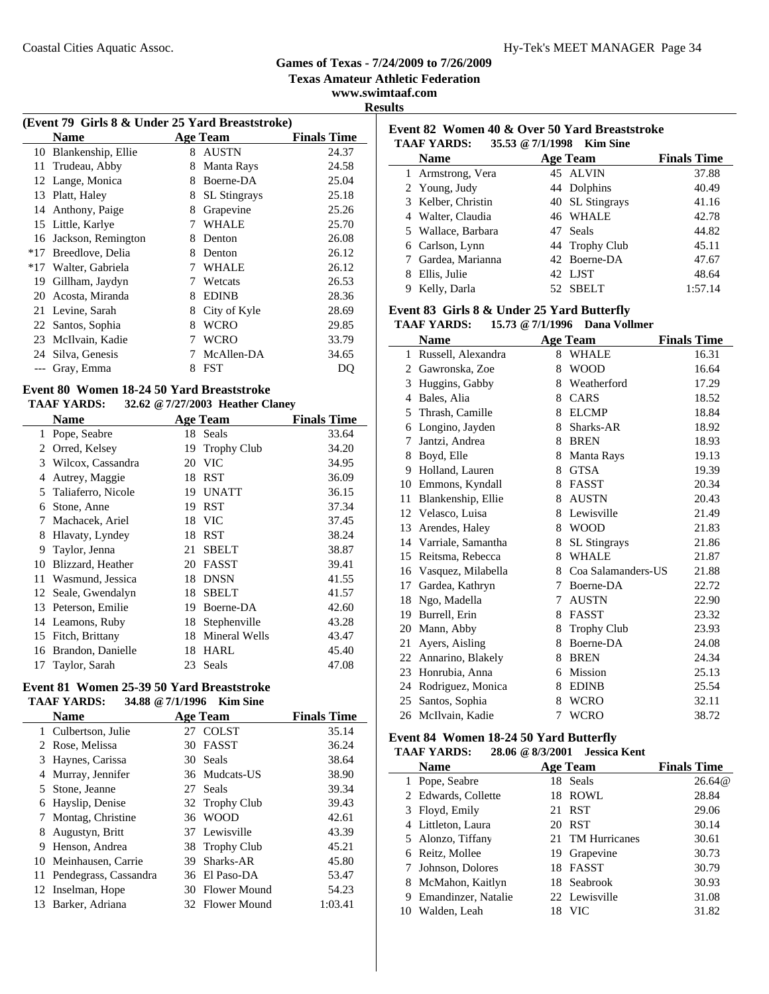**Texas Amateur Athletic Federation**

**www.swimtaaf.com Results**

|       |                                                                |   |                     | www.s              |
|-------|----------------------------------------------------------------|---|---------------------|--------------------|
|       |                                                                |   |                     |                    |
|       | (Event 79 Girls 8 & Under 25 Yard Breaststroke)<br><b>Name</b> |   | Age Team            | <b>Finals Time</b> |
| 10    | Blankenship, Ellie                                             | 8 | AUSTN               | 24.37              |
| 11    | Trudeau, Abby                                                  | 8 | Manta Rays          | 24.58              |
|       | 12 Lange, Monica                                               | 8 | Boerne-DA           | 25.04              |
| 13    | Platt, Haley                                                   | 8 | <b>SL</b> Stingrays | 25.18              |
| 14    | Anthony, Paige                                                 | 8 | Grapevine           | 25.26              |
| 15    | Little, Karlye                                                 | 7 | WHALE               | 25.70              |
| 16    | Jackson, Remington                                             | 8 | Denton              | 26.08              |
| $*17$ | Breedlove, Delia                                               | 8 | Denton              | 26.12              |
| $*17$ | Walter, Gabriela                                               |   | WHALE               | 26.12              |
| 19    | Gillham, Jaydyn                                                |   | Wetcats             | 26.53              |
| 20    | Acosta, Miranda                                                | 8 | <b>EDINB</b>        | 28.36              |
| 21    | Levine, Sarah                                                  | 8 | City of Kyle        | 28.69              |
|       | 22 Santos, Sophia                                              | 8 | WCRO                | 29.85              |
| 23    | McIlvain, Kadie                                                | 7 | <b>WCRO</b>         | 33.79              |
| 24    | Silva, Genesis                                                 | 7 | McAllen-DA          | 34.65              |
|       | Gray, Emma                                                     | 8 | <b>FST</b>          | DO                 |

#### **Event 80 Women 18-24 50 Yard Breaststroke TAAF YARDS: 32.62 @7/27/2003 Heather Claney**

|              | <b>Name</b>          |    | <b>Age Team</b>    | <b>Finals Time</b> |  |
|--------------|----------------------|----|--------------------|--------------------|--|
| $\mathbf{1}$ | Pope, Seabre         |    | 18 Seals           | 33.64              |  |
|              | 2 Orred, Kelsey      | 19 | <b>Trophy Club</b> | 34.20              |  |
| 3            | Wilcox, Cassandra    | 20 | <b>VIC</b>         | 34.95              |  |
| 4            | Autrey, Maggie       | 18 | <b>RST</b>         | 36.09              |  |
|              | 5 Taliaferro, Nicole | 19 | <b>UNATT</b>       | 36.15              |  |
| 6            | Stone, Anne          | 19 | <b>RST</b>         | 37.34              |  |
| 7            | Machacek, Ariel      | 18 | <b>VIC</b>         | 37.45              |  |
| 8            | Hlavaty, Lyndey      | 18 | <b>RST</b>         | 38.24              |  |
| 9            | Taylor, Jenna        | 21 | <b>SBELT</b>       | 38.87              |  |
| 10           | Blizzard, Heather    | 20 | <b>FASST</b>       | 39.41              |  |
| 11           | Wasmund, Jessica     | 18 | <b>DNSN</b>        | 41.55              |  |
|              | 12 Seale, Gwendalyn  | 18 | <b>SBELT</b>       | 41.57              |  |
| 13           | Peterson, Emilie     | 19 | Boerne-DA          | 42.60              |  |
|              | 14 Leamons, Ruby     | 18 | Stephenville       | 43.28              |  |
|              | 15 Fitch, Brittany   | 18 | Mineral Wells      | 43.47              |  |
| 16           | Brandon, Danielle    | 18 | <b>HARL</b>        | 45.40              |  |
|              | 17 Taylor, Sarah     | 23 | Seals              | 47.08              |  |

#### **Event 81 Women 25-39 50 Yard Breaststroke TAAF YARDS: 34.88 @7/1/1996 Kim Sine**

|    | <b>Name</b>              |    | <b>Age Team</b> | <b>Finals Time</b> |
|----|--------------------------|----|-----------------|--------------------|
|    | 1 Culbertson, Julie      |    | 27 COLST        | 35.14              |
|    | 2 Rose, Melissa          |    | 30 FASST        | 36.24              |
| 3  | Haynes, Carissa          |    | 30 Seals        | 38.64              |
| 4  | Murray, Jennifer         |    | 36 Mudcats-US   | 38.90              |
|    | 5 Stone, Jeanne          |    | 27 Seals        | 39.34              |
| 6  | Hayslip, Denise          |    | 32 Trophy Club  | 39.43              |
|    | Montag, Christine        |    | 36 WOOD         | 42.61              |
| 8  | Augustyn, Britt          |    | 37 Lewisville   | 43.39              |
| 9  | Henson, Andrea           |    | 38 Trophy Club  | 45.21              |
|    | 10 Meinhausen, Carrie    | 39 | Sharks-AR       | 45.80              |
|    | 11 Pendegrass, Cassandra |    | 36 El Paso-DA   | 53.47              |
|    | 12 Inselman, Hope        |    | 30 Flower Mound | 54.23              |
| 13 | Barker, Adriana          |    | 32 Flower Mound | 1:03.41            |

# **Event 82 Women 40 & Over 50 Yard Breaststroke TAAF YARDS: 35.53 @7/1/1998 Kim Sine**

| <b>Name</b>        | <b>Age Team</b> | <b>Finals Time</b> |
|--------------------|-----------------|--------------------|
| 1 Armstrong, Vera  | 45 ALVIN        | 37.88              |
| 2 Young, Judy      | 44 Dolphins     | 40.49              |
| 3 Kelber, Christin | 40 SL Stingrays | 41.16              |
| 4 Walter, Claudia  | 46 WHALE        | 42.78              |
| 5 Wallace, Barbara | 47 Seals        | 44.82              |
| 6 Carlson, Lynn    | 44 Trophy Club  | 45.11              |
| 7 Gardea, Marianna | 42 Boerne-DA    | 47.67              |
| 8 Ellis, Julie     | 42 LJST         | 48.64              |
| Kelly, Darla       | 52 SBELT        | 1:57.14            |

#### **Event 83 Girls 8 & Under 25 Yard Butterfly**

#### **TAAF YARDS: 15.73 @7/1/1996 Dana Vollmer**

|    | <b>Name</b>           |   | <b>Age Team</b>     | <b>Finals Time</b> |
|----|-----------------------|---|---------------------|--------------------|
|    | 1 Russell, Alexandra  | 8 | <b>WHALE</b>        | 16.31              |
|    | 2 Gawronska, Zoe      | 8 | <b>WOOD</b>         | 16.64              |
| 3  | Huggins, Gabby        | 8 | Weatherford         | 17.29              |
| 4  | Bales, Alia           | 8 | CARS                | 18.52              |
| 5  | Thrash, Camille       | 8 | <b>ELCMP</b>        | 18.84              |
| 6  | Longino, Jayden       | 8 | Sharks-AR           | 18.92              |
| 7  | Jantzi, Andrea        | 8 | <b>BREN</b>         | 18.93              |
| 8  | Boyd, Elle            | 8 | Manta Rays          | 19.13              |
| 9  | Holland, Lauren       | 8 | <b>GTSA</b>         | 19.39              |
|    | 10 Emmons, Kyndall    | 8 | FASST               | 20.34              |
| 11 | Blankenship, Ellie    | 8 | <b>AUSTN</b>        | 20.43              |
|    | 12 Velasco, Luisa     | 8 | Lewisville          | 21.49              |
| 13 | Arendes, Haley        | 8 | <b>WOOD</b>         | 21.83              |
|    | 14 Varriale, Samantha | 8 | <b>SL</b> Stingrays | 21.86              |
| 15 | Reitsma, Rebecca      | 8 | <b>WHALE</b>        | 21.87              |
| 16 | Vasquez, Milabella    | 8 | Coa Salamanders-US  | 21.88              |
| 17 | Gardea, Kathryn       | 7 | Boerne-DA           | 22.72              |
| 18 | Ngo, Madella          | 7 | <b>AUSTN</b>        | 22.90              |
| 19 | Burrell, Erin         | 8 | <b>FASST</b>        | 23.32              |
| 20 | Mann, Abby            | 8 | Trophy Club         | 23.93              |
| 21 | Ayers, Aisling        | 8 | Boerne-DA           | 24.08              |
| 22 | Annarino, Blakely     | 8 | <b>BREN</b>         | 24.34              |
| 23 | Honrubia, Anna        | 6 | Mission             | 25.13              |
| 24 | Rodriguez, Monica     | 8 | <b>EDINB</b>        | 25.54              |
| 25 | Santos, Sophia        | 8 | <b>WCRO</b>         | 32.11              |
| 26 | McIlvain, Kadie       | 7 | <b>WCRO</b>         | 38.72              |

#### **Event 84 Women 18-24 50 Yard Butterfly**

#### **TAAF YARDS: 28.06 @8/3/2001 Jessica Kent**

| <b>Name</b>           | Age Team         | <b>Finals Time</b> |
|-----------------------|------------------|--------------------|
| 1 Pope, Seabre        | 18 Seals         | 26.64@             |
| 2 Edwards, Collette   | 18 ROWL          | 28.84              |
| 3 Floyd, Emily        | 21 RST           | 29.06              |
| 4 Littleton, Laura    | 20 RST           | 30.14              |
| 5 Alonzo, Tiffany     | 21 TM Hurricanes | 30.61              |
| 6 Reitz, Mollee       | 19 Grapevine     | 30.73              |
| 7 Johnson, Dolores    | 18 FASST         | 30.79              |
| 8 McMahon, Kaitlyn    | 18 Seabrook      | 30.93              |
| 9 Emandinzer, Natalie | 22 Lewisville    | 31.08              |
| 10 Walden, Leah       | VIC.             | 31.82              |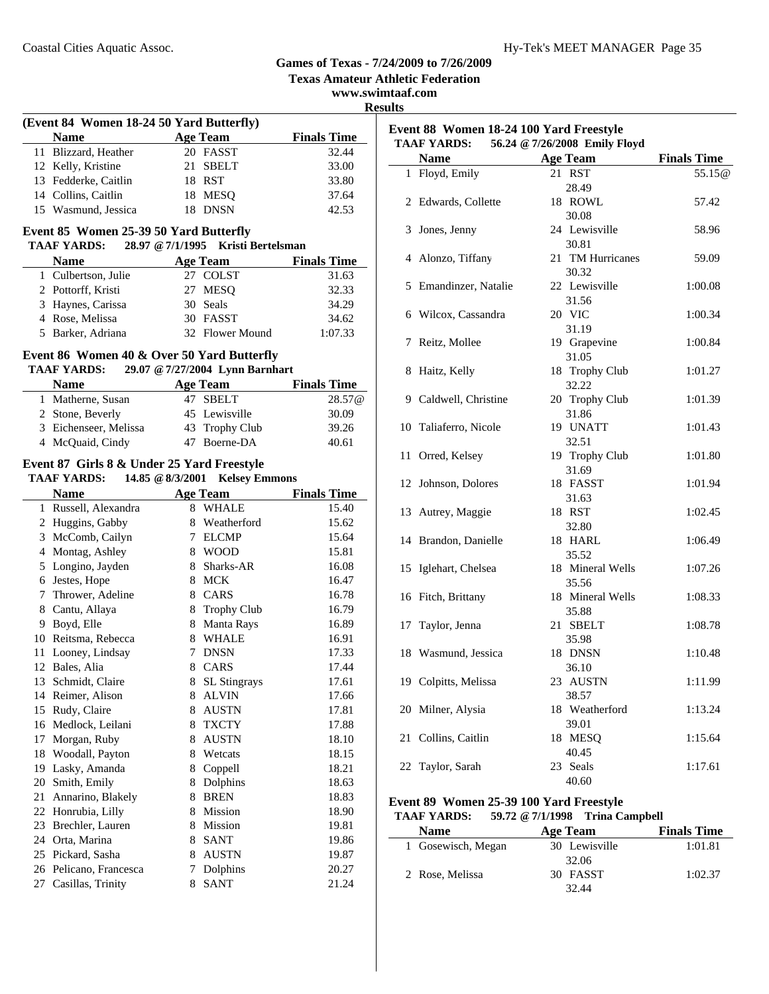**Texas Amateur Athletic Federation**

**www.swimtaaf.com**

#### **Results**

| (Event 84 Women 18-24 50 Yard Butterfly) |                      |  |                 |                    |
|------------------------------------------|----------------------|--|-----------------|--------------------|
|                                          | <b>Name</b>          |  | <b>Age Team</b> | <b>Finals Time</b> |
|                                          | 11 Blizzard, Heather |  | 20 FASST        | 32.44              |
|                                          | 12 Kelly, Kristine   |  | 21 SBELT        | 33.00              |
|                                          | 13 Fedderke, Caitlin |  | 18 RST          | 33.80              |
|                                          | 14 Collins, Caitlin  |  | 18 MESO         | 37.64              |
|                                          | 15 Wasmund, Jessica  |  | 18 DNSN         | 42.53              |

# **Event 85 Women 25-39 50 Yard Butterfly**

| <b>TAAF YARDS:</b>  |                 | 28.97 @ 7/1/1995 Kristi Bertelsman |                    |
|---------------------|-----------------|------------------------------------|--------------------|
| <b>Name</b>         | <b>Age Team</b> |                                    | <b>Finals Time</b> |
| 1 Culbertson, Julie |                 | 27 COLST                           | 31.63              |
| 2 Pottorff, Kristi  |                 | 27 MESO                            | 32.33              |
| 3 Haynes, Carissa   |                 | 30 Seals                           | 34.29              |
| 4 Rose, Melissa     |                 | 30 FASST                           | 34.62              |
| 5 Barker, Adriana   |                 | 32 Flower Mound                    | 1:07.33            |

#### **Event 86 Women 40 & Over 50 Yard Butterfly<br>TAAF YARDS:** 29.07 @ 7/27/2004 Lynn Barnh: **TAAF YARDS: 29.07 @7/27/2004 Lynn Barnhart**

| тааг тамоо.           | $27.07 \approx 7/27/200$ T Lymin Dailmail |                    |
|-----------------------|-------------------------------------------|--------------------|
| <b>Name</b>           | <b>Age Team</b>                           | <b>Finals Time</b> |
| 1 Matherne, Susan     | 47 SBELT                                  | 28.57@             |
| 2 Stone, Beverly      | 45 Lewisville                             | 30.09              |
| 3 Eichenseer, Melissa | 43 Trophy Club                            | 39.26              |
| 4 McQuaid, Cindy      | 47 Boerne-DA                              | 40.61              |

#### **Event 87 Girls 8 & Under 25 Yard Freestyle TAAF YARDS: 14.85 @8/3/2001 Kelsey Emmons**

| IAAF YAKDS:<br>14.05 $\&$ 0/3/2001 Reisey Emmons |                        |   |                     |                    |
|--------------------------------------------------|------------------------|---|---------------------|--------------------|
|                                                  | <b>Name</b>            |   | <b>Age Team</b>     | <b>Finals Time</b> |
| $\mathbf{1}$                                     | Russell, Alexandra     | 8 | <b>WHALE</b>        | 15.40              |
| $\overline{2}$                                   | Huggins, Gabby         | 8 | Weatherford         | 15.62              |
| 3                                                | McComb, Cailyn         | 7 | <b>ELCMP</b>        | 15.64              |
| 4                                                | Montag, Ashley         | 8 | <b>WOOD</b>         | 15.81              |
| 5                                                | Longino, Jayden        | 8 | Sharks-AR           | 16.08              |
| 6                                                | Jestes, Hope           | 8 | <b>MCK</b>          | 16.47              |
| 7                                                | Thrower, Adeline       | 8 | CARS                | 16.78              |
| 8                                                | Cantu, Allaya          | 8 | <b>Trophy Club</b>  | 16.79              |
| 9                                                | Boyd, Elle             | 8 | <b>Manta Rays</b>   | 16.89              |
| 10                                               | Reitsma, Rebecca       | 8 | <b>WHALE</b>        | 16.91              |
| 11                                               | Looney, Lindsay        | 7 | <b>DNSN</b>         | 17.33              |
|                                                  | 12 Bales, Alia         | 8 | CARS                | 17.44              |
| 13                                               | Schmidt, Claire        | 8 | <b>SL</b> Stingrays | 17.61              |
| 14                                               | Reimer, Alison         | 8 | <b>ALVIN</b>        | 17.66              |
| 15                                               | Rudy, Claire           | 8 | <b>AUSTN</b>        | 17.81              |
| 16                                               | Medlock, Leilani       | 8 | <b>TXCTY</b>        | 17.88              |
| 17                                               | Morgan, Ruby           | 8 | <b>AUSTN</b>        | 18.10              |
|                                                  | 18 Woodall, Payton     | 8 | Wetcats             | 18.15              |
| 19                                               | Lasky, Amanda          | 8 | Coppell             | 18.21              |
| 20                                               | Smith, Emily           | 8 | Dolphins            | 18.63              |
| 21                                               | Annarino, Blakely      | 8 | <b>BREN</b>         | 18.83              |
|                                                  | 22 Honrubia, Lilly     | 8 | Mission             | 18.90              |
| 23                                               | Brechler, Lauren       | 8 | Mission             | 19.81              |
|                                                  | 24 Orta, Marina        | 8 | <b>SANT</b>         | 19.86              |
| 25                                               | Pickard, Sasha         | 8 | <b>AUSTN</b>        | 19.87              |
|                                                  | 26 Pelicano, Francesca | 7 | Dolphins            | 20.27              |
| 27                                               | Casillas, Trinity      | 8 | <b>SANT</b>         | 21.24              |
|                                                  |                        |   |                     |                    |

#### **Event 88 Women 18-24 100 Yard Freestyle TAAF YARDS: 56.24 @7/26/2008 Emily Floyd Name Age Team Finals Time** 1 Floyd, Emily 21 RST 55.15@ 28.49 2 57.42 Edwards, Collette 18 ROWL 30.08 3 58.96 Jones, Jenny 24 Lewisville 30.81 4 Alonzo, Tiffany 21 TM Hurricanes 59.09 30.32 5 1:00.08 Emandinzer, Natalie 22 Lewisville 31.56 6 1:00.34 Wilcox, Cassandra 20 VIC 31.19 7 Reitz, Mollee 19 Grapevine 1:00.84 31.05 8 Haitz, Kelly 18 Trophy Club 1:01.27 32.22 9 Caldwell, Christine 20 Trophy Club 1:01.39 31.86 10 Taliaferro, Nicole 19 UNATT 1:01.43 32.51 11 Orred, Kelsey 19 Trophy Club 1:01.80 31.69 12 Johnson, Dolores 18 FASST 1:01.94 31.63 13 1:02.45 Autrey, Maggie 18 RST 32.80 14 1:06.49 Brandon, Danielle 18 HARL 35.52 15 1:07.26 Iglehart, Chelsea 18 Mineral Wells 35.56 16 Fitch, Brittany 18 Mineral Wells 1:08.33 35.88 17 1:08.78 Taylor, Jenna 21 SBELT

| 17 Taylor, Jenna | 21 SBELT                                                                                                    | 1:08.78 |
|------------------|-------------------------------------------------------------------------------------------------------------|---------|
|                  | 35.98                                                                                                       |         |
|                  | 18 DNSN                                                                                                     | 1:10.48 |
|                  | 36.10                                                                                                       |         |
|                  | 23 AUSTN                                                                                                    | 1:11.99 |
|                  | 38.57                                                                                                       |         |
|                  | 18 Weatherford                                                                                              | 1:13.24 |
|                  | 39.01                                                                                                       |         |
|                  | 18 MESO                                                                                                     | 1:15.64 |
|                  | 40.45                                                                                                       |         |
|                  | 23 Seals                                                                                                    | 1:17.61 |
|                  | 18 Wasmund, Jessica<br>19 Colpitts, Melissa<br>20 Milner, Alysia<br>21 Collins, Caitlin<br>22 Taylor, Sarah |         |

#### **Event 89 Women 25-39 100 Yard Freestyle**

 $\sim$ 

#### **TAAF YARDS: 59.72 @7/1/1998 Trina Campbell**

| <b>Name</b>        | Age Team      | <b>Finals Time</b> |
|--------------------|---------------|--------------------|
| 1 Gosewisch, Megan | 30 Lewisville | 1:01.81            |
|                    | 32.06         |                    |
| 2 Rose, Melissa    | 30 FASST      | 1:02.37            |
|                    | 32.44         |                    |

40.60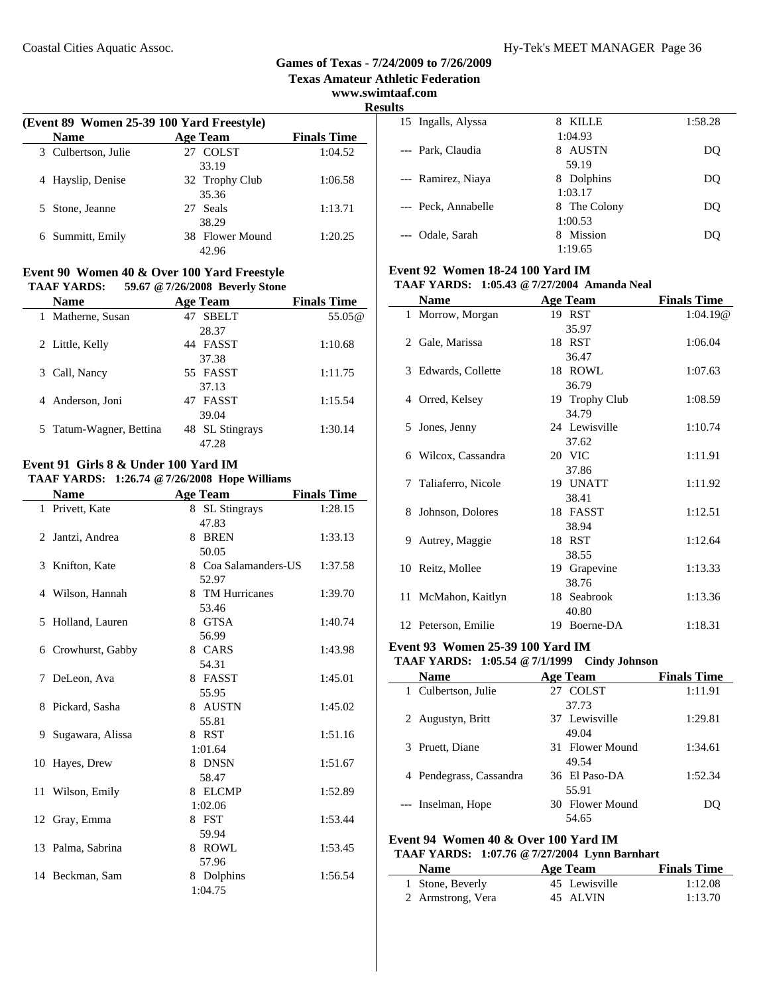**Texas Amateur Athletic Federation**

**www.swimtaaf.com**

**Results**

| (Event 89 Women 25-39 100 Yard Freestyle) |                 |                    |  |  |
|-------------------------------------------|-----------------|--------------------|--|--|
| <b>Name</b>                               | <b>Age Team</b> | <b>Finals Time</b> |  |  |
| 3 Culbertson, Julie                       | 27 COLST        | 1:04.52            |  |  |
|                                           | 33.19           |                    |  |  |
| 4 Hayslip, Denise                         | 32 Trophy Club  | 1:06.58            |  |  |
|                                           | 35.36           |                    |  |  |
| 5 Stone, Jeanne                           | 27 Seals        | 1:13.71            |  |  |
|                                           | 38.29           |                    |  |  |
| 6 Summitt, Emily                          | 38 Flower Mound | 1:20.25            |  |  |
|                                           | 42.96           |                    |  |  |
|                                           |                 |                    |  |  |

#### **Event 90 Women 40 & Over 100 Yard Freestyle TAAF YARDS: 59.67 @7/26/2008 Beverly Stone**

| <b>Name</b>             | <b>Age Team</b>    | <b>Finals Time</b> |
|-------------------------|--------------------|--------------------|
| Matherne, Susan<br>1    | <b>SBELT</b><br>47 | 55.05@             |
|                         | 28.37              |                    |
| 2 Little, Kelly         | 44 FASST           | 1:10.68            |
|                         | 37.38              |                    |
| Call, Nancy<br>3.       | 55 FASST           | 1:11.75            |
|                         | 37.13              |                    |
| 4 Anderson, Joni        | 47 FASST           | 1:15.54            |
|                         | 39.04              |                    |
| 5 Tatum-Wagner, Bettina | 48 SL Stingrays    | 1:30.14            |
|                         | 47.28              |                    |

# **Event 91 Girls 8 & Under 100 Yard IM**

#### **TAAF YARDS: 1:26.74 @7/26/2008 Hope Williams**

|    | <b>Name</b>       | <b>Age Team</b>      | <b>Finals Time</b> |
|----|-------------------|----------------------|--------------------|
|    | 1 Privett, Kate   | 8 SL Stingrays       | 1:28.15            |
|    |                   | 47.83                |                    |
|    | 2 Jantzi, Andrea  | 8 BREN               | 1:33.13            |
|    |                   | 50.05                |                    |
|    | 3 Knifton, Kate   | 8 Coa Salamanders-US | 1:37.58            |
|    |                   | 52.97                |                    |
|    | 4 Wilson, Hannah  | 8 TM Hurricanes      | 1:39.70            |
|    |                   | 53.46                |                    |
| 5  | Holland, Lauren   | 8 GTSA               | 1:40.74            |
|    |                   | 56.99                |                    |
| 6  | Crowhurst, Gabby  | 8 CARS               | 1:43.98            |
|    |                   | 54.31                |                    |
| 7  | DeLeon, Ava       | 8 FASST              | 1:45.01            |
|    |                   | 55.95                |                    |
| 8. | Pickard, Sasha    | 8 AUSTN              | 1:45.02            |
|    |                   | 55.81                |                    |
| 9  | Sugawara, Alissa  | 8 RST                | 1:51.16            |
|    |                   | 1:01.64              |                    |
|    | 10 Hayes, Drew    | 8 DNSN               | 1:51.67            |
|    |                   | 58.47                |                    |
|    | 11 Wilson, Emily  | 8 ELCMP              | 1:52.89            |
|    |                   | 1:02.06              |                    |
|    | 12 Gray, Emma     | 8 FST                | 1:53.44            |
|    |                   | 59.94                |                    |
|    | 13 Palma, Sabrina | 8 ROWL               | 1:53.45            |
|    |                   | 57.96                |                    |
|    | 14 Beckman, Sam   | 8 Dolphins           | 1:56.54            |
|    |                   | 1:04.75              |                    |
|    |                   |                      |                    |

| KILLE<br>8    | 1:58.28 |
|---------------|---------|
| 1:04.93       |         |
| AUSTN<br>8    | DO      |
| 59.19         |         |
| Dolphins<br>8 | DO      |
| 1:03.17       |         |
| 8 The Colony  | DO      |
| 1:00.53       |         |
| Mission<br>8  | DO      |
| 1:19.65       |         |
|               |         |

# **Event 92 Women 18-24 100 Yard IM**

| <b>TAAF YARDS:</b> 1:05.43 @ 7/27/2004 Amanda Neal |  |
|----------------------------------------------------|--|
|                                                    |  |

| <b>Finals Time</b> |
|--------------------|
| 1:04.19@           |
|                    |
| 1:06.04            |
|                    |
| 1:07.63            |
|                    |
| 1:08.59            |
|                    |
| 1:10.74            |
|                    |
| 1:11.91            |
|                    |
| 1:11.92            |
|                    |
| 1:12.51            |
|                    |
| 1:12.64            |
|                    |
| 1:13.33            |
|                    |
| 1:13.36            |
|                    |
| 1:18.31            |
|                    |

#### **Event 93 Women 25-39 100 Yard IM**

#### **TAAF YARDS: 1:05.54 @7/1/1999 Cindy Johnson**

| <b>Age Team</b> | <b>Finals Time</b> |
|-----------------|--------------------|
| 27 COLST        | 1:11.91            |
| 37.73           |                    |
| 37 Lewisville   | 1:29.81            |
| 49.04           |                    |
| 31 Flower Mound | 1:34.61            |
| 49.54           |                    |
| 36 El Paso-DA   | 1:52.34            |
| 55.91           |                    |
| 30 Flower Mound | DO                 |
| 54.65           |                    |
|                 |                    |

#### **Event 94 Women 40 & Over 100 Yard IM**

#### **TAAF YARDS: 1:07.76 @7/27/2004 Lynn Barnhart**

| <b>Name</b>       | Age Team      | <b>Finals Time</b> |
|-------------------|---------------|--------------------|
| 1 Stone, Beverly  | 45 Lewisville | 1:12.08            |
| 2 Armstrong, Vera | 45 ALVIN      | 1:13.70            |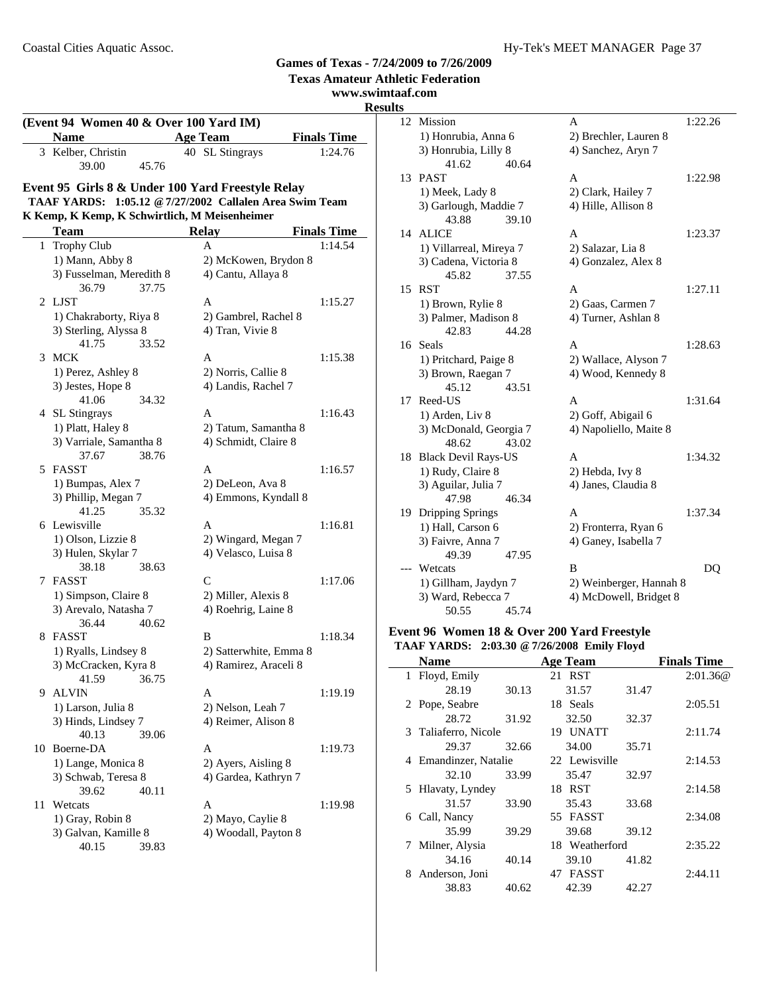**Texas Amateur Athletic** 

## www.swimtaaf.

**Results**<br>12

| (Event 94 Women 40 & Over 100 Yard IM) |                                                         |                                          |                    |  |
|----------------------------------------|---------------------------------------------------------|------------------------------------------|--------------------|--|
|                                        | <b>Name</b>                                             | <b>Age Team</b>                          | <b>Finals Time</b> |  |
|                                        | 3 Kelber, Christin                                      | 40 SL Stingrays                          | 1:24.76            |  |
|                                        | 39.00<br>45.76                                          |                                          |                    |  |
|                                        | Event 95 Girls 8 & Under 100 Yard Freestyle Relay       |                                          |                    |  |
|                                        | TAAF YARDS: 1:05.12 @ 7/27/2002 Callalen Area Swim Team |                                          |                    |  |
|                                        | K Kemp, K Kemp, K Schwirtlich, M Meisenheimer           |                                          |                    |  |
|                                        | Team                                                    | <b>Relay</b>                             | <b>Finals Time</b> |  |
|                                        | 1 Trophy Club                                           | A                                        | 1:14.54            |  |
|                                        | 1) Mann, Abby 8                                         | 2) McKowen, Brydon 8                     |                    |  |
|                                        | 3) Fusselman, Meredith 8                                | 4) Cantu, Allaya 8                       |                    |  |
|                                        | 36.79<br>37.75                                          |                                          |                    |  |
| 2                                      | LJST                                                    | A                                        | 1:15.27            |  |
|                                        | 1) Chakraborty, Riya 8                                  | 2) Gambrel, Rachel 8                     |                    |  |
|                                        | 3) Sterling, Alyssa 8                                   | 4) Tran, Vivie 8                         |                    |  |
| 3                                      | 41.75<br>33.52<br>MCK                                   | A                                        | 1:15.38            |  |
|                                        | 1) Perez, Ashley 8                                      | 2) Norris, Callie 8                      |                    |  |
|                                        | 3) Jestes, Hope 8                                       | 4) Landis, Rachel 7                      |                    |  |
|                                        | 41.06<br>34.32                                          |                                          |                    |  |
|                                        | 4 SL Stingrays                                          | A                                        | 1:16.43            |  |
|                                        | 1) Platt, Haley 8                                       | 2) Tatum, Samantha 8                     |                    |  |
|                                        | 3) Varriale, Samantha 8                                 | 4) Schmidt, Claire 8                     |                    |  |
|                                        | 38.76<br>37.67                                          |                                          |                    |  |
|                                        | 5 FASST                                                 | A                                        | 1:16.57            |  |
|                                        | 1) Bumpas, Alex 7                                       | 2) DeLeon, Ava 8                         |                    |  |
|                                        | 3) Phillip, Megan 7                                     | 4) Emmons, Kyndall 8                     |                    |  |
|                                        | 41.25<br>35.32<br>6 Lewisville                          | A                                        | 1:16.81            |  |
|                                        | 1) Olson, Lizzie 8                                      | 2) Wingard, Megan 7                      |                    |  |
|                                        | 3) Hulen, Skylar 7                                      | 4) Velasco, Luisa 8                      |                    |  |
|                                        | 38.18<br>38.63                                          |                                          |                    |  |
| 7                                      | FASST                                                   | C                                        | 1:17.06            |  |
|                                        | 1) Simpson, Claire 8                                    | 2) Miller, Alexis 8                      |                    |  |
|                                        | 3) Arevalo, Natasha 7                                   | 4) Roehrig, Laine 8                      |                    |  |
|                                        | 40.62<br>36.44                                          |                                          |                    |  |
| 8                                      | <b>FASST</b>                                            | B                                        | 1:18.34            |  |
|                                        | 1) Ryalls, Lindsey 8                                    | 2) Satterwhite, Emma 8                   |                    |  |
|                                        | 3) McCracken, Kyra 8                                    | 4) Ramirez, Araceli 8                    |                    |  |
|                                        | 41.59<br>36.75                                          |                                          |                    |  |
| 9                                      | <b>ALVIN</b><br>1) Larson, Julia 8                      | A                                        | 1:19.19            |  |
|                                        | 3) Hinds, Lindsey 7                                     | 2) Nelson, Leah 7<br>4) Reimer, Alison 8 |                    |  |
|                                        | 40.13<br>39.06                                          |                                          |                    |  |
| 10                                     | Boerne-DA                                               | Α                                        | 1:19.73            |  |
|                                        | 1) Lange, Monica 8                                      | 2) Ayers, Aisling 8                      |                    |  |
|                                        | 3) Schwab, Teresa 8                                     | 4) Gardea, Kathryn 7                     |                    |  |
|                                        | 39.62<br>40.11                                          |                                          |                    |  |
| 11                                     | Wetcats                                                 | A                                        | 1:19.98            |  |
|                                        | 1) Gray, Robin 8                                        | 2) Mayo, Caylie 8                        |                    |  |

3) Galvan, Kamille 8 4) Woodall, Payton 8

40.15 39.83

|    | etic Federation            |                         |
|----|----------------------------|-------------------------|
|    | af.com                     |                         |
| S  |                            |                         |
| 12 | Mission                    | 1:22.26<br>A            |
|    | 1) Honrubia, Anna 6        | 2) Brechler, Lauren 8   |
|    | 3) Honrubia, Lilly 8       | 4) Sanchez, Aryn 7      |
|    | 41.62<br>40.64             |                         |
| 13 | <b>PAST</b>                | 1:22.98<br>A            |
|    | 1) Meek, Lady 8            | 2) Clark, Hailey 7      |
|    | 3) Garlough, Maddie 7      | 4) Hille, Allison 8     |
|    | 43.88<br>39.10             |                         |
| 14 | <b>ALICE</b>               | A<br>1:23.37            |
|    | 1) Villarreal, Mireya 7    | 2) Salazar, Lia 8       |
|    | 3) Cadena, Victoria 8      | 4) Gonzalez, Alex 8     |
|    | 45.82<br>37.55             |                         |
| 15 | <b>RST</b>                 | A<br>1:27.11            |
|    | 1) Brown, Rylie 8          | 2) Gaas, Carmen 7       |
|    | 3) Palmer, Madison 8       | 4) Turner, Ashlan 8     |
|    | 42.83<br>44.28             |                         |
| 16 | Seals                      | 1:28.63<br>A            |
|    | 1) Pritchard, Paige 8      | 2) Wallace, Alyson 7    |
|    | 3) Brown, Raegan 7         | 4) Wood, Kennedy 8      |
|    | 45.12<br>43.51             |                         |
| 17 | Reed-US                    | 1:31.64<br>A            |
|    | 1) Arden, Liv 8            | 2) Goff, Abigail 6      |
|    | 3) McDonald, Georgia 7     | 4) Napoliello, Maite 8  |
|    | 48.62<br>43.02             |                         |
| 18 | <b>Black Devil Rays-US</b> | A<br>1:34.32            |
|    | 1) Rudy, Claire 8          | 2) Hebda, Ivy 8         |
|    | 3) Aguilar, Julia 7        | 4) Janes, Claudia 8     |
|    | 47.98<br>46.34             |                         |
| 19 | Dripping Springs           | A<br>1:37.34            |
|    | 1) Hall, Carson 6          | 2) Fronterra, Ryan 6    |
|    | 3) Faivre, Anna 7          | 4) Ganey, Isabella 7    |
|    | 49.39<br>47.95             |                         |
|    | Wetcats                    | B<br>DQ                 |
|    | 1) Gillham, Jaydyn 7       | 2) Weinberger, Hannah 8 |
|    | 3) Ward, Rebecca 7         | 4) McDowell, Bridget 8  |
|    | 50.55<br>45.74             |                         |

#### **Event 96 Women 18 & Over 200 Yard Freestyle TAAF YARDS: 2:03.30 @7/26/2008 Emily Floyd**

|   | Name                  |       | <b>Age Team</b> |       | <b>Finals Time</b> |
|---|-----------------------|-------|-----------------|-------|--------------------|
|   | 1 Floyd, Emily        |       | 21 RST          |       | 2:01.36@           |
|   | 28.19                 | 30.13 | 31.57           | 31.47 |                    |
|   | 2 Pope, Seabre        |       | 18 Seals        |       | 2:05.51            |
|   | 28.72                 | 31.92 | 32.50           | 32.37 |                    |
|   | 3 Taliaferro, Nicole  |       | 19 UNATT        |       | 2:11.74            |
|   | 29.37                 | 32.66 | 34.00           | 35.71 |                    |
|   | 4 Emandinzer, Natalie |       | 22 Lewisville   |       | 2:14.53            |
|   | 32.10                 | 33.99 | 35.47           | 32.97 |                    |
|   | 5 Hlavaty, Lyndey     |       | 18 RST          |       | 2:14.58            |
|   | 31.57                 | 33.90 | 35.43           | 33.68 |                    |
|   | 6 Call, Nancy         |       | 55 FASST        |       | 2:34.08            |
|   | 35.99                 | 39.29 | 39.68           | 39.12 |                    |
| 7 | Milner, Alysia        |       | 18 Weatherford  |       | 2:35.22            |
|   | 34.16                 | 40.14 | 39.10           | 41.82 |                    |
| 8 | Anderson, Joni        |       | 47 FASST        |       | 2:44.11            |
|   | 38.83                 | 40.62 | 42.39           | 42.27 |                    |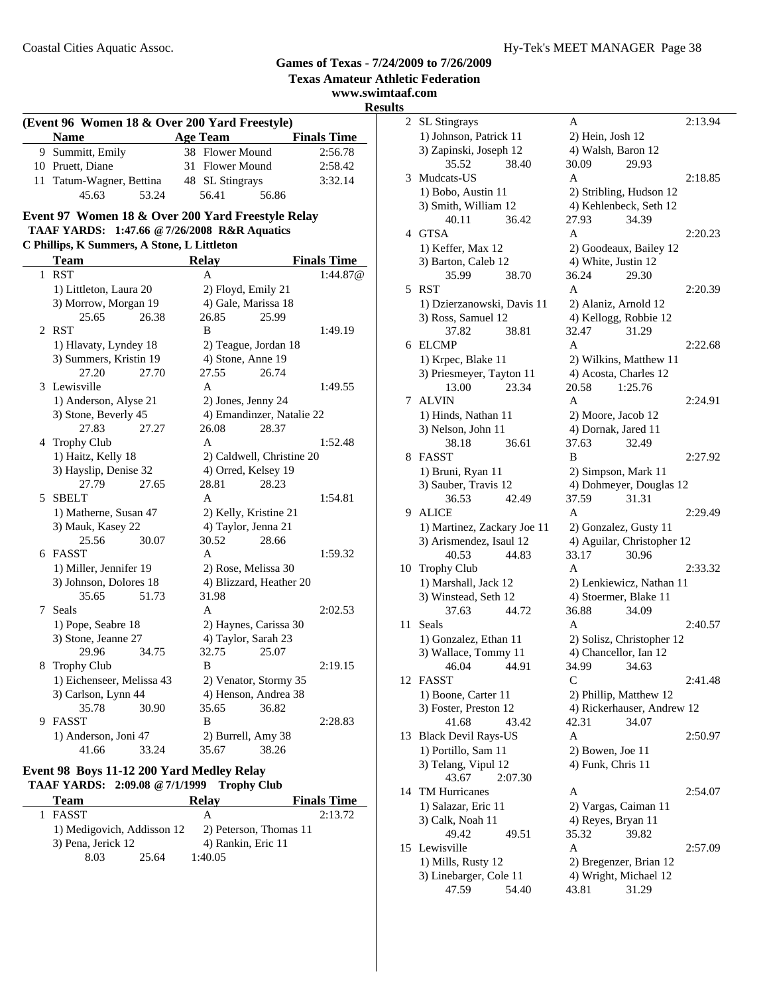#### **www.swimtaaf.com Results (Event 96 Women 18 & Over 200 Yard Freestyle) Name Age Team Finals Time**<br>9 Summitt, Emily **38 Flower Mound** 2:56.78 38 Flower Mound  $2:56.78$ 10 Pruett, Diane 31 Flower Mound 2:58.42 11 Tatum-Wagner, Bettina 48 SL Stingrays 3:32.14 45.63 53.24 56.41 56.86 **Event 97 Women 18 & Over 200 Yard Freestyle Relay TAAF YARDS: 1:47.66 @7/26/2008 R&R Aquatics C Phillips, K Summers, A Stone, L Littleton Team Relay Finals Time** 1 RST A 1:44.87@ 1) Littleton, Laura 20 2) Floyd, Emily 21 3) Morrow, Morgan 19 4) Gale, Marissa 18 25.65 26.38 26.85 25.99 2 RST B 1:49.19 1) Hlavaty, Lyndey 18 2) Teague, Jordan 18<br>3) Summers, Kristin 19 4) Stone, Anne 19 3) Summers, Kristin 19 27.20 27.70 27.55 26.74 3 1:49.55 Lewisville A 1) Anderson, Alyse 21 2) Jones, Jenny 24 3) Stone, Beverly 45 4) Emandinzer, Natalie 22 27.83 27.27 26.08 28.37 4 1:52.48 Trophy Club A 1) Haitz, Kelly 18 2) Caldwell, Christine 20 3) Hayslip, Denise 32 4) Orred, Kelsey 19 27.79 27.65 28.81 28.23 5 SBELT A 1:54.81 1) Matherne, Susan 47 2) Kelly, Kristine 21 3) Mauk, Kasey 22 4) Taylor, Jenna 21 25.56 30.07 30.52 28.66 6 FASST A 1:59.32 1) Miller, Jennifer 19 2) Rose, Melissa 30 3) Johnson, Dolores 18 4) Blizzard, Heather 20 35.65 51.73 31.98 7 Seals A 2:02.53 1) Pope, Seabre 18 2) Haynes, Carissa 30 3) Stone, Jeanne 27 4) Taylor, Sarah 23 29.96 34.75 32.75 25.07 8 Trophy Club B 2:19.15 1) Eichenseer, Melissa 43 2) Venator, Stormy 35 3) Carlson, Lynn 44 4 4) Henson, Andrea 38 35.78 30.90 35.65 36.82 9 2:28.83 FASST B 1) Anderson, Joni 47 2) Burrell, Amy 38 41.66 33.24 35.67 38.26

#### **Event 98 Boys 11-12 200 Yard Medley Relay TAAF YARDS: 2:09.08 @7/1/1999 Trophy Club**

| <b>Team</b>                | Relav                  | <b>Finals Time</b> |
|----------------------------|------------------------|--------------------|
| FASST                      | А                      | 2:13.72            |
| 1) Medigovich, Addisson 12 | 2) Peterson, Thomas 11 |                    |
| 3) Pena, Jerick 12         | 4) Rankin, Eric 11     |                    |
| 8.03                       | 1:40.05<br>25.64       |                    |

|        | al.com                                     |                                                |
|--------|--------------------------------------------|------------------------------------------------|
| S<br>2 | <b>SL Stingrays</b>                        | 2:13.94<br>A                                   |
|        |                                            |                                                |
|        | 1) Johnson, Patrick 11                     | 2) Hein, Josh 12                               |
|        | 3) Zapinski, Joseph 12                     | 4) Walsh, Baron 12                             |
|        | 35.52<br>38.40                             | 30.09<br>29.93                                 |
| 3      | Mudcats-US                                 | A<br>2:18.85                                   |
|        | 1) Bobo, Austin 11                         | 2) Stribling, Hudson 12                        |
|        | 3) Smith, William 12                       | 4) Kehlenbeck, Seth 12                         |
|        | 36.42<br>40.11                             | 27.93<br>34.39                                 |
| 4      | GTSA                                       | A<br>2:20.23                                   |
|        | 1) Keffer, Max 12                          | 2) Goodeaux, Bailey 12                         |
|        | 3) Barton, Caleb 12                        | 4) White, Justin 12                            |
|        | 35.99<br>38.70                             | 36.24<br>29.30                                 |
| 5      | <b>RST</b>                                 | A<br>2:20.39                                   |
|        | 1) Dzierzanowski, Davis 11                 | 2) Alaniz, Arnold 12                           |
|        | 3) Ross, Samuel 12                         | 4) Kellogg, Robbie 12                          |
|        | 37.82<br>38.81                             | 32.47<br>31.29                                 |
| 6      | ELCMP                                      | A<br>2:22.68                                   |
|        | 1) Krpec, Blake 11                         | 2) Wilkins, Matthew 11                         |
|        | 3) Priesmeyer, Tayton 11                   | 4) Acosta, Charles 12                          |
|        | 13.00<br>23.34                             | 20.58<br>1:25.76                               |
| 7      | <b>ALVIN</b>                               | 2:24.91<br>A                                   |
|        | 1) Hinds, Nathan 11                        | 2) Moore, Jacob 12                             |
|        | 3) Nelson, John 11                         | 4) Dornak, Jared 11                            |
|        | 38.18<br>36.61                             | 37.63<br>32.49                                 |
| 8      | <b>FASST</b>                               | B<br>2:27.92                                   |
|        | 1) Bruni, Ryan 11                          |                                                |
|        | 3) Sauber, Travis 12                       | 2) Simpson, Mark 11<br>4) Dohmeyer, Douglas 12 |
|        | 36.53<br>42.49                             | 37.59<br>31.31                                 |
| 9.     | <b>ALICE</b>                               | A<br>2:29.49                                   |
|        | 1) Martinez, Zackary Joe 11                | 2) Gonzalez, Gusty 11                          |
|        | 3) Arismendez, Isaul 12                    | 4) Aguilar, Christopher 12                     |
|        | 40.53<br>44.83                             | 33.17<br>30.96                                 |
|        | 10 Trophy Club                             | A<br>2:33.32                                   |
|        | 1) Marshall, Jack 12                       | 2) Lenkiewicz, Nathan 11                       |
|        | 3) Winstead, Seth 12                       | 4) Stoermer, Blake 11                          |
|        | 44.72<br>37.63                             | 34.09<br>36.88                                 |
| 11     | Seals                                      | 2:40.57<br>A                                   |
|        | 1) Gonzalez, Ethan 11                      | 2) Solisz, Christopher 12                      |
|        |                                            |                                                |
|        | 3) Wallace, Tommy 11<br>46.04<br>44.91     | 4) Chancellor, Ian 12<br>34.99<br>34.63        |
| 12     | <b>FASST</b>                               | C<br>2:41.48                                   |
|        | 1) Boone, Carter 11                        | 2) Phillip, Matthew 12                         |
|        | 3) Foster, Preston 12                      | 4) Rickerhauser, Andrew 12                     |
|        | 43.42<br>41.68                             | 42.31<br>34.07                                 |
| 13     | <b>Black Devil Rays-US</b>                 | 2:50.97<br>А                                   |
|        |                                            |                                                |
|        | 1) Portillo, Sam 11<br>3) Telang, Vipul 12 | 2) Bowen, Joe 11<br>4) Funk, Chris 11          |
|        | 43.67<br>2:07.30                           |                                                |
| 14     | TM Hurricanes                              | 2:54.07<br>А                                   |
|        |                                            |                                                |
|        | 1) Salazar, Eric 11                        | 2) Vargas, Caiman 11                           |
|        | 3) Calk, Noah 11<br>49.42<br>49.51         | 4) Reyes, Bryan 11<br>35.32                    |
| 15     | Lewisville                                 | 39.82<br>A<br>2:57.09                          |
|        | 1) Mills, Rusty 12                         | 2) Bregenzer, Brian 12                         |
|        | 3) Linebarger, Cole 11                     | 4) Wright, Michael 12                          |
|        | 47.59<br>54.40                             | 31.29<br>43.81                                 |
|        |                                            |                                                |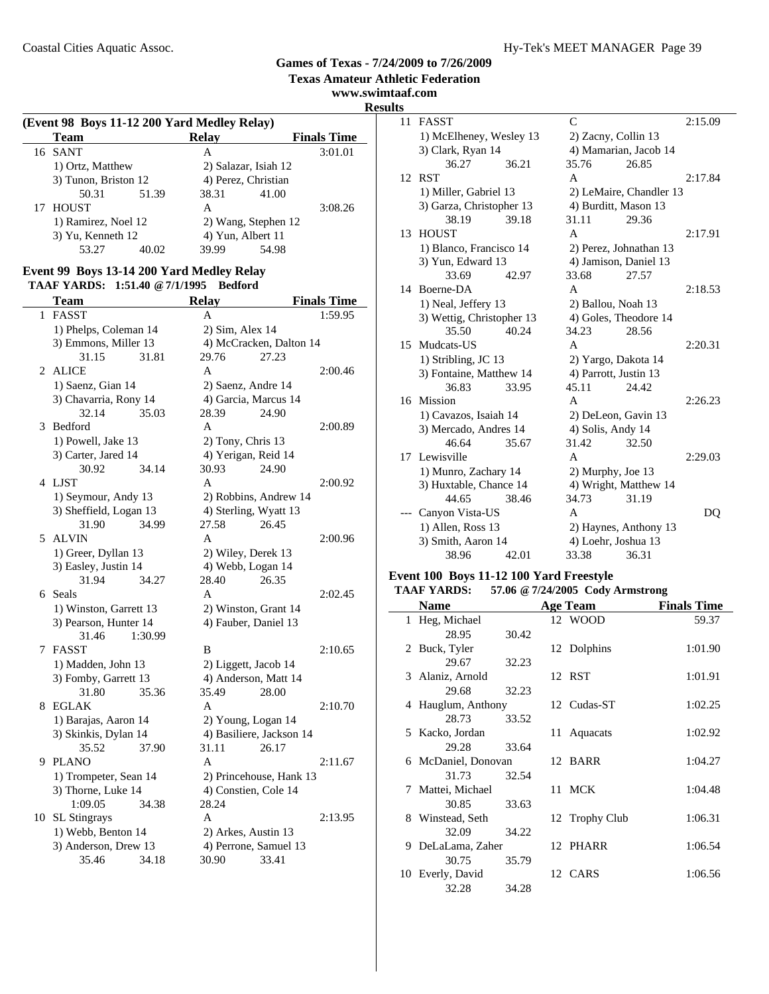$\overline{a}$ 

#### **Games of Texas - 7/24/2009 to 7/26/2009 Texas Amateur Athletic Federation**

**www.swimtaaf.com Results**

#### **(Event 98 Boys 11-12 200 Yard Medley Relay) Team Relay Finals Time**<br>SANT A 3:01.01 16 SANT 1) Ortz, Matthew 2) Salazar, Isiah 12<br>3) Tunon, Briston 12 4) Perez, Christian 3) Tunon, Briston 12 (4) Perez, Christian<br>50.31 (51.39 (38.31 (41.00) 50.31 51.39 38.31 17 HOUST A 3:08.26 1) Ramirez, Noel 12 2) Wang, Stephen 12 3) Yu, Kenneth 12 4) Yun, Albert 11<br>53.27 40.02 39.99 54.98 40.02

#### **Event 99 Boys 13-14 200 Yard Medley Relay TAAF YARDS: 1:51.40 @7/1/1995 Bedford**

|    | Team                                   | <b>Relay</b>                  | <b>Finals Time</b> |
|----|----------------------------------------|-------------------------------|--------------------|
|    | 1 FASST                                | A                             | 1:59.95            |
|    | 1) Phelps, Coleman 14                  | 2) Sim, Alex 14               |                    |
|    | 3) Emmons, Miller 13                   | 4) McCracken, Dalton 14       |                    |
|    | 31.15<br>31.81                         | 29.76                         | 27.23              |
| 2  | <b>ALICE</b>                           | A                             | 2:00.46            |
|    | 1) Saenz, Gian 14                      | 2) Saenz, Andre 14            |                    |
|    | 3) Chavarria, Rony 14                  | 4) Garcia, Marcus 14          |                    |
|    | 32.14<br>35.03                         | 28.39                         | 24.90              |
| 3  | <b>Bedford</b>                         | A                             | 2:00.89            |
|    | 1) Powell, Jake 13                     | 2) Tony, Chris 13             |                    |
|    | 3) Carter, Jared 14                    | 4) Yerigan, Reid 14           |                    |
|    | 30.92<br>34.14                         | 30.93                         | 24.90              |
| 4  | LJST                                   | A                             | 2:00.92            |
|    | 1) Seymour, Andy 13                    | 2) Robbins, Andrew 14         |                    |
|    | 3) Sheffield, Logan 13                 | 4) Sterling, Wyatt 13         |                    |
|    | 31.90<br>34.99                         | 27.58                         | 26.45              |
| 5. | <b>ALVIN</b>                           | A                             | 2:00.96            |
|    | 1) Greer, Dyllan 13                    | 2) Wiley, Derek 13            |                    |
|    | 3) Easley, Justin 14                   | 4) Webb, Logan 14             |                    |
|    | 31.94<br>34.27                         | 28.40                         | 26.35              |
|    | 6 Seals                                | A                             | 2:02.45            |
|    | 1) Winston, Garrett 13                 | 2) Winston, Grant 14          |                    |
|    | 3) Pearson, Hunter 14                  | 4) Fauber, Daniel 13          |                    |
|    | 1:30.99<br>31.46                       |                               |                    |
| 7  | FASST                                  | B                             | 2:10.65            |
|    | 1) Madden, John 13                     | 2) Liggett, Jacob 14          |                    |
|    | 3) Fomby, Garrett 13<br>31.80<br>35.36 | 4) Anderson, Matt 14<br>35.49 | 28.00              |
| 8  | <b>EGLAK</b>                           | A                             | 2:10.70            |
|    | 1) Barajas, Aaron 14                   | 2) Young, Logan 14            |                    |
|    | 3) Skinkis, Dylan 14                   | 4) Basiliere, Jackson 14      |                    |
|    | 35.52<br>37.90                         | 31.11                         | 26.17              |
| 9  | <b>PLANO</b>                           | A                             | 2:11.67            |
|    | 1) Trompeter, Sean 14                  | 2) Princehouse, Hank 13       |                    |
|    | 3) Thorne, Luke 14                     | 4) Constien, Cole 14          |                    |
|    | 1:09.05<br>34.38                       | 28.24                         |                    |
| 10 | <b>SL</b> Stingrays                    | A                             | 2:13.95            |
|    | 1) Webb, Benton 14                     | 2) Arkes, Austin 13           |                    |
|    | 3) Anderson, Drew 13                   | 4) Perrone, Samuel 13         |                    |
|    | 35.46<br>34.18                         | 30.90                         | 33.41              |
|    |                                        |                               |                    |

| 11 | <b>FASST</b>              |       | $\mathcal{C}$          |                         | 2:15.09 |
|----|---------------------------|-------|------------------------|-------------------------|---------|
|    | 1) McElheney, Wesley 13   |       | 2) Zacny, Collin 13    |                         |         |
|    | 3) Clark, Ryan 14         |       | 4) Mamarian, Jacob 14  |                         |         |
|    | 36.27                     | 36.21 | 35.76                  | 26.85                   |         |
| 12 | <b>RST</b>                |       | A                      |                         | 2:17.84 |
|    | 1) Miller, Gabriel 13     |       |                        | 2) LeMaire, Chandler 13 |         |
|    | 3) Garza, Christopher 13  |       | 4) Burditt, Mason 13   |                         |         |
|    | 38.19                     | 39.18 | 31.11                  | 29.36                   |         |
| 13 | <b>HOUST</b>              |       | A                      |                         | 2:17.91 |
|    | 1) Blanco, Francisco 14   |       | 2) Perez, Johnathan 13 |                         |         |
|    | 3) Yun, Edward 13         |       | 4) Jamison, Daniel 13  |                         |         |
|    | 33.69                     | 42.97 | 33.68                  | 27.57                   |         |
|    | 14 Boerne-DA              |       | A                      |                         | 2:18.53 |
|    | 1) Neal, Jeffery 13       |       | 2) Ballou, Noah 13     |                         |         |
|    | 3) Wettig, Christopher 13 |       | 4) Goles, Theodore 14  |                         |         |
|    | 35.50                     | 40.24 | 34.23                  | 28.56                   |         |
| 15 | Mudcats-US                |       | A                      |                         | 2:20.31 |
|    | 1) Stribling, JC 13       |       | 2) Yargo, Dakota 14    |                         |         |
|    | 3) Fontaine, Matthew 14   |       | 4) Parrott, Justin 13  |                         |         |
|    | 36.83                     | 33.95 | 45.11                  | 24.42                   |         |
| 16 | Mission                   |       | A                      |                         | 2:26.23 |
|    | 1) Cavazos, Isaiah 14     |       | 2) DeLeon, Gavin 13    |                         |         |
|    | 3) Mercado, Andres 14     |       | 4) Solis, Andy 14      |                         |         |
|    | 46.64                     | 35.67 | 31.42                  | 32.50                   |         |
| 17 | Lewisville                |       | $\mathsf{A}$           |                         | 2:29.03 |
|    | 1) Munro, Zachary 14      |       | 2) Murphy, Joe 13      |                         |         |
|    | 3) Huxtable, Chance 14    |       | 4) Wright, Matthew 14  |                         |         |
|    | 44.65                     | 38.46 | 34.73                  | 31.19                   |         |
|    | Canyon Vista-US           |       | A                      |                         | DQ      |
|    | 1) Allen, Ross 13         |       |                        | 2) Haynes, Anthony 13   |         |
|    | 3) Smith, Aaron 14        |       | 4) Loehr, Joshua 13    |                         |         |
|    | 38.96                     | 42.01 | 33.38                  | 36.31                   |         |
|    |                           |       |                        |                         |         |

## **Event 100 Boys 11-12 100 Yard Freestyle**

#### **TAAF YARDS: 57.06 @7/24/2005 Cody Armstrong**

|   | <b>Name</b>         |       | <b>Age Team</b> | <b>Finals Time</b> |
|---|---------------------|-------|-----------------|--------------------|
|   | 1 Heg, Michael      |       | 12 WOOD         | 59.37              |
|   | 28.95               | 30.42 |                 |                    |
|   | 2 Buck, Tyler       |       | 12 Dolphins     | 1:01.90            |
|   | 29.67               | 32.23 |                 |                    |
|   | 3 Alaniz, Arnold    |       | 12 RST          | 1:01.91            |
|   | 29.68               | 32.23 |                 |                    |
|   | 4 Hauglum, Anthony  |       | 12 Cudas-ST     | 1:02.25            |
|   | 28.73               | 33.52 |                 |                    |
|   | 5 Kacko, Jordan     |       | 11 Aquacats     | 1:02.92            |
|   | 29.28               | 33.64 |                 |                    |
|   | 6 McDaniel, Donovan |       | 12 BARR         | 1:04.27            |
|   | 31.73               | 32.54 |                 |                    |
| 7 | Mattei, Michael     |       | 11 MCK          | 1:04.48            |
|   | 30.85               | 33.63 |                 |                    |
|   | 8 Winstead, Seth    |       | 12 Trophy Club  | 1:06.31            |
|   | 32.09               | 34.22 |                 |                    |
|   | 9 DeLaLama, Zaher   |       | 12 PHARR        | 1:06.54            |
|   | 30.75               | 35.79 |                 |                    |
|   | 10 Everly, David    |       | 12 CARS         | 1:06.56            |
|   | 32.28               | 34.28 |                 |                    |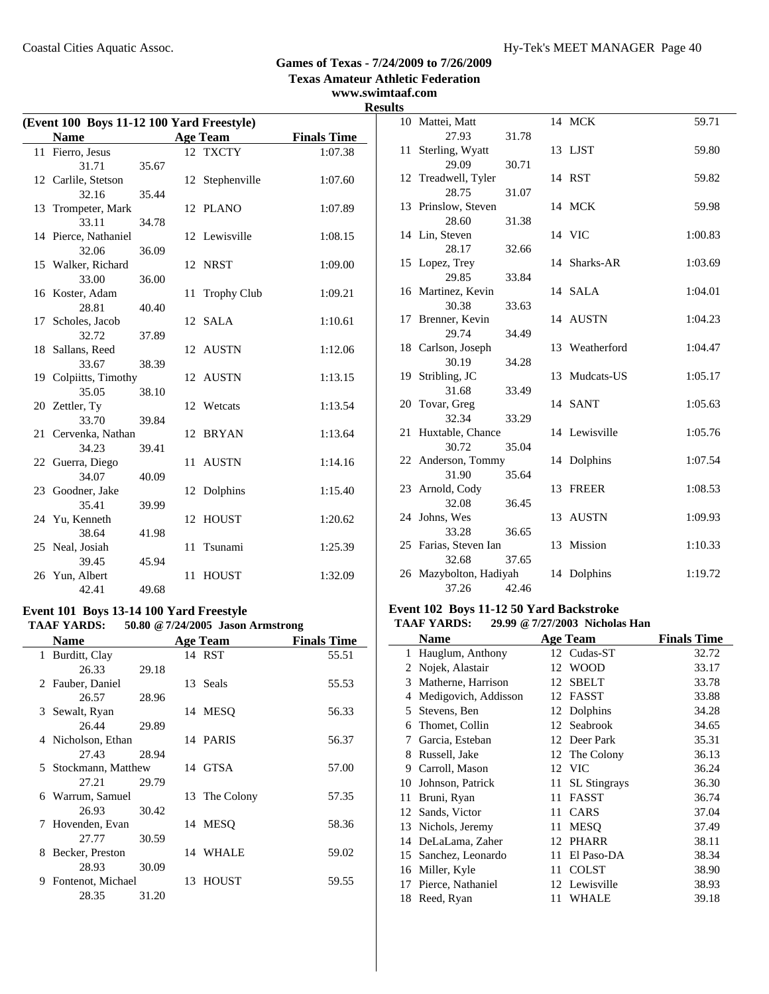#### **www.swimtaaf.com Results**

| (Event 100 Boys 11-12 100 Yard Freestyle) |                       |       |    |                 |                    |
|-------------------------------------------|-----------------------|-------|----|-----------------|--------------------|
|                                           | <b>Name</b>           |       |    | <b>Age Team</b> | <b>Finals Time</b> |
|                                           | 11 Fierro, Jesus      |       |    | 12 TXCTY        | 1:07.38            |
|                                           | 31.71                 | 35.67 |    |                 |                    |
|                                           | 12 Carlile, Stetson   |       |    | 12 Stephenville | 1:07.60            |
|                                           | 32.16                 | 35.44 |    |                 |                    |
|                                           | 13 Trompeter, Mark    |       |    | 12 PLANO        | 1:07.89            |
|                                           | 33.11                 | 34.78 |    |                 |                    |
|                                           | 14 Pierce, Nathaniel  |       |    | 12 Lewisville   | 1:08.15            |
|                                           | 32.06                 | 36.09 |    |                 |                    |
|                                           | 15 Walker, Richard    |       |    | 12 NRST         | 1:09.00            |
|                                           | 33.00                 | 36.00 |    |                 |                    |
|                                           | 16 Koster, Adam       |       | 11 | Trophy Club     | 1:09.21            |
|                                           | 28.81                 | 40.40 |    |                 |                    |
|                                           | 17 Scholes, Jacob     |       |    | 12 SALA         | 1:10.61            |
|                                           | 32.72                 | 37.89 |    |                 |                    |
|                                           | 18 Sallans, Reed      |       |    | 12 AUSTN        | 1:12.06            |
|                                           | 33.67                 | 38.39 |    |                 |                    |
|                                           | 19 Colpiitts, Timothy |       |    | 12 AUSTN        | 1:13.15            |
|                                           | 35.05                 | 38.10 |    |                 |                    |
|                                           | 20 Zettler, Ty        |       |    | 12 Wetcats      | 1:13.54            |
|                                           | 33.70                 | 39.84 |    |                 |                    |
|                                           | 21 Cervenka, Nathan   |       |    | 12 BRYAN        | 1:13.64            |
|                                           | 34.23                 | 39.41 |    |                 |                    |
|                                           | 22 Guerra, Diego      |       | 11 | <b>AUSTN</b>    | 1:14.16            |
|                                           | 34.07                 | 40.09 |    |                 |                    |
|                                           | 23 Goodner, Jake      |       |    | 12 Dolphins     | 1:15.40            |
|                                           | 35.41                 | 39.99 |    |                 |                    |
|                                           | 24 Yu, Kenneth        |       |    | 12 HOUST        | 1:20.62            |
|                                           | 38.64                 | 41.98 |    |                 |                    |
|                                           | 25 Neal, Josiah       |       | 11 | Tsunami         | 1:25.39            |
|                                           | 39.45                 | 45.94 |    |                 |                    |
|                                           | 26 Yun, Albert        |       | 11 | <b>HOUST</b>    | 1:32.09            |
|                                           | 42.41                 | 49.68 |    |                 |                    |

#### **Event 101 Boys 13-14 100 Yard Freestyle TAAF YARDS: 50.80 @7/24/2005 Jason Armstrong**

| Name                   |       | <b>Age Team</b> | <b>Finals Time</b> |
|------------------------|-------|-----------------|--------------------|
| 1 Burditt, Clay        |       | 14 RST          | 55.51              |
| 26.33                  | 29.18 |                 |                    |
| 2 Fauber, Daniel       |       | 13 Seals        | 55.53              |
| 26.57                  | 28.96 |                 |                    |
| 3 Sewalt, Ryan         |       | 14 MESO         | 56.33              |
| 26.44                  | 29.89 |                 |                    |
| 4 Nicholson, Ethan     |       | 14 PARIS        | 56.37              |
| 27.43                  | 28.94 |                 |                    |
| 5 Stockmann, Matthew   |       | 14 GTSA         | 57.00              |
| 27.21                  | 29.79 |                 |                    |
| 6 Warrum, Samuel       |       | 13 The Colony   | 57.35              |
| 26.93                  | 30.42 |                 |                    |
| 7 Hovenden, Evan       |       | 14 MESO         | 58.36              |
| 27.77                  | 30.59 |                 |                    |
| Becker, Preston<br>8   |       | 14 WHALE        | 59.02              |
| 28.93                  | 30.09 |                 |                    |
| Fontenot, Michael<br>9 |       | 13 HOUST        | 59.55              |
| 28.35                  | 31.20 |                 |                    |

| -- |                        |       |    |                |         |
|----|------------------------|-------|----|----------------|---------|
|    | 10 Mattei, Matt        |       |    | 14 MCK         | 59.71   |
|    | 27.93                  | 31.78 |    |                |         |
| 11 | Sterling, Wyatt        |       |    | 13 LJST        | 59.80   |
|    | 29.09                  | 30.71 |    |                |         |
|    | 12 Treadwell, Tyler    |       |    | 14 RST         | 59.82   |
|    | 28.75                  | 31.07 |    |                |         |
|    | 13 Prinslow, Steven    |       |    | 14 MCK         | 59.98   |
|    | 28.60                  | 31.38 |    |                |         |
|    | 14 Lin, Steven         |       |    | 14 VIC         | 1:00.83 |
|    | 28.17                  | 32.66 |    |                |         |
|    | 15 Lopez, Trey         |       |    | 14 Sharks-AR   | 1:03.69 |
|    | 29.85                  | 33.84 |    |                |         |
|    | 16 Martinez, Kevin     |       |    | 14 SALA        | 1:04.01 |
|    | 30.38                  | 33.63 |    |                |         |
|    | 17 Brenner, Kevin      |       |    | 14 AUSTN       | 1:04.23 |
|    | 29.74                  | 34.49 |    |                |         |
|    | 18 Carlson, Joseph     |       |    | 13 Weatherford | 1:04.47 |
|    | 30.19                  | 34.28 |    |                |         |
|    | 19 Stribling, JC       |       |    | 13 Mudcats-US  | 1:05.17 |
|    | 31.68                  | 33.49 |    |                |         |
|    | 20 Tovar, Greg         |       |    | 14 SANT        | 1:05.63 |
|    | 32.34                  | 33.29 |    |                |         |
|    | 21 Huxtable, Chance    |       |    | 14 Lewisville  | 1:05.76 |
|    | 30.72                  | 35.04 |    |                |         |
|    | 22 Anderson, Tommy     |       |    | 14 Dolphins    | 1:07.54 |
|    | 31.90                  | 35.64 |    |                |         |
|    | 23 Arnold, Cody        |       | 13 | <b>FREER</b>   | 1:08.53 |
|    | 32.08                  | 36.45 |    |                |         |
|    | 24 Johns, Wes          |       |    | 13 AUSTN       | 1:09.93 |
|    | 33.28                  | 36.65 |    |                |         |
|    | 25 Farias, Steven Ian  |       |    | 13 Mission     | 1:10.33 |
|    | 32.68                  | 37.65 |    |                |         |
|    | 26 Mazybolton, Hadiyah |       |    | 14 Dolphins    | 1:19.72 |
|    | 37.26                  | 42.46 |    |                |         |

#### **Event 102 Boys 11-12 50 Yard Backstroke**

#### **TAAF YARDS: 29.99 @7/27/2003 Nicholas Han**

|    | Name                 |    | <b>Age Team</b>     | <b>Finals Time</b> |
|----|----------------------|----|---------------------|--------------------|
| 1  | Hauglum, Anthony     |    | 12 Cudas-ST         | 32.72              |
| 2  | Nojek, Alastair      | 12 | <b>WOOD</b>         | 33.17              |
| 3  | Matherne, Harrison   | 12 | <b>SBELT</b>        | 33.78              |
| 4  | Medigovich, Addisson |    | 12 FASST            | 33.88              |
| 5. | Stevens, Ben         |    | 12 Dolphins         | 34.28              |
| 6  | Thomet, Collin       |    | 12 Seabrook         | 34.65              |
| 7  | Garcia, Esteban      |    | 12 Deer Park        | 35.31              |
| 8  | Russell, Jake        |    | 12 The Colony       | 36.13              |
| 9  | Carroll, Mason       |    | 12 VIC              | 36.24              |
| 10 | Johnson, Patrick     | 11 | <b>SL</b> Stingrays | 36.30              |
| 11 | Bruni, Ryan          | 11 | <b>FASST</b>        | 36.74              |
| 12 | Sands, Victor        | 11 | CARS                | 37.04              |
| 13 | Nichols, Jeremy      | 11 | <b>MESO</b>         | 37.49              |
| 14 | DeLaLama, Zaher      | 12 | PHARR               | 38.11              |
| 15 | Sanchez, Leonardo    | 11 | El Paso-DA          | 38.34              |
| 16 | Miller, Kyle         | 11 | <b>COLST</b>        | 38.90              |
| 17 | Pierce, Nathaniel    |    | 12 Lewisville       | 38.93              |
| 18 | Reed, Ryan           | 11 | WHALE               | 39.18              |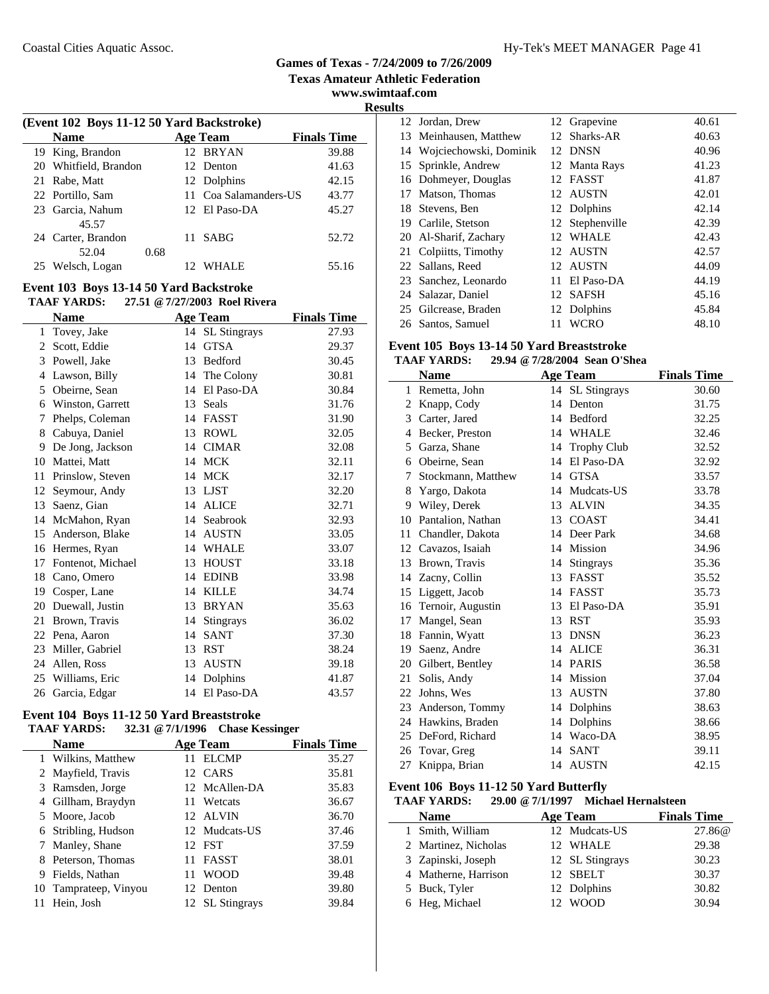**Texas Amateur Athletic Federation**

**www.swimtaaf.com Results**

| (Event 102 Boys 11-12 50 Yard Backstroke) |      |  |              |                                                                                                          |  |  |  |
|-------------------------------------------|------|--|--------------|----------------------------------------------------------------------------------------------------------|--|--|--|
| <b>Name</b>                               |      |  |              | <b>Finals Time</b>                                                                                       |  |  |  |
| 19 King, Brandon                          |      |  |              | 39.88                                                                                                    |  |  |  |
| 20 Whitfield, Brandon                     |      |  |              | 41.63                                                                                                    |  |  |  |
| 21 Rabe, Matt                             |      |  |              | 42.15                                                                                                    |  |  |  |
| 22 Portillo, Sam                          |      |  |              | 43.77                                                                                                    |  |  |  |
| 23 Garcia, Nahum                          |      |  |              | 45.27                                                                                                    |  |  |  |
| 45.57                                     |      |  |              |                                                                                                          |  |  |  |
| 24 Carter, Brandon                        |      |  | <b>SABG</b>  | 52.72                                                                                                    |  |  |  |
| 52.04                                     | 0.68 |  |              |                                                                                                          |  |  |  |
| Welsch, Logan                             |      |  | <b>WHALE</b> | 55.16                                                                                                    |  |  |  |
|                                           |      |  |              | <b>Age Team</b><br>12 BRYAN<br>12 Denton<br>12 Dolphins<br>11 Coa Salamanders-US<br>12 El Paso-DA<br>11. |  |  |  |

#### **Event 103 Boys 13-14 50 Yard Backstroke TAAF YARDS: 27.51 @7/27/2003 Roel Rivera**

| <b>Name</b>  |                   |    | <b>Age Team</b> | <b>Finals Time</b> |  |  |
|--------------|-------------------|----|-----------------|--------------------|--|--|
| $\mathbf{1}$ | Tovey, Jake       | 14 | SL Stingrays    | 27.93              |  |  |
| 2            | Scott, Eddie      | 14 | <b>GTSA</b>     | 29.37              |  |  |
| 3            | Powell, Jake      | 13 | Bedford         | 30.45              |  |  |
| 4            | Lawson, Billy     |    | 14 The Colony   | 30.81              |  |  |
| 5            | Obeirne, Sean     | 14 | El Paso-DA      | 30.84              |  |  |
| 6            | Winston, Garrett  | 13 | Seals           | 31.76              |  |  |
| 7            | Phelps, Coleman   | 14 | FASST           | 31.90              |  |  |
| 8            | Cabuya, Daniel    | 13 | <b>ROWL</b>     | 32.05              |  |  |
| 9            | De Jong, Jackson  | 14 | <b>CIMAR</b>    | 32.08              |  |  |
| 10           | Mattei, Matt      | 14 | <b>MCK</b>      | 32.11              |  |  |
| 11           | Prinslow, Steven  | 14 | <b>MCK</b>      | 32.17              |  |  |
| 12           | Seymour, Andy     | 13 | <b>LJST</b>     | 32.20              |  |  |
| 13           | Saenz, Gian       | 14 | <b>ALICE</b>    | 32.71              |  |  |
| 14           | McMahon, Ryan     | 14 | Seabrook        | 32.93              |  |  |
| 15           | Anderson, Blake   | 14 | <b>AUSTN</b>    | 33.05              |  |  |
| 16           | Hermes, Ryan      | 14 | <b>WHALE</b>    | 33.07              |  |  |
| 17           | Fontenot, Michael | 13 | <b>HOUST</b>    | 33.18              |  |  |
| 18           | Cano, Omero       | 14 | <b>EDINB</b>    | 33.98              |  |  |
| 19           | Cosper, Lane      | 14 | <b>KILLE</b>    | 34.74              |  |  |
| 20           | Duewall, Justin   | 13 | <b>BRYAN</b>    | 35.63              |  |  |
| 21           | Brown, Travis     | 14 | Stingrays       | 36.02              |  |  |
| 22           | Pena, Aaron       | 14 | <b>SANT</b>     | 37.30              |  |  |
| 23           | Miller, Gabriel   | 13 | <b>RST</b>      | 38.24              |  |  |
| 24           | Allen, Ross       | 13 | <b>AUSTN</b>    | 39.18              |  |  |
| 25           | Williams, Eric    | 14 | Dolphins        | 41.87              |  |  |
| 26           | Garcia, Edgar     | 14 | El Paso-DA      | 43.57              |  |  |

#### **Event 104 Boys 11-12 50 Yard Breaststroke TAAF YARDS: 32.31 @7/1/1996 Chase Kessinger**

| TAAF TANDS.<br>$32.31 \& 7111990$ Chase Ressinger |                       |     |                 |                    |  |
|---------------------------------------------------|-----------------------|-----|-----------------|--------------------|--|
|                                                   | <b>Name</b>           |     | <b>Age Team</b> | <b>Finals Time</b> |  |
|                                                   | 1 Wilkins, Matthew    | 11  | <b>ELCMP</b>    | 35.27              |  |
|                                                   | 2 Mayfield, Travis    |     | 12 CARS         | 35.81              |  |
|                                                   | 3 Ramsden, Jorge      |     | 12 McAllen-DA   | 35.83              |  |
|                                                   | 4 Gillham, Braydyn    | 11  | Wetcats         | 36.67              |  |
|                                                   | 5 Moore, Jacob        |     | 12 ALVIN        | 36.70              |  |
|                                                   | 6 Stribling, Hudson   |     | 12 Mudcats-US   | 37.46              |  |
|                                                   | Manley, Shane         |     | 12 FST          | 37.59              |  |
|                                                   | Peterson, Thomas      | 11  | <b>FASST</b>    | 38.01              |  |
| 9                                                 | Fields, Nathan        | 11  | <b>WOOD</b>     | 39.48              |  |
|                                                   | 10 Tamprateep, Vinyou | 12. | Denton          | 39.80              |  |
|                                                   | Hein, Josh            |     | 12 SL Stingrays | 39.84              |  |

| ເບນ |                           |    |                 |       |
|-----|---------------------------|----|-----------------|-------|
|     | 12 Jordan, Drew           |    | 12 Grapevine    | 40.61 |
|     | 13 Meinhausen, Matthew    |    | 12 Sharks-AR    | 40.63 |
|     | 14 Wojciechowski, Dominik |    | 12 DNSN         | 40.96 |
|     | 15 Sprinkle, Andrew       |    | 12 Manta Rays   | 41.23 |
|     | 16 Dohmeyer, Douglas      |    | 12 FASST        | 41.87 |
| 17  | Matson, Thomas            |    | 12 AUSTN        | 42.01 |
|     | 18 Stevens, Ben           |    | 12 Dolphins     | 42.14 |
|     | 19 Carlile, Stetson       |    | 12 Stephenville | 42.39 |
|     | 20 Al-Sharif, Zachary     |    | 12 WHALE        | 42.43 |
|     | 21 Colpiitts, Timothy     |    | 12 AUSTN        | 42.57 |
|     | 22 Sallans, Reed          |    | 12 AUSTN        | 44.09 |
|     | 23 Sanchez, Leonardo      |    | 11 El Paso-DA   | 44.19 |
|     | 24 Salazar, Daniel        |    | 12 SAFSH        | 45.16 |
|     | 25 Gilcrease, Braden      |    | 12 Dolphins     | 45.84 |
|     | 26 Santos, Samuel         | 11 | <b>WCRO</b>     | 48.10 |

## **Event 105 Boys 13-14 50 Yard Breaststroke**

# **TAAF YARDS: 29.94 @7/28/2004 Sean O'Shea**

| Name |                    |    | <b>Age Team</b>    | <b>Finals Time</b> |
|------|--------------------|----|--------------------|--------------------|
| 1    | Remetta, John      |    | 14 SL Stingrays    | 30.60              |
| 2    | Knapp, Cody        | 14 | Denton             | 31.75              |
| 3    | Carter, Jared      | 14 | <b>Bedford</b>     | 32.25              |
| 4    | Becker, Preston    | 14 | <b>WHALE</b>       | 32.46              |
| 5    | Garza, Shane       | 14 | <b>Trophy Club</b> | 32.52              |
| 6    | Obeirne, Sean      | 14 | El Paso-DA         | 32.92              |
| 7    | Stockmann, Matthew | 14 | <b>GTSA</b>        | 33.57              |
| 8    | Yargo, Dakota      | 14 | Mudcats-US         | 33.78              |
| 9    | Wiley, Derek       | 13 | <b>ALVIN</b>       | 34.35              |
| 10   | Pantalion, Nathan  | 13 | <b>COAST</b>       | 34.41              |
| 11   | Chandler, Dakota   | 14 | Deer Park          | 34.68              |
|      | 12 Cavazos, Isaiah |    | 14 Mission         | 34.96              |
| 13   | Brown, Travis      | 14 | <b>Stingrays</b>   | 35.36              |
| 14   | Zacny, Collin      | 13 | FASST              | 35.52              |
| 15   | Liggett, Jacob     | 14 | FASST              | 35.73              |
| 16   | Ternoir, Augustin  | 13 | El Paso-DA         | 35.91              |
| 17   | Mangel, Sean       | 13 | <b>RST</b>         | 35.93              |
| 18   | Fannin, Wyatt      | 13 | <b>DNSN</b>        | 36.23              |
| 19   | Saenz, Andre       | 14 | <b>ALICE</b>       | 36.31              |
| 20   | Gilbert, Bentley   | 14 | <b>PARIS</b>       | 36.58              |
| 21   | Solis, Andy        | 14 | Mission            | 37.04              |
| 22   | Johns, Wes         | 13 | <b>AUSTN</b>       | 37.80              |
| 23   | Anderson, Tommy    | 14 | Dolphins           | 38.63              |
| 24   | Hawkins, Braden    |    | 14 Dolphins        | 38.66              |
| 25   | DeFord, Richard    |    | 14 Waco-DA         | 38.95              |
| 26   | Tovar, Greg        | 14 | <b>SANT</b>        | 39.11              |
| 27   | Knippa, Brian      | 14 | AUSTN              | 42.15              |

#### **Event 106 Boys 11-12 50 Yard Butterfly**

#### **TAAF YARDS: 29.00 @7/1/1997 Michael Hernalsteen**

| <b>Name</b>          | <b>Age Team</b> | <b>Finals Time</b> |  |
|----------------------|-----------------|--------------------|--|
| 1 Smith, William     | 12 Mudcats-US   | 27.86@             |  |
| 2 Martinez, Nicholas | 12 WHALE        | 29.38              |  |
| 3 Zapinski, Joseph   | 12 SL Stingrays | 30.23              |  |
| 4 Matherne, Harrison | 12 SBELT        | 30.37              |  |
| 5 Buck, Tyler        | 12 Dolphins     | 30.82              |  |
| 6 Heg, Michael       | 12 WOOD         | 30.94              |  |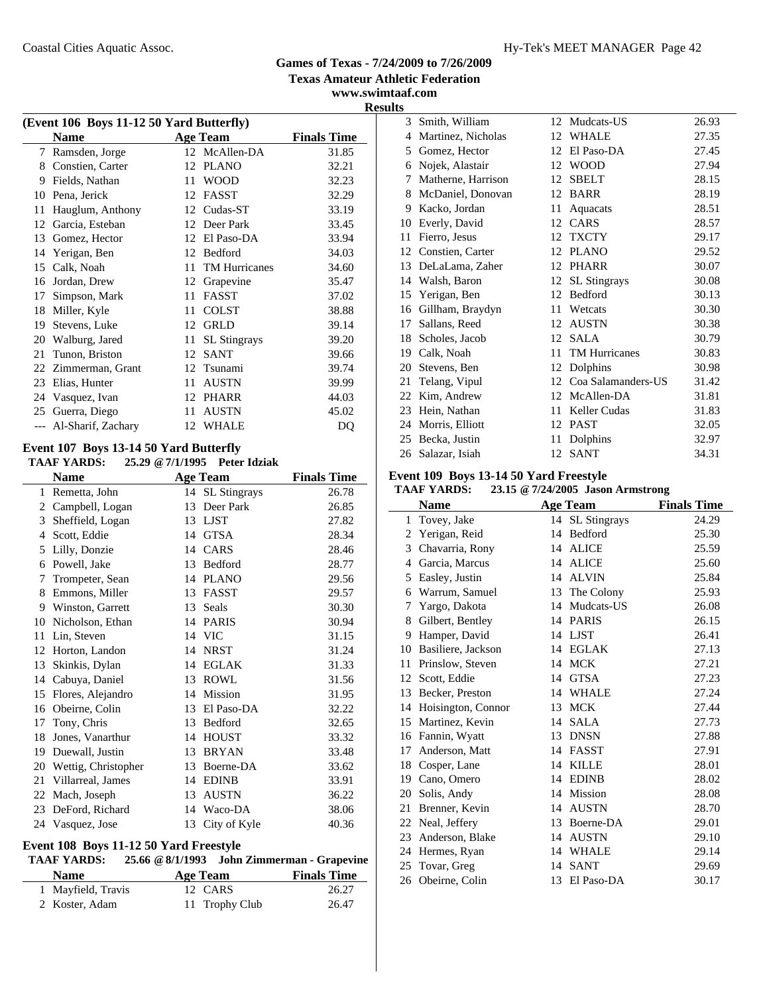**www.swimtaaf.com**

**Results**

| (Event 106 Boys 11-12 50 Yard Butterfly) |                    |    |                      |                    |  |  |  |
|------------------------------------------|--------------------|----|----------------------|--------------------|--|--|--|
|                                          | <b>Name</b>        |    | <b>Age Team</b>      | <b>Finals Time</b> |  |  |  |
| 7                                        | Ramsden, Jorge     |    | 12 McAllen-DA        | 31.85              |  |  |  |
| 8                                        | Constien, Carter   | 12 | <b>PLANO</b>         | 32.21              |  |  |  |
| 9                                        | Fields, Nathan     | 11 | <b>WOOD</b>          | 32.23              |  |  |  |
| 10                                       | Pena, Jerick       | 12 | <b>FASST</b>         | 32.29              |  |  |  |
| 11                                       | Hauglum, Anthony   | 12 | Cudas-ST             | 33.19              |  |  |  |
| 12                                       | Garcia, Esteban    | 12 | Deer Park            | 33.45              |  |  |  |
| 13                                       | Gomez, Hector      | 12 | El Paso-DA           | 33.94              |  |  |  |
| 14                                       | Yerigan, Ben       | 12 | Bedford              | 34.03              |  |  |  |
| 15                                       | Calk, Noah         | 11 | <b>TM Hurricanes</b> | 34.60              |  |  |  |
| 16                                       | Jordan, Drew       | 12 | Grapevine            | 35.47              |  |  |  |
| 17                                       | Simpson, Mark      | 11 | <b>FASST</b>         | 37.02              |  |  |  |
| 18                                       | Miller, Kyle       | 11 | <b>COLST</b>         | 38.88              |  |  |  |
| 19                                       | Stevens, Luke      | 12 | <b>GRLD</b>          | 39.14              |  |  |  |
| 20                                       | Walburg, Jared     | 11 | <b>SL</b> Stingrays  | 39.20              |  |  |  |
| 21                                       | Tunon, Briston     | 12 | <b>SANT</b>          | 39.66              |  |  |  |
| 22                                       | Zimmerman, Grant   | 12 | Tsunami              | 39.74              |  |  |  |
| 23                                       | Elias, Hunter      | 11 | <b>AUSTN</b>         | 39.99              |  |  |  |
| 24                                       | Vasquez, Ivan      | 12 | <b>PHARR</b>         | 44.03              |  |  |  |
| 25                                       | Guerra, Diego      | 11 | <b>AUSTN</b>         | 45.02              |  |  |  |
|                                          | Al-Sharif, Zachary | 12 | <b>WHALE</b>         | DQ                 |  |  |  |
|                                          |                    |    |                      |                    |  |  |  |

#### **Event 107 Boys 13-14 50 Yard Butterfly**

#### **TAAF YARDS: 25.29 @7/1/1995 Peter Idziak**

| <b>Name</b> |                     |    | <b>Age Team</b>     | <b>Finals Time</b> |
|-------------|---------------------|----|---------------------|--------------------|
| 1           | Remetta, John       | 14 | <b>SL</b> Stingrays | 26.78              |
| 2           | Campbell, Logan     | 13 | Deer Park           | 26.85              |
| 3           | Sheffield, Logan    | 13 | <b>LJST</b>         | 27.82              |
| 4           | Scott, Eddie        | 14 | <b>GTSA</b>         | 28.34              |
| 5           | Lilly, Donzie       | 14 | CARS                | 28.46              |
| 6           | Powell, Jake        | 13 | Bedford             | 28.77              |
| 7           | Trompeter, Sean     | 14 | <b>PLANO</b>        | 29.56              |
| 8           | Emmons, Miller      | 13 | <b>FASST</b>        | 29.57              |
| 9           | Winston, Garrett    | 13 | Seals               | 30.30              |
| 10          | Nicholson, Ethan    | 14 | <b>PARIS</b>        | 30.94              |
| 11          | Lin, Steven         | 14 | <b>VIC</b>          | 31.15              |
| 12          | Horton, Landon      | 14 | <b>NRST</b>         | 31.24              |
| 13          | Skinkis, Dylan      | 14 | <b>EGLAK</b>        | 31.33              |
| 14          | Cabuya, Daniel      | 13 | <b>ROWL</b>         | 31.56              |
| 15          | Flores, Alejandro   | 14 | <b>Mission</b>      | 31.95              |
| 16          | Obeirne, Colin      | 13 | El Paso-DA          | 32.22              |
| 17          | Tony, Chris         | 13 | Bedford             | 32.65              |
| 18          | Jones, Vanarthur    | 14 | <b>HOUST</b>        | 33.32              |
| 19          | Duewall, Justin     | 13 | <b>BRYAN</b>        | 33.48              |
| 20          | Wettig, Christopher | 13 | Boerne-DA           | 33.62              |
| 21          | Villarreal, James   | 14 | <b>EDINB</b>        | 33.91              |
| 22          | Mach, Joseph        | 13 | <b>AUSTN</b>        | 36.22              |
| 23          | DeFord, Richard     | 14 | Waco-DA             | 38.06              |
|             | 24 Vasquez, Jose    | 13 | City of Kyle        | 40.36              |

#### **Event 108 Boys 11-12 50 Yard Freestyle**

#### **TAAF YARDS: 25.66 @8/1/1993 John Zimmerman - Grapevine**

| <b>Name</b>        | Age Team       | <b>Finals Time</b> |  |  |
|--------------------|----------------|--------------------|--|--|
| 1 Mayfield, Travis | 12 CARS        | 26.27              |  |  |
| 2 Koster, Adam     | 11 Trophy Club | 26.47              |  |  |

| 115            |                    |    |                      |       |
|----------------|--------------------|----|----------------------|-------|
| 3              | Smith, William     | 12 | Mudcats-US           | 26.93 |
| $\overline{4}$ | Martinez, Nicholas | 12 | <b>WHALE</b>         | 27.35 |
| 5              | Gomez, Hector      | 12 | El Paso-DA           | 27.45 |
| 6              | Nojek, Alastair    | 12 | <b>WOOD</b>          | 27.94 |
| 7              | Matherne, Harrison | 12 | <b>SBELT</b>         | 28.15 |
| 8              | McDaniel, Donovan  | 12 | <b>BARR</b>          | 28.19 |
| 9              | Kacko, Jordan      | 11 | Aquacats             | 28.51 |
| 10             | Everly, David      | 12 | CARS                 | 28.57 |
| 11             | Fierro, Jesus      | 12 | <b>TXCTY</b>         | 29.17 |
| 12             | Constien, Carter   | 12 | <b>PLANO</b>         | 29.52 |
| 13             | DeLaLama, Zaher    | 12 | <b>PHARR</b>         | 30.07 |
| 14             | Walsh, Baron       | 12 | <b>SL</b> Stingrays  | 30.08 |
| 15             | Yerigan, Ben       | 12 | Bedford              | 30.13 |
| 16             | Gillham, Braydyn   | 11 | Wetcats              | 30.30 |
| 17             | Sallans, Reed      | 12 | <b>AUSTN</b>         | 30.38 |
| 18             | Scholes, Jacob     | 12 | <b>SALA</b>          | 30.79 |
| 19             | Calk, Noah         | 11 | <b>TM Hurricanes</b> | 30.83 |
| 20             | Stevens, Ben       | 12 | Dolphins             | 30.98 |
| 21             | Telang, Vipul      | 12 | Coa Salamanders-US   | 31.42 |
| 22             | Kim, Andrew        | 12 | McAllen-DA           | 31.81 |
| 23             | Hein, Nathan       | 11 | Keller Cudas         | 31.83 |
| 24             | Morris, Elliott    | 12 | <b>PAST</b>          | 32.05 |
| 25             | Becka, Justin      | 11 | Dolphins             | 32.97 |
| 26             | Salazar, Isiah     | 12 | <b>SANT</b>          | 34.31 |

## **Event 109 Boys 13-14 50 Yard Freestyle**

#### **TAAF YARDS: 23.15 @7/24/2005 Jason Armstrong**

|              | <b>Name</b>        |    | <b>Age Team</b> | <b>Finals Time</b> |
|--------------|--------------------|----|-----------------|--------------------|
| $\mathbf{1}$ | Tovey, Jake        |    | 14 SL Stingrays | 24.29              |
| 2            | Yerigan, Reid      | 14 | Bedford         | 25.30              |
| 3            | Chavarria, Rony    | 14 | <b>ALICE</b>    | 25.59              |
| 4            | Garcia, Marcus     | 14 | <b>ALICE</b>    | 25.60              |
| 5            | Easley, Justin     | 14 | <b>ALVIN</b>    | 25.84              |
| 6            | Warrum, Samuel     |    | 13 The Colony   | 25.93              |
| 7            | Yargo, Dakota      |    | 14 Mudcats-US   | 26.08              |
| 8            | Gilbert, Bentley   |    | 14 PARIS        | 26.15              |
| 9            | Hamper, David      | 14 | LJST            | 26.41              |
| 10           | Basiliere, Jackson |    | 14 EGLAK        | 27.13              |
| 11           | Prinslow, Steven   | 14 | <b>MCK</b>      | 27.21              |
| 12           | Scott, Eddie       | 14 | <b>GTSA</b>     | 27.23              |
| 13           | Becker, Preston    | 14 | <b>WHALE</b>    | 27.24              |
| 14           | Hoisington, Connor | 13 | <b>MCK</b>      | 27.44              |
| 15           | Martinez, Kevin    | 14 | <b>SALA</b>     | 27.73              |
| 16           | Fannin, Wyatt      | 13 | DNSN            | 27.88              |
| 17           | Anderson, Matt     | 14 | <b>FASST</b>    | 27.91              |
|              | 18 Cosper, Lane    | 14 | <b>KILLE</b>    | 28.01              |
| 19           | Cano, Omero        | 14 | <b>EDINB</b>    | 28.02              |
| 20           | Solis, Andy        | 14 | Mission         | 28.08              |
| 21           | Brenner, Kevin     | 14 | <b>AUSTN</b>    | 28.70              |
| 22           | Neal, Jeffery      | 13 | Boerne-DA       | 29.01              |
| 23           | Anderson, Blake    | 14 | <b>AUSTN</b>    | 29.10              |
| 24           | Hermes, Ryan       | 14 | WHALE           | 29.14              |
|              | 25 Tovar, Greg     | 14 | <b>SANT</b>     | 29.69              |
|              | 26 Obeirne, Colin  | 13 | El Paso-DA      | 30.17              |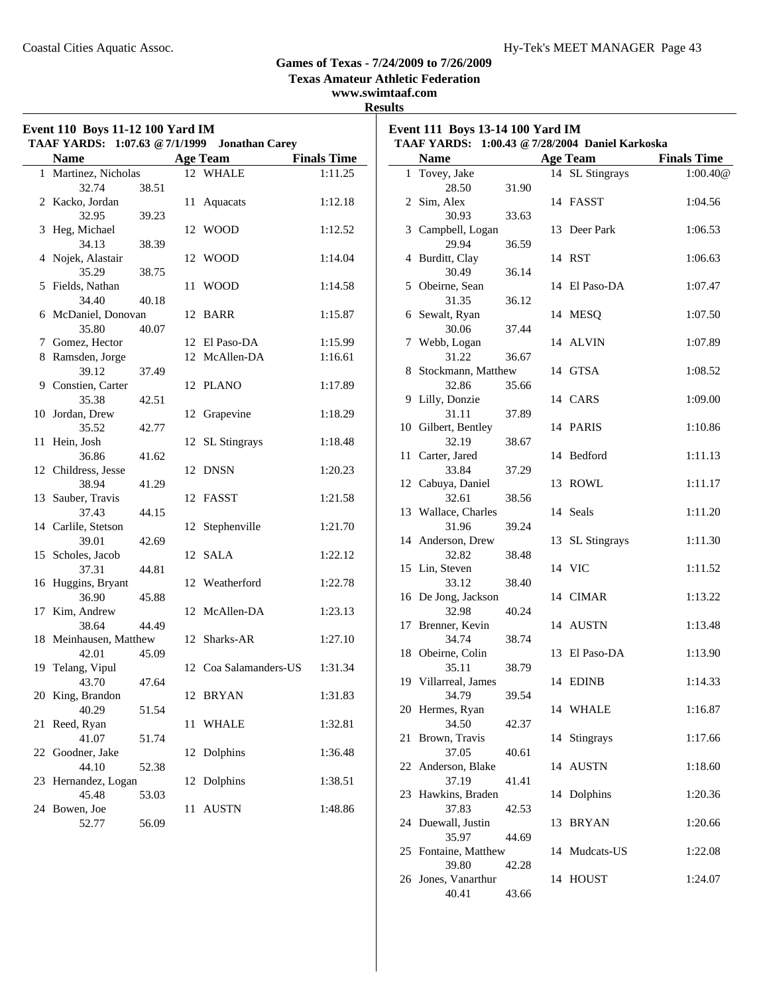25 Fontaine, Matthew 14 Mudcats-US 1:22.08

26 Jones, Vanarthur 14 HOUST 1:24.07

39.80 42.28

40.41 43.66

#### **Games of Texas - 7/24/2009 to 7/26/2009**

**Texas Amateur Athletic Federation**

#### **www.swimtaaf.com Results**

| <b>Finals Time</b><br><b>Finals Time</b><br><b>Age Team</b><br><b>Name</b><br><b>Age Team</b><br>Name<br>1 Martinez, Nicholas<br>12 WHALE<br>14 SL Stingrays<br>1:00.40@<br>1:11.25<br>1 Tovey, Jake<br>32.74<br>38.51<br>28.50<br>31.90<br>14 FASST<br>2 Kacko, Jordan<br>1:12.18<br>2 Sim, Alex<br>1:04.56<br>11 Aquacats<br>32.95<br>30.93<br>33.63<br>39.23<br>12 WOOD<br>1:12.52<br>3 Campbell, Logan<br>13 Deer Park<br>1:06.53<br>3 Heg, Michael<br>34.13<br>38.39<br>29.94<br>36.59<br>4 Nojek, Alastair<br>12 WOOD<br>1:14.04<br>4 Burditt, Clay<br>14 RST<br>1:06.63<br>38.75<br>30.49<br>36.14<br>35.29<br>14 El Paso-DA<br>5 Fields, Nathan<br>11 WOOD<br>1:14.58<br>5 Obeirne, Sean<br>1:07.47<br>34.40<br>40.18<br>36.12<br>31.35<br>12 BARR<br>6 McDaniel, Donovan<br>1:15.87<br>6 Sewalt, Ryan<br>14 MESQ<br>1:07.50<br>35.80<br>40.07<br>30.06<br>37.44<br>7 Gomez, Hector<br>12 El Paso-DA<br>1:15.99<br>7 Webb, Logan<br>14 ALVIN<br>1:07.89<br>8 Ramsden, Jorge<br>36.67<br>12 McAllen-DA<br>31.22<br>1:16.61<br>14 GTSA<br>39.12<br>37.49<br>8 Stockmann, Matthew<br>1:08.52<br>9 Constien, Carter<br>32.86<br>35.66<br>12 PLANO<br>1:17.89<br>9 Lilly, Donzie<br>14 CARS<br>1:09.00<br>35.38<br>42.51<br>31.11<br>37.89<br>10 Jordan, Drew<br>12 Grapevine<br>1:18.29<br>10 Gilbert, Bentley<br>14 PARIS<br>1:10.86<br>35.52<br>42.77<br>32.19<br>38.67<br>11 Hein, Josh<br>12 SL Stingrays<br>1:18.48<br>11 Carter, Jared<br>14 Bedford<br>1:11.13<br>36.86<br>41.62<br>33.84<br>37.29<br>12 Childress, Jesse<br>12 DNSN<br>1:20.23<br>38.94<br>41.29<br>12 Cabuya, Daniel<br>13 ROWL<br>1:11.17<br>13 Sauber, Travis<br>32.61<br>38.56<br>12 FASST<br>1:21.58<br>14 Seals<br>13 Wallace, Charles<br>1:11.20<br>37.43<br>44.15<br>31.96<br>39.24<br>14 Carlile, Stetson<br>12 Stephenville<br>1:21.70<br>13 SL Stingrays<br>14 Anderson, Drew<br>1:11.30<br>39.01<br>42.69<br>12 SALA<br>38.48<br>15 Scholes, Jacob<br>1:22.12<br>32.82<br>15 Lin, Steven<br>14 VIC<br>1:11.52<br>44.81<br>37.31<br>33.12<br>38.40<br>16 Huggins, Bryant<br>12 Weatherford<br>1:22.78<br>14 CIMAR<br>45.88<br>1:13.22<br>36.90<br>16 De Jong, Jackson<br>12 McAllen-DA<br>40.24<br>17 Kim, Andrew<br>1:23.13<br>32.98<br>17 Brenner, Kevin<br>14 AUSTN<br>1:13.48<br>38.64<br>44.49<br>12 Sharks-AR<br>38.74<br>18 Meinhausen, Matthew<br>1:27.10<br>34.74<br>13 El Paso-DA<br>1:13.90<br>42.01<br>45.09<br>18 Obeirne, Colin<br>38.79<br>12 Coa Salamanders-US<br>1:31.34<br>35.11<br>19 Telang, Vipul<br>1:14.33<br>43.70<br>47.64<br>19 Villarreal, James<br>14 EDINB<br>34.79<br>20 King, Brandon<br>1:31.83<br>39.54<br>12 BRYAN<br>1:16.87<br>40.29<br>51.54<br>20 Hermes, Ryan<br>14 WHALE<br>34.50<br>21 Reed, Ryan<br>11 WHALE<br>1:32.81<br>42.37<br>21 Brown, Travis<br>14 Stingrays<br>1:17.66<br>41.07<br>51.74<br>37.05<br>22 Goodner, Jake<br>12 Dolphins<br>1:36.48<br>40.61<br>14 AUSTN<br>1:18.60<br>52.38<br>22 Anderson, Blake<br>44.10<br>37.19<br>23 Hernandez, Logan<br>12 Dolphins<br>1:38.51<br>41.41<br>23 Hawkins, Braden<br>14 Dolphins<br>1:20.36<br>45.48<br>53.03<br>1:48.86<br>37.83<br>42.53<br>24 Bowen, Joe<br>11 AUSTN<br>24 Duewall, Justin<br>13 BRYAN<br>1:20.66<br>52.77<br>56.09<br>35.97<br>44.69 | Event 110 Boys 11-12 100 Yard IM<br>TAAF YARDS: 1:07.63 @ 7/1/1999 Jonathan Carey |  |  | Event 111 Boys 13-14 100 Yard IM<br>TAAF YARDS: 1:00.43 @ 7/28/2004 Daniel Karkoska |  |  |
|----------------------------------------------------------------------------------------------------------------------------------------------------------------------------------------------------------------------------------------------------------------------------------------------------------------------------------------------------------------------------------------------------------------------------------------------------------------------------------------------------------------------------------------------------------------------------------------------------------------------------------------------------------------------------------------------------------------------------------------------------------------------------------------------------------------------------------------------------------------------------------------------------------------------------------------------------------------------------------------------------------------------------------------------------------------------------------------------------------------------------------------------------------------------------------------------------------------------------------------------------------------------------------------------------------------------------------------------------------------------------------------------------------------------------------------------------------------------------------------------------------------------------------------------------------------------------------------------------------------------------------------------------------------------------------------------------------------------------------------------------------------------------------------------------------------------------------------------------------------------------------------------------------------------------------------------------------------------------------------------------------------------------------------------------------------------------------------------------------------------------------------------------------------------------------------------------------------------------------------------------------------------------------------------------------------------------------------------------------------------------------------------------------------------------------------------------------------------------------------------------------------------------------------------------------------------------------------------------------------------------------------------------------------------------------------------------------------------------------------------------------------------------------------------------------------------------------------------------------------------------------------------------------------------------------------------------------------------------------------------------------------------------------------------------------------------------------------------------------------------------------------------------------------------------------------------------------------------------------------------------|-----------------------------------------------------------------------------------|--|--|-------------------------------------------------------------------------------------|--|--|
|                                                                                                                                                                                                                                                                                                                                                                                                                                                                                                                                                                                                                                                                                                                                                                                                                                                                                                                                                                                                                                                                                                                                                                                                                                                                                                                                                                                                                                                                                                                                                                                                                                                                                                                                                                                                                                                                                                                                                                                                                                                                                                                                                                                                                                                                                                                                                                                                                                                                                                                                                                                                                                                                                                                                                                                                                                                                                                                                                                                                                                                                                                                                                                                                                                                    |                                                                                   |  |  |                                                                                     |  |  |
|                                                                                                                                                                                                                                                                                                                                                                                                                                                                                                                                                                                                                                                                                                                                                                                                                                                                                                                                                                                                                                                                                                                                                                                                                                                                                                                                                                                                                                                                                                                                                                                                                                                                                                                                                                                                                                                                                                                                                                                                                                                                                                                                                                                                                                                                                                                                                                                                                                                                                                                                                                                                                                                                                                                                                                                                                                                                                                                                                                                                                                                                                                                                                                                                                                                    |                                                                                   |  |  |                                                                                     |  |  |
|                                                                                                                                                                                                                                                                                                                                                                                                                                                                                                                                                                                                                                                                                                                                                                                                                                                                                                                                                                                                                                                                                                                                                                                                                                                                                                                                                                                                                                                                                                                                                                                                                                                                                                                                                                                                                                                                                                                                                                                                                                                                                                                                                                                                                                                                                                                                                                                                                                                                                                                                                                                                                                                                                                                                                                                                                                                                                                                                                                                                                                                                                                                                                                                                                                                    |                                                                                   |  |  |                                                                                     |  |  |
|                                                                                                                                                                                                                                                                                                                                                                                                                                                                                                                                                                                                                                                                                                                                                                                                                                                                                                                                                                                                                                                                                                                                                                                                                                                                                                                                                                                                                                                                                                                                                                                                                                                                                                                                                                                                                                                                                                                                                                                                                                                                                                                                                                                                                                                                                                                                                                                                                                                                                                                                                                                                                                                                                                                                                                                                                                                                                                                                                                                                                                                                                                                                                                                                                                                    |                                                                                   |  |  |                                                                                     |  |  |
|                                                                                                                                                                                                                                                                                                                                                                                                                                                                                                                                                                                                                                                                                                                                                                                                                                                                                                                                                                                                                                                                                                                                                                                                                                                                                                                                                                                                                                                                                                                                                                                                                                                                                                                                                                                                                                                                                                                                                                                                                                                                                                                                                                                                                                                                                                                                                                                                                                                                                                                                                                                                                                                                                                                                                                                                                                                                                                                                                                                                                                                                                                                                                                                                                                                    |                                                                                   |  |  |                                                                                     |  |  |
|                                                                                                                                                                                                                                                                                                                                                                                                                                                                                                                                                                                                                                                                                                                                                                                                                                                                                                                                                                                                                                                                                                                                                                                                                                                                                                                                                                                                                                                                                                                                                                                                                                                                                                                                                                                                                                                                                                                                                                                                                                                                                                                                                                                                                                                                                                                                                                                                                                                                                                                                                                                                                                                                                                                                                                                                                                                                                                                                                                                                                                                                                                                                                                                                                                                    |                                                                                   |  |  |                                                                                     |  |  |
|                                                                                                                                                                                                                                                                                                                                                                                                                                                                                                                                                                                                                                                                                                                                                                                                                                                                                                                                                                                                                                                                                                                                                                                                                                                                                                                                                                                                                                                                                                                                                                                                                                                                                                                                                                                                                                                                                                                                                                                                                                                                                                                                                                                                                                                                                                                                                                                                                                                                                                                                                                                                                                                                                                                                                                                                                                                                                                                                                                                                                                                                                                                                                                                                                                                    |                                                                                   |  |  |                                                                                     |  |  |
|                                                                                                                                                                                                                                                                                                                                                                                                                                                                                                                                                                                                                                                                                                                                                                                                                                                                                                                                                                                                                                                                                                                                                                                                                                                                                                                                                                                                                                                                                                                                                                                                                                                                                                                                                                                                                                                                                                                                                                                                                                                                                                                                                                                                                                                                                                                                                                                                                                                                                                                                                                                                                                                                                                                                                                                                                                                                                                                                                                                                                                                                                                                                                                                                                                                    |                                                                                   |  |  |                                                                                     |  |  |
|                                                                                                                                                                                                                                                                                                                                                                                                                                                                                                                                                                                                                                                                                                                                                                                                                                                                                                                                                                                                                                                                                                                                                                                                                                                                                                                                                                                                                                                                                                                                                                                                                                                                                                                                                                                                                                                                                                                                                                                                                                                                                                                                                                                                                                                                                                                                                                                                                                                                                                                                                                                                                                                                                                                                                                                                                                                                                                                                                                                                                                                                                                                                                                                                                                                    |                                                                                   |  |  |                                                                                     |  |  |
|                                                                                                                                                                                                                                                                                                                                                                                                                                                                                                                                                                                                                                                                                                                                                                                                                                                                                                                                                                                                                                                                                                                                                                                                                                                                                                                                                                                                                                                                                                                                                                                                                                                                                                                                                                                                                                                                                                                                                                                                                                                                                                                                                                                                                                                                                                                                                                                                                                                                                                                                                                                                                                                                                                                                                                                                                                                                                                                                                                                                                                                                                                                                                                                                                                                    |                                                                                   |  |  |                                                                                     |  |  |
|                                                                                                                                                                                                                                                                                                                                                                                                                                                                                                                                                                                                                                                                                                                                                                                                                                                                                                                                                                                                                                                                                                                                                                                                                                                                                                                                                                                                                                                                                                                                                                                                                                                                                                                                                                                                                                                                                                                                                                                                                                                                                                                                                                                                                                                                                                                                                                                                                                                                                                                                                                                                                                                                                                                                                                                                                                                                                                                                                                                                                                                                                                                                                                                                                                                    |                                                                                   |  |  |                                                                                     |  |  |
|                                                                                                                                                                                                                                                                                                                                                                                                                                                                                                                                                                                                                                                                                                                                                                                                                                                                                                                                                                                                                                                                                                                                                                                                                                                                                                                                                                                                                                                                                                                                                                                                                                                                                                                                                                                                                                                                                                                                                                                                                                                                                                                                                                                                                                                                                                                                                                                                                                                                                                                                                                                                                                                                                                                                                                                                                                                                                                                                                                                                                                                                                                                                                                                                                                                    |                                                                                   |  |  |                                                                                     |  |  |
|                                                                                                                                                                                                                                                                                                                                                                                                                                                                                                                                                                                                                                                                                                                                                                                                                                                                                                                                                                                                                                                                                                                                                                                                                                                                                                                                                                                                                                                                                                                                                                                                                                                                                                                                                                                                                                                                                                                                                                                                                                                                                                                                                                                                                                                                                                                                                                                                                                                                                                                                                                                                                                                                                                                                                                                                                                                                                                                                                                                                                                                                                                                                                                                                                                                    |                                                                                   |  |  |                                                                                     |  |  |
|                                                                                                                                                                                                                                                                                                                                                                                                                                                                                                                                                                                                                                                                                                                                                                                                                                                                                                                                                                                                                                                                                                                                                                                                                                                                                                                                                                                                                                                                                                                                                                                                                                                                                                                                                                                                                                                                                                                                                                                                                                                                                                                                                                                                                                                                                                                                                                                                                                                                                                                                                                                                                                                                                                                                                                                                                                                                                                                                                                                                                                                                                                                                                                                                                                                    |                                                                                   |  |  |                                                                                     |  |  |
|                                                                                                                                                                                                                                                                                                                                                                                                                                                                                                                                                                                                                                                                                                                                                                                                                                                                                                                                                                                                                                                                                                                                                                                                                                                                                                                                                                                                                                                                                                                                                                                                                                                                                                                                                                                                                                                                                                                                                                                                                                                                                                                                                                                                                                                                                                                                                                                                                                                                                                                                                                                                                                                                                                                                                                                                                                                                                                                                                                                                                                                                                                                                                                                                                                                    |                                                                                   |  |  |                                                                                     |  |  |
|                                                                                                                                                                                                                                                                                                                                                                                                                                                                                                                                                                                                                                                                                                                                                                                                                                                                                                                                                                                                                                                                                                                                                                                                                                                                                                                                                                                                                                                                                                                                                                                                                                                                                                                                                                                                                                                                                                                                                                                                                                                                                                                                                                                                                                                                                                                                                                                                                                                                                                                                                                                                                                                                                                                                                                                                                                                                                                                                                                                                                                                                                                                                                                                                                                                    |                                                                                   |  |  |                                                                                     |  |  |
|                                                                                                                                                                                                                                                                                                                                                                                                                                                                                                                                                                                                                                                                                                                                                                                                                                                                                                                                                                                                                                                                                                                                                                                                                                                                                                                                                                                                                                                                                                                                                                                                                                                                                                                                                                                                                                                                                                                                                                                                                                                                                                                                                                                                                                                                                                                                                                                                                                                                                                                                                                                                                                                                                                                                                                                                                                                                                                                                                                                                                                                                                                                                                                                                                                                    |                                                                                   |  |  |                                                                                     |  |  |
|                                                                                                                                                                                                                                                                                                                                                                                                                                                                                                                                                                                                                                                                                                                                                                                                                                                                                                                                                                                                                                                                                                                                                                                                                                                                                                                                                                                                                                                                                                                                                                                                                                                                                                                                                                                                                                                                                                                                                                                                                                                                                                                                                                                                                                                                                                                                                                                                                                                                                                                                                                                                                                                                                                                                                                                                                                                                                                                                                                                                                                                                                                                                                                                                                                                    |                                                                                   |  |  |                                                                                     |  |  |
|                                                                                                                                                                                                                                                                                                                                                                                                                                                                                                                                                                                                                                                                                                                                                                                                                                                                                                                                                                                                                                                                                                                                                                                                                                                                                                                                                                                                                                                                                                                                                                                                                                                                                                                                                                                                                                                                                                                                                                                                                                                                                                                                                                                                                                                                                                                                                                                                                                                                                                                                                                                                                                                                                                                                                                                                                                                                                                                                                                                                                                                                                                                                                                                                                                                    |                                                                                   |  |  |                                                                                     |  |  |
|                                                                                                                                                                                                                                                                                                                                                                                                                                                                                                                                                                                                                                                                                                                                                                                                                                                                                                                                                                                                                                                                                                                                                                                                                                                                                                                                                                                                                                                                                                                                                                                                                                                                                                                                                                                                                                                                                                                                                                                                                                                                                                                                                                                                                                                                                                                                                                                                                                                                                                                                                                                                                                                                                                                                                                                                                                                                                                                                                                                                                                                                                                                                                                                                                                                    |                                                                                   |  |  |                                                                                     |  |  |
|                                                                                                                                                                                                                                                                                                                                                                                                                                                                                                                                                                                                                                                                                                                                                                                                                                                                                                                                                                                                                                                                                                                                                                                                                                                                                                                                                                                                                                                                                                                                                                                                                                                                                                                                                                                                                                                                                                                                                                                                                                                                                                                                                                                                                                                                                                                                                                                                                                                                                                                                                                                                                                                                                                                                                                                                                                                                                                                                                                                                                                                                                                                                                                                                                                                    |                                                                                   |  |  |                                                                                     |  |  |
|                                                                                                                                                                                                                                                                                                                                                                                                                                                                                                                                                                                                                                                                                                                                                                                                                                                                                                                                                                                                                                                                                                                                                                                                                                                                                                                                                                                                                                                                                                                                                                                                                                                                                                                                                                                                                                                                                                                                                                                                                                                                                                                                                                                                                                                                                                                                                                                                                                                                                                                                                                                                                                                                                                                                                                                                                                                                                                                                                                                                                                                                                                                                                                                                                                                    |                                                                                   |  |  |                                                                                     |  |  |
|                                                                                                                                                                                                                                                                                                                                                                                                                                                                                                                                                                                                                                                                                                                                                                                                                                                                                                                                                                                                                                                                                                                                                                                                                                                                                                                                                                                                                                                                                                                                                                                                                                                                                                                                                                                                                                                                                                                                                                                                                                                                                                                                                                                                                                                                                                                                                                                                                                                                                                                                                                                                                                                                                                                                                                                                                                                                                                                                                                                                                                                                                                                                                                                                                                                    |                                                                                   |  |  |                                                                                     |  |  |
|                                                                                                                                                                                                                                                                                                                                                                                                                                                                                                                                                                                                                                                                                                                                                                                                                                                                                                                                                                                                                                                                                                                                                                                                                                                                                                                                                                                                                                                                                                                                                                                                                                                                                                                                                                                                                                                                                                                                                                                                                                                                                                                                                                                                                                                                                                                                                                                                                                                                                                                                                                                                                                                                                                                                                                                                                                                                                                                                                                                                                                                                                                                                                                                                                                                    |                                                                                   |  |  |                                                                                     |  |  |
|                                                                                                                                                                                                                                                                                                                                                                                                                                                                                                                                                                                                                                                                                                                                                                                                                                                                                                                                                                                                                                                                                                                                                                                                                                                                                                                                                                                                                                                                                                                                                                                                                                                                                                                                                                                                                                                                                                                                                                                                                                                                                                                                                                                                                                                                                                                                                                                                                                                                                                                                                                                                                                                                                                                                                                                                                                                                                                                                                                                                                                                                                                                                                                                                                                                    |                                                                                   |  |  |                                                                                     |  |  |
|                                                                                                                                                                                                                                                                                                                                                                                                                                                                                                                                                                                                                                                                                                                                                                                                                                                                                                                                                                                                                                                                                                                                                                                                                                                                                                                                                                                                                                                                                                                                                                                                                                                                                                                                                                                                                                                                                                                                                                                                                                                                                                                                                                                                                                                                                                                                                                                                                                                                                                                                                                                                                                                                                                                                                                                                                                                                                                                                                                                                                                                                                                                                                                                                                                                    |                                                                                   |  |  |                                                                                     |  |  |
|                                                                                                                                                                                                                                                                                                                                                                                                                                                                                                                                                                                                                                                                                                                                                                                                                                                                                                                                                                                                                                                                                                                                                                                                                                                                                                                                                                                                                                                                                                                                                                                                                                                                                                                                                                                                                                                                                                                                                                                                                                                                                                                                                                                                                                                                                                                                                                                                                                                                                                                                                                                                                                                                                                                                                                                                                                                                                                                                                                                                                                                                                                                                                                                                                                                    |                                                                                   |  |  |                                                                                     |  |  |
|                                                                                                                                                                                                                                                                                                                                                                                                                                                                                                                                                                                                                                                                                                                                                                                                                                                                                                                                                                                                                                                                                                                                                                                                                                                                                                                                                                                                                                                                                                                                                                                                                                                                                                                                                                                                                                                                                                                                                                                                                                                                                                                                                                                                                                                                                                                                                                                                                                                                                                                                                                                                                                                                                                                                                                                                                                                                                                                                                                                                                                                                                                                                                                                                                                                    |                                                                                   |  |  |                                                                                     |  |  |
|                                                                                                                                                                                                                                                                                                                                                                                                                                                                                                                                                                                                                                                                                                                                                                                                                                                                                                                                                                                                                                                                                                                                                                                                                                                                                                                                                                                                                                                                                                                                                                                                                                                                                                                                                                                                                                                                                                                                                                                                                                                                                                                                                                                                                                                                                                                                                                                                                                                                                                                                                                                                                                                                                                                                                                                                                                                                                                                                                                                                                                                                                                                                                                                                                                                    |                                                                                   |  |  |                                                                                     |  |  |
|                                                                                                                                                                                                                                                                                                                                                                                                                                                                                                                                                                                                                                                                                                                                                                                                                                                                                                                                                                                                                                                                                                                                                                                                                                                                                                                                                                                                                                                                                                                                                                                                                                                                                                                                                                                                                                                                                                                                                                                                                                                                                                                                                                                                                                                                                                                                                                                                                                                                                                                                                                                                                                                                                                                                                                                                                                                                                                                                                                                                                                                                                                                                                                                                                                                    |                                                                                   |  |  |                                                                                     |  |  |
|                                                                                                                                                                                                                                                                                                                                                                                                                                                                                                                                                                                                                                                                                                                                                                                                                                                                                                                                                                                                                                                                                                                                                                                                                                                                                                                                                                                                                                                                                                                                                                                                                                                                                                                                                                                                                                                                                                                                                                                                                                                                                                                                                                                                                                                                                                                                                                                                                                                                                                                                                                                                                                                                                                                                                                                                                                                                                                                                                                                                                                                                                                                                                                                                                                                    |                                                                                   |  |  |                                                                                     |  |  |
|                                                                                                                                                                                                                                                                                                                                                                                                                                                                                                                                                                                                                                                                                                                                                                                                                                                                                                                                                                                                                                                                                                                                                                                                                                                                                                                                                                                                                                                                                                                                                                                                                                                                                                                                                                                                                                                                                                                                                                                                                                                                                                                                                                                                                                                                                                                                                                                                                                                                                                                                                                                                                                                                                                                                                                                                                                                                                                                                                                                                                                                                                                                                                                                                                                                    |                                                                                   |  |  |                                                                                     |  |  |
|                                                                                                                                                                                                                                                                                                                                                                                                                                                                                                                                                                                                                                                                                                                                                                                                                                                                                                                                                                                                                                                                                                                                                                                                                                                                                                                                                                                                                                                                                                                                                                                                                                                                                                                                                                                                                                                                                                                                                                                                                                                                                                                                                                                                                                                                                                                                                                                                                                                                                                                                                                                                                                                                                                                                                                                                                                                                                                                                                                                                                                                                                                                                                                                                                                                    |                                                                                   |  |  |                                                                                     |  |  |
|                                                                                                                                                                                                                                                                                                                                                                                                                                                                                                                                                                                                                                                                                                                                                                                                                                                                                                                                                                                                                                                                                                                                                                                                                                                                                                                                                                                                                                                                                                                                                                                                                                                                                                                                                                                                                                                                                                                                                                                                                                                                                                                                                                                                                                                                                                                                                                                                                                                                                                                                                                                                                                                                                                                                                                                                                                                                                                                                                                                                                                                                                                                                                                                                                                                    |                                                                                   |  |  |                                                                                     |  |  |
|                                                                                                                                                                                                                                                                                                                                                                                                                                                                                                                                                                                                                                                                                                                                                                                                                                                                                                                                                                                                                                                                                                                                                                                                                                                                                                                                                                                                                                                                                                                                                                                                                                                                                                                                                                                                                                                                                                                                                                                                                                                                                                                                                                                                                                                                                                                                                                                                                                                                                                                                                                                                                                                                                                                                                                                                                                                                                                                                                                                                                                                                                                                                                                                                                                                    |                                                                                   |  |  |                                                                                     |  |  |
|                                                                                                                                                                                                                                                                                                                                                                                                                                                                                                                                                                                                                                                                                                                                                                                                                                                                                                                                                                                                                                                                                                                                                                                                                                                                                                                                                                                                                                                                                                                                                                                                                                                                                                                                                                                                                                                                                                                                                                                                                                                                                                                                                                                                                                                                                                                                                                                                                                                                                                                                                                                                                                                                                                                                                                                                                                                                                                                                                                                                                                                                                                                                                                                                                                                    |                                                                                   |  |  |                                                                                     |  |  |
|                                                                                                                                                                                                                                                                                                                                                                                                                                                                                                                                                                                                                                                                                                                                                                                                                                                                                                                                                                                                                                                                                                                                                                                                                                                                                                                                                                                                                                                                                                                                                                                                                                                                                                                                                                                                                                                                                                                                                                                                                                                                                                                                                                                                                                                                                                                                                                                                                                                                                                                                                                                                                                                                                                                                                                                                                                                                                                                                                                                                                                                                                                                                                                                                                                                    |                                                                                   |  |  |                                                                                     |  |  |
|                                                                                                                                                                                                                                                                                                                                                                                                                                                                                                                                                                                                                                                                                                                                                                                                                                                                                                                                                                                                                                                                                                                                                                                                                                                                                                                                                                                                                                                                                                                                                                                                                                                                                                                                                                                                                                                                                                                                                                                                                                                                                                                                                                                                                                                                                                                                                                                                                                                                                                                                                                                                                                                                                                                                                                                                                                                                                                                                                                                                                                                                                                                                                                                                                                                    |                                                                                   |  |  |                                                                                     |  |  |
|                                                                                                                                                                                                                                                                                                                                                                                                                                                                                                                                                                                                                                                                                                                                                                                                                                                                                                                                                                                                                                                                                                                                                                                                                                                                                                                                                                                                                                                                                                                                                                                                                                                                                                                                                                                                                                                                                                                                                                                                                                                                                                                                                                                                                                                                                                                                                                                                                                                                                                                                                                                                                                                                                                                                                                                                                                                                                                                                                                                                                                                                                                                                                                                                                                                    |                                                                                   |  |  |                                                                                     |  |  |
|                                                                                                                                                                                                                                                                                                                                                                                                                                                                                                                                                                                                                                                                                                                                                                                                                                                                                                                                                                                                                                                                                                                                                                                                                                                                                                                                                                                                                                                                                                                                                                                                                                                                                                                                                                                                                                                                                                                                                                                                                                                                                                                                                                                                                                                                                                                                                                                                                                                                                                                                                                                                                                                                                                                                                                                                                                                                                                                                                                                                                                                                                                                                                                                                                                                    |                                                                                   |  |  |                                                                                     |  |  |
|                                                                                                                                                                                                                                                                                                                                                                                                                                                                                                                                                                                                                                                                                                                                                                                                                                                                                                                                                                                                                                                                                                                                                                                                                                                                                                                                                                                                                                                                                                                                                                                                                                                                                                                                                                                                                                                                                                                                                                                                                                                                                                                                                                                                                                                                                                                                                                                                                                                                                                                                                                                                                                                                                                                                                                                                                                                                                                                                                                                                                                                                                                                                                                                                                                                    |                                                                                   |  |  |                                                                                     |  |  |
|                                                                                                                                                                                                                                                                                                                                                                                                                                                                                                                                                                                                                                                                                                                                                                                                                                                                                                                                                                                                                                                                                                                                                                                                                                                                                                                                                                                                                                                                                                                                                                                                                                                                                                                                                                                                                                                                                                                                                                                                                                                                                                                                                                                                                                                                                                                                                                                                                                                                                                                                                                                                                                                                                                                                                                                                                                                                                                                                                                                                                                                                                                                                                                                                                                                    |                                                                                   |  |  |                                                                                     |  |  |
|                                                                                                                                                                                                                                                                                                                                                                                                                                                                                                                                                                                                                                                                                                                                                                                                                                                                                                                                                                                                                                                                                                                                                                                                                                                                                                                                                                                                                                                                                                                                                                                                                                                                                                                                                                                                                                                                                                                                                                                                                                                                                                                                                                                                                                                                                                                                                                                                                                                                                                                                                                                                                                                                                                                                                                                                                                                                                                                                                                                                                                                                                                                                                                                                                                                    |                                                                                   |  |  |                                                                                     |  |  |
|                                                                                                                                                                                                                                                                                                                                                                                                                                                                                                                                                                                                                                                                                                                                                                                                                                                                                                                                                                                                                                                                                                                                                                                                                                                                                                                                                                                                                                                                                                                                                                                                                                                                                                                                                                                                                                                                                                                                                                                                                                                                                                                                                                                                                                                                                                                                                                                                                                                                                                                                                                                                                                                                                                                                                                                                                                                                                                                                                                                                                                                                                                                                                                                                                                                    |                                                                                   |  |  |                                                                                     |  |  |
|                                                                                                                                                                                                                                                                                                                                                                                                                                                                                                                                                                                                                                                                                                                                                                                                                                                                                                                                                                                                                                                                                                                                                                                                                                                                                                                                                                                                                                                                                                                                                                                                                                                                                                                                                                                                                                                                                                                                                                                                                                                                                                                                                                                                                                                                                                                                                                                                                                                                                                                                                                                                                                                                                                                                                                                                                                                                                                                                                                                                                                                                                                                                                                                                                                                    |                                                                                   |  |  |                                                                                     |  |  |
|                                                                                                                                                                                                                                                                                                                                                                                                                                                                                                                                                                                                                                                                                                                                                                                                                                                                                                                                                                                                                                                                                                                                                                                                                                                                                                                                                                                                                                                                                                                                                                                                                                                                                                                                                                                                                                                                                                                                                                                                                                                                                                                                                                                                                                                                                                                                                                                                                                                                                                                                                                                                                                                                                                                                                                                                                                                                                                                                                                                                                                                                                                                                                                                                                                                    |                                                                                   |  |  |                                                                                     |  |  |
|                                                                                                                                                                                                                                                                                                                                                                                                                                                                                                                                                                                                                                                                                                                                                                                                                                                                                                                                                                                                                                                                                                                                                                                                                                                                                                                                                                                                                                                                                                                                                                                                                                                                                                                                                                                                                                                                                                                                                                                                                                                                                                                                                                                                                                                                                                                                                                                                                                                                                                                                                                                                                                                                                                                                                                                                                                                                                                                                                                                                                                                                                                                                                                                                                                                    |                                                                                   |  |  |                                                                                     |  |  |
|                                                                                                                                                                                                                                                                                                                                                                                                                                                                                                                                                                                                                                                                                                                                                                                                                                                                                                                                                                                                                                                                                                                                                                                                                                                                                                                                                                                                                                                                                                                                                                                                                                                                                                                                                                                                                                                                                                                                                                                                                                                                                                                                                                                                                                                                                                                                                                                                                                                                                                                                                                                                                                                                                                                                                                                                                                                                                                                                                                                                                                                                                                                                                                                                                                                    |                                                                                   |  |  |                                                                                     |  |  |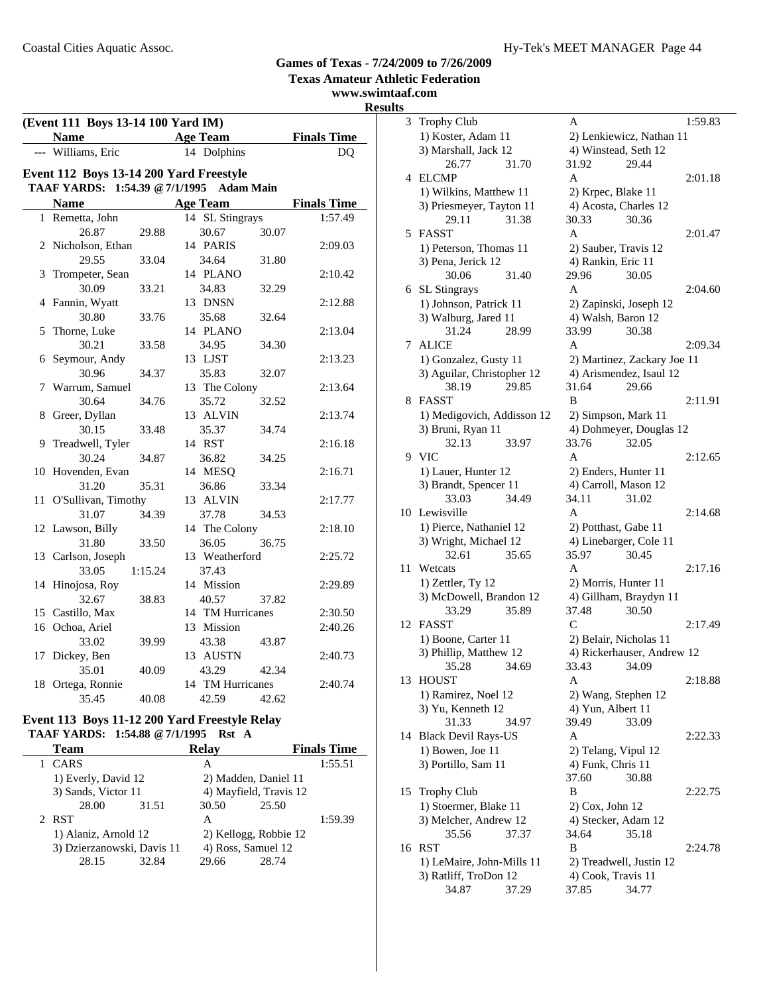#### **Texas Amateur Athletic Federation www.swimtaaf.com Results (Event 111 Boys 13-14 100 Yard IM) Name Age Team Finals Time**<br>Williams, Eric 14 Dolphins DQ --- Williams, Eric 14 Dolphins DO **Event 112 Boys 13-14 200 Yard Freestyle TAAF YARDS: 1:54.39 @7/1/1995 Adam Main Name Age Team Finals Time** 1 Remetta, John 14 SL Stingrays 1:57.49 26.87 29.88 30.67 30.07 2 2:09.03 Nicholson, Ethan 14 PARIS 29.55 33.04 34.64 31.80 3 2:10.42 Trompeter, Sean 14 PLANO 30.09 33.21 34.83 32.29 4 2:12.88 Fannin, Wyatt 13 DNSN 30.80 33.76 35.68 32.64 5 Thorne, Luke 14 PLANO 2:13.04 30.21 33.58 34.95 34.30 6 Seymour, Andy 13 LJST 2:13.23 30.96 34.37 35.83 32.07 7 Warrum, Samuel 13 The Colony 2:13.64 30.64 34.76 35.72 32.52 8 2:13.74 Greer, Dyllan 13 ALVIN 30.15 33.48 35.37 34.74 9 2:16.18 Treadwell, Tyler 14 RST 30.24 34.87 36.82 34.25 10 Hovenden, Evan 14 MESO 2:16.71 31.20 35.31 36.86 33.34 11 2:17.77 O'Sullivan, Timothy 13 ALVIN 31.07 34.39 37.78 34.53 12 Lawson, Billy 14 The Colony 2:18.10 31.80 33.50 36.05 36.75 13 2:25.72 Carlson, Joseph 13 Weatherford 33.05 1:15.24 37.43 14 Hinojosa, Roy 14 Mission 2:29.89 32.67 38.83 40.57 37.82 15 2:30.50 Castillo, Max 14 TM Hurricanes 16 2:40.26 Ochoa, Ariel 13 Mission 33.02 39.99 43.38 43.87 17 2:40.73 Dickey, Ben 13 AUSTN 35.01 40.09 43.29 42.34 18 2:40.74 Ortega, Ronnie 14 TM Hurricanes 35.45 40.08 42.59 42.62

#### **Event 113 Boys 11-12 200 Yard Freestyle Relay TAAF YARDS: 1:54.88 @7/1/1995 Rst A**

| Team                       | <b>Relay</b>        |                       | <b>Finals Time</b>     |         |  |
|----------------------------|---------------------|-----------------------|------------------------|---------|--|
| CARS                       |                     | А                     |                        | 1:55.51 |  |
| 1) Everly, David 12        |                     |                       | 2) Madden, Daniel 11   |         |  |
|                            | 3) Sands, Victor 11 |                       | 4) Mayfield, Travis 12 |         |  |
| 28.00                      | 31.51               | 30.50                 | 25.50                  |         |  |
| 2 RST                      |                     | A                     |                        | 1:59.39 |  |
| 1) Alaniz, Arnold 12       |                     | 2) Kellogg, Robbie 12 |                        |         |  |
| 3) Dzierzanowski, Davis 11 |                     | 4) Ross, Samuel 12    |                        |         |  |
| 28.15                      | 32.84               | 29.66                 | 28.74                  |         |  |

| S  | al.com                                             |                                               |  |
|----|----------------------------------------------------|-----------------------------------------------|--|
| 3  | <b>Trophy Club</b>                                 | A<br>1:59.83                                  |  |
|    | 1) Koster, Adam 11                                 | 2) Lenkiewicz, Nathan 11                      |  |
|    | 3) Marshall, Jack 12                               | 4) Winstead, Seth 12                          |  |
|    | 26.77<br>31.70                                     | 31.92<br>29.44                                |  |
| 4  | <b>ELCMP</b>                                       | A<br>2:01.18                                  |  |
|    | 1) Wilkins, Matthew 11                             | 2) Krpec, Blake 11                            |  |
|    | 3) Priesmeyer, Tayton 11                           | 4) Acosta, Charles 12                         |  |
|    | 31.38<br>29.11                                     | 30.33<br>30.36                                |  |
| 5  | <b>FASST</b>                                       | A<br>2:01.47                                  |  |
|    | 1) Peterson, Thomas 11                             | 2) Sauber, Travis 12                          |  |
|    | 3) Pena, Jerick 12                                 | 4) Rankin, Eric 11                            |  |
|    | 30.06<br>31.40                                     | 29.96<br>30.05                                |  |
| 6  | <b>SL</b> Stingrays                                | A<br>2:04.60                                  |  |
|    | 1) Johnson, Patrick 11                             | 2) Zapinski, Joseph 12                        |  |
|    | 3) Walburg, Jared 11                               | 4) Walsh, Baron 12                            |  |
|    | 31.24<br>28.99                                     | 33.99<br>30.38                                |  |
| 7  | <b>ALICE</b>                                       | A<br>2:09.34                                  |  |
|    | 1) Gonzalez, Gusty 11                              | 2) Martinez, Zackary Joe 11                   |  |
|    | 3) Aguilar, Christopher 12                         | 4) Arismendez, Isaul 12                       |  |
|    | 38.19<br>29.85                                     | 31.64<br>29.66                                |  |
| 8  | FASST                                              | B<br>2:11.91                                  |  |
|    | 1) Medigovich, Addisson 12                         | 2) Simpson, Mark 11                           |  |
|    | 3) Bruni, Ryan 11                                  | 4) Dohmeyer, Douglas 12                       |  |
|    | 32.13<br>33.97                                     | 33.76<br>32.05                                |  |
|    | 9 VIC                                              | A<br>2:12.65                                  |  |
|    | 1) Lauer, Hunter 12                                | 2) Enders, Hunter 11                          |  |
|    | 3) Brandt, Spencer 11                              | 4) Carroll, Mason 12                          |  |
|    | 33.03<br>34.49                                     | 34.11<br>31.02                                |  |
|    | 10 Lewisville                                      | A<br>2:14.68                                  |  |
|    | 1) Pierce, Nathaniel 12                            | 2) Potthast, Gabe 11                          |  |
|    | 3) Wright, Michael 12                              | 4) Linebarger, Cole 11                        |  |
|    | 32.61<br>35.65                                     | 35.97<br>30.45                                |  |
| 11 | Wetcats                                            | A<br>2:17.16                                  |  |
|    | 1) Zettler, Ty 12                                  | 2) Morris, Hunter 11                          |  |
|    | 3) McDowell, Brandon 12                            | 4) Gillham, Braydyn 11                        |  |
|    | 35.89<br>33.29                                     | 37.48<br>30.50                                |  |
| 12 | <b>FASST</b>                                       | C<br>2:17.49                                  |  |
|    | 1) Boone, Carter 11                                | 2) Belair, Nicholas 11                        |  |
|    | 3) Phillip, Matthew 12                             | 4) Rickerhauser, Andrew 12                    |  |
|    | 34.69<br>35.28                                     | 33.43<br>34.09                                |  |
| 13 | <b>HOUST</b>                                       | A<br>2:18.88                                  |  |
|    | 1) Ramirez, Noel 12                                | 2) Wang, Stephen 12                           |  |
|    | 3) Yu, Kenneth 12                                  | 4) Yun, Albert 11                             |  |
|    | 31.33<br>34.97                                     | 39.49<br>33.09                                |  |
| 14 | <b>Black Devil Rays-US</b>                         | A<br>2:22.33                                  |  |
|    | 1) Bowen, Joe 11                                   | 2) Telang, Vipul 12                           |  |
|    | 3) Portillo, Sam 11                                | 4) Funk, Chris 11<br>37.60                    |  |
|    |                                                    | 30.88<br>B                                    |  |
| 15 | <b>Trophy Club</b>                                 | 2:22.75                                       |  |
|    | 1) Stoermer, Blake 11                              | $2)$ Cox, John 12                             |  |
|    | 3) Melcher, Andrew 12                              | 4) Stecker, Adam 12                           |  |
|    | 35.56<br>37.37                                     | 34.64<br>35.18                                |  |
| 16 | <b>RST</b>                                         | B<br>2:24.78                                  |  |
|    | 1) LeMaire, John-Mills 11<br>3) Ratliff, TroDon 12 | 2) Treadwell, Justin 12<br>4) Cook, Travis 11 |  |
|    | 34.87                                              | 37.85<br>34.77                                |  |
|    | 37.29                                              |                                               |  |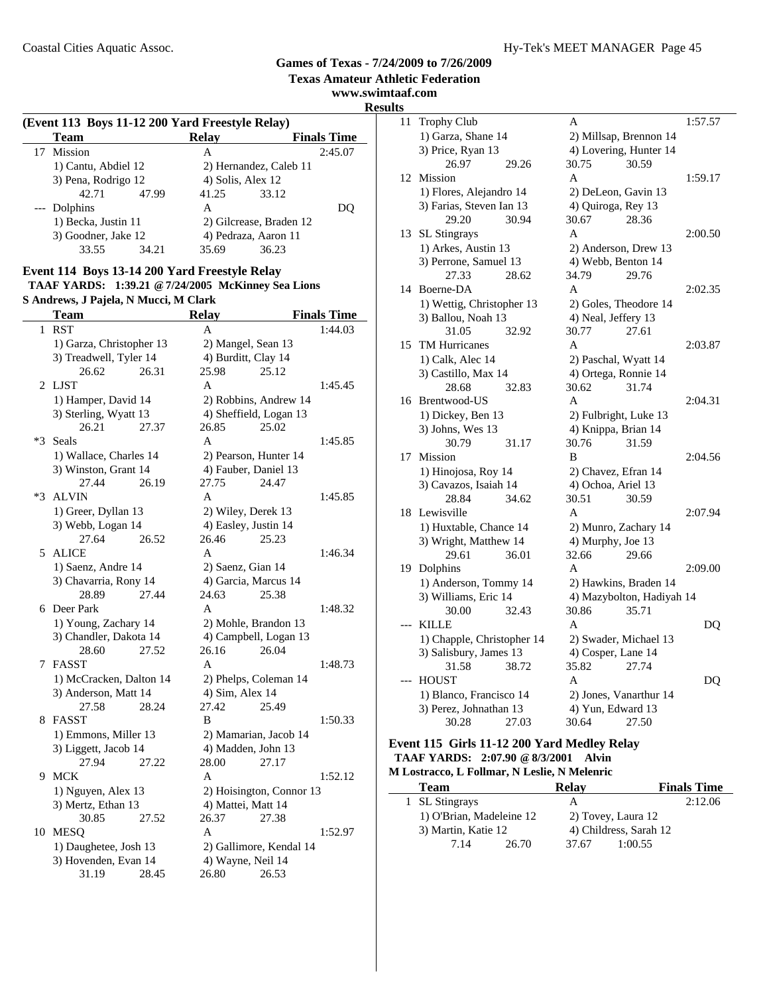**www.swimtaaf.com**

**Results**

| (Event 113 Boys 11-12 200 Yard Freestyle Relay) |                     |       |                   |                         |                    |  |
|-------------------------------------------------|---------------------|-------|-------------------|-------------------------|--------------------|--|
|                                                 | <b>Team</b>         |       | <b>Relay</b>      |                         | <b>Finals Time</b> |  |
| 17                                              | <b>Mission</b>      |       | А                 |                         | 2:45.07            |  |
|                                                 | 1) Cantu, Abdiel 12 |       |                   | 2) Hernandez, Caleb 11  |                    |  |
|                                                 | 3) Pena, Rodrigo 12 |       | 4) Solis, Alex 12 |                         |                    |  |
|                                                 | 42.71               | 47.99 | 41.25             | 33.12                   |                    |  |
|                                                 | --- Dolphins        |       | А                 |                         | DO                 |  |
|                                                 | 1) Becka, Justin 11 |       |                   | 2) Gilcrease, Braden 12 |                    |  |
|                                                 | 3) Goodner, Jake 12 |       |                   | 4) Pedraza, Aaron 11    |                    |  |
|                                                 | 33.55               | 34.21 | 35.69             | 36.23                   |                    |  |

## **Event 114 Boys 13-14 200 Yard Freestyle Relay TAAF YARDS: 1:39.21 @7/24/2005 McKinney Sea Lions**

|  | S Andrews, J Pajela, N Mucci, M Clark |  |  |  |  |
|--|---------------------------------------|--|--|--|--|
|--|---------------------------------------|--|--|--|--|

|      | <b>Team</b>              | <b>Relay</b> |                    | <b>Finals Time</b>       |         |
|------|--------------------------|--------------|--------------------|--------------------------|---------|
| 1    | <b>RST</b>               |              | A                  |                          | 1:44.03 |
|      | 1) Garza, Christopher 13 |              |                    | 2) Mangel, Sean 13       |         |
|      | 3) Treadwell, Tyler 14   |              |                    | 4) Burditt, Clay 14      |         |
|      | 26.62                    | 26.31        | 25.98              | 25.12                    |         |
| 2    | <b>LJST</b>              |              | A                  |                          | 1:45.45 |
|      | 1) Hamper, David 14      |              |                    | 2) Robbins, Andrew 14    |         |
|      | 3) Sterling, Wyatt 13    |              |                    | 4) Sheffield, Logan 13   |         |
|      | 26.21                    | 27.37        | 26.85              | 25.02                    |         |
| $*3$ | Seals                    |              | A                  |                          | 1:45.85 |
|      | 1) Wallace, Charles 14   |              |                    | 2) Pearson, Hunter 14    |         |
|      | 3) Winston, Grant 14     |              |                    | 4) Fauber, Daniel 13     |         |
|      | 27.44                    | 26.19        | 27.75              | 24.47                    |         |
| $*3$ | <b>ALVIN</b>             |              | A                  |                          | 1:45.85 |
|      | 1) Greer, Dyllan 13      |              |                    | 2) Wiley, Derek 13       |         |
|      | 3) Webb, Logan 14        |              |                    | 4) Easley, Justin 14     |         |
|      | 27.64                    | 26.52        | 26.46              | 25.23                    |         |
|      | 5 ALICE                  |              | A                  |                          | 1:46.34 |
|      | 1) Saenz, Andre 14       |              | 2) Saenz, Gian 14  |                          |         |
|      | 3) Chavarria, Rony 14    |              |                    | 4) Garcia, Marcus 14     |         |
|      | 28.89                    | 27.44        | 24.63              | 25.38                    |         |
| 6    | Deer Park                |              | A                  |                          | 1:48.32 |
|      | 1) Young, Zachary 14     |              |                    | 2) Mohle, Brandon 13     |         |
|      | 3) Chandler, Dakota 14   |              |                    | 4) Campbell, Logan 13    |         |
|      | 28.60                    | 27.52        | 26.16              | 26.04                    |         |
| 7    | <b>FASST</b>             |              | A                  |                          | 1:48.73 |
|      | 1) McCracken, Dalton 14  |              |                    | 2) Phelps, Coleman 14    |         |
|      | 3) Anderson, Matt 14     |              | 4) Sim, Alex 14    |                          |         |
|      | 27.58                    | 28.24        | 27.42              | 25.49                    |         |
| 8    | FASST                    |              | B                  |                          | 1:50.33 |
|      | 1) Emmons, Miller 13     |              |                    | 2) Mamarian, Jacob 14    |         |
|      | 3) Liggett, Jacob 14     |              |                    | 4) Madden, John 13       |         |
|      | 27.94                    | 27.22        | 28.00              | 27.17                    |         |
| 9    | <b>MCK</b>               |              | A                  |                          | 1:52.12 |
|      | 1) Nguyen, Alex 13       |              |                    | 2) Hoisington, Connor 13 |         |
|      | 3) Mertz, Ethan 13       |              | 4) Mattei, Matt 14 |                          |         |
|      | 30.85                    | 27.52        | 26.37              | 27.38                    |         |
| 10   | <b>MESQ</b>              |              | A                  |                          | 1:52.97 |
|      | 1) Daughetee, Josh 13    |              |                    | 2) Gallimore, Kendal 14  |         |
|      | 3) Hovenden, Evan 14     |              | 4) Wayne, Neil 14  |                          |         |
|      | 31.19                    | 28.45        | 26.80              | 26.53                    |         |

| 11 | <b>Trophy Club</b>              |       | A                           |                           | 1:57.57 |
|----|---------------------------------|-------|-----------------------------|---------------------------|---------|
|    | 1) Garza, Shane 14              |       | 2) Millsap, Brennon 14      |                           |         |
|    | 3) Price, Ryan 13               |       |                             | 4) Lovering, Hunter 14    |         |
|    | 26.97                           | 29.26 | 30.75                       | 30.59                     |         |
| 12 | Mission                         |       | A                           |                           | 1:59.17 |
|    | 1) Flores, Alejandro 14         |       | 2) DeLeon, Gavin 13         |                           |         |
|    | 3) Farias, Steven Ian 13        |       | 4) Quiroga, Rey 13          |                           |         |
|    | 29.20                           | 30.94 | 30.67                       | 28.36                     |         |
| 13 | SL Stingrays                    |       | $\mathsf{A}$                |                           | 2:00.50 |
|    | 1) Arkes, Austin 13             |       | 2) Anderson, Drew 13        |                           |         |
|    | 3) Perrone, Samuel 13           |       | 4) Webb, Benton 14          |                           |         |
|    | 27.33                           | 28.62 | 34.79                       | 29.76                     |         |
| 14 | Boerne-DA                       |       | A                           |                           | 2:02.35 |
|    | 1) Wettig, Christopher 13       |       | 2) Goles, Theodore 14       |                           |         |
|    | 3) Ballou, Noah 13              |       | 4) Neal, Jeffery 13         |                           |         |
|    | 31.05                           | 32.92 | 30.77                       | 27.61                     |         |
| 15 | <b>TM Hurricanes</b>            |       | A                           |                           | 2:03.87 |
|    | 1) Calk, Alec 14                |       | 2) Paschal, Wyatt 14        |                           |         |
|    | 3) Castillo, Max 14             |       | 4) Ortega, Ronnie 14        |                           |         |
|    | 28.68                           | 32.83 | 30.62                       | 31.74                     |         |
| 16 | Brentwood-US                    |       | A                           |                           | 2:04.31 |
|    | 1) Dickey, Ben 13               |       | 2) Fulbright, Luke 13       |                           |         |
|    | 3) Johns, Wes 13                |       | 4) Knippa, Brian 14         |                           |         |
|    | 30.79                           | 31.17 | 30.76                       | 31.59                     |         |
| 17 | <b>Mission</b>                  |       | B                           |                           | 2:04.56 |
|    | 1) Hinojosa, Roy 14             |       | 2) Chavez, Efran 14         |                           |         |
|    | 3) Cavazos, Isaiah 14           |       | 4) Ochoa, Ariel 13          |                           |         |
|    | 28.84                           | 34.62 | 30.51                       | 30.59                     |         |
| 18 | Lewisville                      |       | A                           |                           | 2:07.94 |
|    | 1) Huxtable, Chance 14          |       | 2) Munro, Zachary 14        |                           |         |
|    | 3) Wright, Matthew 14           |       | 4) Murphy, Joe 13           |                           |         |
|    | 29.61                           | 36.01 | 32.66                       | 29.66                     |         |
| 19 | Dolphins                        |       | A                           |                           | 2:09.00 |
|    | 1) Anderson, Tommy 14           |       |                             | 2) Hawkins, Braden 14     |         |
|    | 3) Williams, Eric 14            |       |                             | 4) Mazybolton, Hadiyah 14 |         |
|    | 30.00                           | 32.43 | 30.86                       | 35.71                     |         |
|    | <b>KILLE</b>                    |       | A                           |                           | DQ      |
|    | 1) Chapple, Christopher 14      |       |                             | 2) Swader, Michael 13     |         |
|    | 3) Salisbury, James 13          | 38.72 | 4) Cosper, Lane 14<br>35.82 |                           |         |
|    | 31.58<br><b>HOUST</b>           |       | A                           | 27.74                     | DQ      |
|    | 1) Blanco, Francisco 14         |       |                             |                           |         |
|    |                                 |       |                             | 2) Jones, Vanarthur 14    |         |
|    | 3) Perez, Johnathan 13<br>30.28 |       | 4) Yun, Edward 13           | 27.50                     |         |
|    |                                 | 27.03 | 30.64                       |                           |         |

#### **Event 115 Girls 11-12 200 Yard Medley Relay TAAF YARDS: 2:07.90 @8/3/2001 Alvin M Lostracco, L Follmar, N Leslie, N Melenric**

 $\overline{\phantom{0}}$ 

| <b>Team</b>    |                          | <b>Relav</b> | <b>Finals Time</b>     |
|----------------|--------------------------|--------------|------------------------|
| 1 SL Stingrays |                          | А            | 2:12.06                |
|                | 1) O'Brian, Madeleine 12 |              | 2) Tovey, Laura 12     |
|                | 3) Martin, Katie 12      |              | 4) Childress, Sarah 12 |
| 714            | 26.70                    | 37.67        | 1:00.55                |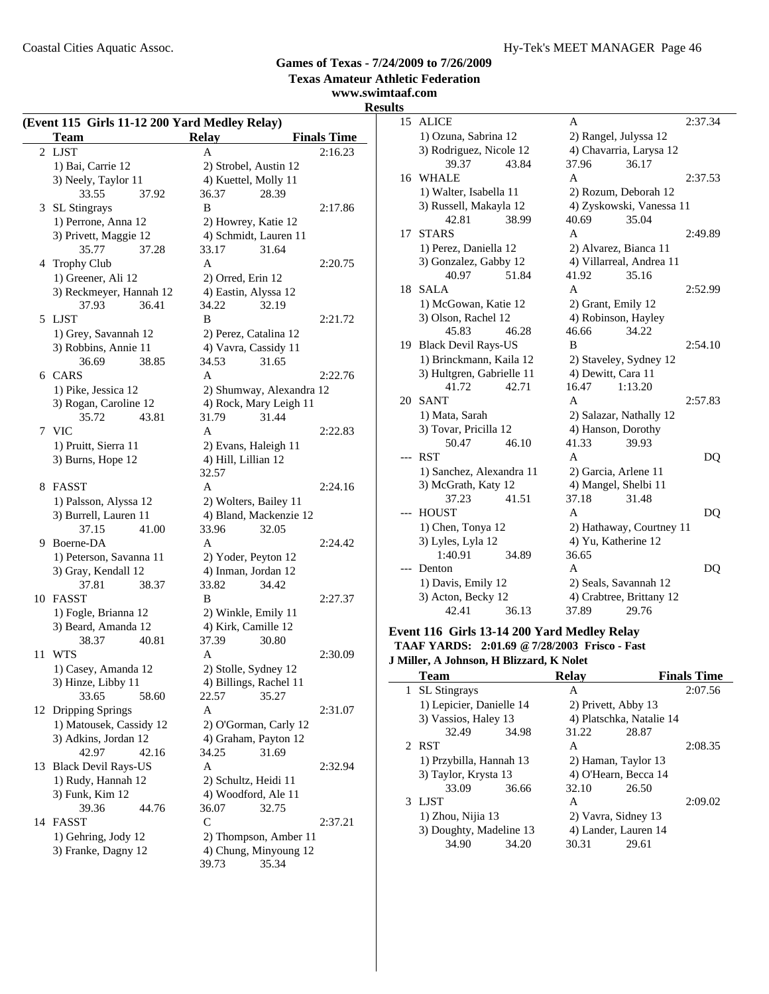**www.swimtaaf.com**

# **Results**

|                             | (Event 115 Girls 11-12 200 Yard Medley Relay)<br>Team | <b>Relay</b>                                  | <b>Finals Time</b> |
|-----------------------------|-------------------------------------------------------|-----------------------------------------------|--------------------|
| $\mathcal{D}_{\mathcal{L}}$ | <b>LJST</b>                                           | A                                             | 2:16.23            |
|                             | 1) Bai, Carrie 12                                     | 2) Strobel, Austin 12                         |                    |
|                             | 3) Neely, Taylor 11                                   | 4) Kuettel, Molly 11                          |                    |
|                             | 33.55<br>37.92                                        | 36.37<br>28.39                                |                    |
|                             | 3 SL Stingrays                                        | B                                             | 2:17.86            |
|                             | 1) Perrone, Anna 12                                   | 2) Howrey, Katie 12                           |                    |
|                             | 3) Privett, Maggie 12                                 | 4) Schmidt, Lauren 11                         |                    |
|                             | 35.77<br>37.28                                        | 33.17<br>31.64                                |                    |
|                             |                                                       | A                                             | 2:20.75            |
|                             | 4 Trophy Club                                         |                                               |                    |
|                             | 1) Greener, Ali 12                                    | 2) Orred, Erin 12                             |                    |
|                             | 3) Reckmeyer, Hannah 12                               | 4) Eastin, Alyssa 12                          |                    |
|                             | 37.93<br>36.41                                        | 34.22<br>32.19                                |                    |
|                             | 5 LJST                                                | B                                             | 2:21.72            |
|                             | 1) Grey, Savannah 12                                  | 2) Perez, Catalina 12                         |                    |
|                             | 3) Robbins, Annie 11                                  | 4) Vavra, Cassidy 11                          |                    |
|                             | 36.69<br>38.85                                        | 34.53<br>31.65                                |                    |
|                             | 6 CARS                                                | A                                             | 2:22.76            |
|                             | 1) Pike, Jessica 12                                   | 2) Shumway, Alexandra 12                      |                    |
|                             | 3) Rogan, Caroline 12                                 | 4) Rock, Mary Leigh 11                        |                    |
|                             | 35.72<br>43.81                                        | 31.79<br>31.44                                |                    |
|                             | 7 VIC                                                 | A                                             | 2:22.83            |
|                             | 1) Pruitt, Sierra 11                                  | 2) Evans, Haleigh 11                          |                    |
|                             | 3) Burns, Hope 12                                     | 4) Hill, Lillian 12                           |                    |
|                             |                                                       | 32.57                                         |                    |
|                             | 8 FASST                                               | A                                             | 2:24.16            |
|                             | 1) Palsson, Alyssa 12                                 | 2) Wolters, Bailey 11                         |                    |
|                             | 3) Burrell, Lauren 11                                 | 4) Bland, Mackenzie 12                        |                    |
|                             | 37.15<br>41.00                                        | 33.96<br>32.05                                |                    |
|                             | 9 Boerne-DA                                           | A                                             | 2:24.42            |
|                             | 1) Peterson, Savanna 11                               | 2) Yoder, Peyton 12                           |                    |
|                             | 3) Gray, Kendall 12                                   | 4) Inman, Jordan 12                           |                    |
|                             | 37.81<br>38.37                                        | 33.82<br>34.42                                |                    |
|                             | 10 FASST                                              | B                                             | 2:27.37            |
|                             | 1) Fogle, Brianna 12                                  | 2) Winkle, Emily 11                           |                    |
|                             | 3) Beard, Amanda 12                                   | 4) Kirk, Camille 12                           |                    |
|                             | 38.37<br>40.81                                        | 37.39<br>30.80                                |                    |
| 11                          | <b>WTS</b>                                            | A                                             | 2:30.09            |
|                             | 1) Casey, Amanda 12                                   | 2) Stolle, Sydney 12                          |                    |
|                             | 3) Hinze, Libby 11                                    | 4) Billings, Rachel 11                        |                    |
|                             | 33.65<br>58.60                                        | 22.57<br>35.27                                |                    |
|                             | 12 Dripping Springs                                   | A                                             | 2:31.07            |
|                             | 1) Matousek, Cassidy 12                               |                                               |                    |
|                             | 3) Adkins, Jordan 12                                  | 2) O'Gorman, Carly 12<br>4) Graham, Payton 12 |                    |
|                             | 42.97<br>42.16                                        | 34.25<br>31.69                                |                    |
|                             |                                                       |                                               | 2:32.94            |
| 13                          | <b>Black Devil Rays-US</b>                            | A                                             |                    |
|                             | 1) Rudy, Hannah 12                                    | 2) Schultz, Heidi 11                          |                    |
|                             | 3) Funk, Kim 12                                       | 4) Woodford, Ale 11                           |                    |
|                             | 39.36<br>44.76                                        | 36.07<br>32.75                                |                    |
|                             | 14 FASST                                              | $\mathsf{C}$                                  | 2:37.21            |
|                             | 1) Gehring, Jody 12                                   | 2) Thompson, Amber 11                         |                    |
|                             | 3) Franke, Dagny 12                                   | 4) Chung, Minyoung 12                         |                    |
|                             |                                                       | 39.73<br>35.34                                |                    |

| 15  | <b>ALICE</b>               |       | A                        |                          | 2:37.34 |
|-----|----------------------------|-------|--------------------------|--------------------------|---------|
|     | 1) Ozuna, Sabrina 12       |       | 2) Rangel, Julyssa 12    |                          |         |
|     | 3) Rodriguez, Nicole 12    |       |                          | 4) Chavarria, Larysa 12  |         |
|     | 39.37                      | 43.84 | 37.96                    | 36.17                    |         |
|     | 16 WHALE                   |       | A                        |                          | 2:37.53 |
|     | 1) Walter, Isabella 11     |       |                          | 2) Rozum, Deborah 12     |         |
|     | 3) Russell, Makayla 12     |       |                          | 4) Zyskowski, Vanessa 11 |         |
|     | 42.81                      | 38.99 | 40.69                    | 35.04                    |         |
| 17  | <b>STARS</b>               |       | A                        |                          | 2:49.89 |
|     | 1) Perez, Daniella 12      |       | 2) Alvarez, Bianca 11    |                          |         |
|     | 3) Gonzalez, Gabby 12      |       |                          | 4) Villarreal, Andrea 11 |         |
|     | 40.97                      | 51.84 | 41.92                    | 35.16                    |         |
| 18  | <b>SALA</b>                |       | A                        |                          | 2:52.99 |
|     | 1) McGowan, Katie 12       |       | 2) Grant, Emily 12       |                          |         |
|     | 3) Olson, Rachel 12        |       | 4) Robinson, Hayley      |                          |         |
|     | 45.83                      | 46.28 | 46.66                    | 34.22                    |         |
| 19  | <b>Black Devil Rays-US</b> |       | B                        |                          | 2:54.10 |
|     | 1) Brinckmann, Kaila 12    |       |                          | 2) Staveley, Sydney 12   |         |
|     | 3) Hultgren, Gabrielle 11  |       | 4) Dewitt, Cara 11       |                          |         |
|     | 41.72                      | 42.71 | 16.47                    | 1:13.20                  |         |
| 20  | <b>SANT</b>                |       | A                        |                          | 2:57.83 |
|     | 1) Mata, Sarah             |       |                          | 2) Salazar, Nathally 12  |         |
|     | 3) Tovar, Pricilla 12      |       | 4) Hanson, Dorothy       |                          |         |
|     | 50.47                      | 46.10 | 41.33                    | 39.93                    |         |
| --- | <b>RST</b>                 |       | A                        |                          | DQ      |
|     | 1) Sanchez, Alexandra 11   |       | 2) Garcia, Arlene 11     |                          |         |
|     | 3) McGrath, Katy 12        |       | 4) Mangel, Shelbi 11     |                          |         |
|     | 37.23                      | 41.51 | 37.18                    | 31.48                    |         |
| --- | <b>HOUST</b>               |       | A                        |                          | DQ      |
|     | 1) Chen, Tonya 12          |       | 2) Hathaway, Courtney 11 |                          |         |
|     | 3) Lyles, Lyla 12          |       | 4) Yu, Katherine 12      |                          |         |
|     | 1:40.91                    | 34.89 | 36.65                    |                          |         |
|     | Denton                     |       | A                        |                          | DQ      |
|     | 1) Davis, Emily 12         |       |                          | 2) Seals, Savannah 12    |         |
|     | 3) Acton, Becky 12         |       |                          | 4) Crabtree, Brittany 12 |         |
|     | 42.41                      | 36.13 | 37.89                    | 29.76                    |         |

#### **Event 116 Girls 13-14 200 Yard Medley Relay TAAF YARDS: 2:01.69 @7/28/2003 Frisco - Fast J Miller, A Johnson, H Blizzard, K Nolet**

| <b>Team</b>    | Relav |                                                                                                                                                     | <b>Finals Time</b> |                                                                                                                       |
|----------------|-------|-----------------------------------------------------------------------------------------------------------------------------------------------------|--------------------|-----------------------------------------------------------------------------------------------------------------------|
| 1 SL Stingrays |       | A                                                                                                                                                   |                    | 2:07.56                                                                                                               |
|                |       |                                                                                                                                                     |                    |                                                                                                                       |
|                |       |                                                                                                                                                     |                    |                                                                                                                       |
| 32.49          | 34.98 | 31.22                                                                                                                                               | 28.87              |                                                                                                                       |
| 2 RST          |       | A                                                                                                                                                   |                    | 2:08.35                                                                                                               |
|                |       |                                                                                                                                                     |                    |                                                                                                                       |
|                |       | 4) O'Hearn, Becca 14                                                                                                                                |                    |                                                                                                                       |
| 33.09          | 36.66 | 32.10                                                                                                                                               | 26.50              |                                                                                                                       |
| 3 LJST         |       | A                                                                                                                                                   |                    | 2:09.02                                                                                                               |
|                |       |                                                                                                                                                     |                    |                                                                                                                       |
|                |       |                                                                                                                                                     |                    |                                                                                                                       |
| 34.90          | 34.20 | 30.31                                                                                                                                               | 29.61              |                                                                                                                       |
|                |       | 1) Lepicier, Danielle 14<br>3) Vassios, Haley 13<br>1) Przybilla, Hannah 13<br>3) Taylor, Krysta 13<br>1) Zhou, Nijia 13<br>3) Doughty, Madeline 13 |                    | 2) Privett, Abby 13<br>4) Platschka, Natalie 14<br>2) Haman, Taylor 13<br>2) Vavra, Sidney 13<br>4) Lander, Lauren 14 |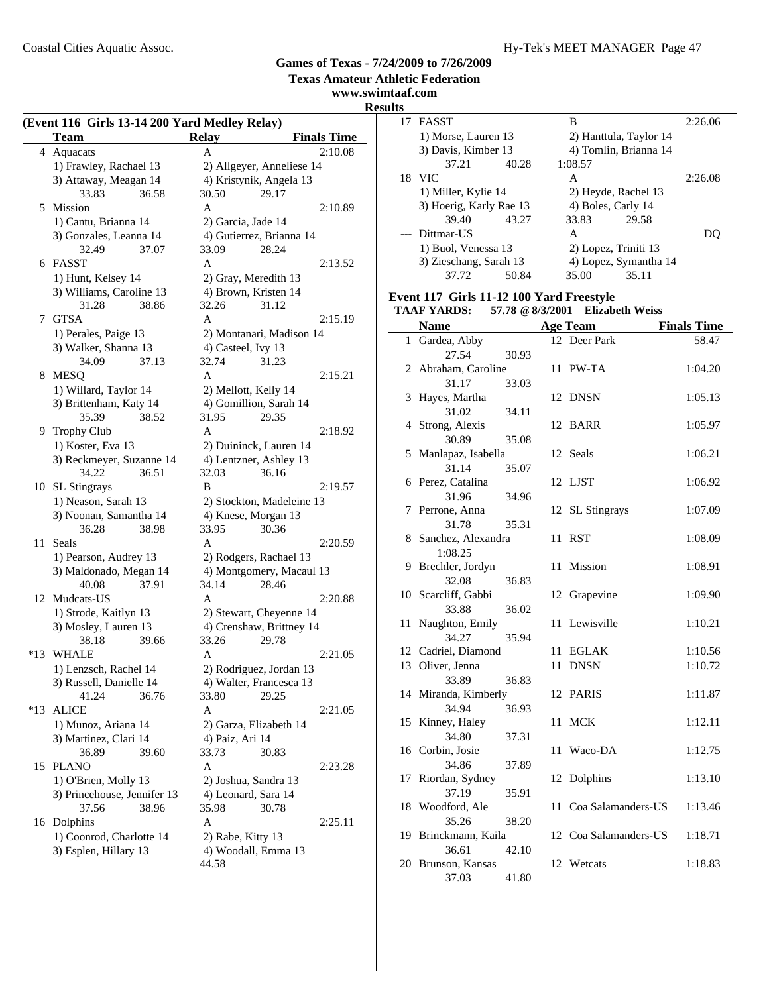**Texas Amateur Athletic Federation**

**www.swimtaaf.com**

#### **(Event 116 Girls 13-14 200 Yard Medley Relay) Team Relay Finals Time**  $\overline{a}$

|       | Team                                     | <b>Relay</b>                                | <b>Finals Time</b> |
|-------|------------------------------------------|---------------------------------------------|--------------------|
| 4     | Aquacats                                 | A                                           | 2:10.08            |
|       | 1) Frawley, Rachael 13                   | 2) Allgeyer, Anneliese 14                   |                    |
|       | 3) Attaway, Meagan 14                    | 4) Kristynik, Angela 13                     |                    |
|       | 33.83<br>36.58                           | 30.50<br>29.17                              |                    |
|       | 5 Mission                                | A                                           | 2:10.89            |
|       | 1) Cantu, Brianna 14                     | 2) Garcia, Jade 14                          |                    |
|       | 3) Gonzales, Leanna 14                   | 4) Gutierrez, Brianna 14                    |                    |
|       | 32.49<br>37.07                           | 33.09<br>28.24                              |                    |
| 6     | FASST                                    | A                                           | 2:13.52            |
|       | 1) Hunt, Kelsey 14                       | 2) Gray, Meredith 13                        |                    |
|       | 3) Williams, Caroline 13                 | 4) Brown, Kristen 14                        |                    |
|       | 31.28<br>38.86                           | 32.26<br>31.12                              |                    |
| 7     | <b>GTSA</b>                              | A                                           | 2:15.19            |
|       | 1) Perales, Paige 13                     | 2) Montanari, Madison 14                    |                    |
|       | 3) Walker, Shanna 13                     | 4) Casteel, Ivy 13                          |                    |
|       | 34.09<br>37.13                           | 32.74<br>31.23                              |                    |
| 8     | <b>MESQ</b>                              | A                                           | 2:15.21            |
|       | 1) Willard, Taylor 14                    | 2) Mellott, Kelly 14                        |                    |
|       | 3) Brittenham, Katy 14                   | 4) Gomillion, Sarah 14                      |                    |
|       | 35.39                                    | 31.95<br>29.35                              |                    |
|       | 38.52                                    |                                             | 2:18.92            |
| 9.    | <b>Trophy Club</b>                       | A                                           |                    |
|       | 1) Koster, Eva 13                        | 2) Duininck, Lauren 14                      |                    |
|       | 3) Reckmeyer, Suzanne 14                 | 4) Lentzner, Ashley 13                      |                    |
|       | 34.22<br>36.51                           | 32.03<br>36.16<br>B                         | 2:19.57            |
| 10    | SL Stingrays                             |                                             |                    |
|       | 1) Neason, Sarah 13                      | 2) Stockton, Madeleine 13                   |                    |
|       | 3) Noonan, Samantha 14                   | 4) Knese, Morgan 13<br>33.95                |                    |
|       | 36.28<br>38.98                           | 30.36                                       |                    |
| 11    | Seals                                    | A                                           | 2:20.59            |
|       | 1) Pearson, Audrey 13                    | 2) Rodgers, Rachael 13                      |                    |
|       | 3) Maldonado, Megan 14<br>40.08<br>37.91 | 4) Montgomery, Macaul 13<br>34.14<br>28.46  |                    |
|       |                                          | A                                           | 2:20.88            |
|       | 12 Mudcats-US                            |                                             |                    |
|       | 1) Strode, Kaitlyn 13                    | 2) Stewart, Cheyenne 14                     |                    |
|       | 3) Mosley, Lauren 13<br>38.18            | 4) Crenshaw, Brittney 14<br>33.26<br>29.78  |                    |
| $*13$ | 39.66<br><b>WHALE</b>                    | A                                           | 2:21.05            |
|       | 1) Lenzsch, Rachel 14                    | 2) Rodriguez, Jordan 13                     |                    |
|       | 3) Russell, Danielle 14                  |                                             |                    |
|       | 41.24 36.76                              | 4) Walter, Francesca 13                     |                    |
| $*13$ | <b>ALICE</b>                             | 29.25<br>33.80<br>А                         | 2:21.05            |
|       |                                          |                                             |                    |
|       | 1) Munoz, Ariana 14                      | 2) Garza, Elizabeth 14                      |                    |
|       | 3) Martinez, Clari 14                    | 4) Paiz, Ari 14<br>33.73                    |                    |
| 15    | 36.89<br>39.60<br><b>PLANO</b>           | 30.83<br>A                                  | 2:23.28            |
|       | 1) O'Brien, Molly 13                     |                                             |                    |
|       |                                          | 2) Joshua, Sandra 13<br>4) Leonard, Sara 14 |                    |
|       | 3) Princehouse, Jennifer 13              |                                             |                    |
|       | 37.56<br>38.96                           | 35.98<br>30.78                              |                    |
|       | 16 Dolphins                              | A                                           | 2:25.11            |
|       | 1) Coonrod, Charlotte 14                 | 2) Rabe, Kitty 13                           |                    |
|       | 3) Esplen, Hillary 13                    | 4) Woodall, Emma 13                         |                    |
|       |                                          | 44.58                                       |                    |

| <b>Results</b> |                         |       |         |                        |         |
|----------------|-------------------------|-------|---------|------------------------|---------|
|                | 17 FASST                |       | B       |                        | 2:26.06 |
|                | 1) Morse, Lauren 13     |       |         | 2) Hanttula, Taylor 14 |         |
|                | 3) Davis, Kimber 13     |       |         | 4) Tomlin, Brianna 14  |         |
|                | 37.21                   | 40.28 | 1:08.57 |                        |         |
|                | 18 VIC                  |       | A       |                        | 2:26.08 |
|                | 1) Miller, Kylie 14     |       |         | 2) Heyde, Rachel 13    |         |
|                | 3) Hoerig, Karly Rae 13 |       |         | 4) Boles, Carly 14     |         |
|                | 39.40                   | 43.27 | 33.83   | 29.58                  |         |
|                | --- Dittmar-US          |       | A       |                        | DO)     |
|                | 1) Buol, Venessa 13     |       |         | 2) Lopez, Triniti 13   |         |
|                | 3) Zieschang, Sarah 13  |       |         | 4) Lopez, Symantha 14  |         |
|                | 37.72                   | 50.84 | 35.00   | 35.11                  |         |

## **Event 117 Girls 11-12 100 Yard Freestyle**

|    | <b>TAAF YARDS:</b>   | 57.78 @ 8/3/2001 |    | <b>Elizabeth Weiss</b> |                    |
|----|----------------------|------------------|----|------------------------|--------------------|
|    | <b>Name</b>          |                  |    | <b>Age Team</b>        | <b>Finals Time</b> |
|    | 1 Gardea, Abby       |                  |    | 12 Deer Park           | 58.47              |
|    | 27.54                | 30.93            |    |                        |                    |
| 2  | Abraham, Caroline    |                  | 11 | PW-TA                  | 1:04.20            |
|    | 31.17                | 33.03            |    |                        |                    |
| 3  | Hayes, Martha        |                  | 12 | <b>DNSN</b>            | 1:05.13            |
|    | 31.02                | 34.11            |    |                        |                    |
| 4  | Strong, Alexis       |                  | 12 | <b>BARR</b>            | 1:05.97            |
|    | 30.89                | 35.08            |    |                        |                    |
| 5  | Manlapaz, Isabella   |                  | 12 | Seals                  | 1:06.21            |
|    | 31.14                | 35.07            |    |                        |                    |
|    | 6 Perez, Catalina    |                  | 12 | LJST                   | 1:06.92            |
|    | 31.96                | 34.96            |    |                        |                    |
| 7  | Perrone, Anna        |                  | 12 | <b>SL</b> Stingrays    | 1:07.09            |
|    | 31.78                | 35.31            |    |                        |                    |
| 8  | Sanchez, Alexandra   |                  | 11 | <b>RST</b>             | 1:08.09            |
|    | 1:08.25              |                  |    |                        |                    |
| 9  | Brechler, Jordyn     |                  | 11 | Mission                | 1:08.91            |
|    | 32.08                | 36.83            |    |                        |                    |
|    | 10 Scarcliff, Gabbi  |                  | 12 | Grapevine              | 1:09.90            |
|    | 33.88                | 36.02            |    |                        |                    |
| 11 | Naughton, Emily      |                  | 11 | Lewisville             | 1:10.21            |
|    | 34.27                | 35.94            |    |                        |                    |
|    | 12 Cadriel, Diamond  |                  | 11 | <b>EGLAK</b>           | 1:10.56            |
|    | 13 Oliver, Jenna     |                  | 11 | <b>DNSN</b>            | 1:10.72            |
|    | 33.89                | 36.83            |    |                        |                    |
|    | 14 Miranda, Kimberly |                  | 12 | <b>PARIS</b>           | 1:11.87            |
|    | 34.94                | 36.93            |    |                        |                    |
| 15 | Kinney, Haley        |                  | 11 | <b>MCK</b>             | 1:12.11            |
|    | 34.80                | 37.31            |    |                        |                    |
|    | 16 Corbin, Josie     |                  | 11 | Waco-DA                | 1:12.75            |
|    | 34.86                | 37.89            |    |                        |                    |
| 17 | Riordan, Sydney      |                  | 12 | Dolphins               | 1:13.10            |
|    | 37.19                | 35.91            |    |                        |                    |
|    | 18 Woodford, Ale     |                  | 11 | Coa Salamanders-US     | 1:13.46            |
|    | 35.26                | 38.20            |    |                        |                    |
|    | 19 Brinckmann, Kaila |                  |    | 12 Coa Salamanders-US  | 1:18.71            |
|    | 36.61                | 42.10            |    |                        |                    |
|    | 20 Brunson, Kansas   |                  | 12 | Wetcats                | 1:18.83            |
|    | 37.03                | 41.80            |    |                        |                    |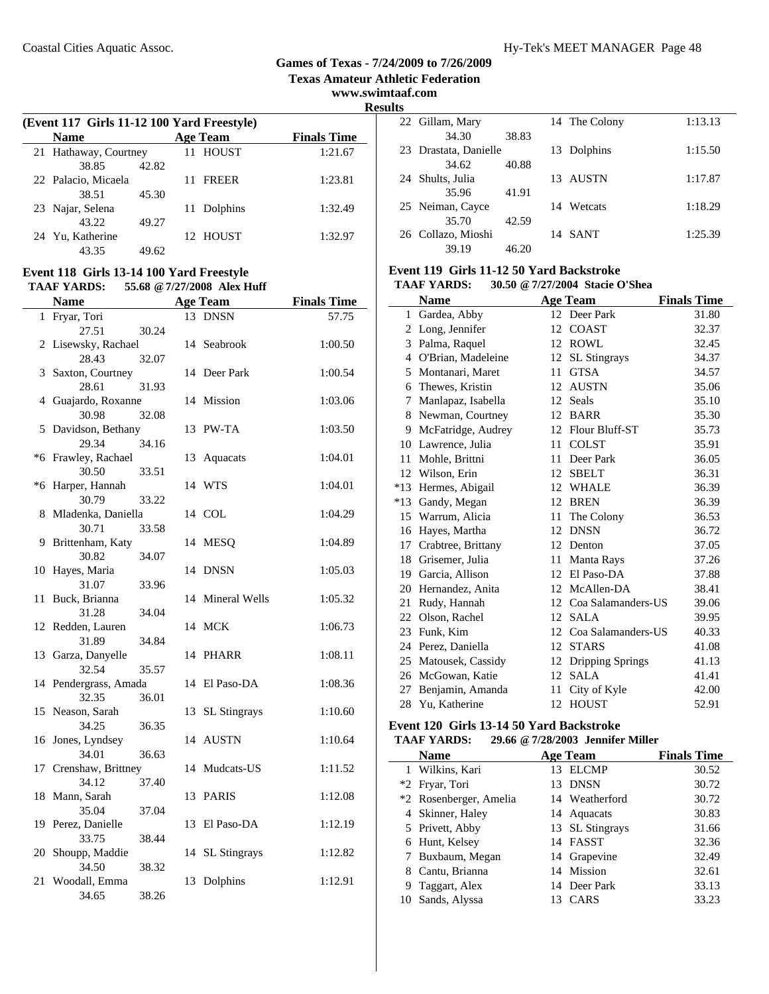**Texas Amateur Athletic Federation**

**www.swimtaaf.com**

**Results**

| (Event 117 Girls 11-12 100 Yard Freestyle) |                       |       |  |                 |                    |  |
|--------------------------------------------|-----------------------|-------|--|-----------------|--------------------|--|
|                                            | <b>Name</b>           |       |  | <b>Age Team</b> | <b>Finals Time</b> |  |
|                                            | 21 Hathaway, Courtney |       |  | 11 HOUST        | 1:21.67            |  |
|                                            | 38.85                 | 42.82 |  |                 |                    |  |
|                                            | 22 Palacio, Micaela   |       |  | <b>FREER</b>    | 1:23.81            |  |
|                                            | 38.51                 | 45.30 |  |                 |                    |  |
|                                            | 23 Najar, Selena      |       |  | Dolphins        | 1:32.49            |  |
|                                            | 43.22                 | 49.27 |  |                 |                    |  |
| 24                                         | Yu, Katherine         |       |  | 12 HOUST        | 1:32.97            |  |
|                                            | 43.35                 | 49.62 |  |                 |                    |  |

#### **Event 118 Girls 13-14 100 Yard Freestyle TAAF YARDS: 55.68 @7/27/2008 Alex Huff**

|      | <b>Name</b>                    |    | <b>Age Team</b>     | <b>Finals Time</b> |
|------|--------------------------------|----|---------------------|--------------------|
| 1    | Fryar, Tori                    |    | 13 DNSN             | 57.75              |
|      | 27.51<br>30.24                 |    |                     |                    |
|      | 2 Lisewsky, Rachael            |    | 14 Seabrook         | 1:00.50            |
|      | 28.43<br>32.07                 |    |                     |                    |
| 3    | Saxton, Courtney               |    | 14 Deer Park        | 1:00.54            |
|      | 28.61<br>31.93                 |    |                     |                    |
|      | 4 Guajardo, Roxanne            |    | 14 Mission          | 1:03.06            |
|      | 30.98<br>32.08                 |    |                     |                    |
| 5    | Davidson, Bethany              |    | 13 PW-TA            | 1:03.50            |
|      | 29.34<br>34.16                 |    |                     |                    |
|      | *6 Frawley, Rachael            | 13 | Aquacats            | 1:04.01            |
|      | 30.50<br>33.51                 |    |                     |                    |
| $*6$ | Harper, Hannah                 |    | 14 WTS              | 1:04.01            |
|      | 30.79<br>33.22                 |    |                     |                    |
| 8    | Mladenka, Daniella             |    | 14 COL              | 1:04.29            |
|      | 30.71<br>33.58                 |    |                     |                    |
| 9    | Brittenham, Katy               |    | 14 MESQ             | 1:04.89            |
|      | 30.82<br>34.07                 |    |                     |                    |
| 10   | Hayes, Maria                   |    | 14 DNSN             | 1:05.03            |
|      | 31.07<br>33.96                 |    |                     |                    |
| 11   | Buck, Brianna                  |    | 14 Mineral Wells    | 1:05.32            |
| 12   | 31.28<br>34.04                 |    |                     |                    |
|      | Redden, Lauren                 |    | 14 MCK              | 1:06.73            |
|      | 31.89<br>34.84                 |    |                     |                    |
|      | 13 Garza, Danyelle<br>32.54    |    | 14 PHARR            | 1:08.11            |
|      | 35.57<br>14 Pendergrass, Amada |    | 14 El Paso-DA       | 1:08.36            |
|      | 32.35<br>36.01                 |    |                     |                    |
| 15   | Neason, Sarah                  | 13 | <b>SL Stingrays</b> | 1:10.60            |
|      | 34.25<br>36.35                 |    |                     |                    |
|      | 16 Jones, Lyndsey              |    | 14 AUSTN            | 1:10.64            |
|      | 34.01<br>36.63                 |    |                     |                    |
|      | 17 Crenshaw, Brittney          |    | 14 Mudcats-US       | 1:11.52            |
|      | 37.40<br>34.12                 |    |                     |                    |
|      | 18 Mann, Sarah                 |    | 13 PARIS            | 1:12.08            |
|      | 35.04<br>37.04                 |    |                     |                    |
| 19   | Perez, Danielle                |    | 13 El Paso-DA       | 1:12.19            |
|      | 33.75<br>38.44                 |    |                     |                    |
| 20   | Shoupp, Maddie                 | 14 | <b>SL</b> Stingrays | 1:12.82            |
|      | 34.50<br>38.32                 |    |                     |                    |
| 21   | Woodall, Emma                  | 13 | Dolphins            | 1:12.91            |
|      | 34.65<br>38.26                 |    |                     |                    |

| .  |                       |       |               |         |
|----|-----------------------|-------|---------------|---------|
|    | 22 Gillam, Mary       |       | 14 The Colony | 1:13.13 |
|    | 34.30                 | 38.83 |               |         |
|    | 23 Drastata, Danielle |       | 13 Dolphins   | 1:15.50 |
|    | 34.62                 | 40.88 |               |         |
| 24 | Shults, Julia         |       | 13 AUSTN      | 1:17.87 |
|    | 35.96                 | 41.91 |               |         |
|    | 25 Neiman, Cayce      |       | 14 Wetcats    | 1:18.29 |
|    | 35.70                 | 42.59 |               |         |
|    | 26 Collazo, Mioshi    |       | 14 SANT       | 1:25.39 |
|    | 39.19                 | 46.20 |               |         |

# **Event 119 Girls 11-12 50 Yard Backstroke**

| 30.50 @ 7/27/2004 Stacie O'Shea<br><b>TAAF YARDS:</b> |
|-------------------------------------------------------|
|-------------------------------------------------------|

|              | <b>Name</b>        |    | <b>Age Team</b>     | <b>Finals Time</b> |
|--------------|--------------------|----|---------------------|--------------------|
| $\mathbf{1}$ | Gardea, Abby       |    | 12 Deer Park        | 31.80              |
| 2            | Long, Jennifer     | 12 | <b>COAST</b>        | 32.37              |
| 3            | Palma, Raquel      | 12 | <b>ROWL</b>         | 32.45              |
| 4            | O'Brian, Madeleine | 12 | <b>SL</b> Stingrays | 34.37              |
| 5            | Montanari, Maret   | 11 | <b>GTSA</b>         | 34.57              |
| 6            | Thewes, Kristin    | 12 | <b>AUSTN</b>        | 35.06              |
| 7            | Manlapaz, Isabella | 12 | Seals               | 35.10              |
| 8            | Newman, Courtney   | 12 | <b>BARR</b>         | 35.30              |
| 9            | McFatridge, Audrey | 12 | Flour Bluff-ST      | 35.73              |
| 10           | Lawrence, Julia    | 11 | <b>COLST</b>        | 35.91              |
| 11           | Mohle, Brittni     | 11 | Deer Park           | 36.05              |
| 12           | Wilson, Erin       | 12 | <b>SBELT</b>        | 36.31              |
| $*13$        | Hermes, Abigail    | 12 | <b>WHALE</b>        | 36.39              |
| $*13$        | Gandy, Megan       | 12 | <b>BREN</b>         | 36.39              |
| 15           | Warrum, Alicia     | 11 | The Colony          | 36.53              |
| 16           | Hayes, Martha      | 12 | <b>DNSN</b>         | 36.72              |
| 17           | Crabtree, Brittany | 12 | Denton              | 37.05              |
| 18           | Grisemer, Julia    | 11 | Manta Rays          | 37.26              |
| 19           | Garcia, Allison    | 12 | El Paso-DA          | 37.88              |
| 20           | Hernandez, Anita   | 12 | McAllen-DA          | 38.41              |
| 21           | Rudy, Hannah       | 12 | Coa Salamanders-US  | 39.06              |
| 22           | Olson, Rachel      | 12 | <b>SALA</b>         | 39.95              |
| 23           | Funk, Kim          | 12 | Coa Salamanders-US  | 40.33              |
| 24           | Perez, Daniella    | 12 | <b>STARS</b>        | 41.08              |
| 25           | Matousek, Cassidy  | 12 | Dripping Springs    | 41.13              |
| 26           | McGowan, Katie     | 12 | <b>SALA</b>         | 41.41              |
| 27           | Benjamin, Amanda   | 11 | City of Kyle        | 42.00              |
| 28           | Yu, Katherine      | 12 | <b>HOUST</b>        | 52.91              |

#### **Event 120 Girls 13-14 50 Yard Backstroke TAAF YARDS: 29.66 @7/28/2003 Jennifer Miller**

| <b>Name</b>            | Age Team           | <b>Finals Time</b> |
|------------------------|--------------------|--------------------|
| 1 Wilkins, Kari        | <b>ELCMP</b><br>13 | 30.52              |
| *2 Fryar, Tori         | 13 DNSN            | 30.72              |
| *2 Rosenberger, Amelia | 14 Weatherford     | 30.72              |
| 4 Skinner, Haley       | 14 Aquacats        | 30.83              |
| 5 Privett, Abby        | 13 SL Stingrays    | 31.66              |
| 6 Hunt, Kelsey         | 14 FASST           | 32.36              |
| 7 Buxbaum, Megan       | 14 Grapevine       | 32.49              |
| 8 Cantu, Brianna       | 14 Mission         | 32.61              |
| 9 Taggart, Alex        | 14 Deer Park       | 33.13              |
| 10 Sands, Alyssa       | CARS<br>13         | 33.23              |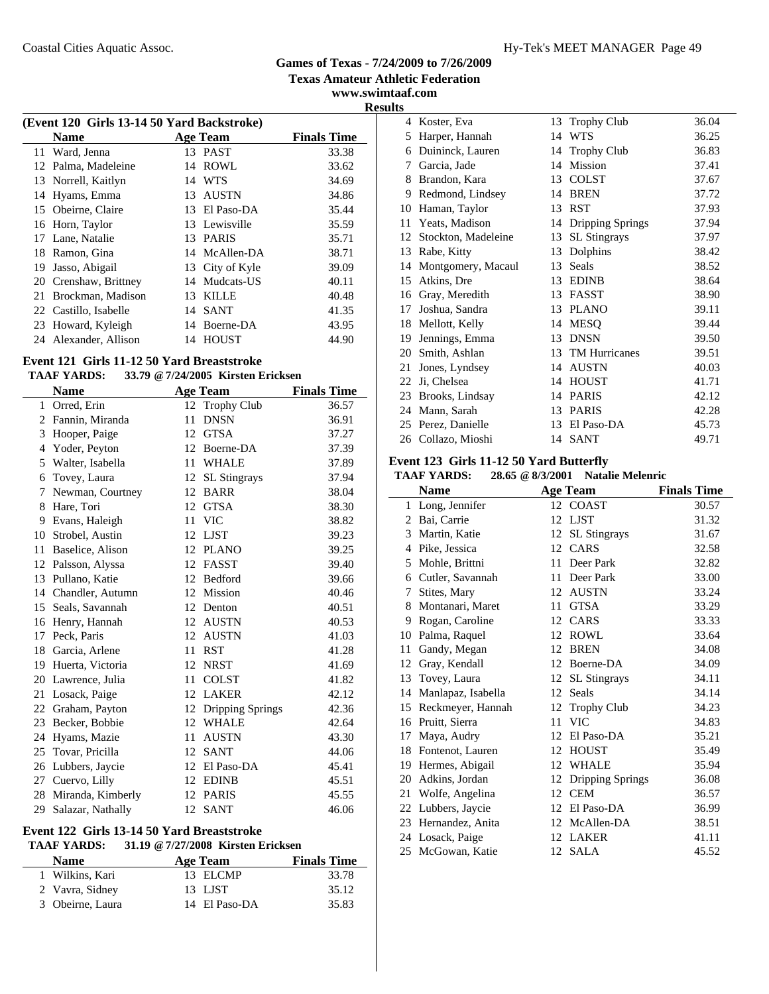**www.swimtaaf.com**

**Results**

| (Event 120 Girls 13-14 50 Yard Backstroke) |                       |    |                 |                    |  |  |
|--------------------------------------------|-----------------------|----|-----------------|--------------------|--|--|
|                                            | <b>Name</b>           |    | Age Team        | <b>Finals Time</b> |  |  |
|                                            | 11 Ward, Jenna        |    | 13 PAST         | 33.38              |  |  |
| 12                                         | Palma, Madeleine      | 14 | ROWL            | 33.62              |  |  |
|                                            | 13 Norrell, Kaitlyn   |    | 14 WTS          | 34.69              |  |  |
| 14                                         | Hyams, Emma           | 13 | <b>AUSTN</b>    | 34.86              |  |  |
| 15                                         | Obeirne, Claire       |    | 13 El Paso-DA   | 35.44              |  |  |
| 16                                         | Horn, Taylor          |    | 13 Lewisville   | 35.59              |  |  |
| 17                                         | Lane, Natalie         |    | 13 PARIS        | 35.71              |  |  |
| 18                                         | Ramon, Gina           |    | 14 McAllen-DA   | 38.71              |  |  |
| 19                                         | Jasso, Abigail        |    | 13 City of Kyle | 39.09              |  |  |
| 20                                         | Crenshaw, Brittney    |    | 14 Mudcats-US   | 40.11              |  |  |
| 21                                         | Brockman, Madison     | 13 | <b>KILLE</b>    | 40.48              |  |  |
|                                            | 22 Castillo, Isabelle | 14 | <b>SANT</b>     | 41.35              |  |  |
| 23                                         | Howard, Kyleigh       |    | 14 Boerne-DA    | 43.95              |  |  |
| 24                                         | Alexander, Allison    | 14 | <b>HOUST</b>    | 44.90              |  |  |
|                                            |                       |    |                 |                    |  |  |

# **Event 121 Girls 11-12 50 Yard Breaststroke**

|    | <b>Name</b>       |    | <b>Age Team</b>     | <b>Finals Time</b> |
|----|-------------------|----|---------------------|--------------------|
|    | 1 Orred, Erin     | 12 | <b>Trophy Club</b>  | 36.57              |
| 2  | Fannin, Miranda   | 11 | <b>DNSN</b>         | 36.91              |
| 3  | Hooper, Paige     | 12 | <b>GTSA</b>         | 37.27              |
| 4  | Yoder, Peyton     | 12 | Boerne-DA           | 37.39              |
| 5  | Walter, Isabella  | 11 | <b>WHALE</b>        | 37.89              |
| 6  | Tovey, Laura      | 12 | <b>SL</b> Stingrays | 37.94              |
| 7  | Newman, Courtney  | 12 | <b>BARR</b>         | 38.04              |
| 8  | Hare, Tori        | 12 | <b>GTSA</b>         | 38.30              |
| 9  | Evans, Haleigh    | 11 | <b>VIC</b>          | 38.82              |
| 10 | Strobel, Austin   | 12 | <b>LJST</b>         | 39.23              |
| 11 | Baselice, Alison  | 12 | <b>PLANO</b>        | 39.25              |
| 12 | Palsson, Alyssa   | 12 | <b>FASST</b>        | 39.40              |
| 13 | Pullano, Katie    | 12 | Bedford             | 39.66              |
| 14 | Chandler, Autumn  | 12 | Mission             | 40.46              |
| 15 | Seals, Savannah   | 12 | Denton              | 40.51              |
| 16 | Henry, Hannah     | 12 | <b>AUSTN</b>        | 40.53              |
| 17 | Peck, Paris       | 12 | <b>AUSTN</b>        | 41.03              |
| 18 | Garcia, Arlene    | 11 | <b>RST</b>          | 41.28              |
| 19 | Huerta, Victoria  | 12 | <b>NRST</b>         | 41.69              |
| 20 | Lawrence, Julia   | 11 | <b>COLST</b>        | 41.82              |
| 21 | Losack, Paige     | 12 | <b>LAKER</b>        | 42.12              |
| 22 | Graham, Payton    | 12 | Dripping Springs    | 42.36              |
| 23 | Becker, Bobbie    | 12 | <b>WHALE</b>        | 42.64              |
| 24 | Hyams, Mazie      | 11 | <b>AUSTN</b>        | 43.30              |
| 25 | Tovar, Pricilla   | 12 | <b>SANT</b>         | 44.06              |
| 26 | Lubbers, Jaycie   | 12 | El Paso-DA          | 45.41              |
| 27 | Cuervo, Lilly     | 12 | <b>EDINB</b>        | 45.51              |
| 28 | Miranda, Kimberly | 12 | <b>PARIS</b>        | 45.55              |
| 29 | Salazar, Nathally | 12 | <b>SANT</b>         | 46.06              |

#### **Event 122 Girls 13-14 50 Yard Breaststroke TAAF YARDS: 31.19 @7/27/2008 Kirsten Ericksen**

| Age Team      | <b>Finals Time</b> |  |
|---------------|--------------------|--|
| 13 ELCMP      | 33.78              |  |
| 13 LJST       | 35.12              |  |
| 14 El Paso-DA | 35.83              |  |
|               |                    |  |

| 4  | Koster, Eva         | 13 | <b>Trophy Club</b>  | 36.04 |
|----|---------------------|----|---------------------|-------|
| 5  | Harper, Hannah      | 14 | <b>WTS</b>          | 36.25 |
| 6  | Duininck, Lauren    | 14 | Trophy Club         | 36.83 |
| 7  | Garcia, Jade        | 14 | Mission             | 37.41 |
| 8  | Brandon, Kara       | 13 | <b>COLST</b>        | 37.67 |
| 9  | Redmond, Lindsey    | 14 | <b>BREN</b>         | 37.72 |
| 10 | Haman, Taylor       | 13 | <b>RST</b>          | 37.93 |
| 11 | Yeats, Madison      | 14 | Dripping Springs    | 37.94 |
| 12 | Stockton, Madeleine | 13 | <b>SL</b> Stingrays | 37.97 |
| 13 | Rabe, Kitty         | 13 | Dolphins            | 38.42 |
| 14 | Montgomery, Macaul  | 13 | Seals               | 38.52 |
|    | 15 Atkins, Dre      | 13 | <b>EDINB</b>        | 38.64 |
| 16 | Gray, Meredith      | 13 | <b>FASST</b>        | 38.90 |
| 17 | Joshua, Sandra      | 13 | <b>PLANO</b>        | 39.11 |
| 18 | Mellott, Kelly      | 14 | <b>MESO</b>         | 39.44 |
| 19 | Jennings, Emma      | 13 | <b>DNSN</b>         | 39.50 |
| 20 | Smith, Ashlan       | 13 | TM Hurricanes       | 39.51 |
| 21 | Jones, Lyndsey      | 14 | <b>AUSTN</b>        | 40.03 |
| 22 | Ji, Chelsea         | 14 | <b>HOUST</b>        | 41.71 |
| 23 | Brooks, Lindsay     | 14 | <b>PARIS</b>        | 42.12 |
| 24 | Mann, Sarah         | 13 | <b>PARIS</b>        | 42.28 |
| 25 | Perez, Danielle     | 13 | El Paso-DA          | 45.73 |
| 26 | Collazo, Mioshi     | 14 | <b>SANT</b>         | 49.71 |

#### **Event 123 Girls 11-12 50 Yard Butterfly**

#### **TAAF YARDS: 28.65 @8/3/2001 Natalie Melenric**

|              | <b>Name</b>        |    | <b>Age Team</b>     | <b>Finals Time</b> |
|--------------|--------------------|----|---------------------|--------------------|
| $\mathbf{1}$ | Long, Jennifer     |    | 12 COAST            | 30.57              |
| 2            | Bai, Carrie        | 12 | LJST                | 31.32              |
| 3            | Martin, Katie      | 12 | <b>SL</b> Stingrays | 31.67              |
| 4            | Pike, Jessica      |    | 12 CARS             | 32.58              |
| 5            | Mohle, Brittni     | 11 | Deer Park           | 32.82              |
| 6            | Cutler, Savannah   | 11 | Deer Park           | 33.00              |
| 7            | Stites, Mary       | 12 | <b>AUSTN</b>        | 33.24              |
| 8            | Montanari, Maret   | 11 | <b>GTSA</b>         | 33.29              |
| 9            | Rogan, Caroline    | 12 | CARS                | 33.33              |
| 10           | Palma, Raquel      | 12 | ROWL                | 33.64              |
| 11           | Gandy, Megan       | 12 | <b>BREN</b>         | 34.08              |
| 12           | Gray, Kendall      | 12 | Boerne-DA           | 34.09              |
| 13           | Tovey, Laura       | 12 | <b>SL</b> Stingrays | 34.11              |
| 14           | Manlapaz, Isabella | 12 | Seals               | 34.14              |
| 15           | Reckmeyer, Hannah  | 12 | <b>Trophy Club</b>  | 34.23              |
| 16           | Pruitt, Sierra     | 11 | <b>VIC</b>          | 34.83              |
| 17           | Maya, Audry        | 12 | El Paso-DA          | 35.21              |
| 18           | Fontenot, Lauren   | 12 | <b>HOUST</b>        | 35.49              |
| 19           | Hermes, Abigail    | 12 | <b>WHALE</b>        | 35.94              |
| 20           | Adkins, Jordan     | 12 | Dripping Springs    | 36.08              |
| 21           | Wolfe, Angelina    | 12 | <b>CEM</b>          | 36.57              |
|              | 22 Lubbers, Jaycie | 12 | El Paso-DA          | 36.99              |
| 23           | Hernandez, Anita   | 12 | McAllen-DA          | 38.51              |
|              | 24 Losack, Paige   | 12 | <b>LAKER</b>        | 41.11              |
|              | 25 McGowan, Katie  | 12 | <b>SALA</b>         | 45.52              |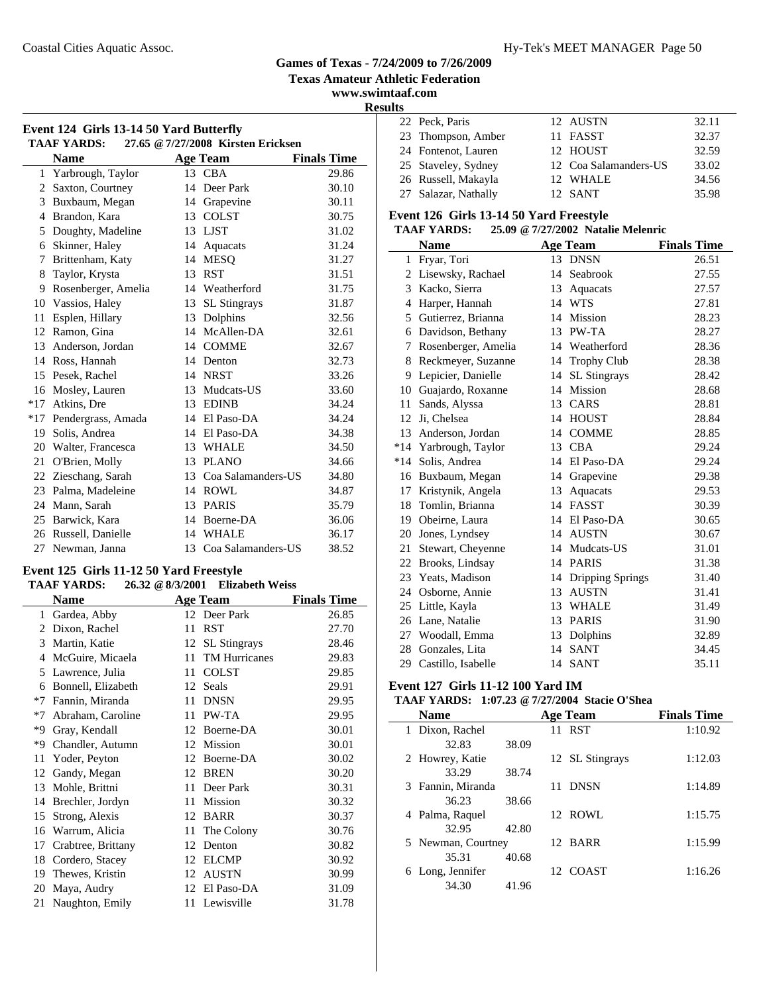#### Coastal Cities Aquatic Assoc. Hy-Tek's MEET MANAGER Page 50

# **Games of Texas - 7/24/2009 to 7/26/2009**

**Texas Amateur Athletic Federation**

**www.swimtaaf.com**

| Event 124 Girls 13-14 50 Yard Butterfly |                                                          |    |                     |                    |  |  |  |  |
|-----------------------------------------|----------------------------------------------------------|----|---------------------|--------------------|--|--|--|--|
|                                         | 27.65 @ 7/27/2008 Kirsten Ericksen<br><b>TAAF YARDS:</b> |    |                     |                    |  |  |  |  |
|                                         | <b>Name</b>                                              |    | <b>Age Team</b>     | <b>Finals Time</b> |  |  |  |  |
|                                         | 1 Yarbrough, Taylor                                      |    | 13 CBA              | 29.86              |  |  |  |  |
| 2                                       | Saxton, Courtney                                         | 14 | Deer Park           | 30.10              |  |  |  |  |
| 3                                       | Buxbaum, Megan                                           | 14 | Grapevine           | 30.11              |  |  |  |  |
| 4                                       | Brandon, Kara                                            | 13 | <b>COLST</b>        | 30.75              |  |  |  |  |
| 5                                       | Doughty, Madeline                                        | 13 | LJST                | 31.02              |  |  |  |  |
| 6                                       | Skinner, Haley                                           | 14 | Aquacats            | 31.24              |  |  |  |  |
| 7                                       | Brittenham, Katy                                         |    | 14 MESO             | 31.27              |  |  |  |  |
| 8                                       | Taylor, Krysta                                           | 13 | <b>RST</b>          | 31.51              |  |  |  |  |
| 9                                       | Rosenberger, Amelia                                      |    | 14 Weatherford      | 31.75              |  |  |  |  |
| 10                                      | Vassios, Haley                                           | 13 | <b>SL</b> Stingrays | 31.87              |  |  |  |  |
| 11                                      | Esplen, Hillary                                          | 13 | Dolphins            | 32.56              |  |  |  |  |
| 12                                      | Ramon, Gina                                              | 14 | McAllen-DA          | 32.61              |  |  |  |  |
| 13                                      | Anderson, Jordan                                         |    | 14 COMME            | 32.67              |  |  |  |  |
| 14                                      | Ross, Hannah                                             | 14 | Denton              | 32.73              |  |  |  |  |
| 15                                      | Pesek, Rachel                                            |    | 14 NRST             | 33.26              |  |  |  |  |
| 16                                      | Mosley, Lauren                                           | 13 | Mudcats-US          | 33.60              |  |  |  |  |
| $*17$                                   | Atkins, Dre                                              |    | 13 EDINB            | 34.24              |  |  |  |  |
| $*17$                                   | Pendergrass, Amada                                       |    | 14 El Paso-DA       | 34.24              |  |  |  |  |
| 19                                      | Solis, Andrea                                            |    | 14 El Paso-DA       | 34.38              |  |  |  |  |
| 20                                      | Walter, Francesca                                        | 13 | <b>WHALE</b>        | 34.50              |  |  |  |  |
| 21                                      | O'Brien, Molly                                           |    | 13 PLANO            | 34.66              |  |  |  |  |
| 22                                      | Zieschang, Sarah                                         | 13 | Coa Salamanders-US  | 34.80              |  |  |  |  |
| 23                                      | Palma, Madeleine                                         |    | 14 ROWL             | 34.87              |  |  |  |  |
| 24                                      | Mann, Sarah                                              | 13 | <b>PARIS</b>        | 35.79              |  |  |  |  |
| 25                                      | Barwick, Kara                                            |    | 14 Boerne-DA        | 36.06              |  |  |  |  |
| 26                                      | Russell, Danielle                                        |    | 14 WHALE            | 36.17              |  |  |  |  |
| 27                                      | Newman, Janna                                            | 13 | Coa Salamanders-US  | 38.52              |  |  |  |  |

#### **Event 125 Girls 11-12 50 Yard Freestyle**

#### **TAAF YARDS: 26.32 @8/3/2001 Elizabeth Weiss**

|      | Name               |    | <b>Age Team</b>      | <b>Finals Time</b> |
|------|--------------------|----|----------------------|--------------------|
| 1    | Gardea, Abby       |    | 12 Deer Park         | 26.85              |
| 2    | Dixon, Rachel      | 11 | <b>RST</b>           | 27.70              |
| 3    | Martin, Katie      | 12 | SL Stingrays         | 28.46              |
| 4    | McGuire, Micaela   | 11 | <b>TM Hurricanes</b> | 29.83              |
| 5    | Lawrence, Julia    | 11 | <b>COLST</b>         | 29.85              |
| 6    | Bonnell, Elizabeth | 12 | Seals                | 29.91              |
| $*7$ | Fannin, Miranda    | 11 | <b>DNSN</b>          | 29.95              |
| $*7$ | Abraham, Caroline  | 11 | PW-TA                | 29.95              |
| *9   | Gray, Kendall      | 12 | Boerne-DA            | 30.01              |
| *9   | Chandler, Autumn   | 12 | Mission              | 30.01              |
| 11   | Yoder, Peyton      | 12 | Boerne-DA            | 30.02              |
| 12   | Gandy, Megan       | 12 | <b>BREN</b>          | 30.20              |
| 13   | Mohle, Brittni     | 11 | Deer Park            | 30.31              |
| 14   | Brechler, Jordyn   | 11 | Mission              | 30.32              |
| 15   | Strong, Alexis     | 12 | <b>BARR</b>          | 30.37              |
| 16   | Warrum, Alicia     | 11 | The Colony           | 30.76              |
| 17   | Crabtree, Brittany | 12 | Denton               | 30.82              |
| 18   | Cordero, Stacey    | 12 | <b>ELCMP</b>         | 30.92              |
| 19   | Thewes, Kristin    | 12 | <b>AUSTN</b>         | 30.99              |
| 20   | Maya, Audry        | 12 | El Paso-DA           | 31.09              |
| 21   | Naughton, Emily    | 11 | Lewisville           | 31.78              |

# **Results**<br>22 Peck, Paris

| 22 Peck, Paris       | 12 AUSTN              | 32.11 |
|----------------------|-----------------------|-------|
| 23 Thompson, Amber   | 11 FASST              | 32.37 |
| 24 Fontenot, Lauren  | 12 HOUST              | 32.59 |
| 25 Staveley, Sydney  | 12 Coa Salamanders-US | 33.02 |
| 26 Russell, Makayla  | 12 WHALE              | 34.56 |
| 27 Salazar, Nathally | 12 SANT               | 35.98 |

#### **Event 126 Girls 13-14 50 Yard Freestyle**

## **TAAF YARDS: 25.09 @7/27/2002 Natalie Melenric**

|              | <b>Name</b>         |    | <b>Age Team</b>     | <b>Finals Time</b> |
|--------------|---------------------|----|---------------------|--------------------|
| $\mathbf{1}$ | Fryar, Tori         |    | 13 DNSN             | 26.51              |
| 2            | Lisewsky, Rachael   | 14 | Seabrook            | 27.55              |
| 3            | Kacko, Sierra       | 13 | Aquacats            | 27.57              |
| 4            | Harper, Hannah      |    | 14 WTS              | 27.81              |
| 5            | Gutierrez, Brianna  | 14 | Mission             | 28.23              |
| 6            | Davidson, Bethany   | 13 | PW-TA               | 28.27              |
| 7            | Rosenberger, Amelia | 14 | Weatherford         | 28.36              |
| 8            | Reckmeyer, Suzanne  | 14 | <b>Trophy Club</b>  | 28.38              |
| 9            | Lepicier, Danielle  | 14 | <b>SL</b> Stingrays | 28.42              |
| 10           | Guajardo, Roxanne   | 14 | Mission             | 28.68              |
| 11           | Sands, Alyssa       | 13 | CARS                | 28.81              |
| 12           | Ji, Chelsea         | 14 | <b>HOUST</b>        | 28.84              |
| 13           | Anderson, Jordan    | 14 | <b>COMME</b>        | 28.85              |
| $*14$        | Yarbrough, Taylor   | 13 | <b>CBA</b>          | 29.24              |
| $*14$        | Solis, Andrea       | 14 | El Paso-DA          | 29.24              |
| 16           | Buxbaum, Megan      | 14 | Grapevine           | 29.38              |
| 17           | Kristynik, Angela   | 13 | Aquacats            | 29.53              |
| 18           | Tomlin, Brianna     | 14 | <b>FASST</b>        | 30.39              |
| 19           | Obeirne, Laura      | 14 | El Paso-DA          | 30.65              |
| 20           | Jones, Lyndsey      | 14 | <b>AUSTN</b>        | 30.67              |
| 21           | Stewart, Cheyenne   | 14 | Mudcats-US          | 31.01              |
| 22           | Brooks, Lindsay     | 14 | <b>PARIS</b>        | 31.38              |
| 23           | Yeats, Madison      | 14 | Dripping Springs    | 31.40              |
| 24           | Osborne, Annie      | 13 | <b>AUSTN</b>        | 31.41              |
| 25           | Little, Kayla       | 13 | <b>WHALE</b>        | 31.49              |
| 26           | Lane, Natalie       | 13 | <b>PARIS</b>        | 31.90              |
| 27           | Woodall, Emma       | 13 | Dolphins            | 32.89              |
| 28           | Gonzales, Lita      | 14 | <b>SANT</b>         | 34.45              |
| 29           | Castillo, Isabelle  | 14 | <b>SANT</b>         | 35.11              |

# **Event 127 Girls 11-12 100 Yard IM**

## **TAAF YARDS: 1:07.23 @7/27/2004 Stacie O'Shea**

| <b>Name</b>         |       |    | <b>Age Team</b> | <b>Finals Time</b> |
|---------------------|-------|----|-----------------|--------------------|
| 1 Dixon, Rachel     |       |    | 11 RST          | 1:10.92            |
| 32.83               | 38.09 |    |                 |                    |
| 2 Howrey, Katie     |       |    | 12 SL Stingrays | 1:12.03            |
| 33.29               | 38.74 |    |                 |                    |
| 3 Fannin, Miranda   |       | 11 | <b>DNSN</b>     | 1:14.89            |
| 36.23               | 38.66 |    |                 |                    |
| 4 Palma, Raquel     |       |    | 12. ROWL        | 1:15.75            |
| 32.95               | 42.80 |    |                 |                    |
| 5 Newman, Courtney  |       |    | 12 BARR         | 1:15.99            |
| 35.31               | 40.68 |    |                 |                    |
| Long, Jennifer<br>6 |       |    | 12 COAST        | 1:16.26            |
| 34.30               | 41.96 |    |                 |                    |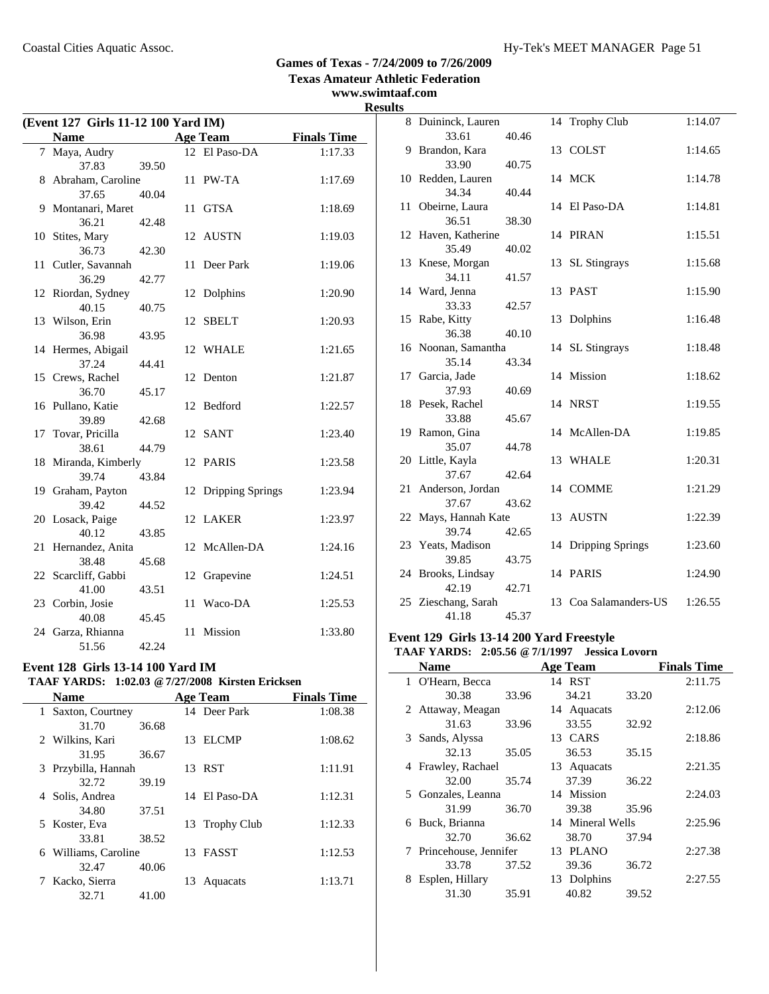**www.swimtaaf.com**

# **Results**

|    | (Event 127 Girls 11-12 100 Yard IM) |       |    |                  |                    |  |  |
|----|-------------------------------------|-------|----|------------------|--------------------|--|--|
|    | <b>Name</b>                         |       |    | <b>Age Team</b>  | <b>Finals Time</b> |  |  |
|    | 7 Maya, Audry                       |       |    | 12 El Paso-DA    | 1:17.33            |  |  |
|    | 37.83                               | 39.50 |    |                  |                    |  |  |
| 8  | Abraham, Caroline                   |       |    | 11 PW-TA         | 1:17.69            |  |  |
|    | 37.65                               | 40.04 |    |                  |                    |  |  |
|    | 9 Montanari, Maret                  |       | 11 | <b>GTSA</b>      | 1:18.69            |  |  |
|    | 36.21                               | 42.48 |    |                  |                    |  |  |
|    | 10 Stites, Mary                     |       | 12 | AUSTN            | 1:19.03            |  |  |
|    | 36.73                               | 42.30 |    |                  |                    |  |  |
| 11 | Cutler, Savannah                    |       | 11 | Deer Park        | 1:19.06            |  |  |
|    | 36.29                               | 42.77 |    |                  |                    |  |  |
|    | 12 Riordan, Sydney                  |       |    | 12 Dolphins      | 1:20.90            |  |  |
|    | 40.15                               | 40.75 |    |                  |                    |  |  |
|    | 13 Wilson, Erin                     |       | 12 | <b>SBELT</b>     | 1:20.93            |  |  |
|    | 36.98                               | 43.95 |    |                  |                    |  |  |
|    | 14 Hermes, Abigail                  |       |    | 12 WHALE         | 1:21.65            |  |  |
|    | 37.24                               | 44.41 |    |                  |                    |  |  |
|    | 15 Crews, Rachel                    |       | 12 | Denton           | 1:21.87            |  |  |
|    | 36.70                               | 45.17 |    |                  |                    |  |  |
|    | 16 Pullano, Katie                   |       | 12 | Bedford          | 1:22.57            |  |  |
|    | 39.89                               | 42.68 |    |                  |                    |  |  |
|    | 17 Tovar, Pricilla                  |       | 12 | <b>SANT</b>      | 1:23.40            |  |  |
|    | 38.61                               | 44.79 |    |                  |                    |  |  |
|    | 18 Miranda, Kimberly                |       |    | 12 PARIS         | 1:23.58            |  |  |
|    | 39.74                               | 43.84 |    |                  |                    |  |  |
|    | 19 Graham, Payton                   |       | 12 | Dripping Springs | 1:23.94            |  |  |
|    | 39.42                               | 44.52 |    |                  |                    |  |  |
|    | 20 Losack, Paige                    |       |    | 12 LAKER         | 1:23.97            |  |  |
|    | 40.12                               | 43.85 |    |                  |                    |  |  |
|    | 21 Hernandez, Anita                 |       |    | 12 McAllen-DA    | 1:24.16            |  |  |
|    | 38.48                               | 45.68 |    |                  |                    |  |  |
|    | 22 Scarcliff, Gabbi                 |       | 12 | Grapevine        | 1:24.51            |  |  |
|    | 41.00                               | 43.51 |    |                  |                    |  |  |
|    | 23 Corbin, Josie                    |       | 11 | Waco-DA          | 1:25.53            |  |  |
|    | 40.08                               | 45.45 |    |                  |                    |  |  |
|    | 24 Garza, Rhianna                   |       | 11 | Mission          | 1:33.80            |  |  |
|    | 51.56                               | 42.24 |    |                  |                    |  |  |

## **Event 128 Girls 13-14 100 Yard IM**

# **TAAF YARDS: 1:02.03 @7/27/2008 Kirsten Ericksen**

|              | <b>Name</b>         |       |    | <b>Age Team</b> | <b>Finals Time</b> |
|--------------|---------------------|-------|----|-----------------|--------------------|
| $\mathbf{1}$ | Saxton, Courtney    |       |    | 14 Deer Park    | 1:08.38            |
|              | 31.70               | 36.68 |    |                 |                    |
|              | 2 Wilkins, Kari     |       | 13 | <b>ELCMP</b>    | 1:08.62            |
|              | 31.95               | 36.67 |    |                 |                    |
|              | 3 Przybilla, Hannah |       |    | 13 RST          | 1:11.91            |
|              | 32.72               | 39.19 |    |                 |                    |
|              | 4 Solis, Andrea     |       | 14 | El Paso-DA      | 1:12.31            |
|              | 34.80               | 37.51 |    |                 |                    |
|              | 5 Koster, Eva       |       |    | 13 Trophy Club  | 1:12.33            |
|              | 33.81               | 38.52 |    |                 |                    |
| 6            | Williams, Caroline  |       |    | 13 FASST        | 1:12.53            |
|              | 32.47               | 40.06 |    |                 |                    |
|              | Kacko, Sierra       |       | 13 | Aquacats        | 1:13.71            |
|              | 32.71               | 41.00 |    |                 |                    |

| เเร  |                      |       |    |                     |         |
|------|----------------------|-------|----|---------------------|---------|
|      | 8 Duininck, Lauren   |       |    | 14 Trophy Club      | 1:14.07 |
|      | 33.61                | 40.46 |    |                     |         |
|      | 9 Brandon, Kara      |       |    | 13 COLST            | 1:14.65 |
|      | 33.90                | 40.75 |    |                     |         |
|      | 10 Redden, Lauren    |       |    | 14 MCK              | 1:14.78 |
|      | 34.34                | 40.44 |    |                     |         |
| 11 - | Obeirne, Laura       |       |    | 14 El Paso-DA       | 1:14.81 |
|      | 36.51                | 38.30 |    |                     |         |
|      | 12 Haven, Katherine  |       |    | 14 PIRAN            | 1:15.51 |
|      | 35.49                | 40.02 |    |                     |         |
|      | 13 Knese, Morgan     |       |    | 13 SL Stingrays     | 1:15.68 |
|      | 34.11                | 41.57 |    |                     |         |
|      | 14 Ward, Jenna       |       |    | 13 PAST             | 1:15.90 |
|      | 33.33                | 42.57 |    |                     |         |
|      | 15 Rabe, Kitty       |       |    | 13 Dolphins         | 1:16.48 |
|      | 36.38                | 40.10 |    |                     |         |
|      | 16 Noonan, Samantha  |       |    | 14 SL Stingrays     | 1:18.48 |
|      | 35.14                | 43.34 |    |                     |         |
|      | 17 Garcia, Jade      |       |    | 14 Mission          | 1:18.62 |
|      | 37.93                | 40.69 |    |                     |         |
|      | 18 Pesek, Rachel     |       |    | 14 NRST             | 1:19.55 |
|      | 33.88                | 45.67 |    |                     |         |
|      | 19 Ramon, Gina       |       |    | 14 McAllen-DA       | 1:19.85 |
|      | 35.07                | 44.78 |    |                     |         |
|      | 20 Little, Kayla     |       |    | 13 WHALE            | 1:20.31 |
|      | 37.67                | 42.64 |    |                     |         |
|      | 21 Anderson, Jordan  |       |    | 14 COMME            | 1:21.29 |
|      | 37.67                | 43.62 |    |                     |         |
|      | 22 Mays, Hannah Kate |       |    | 13 AUSTN            | 1:22.39 |
|      | 39.74                | 42.65 |    |                     |         |
|      | 23 Yeats, Madison    |       |    | 14 Dripping Springs | 1:23.60 |
|      | 39.85                | 43.75 |    |                     |         |
|      | 24 Brooks, Lindsay   |       |    | 14 PARIS            | 1:24.90 |
|      | 42.19                | 42.71 |    |                     |         |
|      | 25 Zieschang, Sarah  |       | 13 | Coa Salamanders-US  | 1:26.55 |
|      | 41.18                | 45.37 |    |                     |         |

# **Event 129 Girls 13-14 200 Yard Freestyle**

# **TAAF YARDS: 2:05.56 @7/1/1997 Jessica Lovorn**

|   | <b>Name</b>             |       | <b>Age Team</b>  |       | <b>Finals Time</b> |
|---|-------------------------|-------|------------------|-------|--------------------|
|   | 1 O'Hearn, Becca        |       | 14 RST           |       | 2:11.75            |
|   | 30.38                   | 33.96 | 34.21            | 33.20 |                    |
|   | 2 Attaway, Meagan       |       | 14 Aquacats      |       | 2:12.06            |
|   | 31.63                   | 33.96 | 33.55            | 32.92 |                    |
|   | 3 Sands, Alyssa         |       | 13 CARS          |       | 2:18.86            |
|   | 32.13                   | 35.05 | 36.53            | 35.15 |                    |
|   | 4 Frawley, Rachael      |       | 13 Aquacats      |       | 2:21.35            |
|   | 32.00                   | 35.74 | 37.39            | 36.22 |                    |
|   | 5 Gonzales, Leanna      |       | 14 Mission       |       | 2:24.03            |
|   | 31.99                   | 36.70 | 39.38            | 35.96 |                    |
| 6 | Buck, Brianna           |       | 14 Mineral Wells |       | 2:25.96            |
|   | 32.70                   | 36.62 | 38.70            | 37.94 |                    |
|   | 7 Princehouse, Jennifer |       | 13 PLANO         |       | 2:27.38            |
|   | 33.78                   | 37.52 | 39.36            | 36.72 |                    |
| 8 | Esplen, Hillary         |       | 13 Dolphins      |       | 2:27.55            |
|   | 31.30                   | 35.91 | 40.82            | 39.52 |                    |
|   |                         |       |                  |       |                    |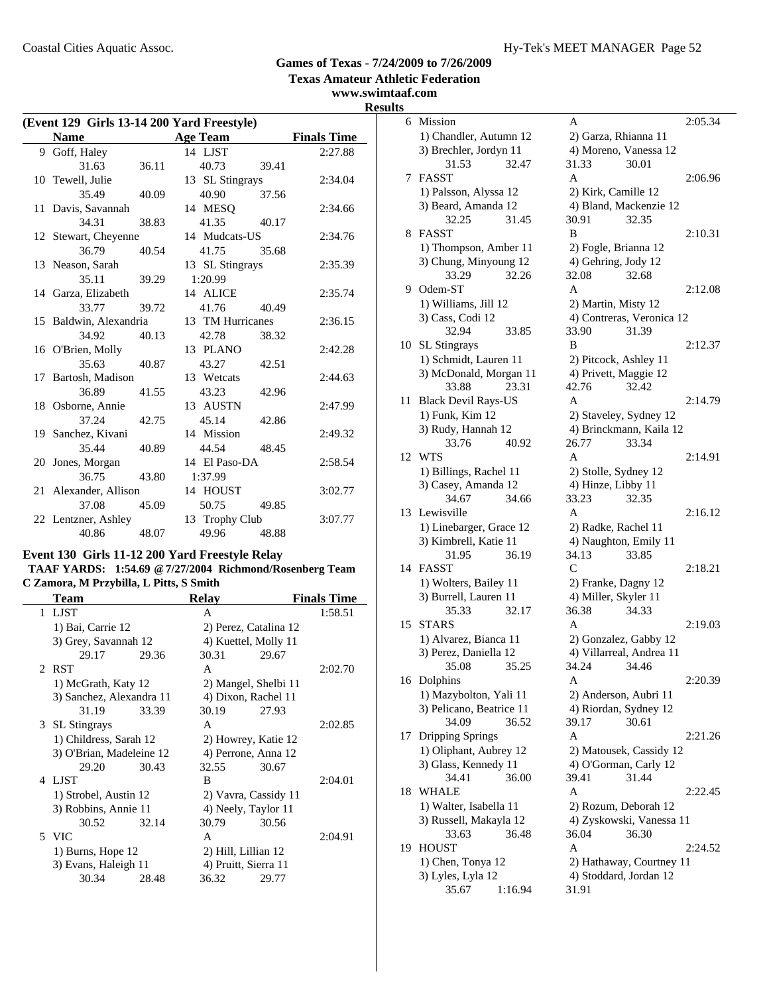**www.swimtaaf.com**

**Results**

| (Event 129 Girls 13-14 200 Yard Freestyle) |                        |       |                  |       |                    |
|--------------------------------------------|------------------------|-------|------------------|-------|--------------------|
|                                            | <b>Name</b>            |       | <b>Age Team</b>  |       | <b>Finals Time</b> |
|                                            | 9 Goff, Haley          |       | 14 LJST          |       | 2:27.88            |
|                                            | 31.63                  | 36.11 | 40.73            | 39.41 |                    |
|                                            | 10 Tewell, Julie       |       | 13 SL Stingrays  |       | 2:34.04            |
|                                            | 35.49                  | 40.09 | 40.90            | 37.56 |                    |
|                                            | 11 Davis, Savannah     |       | 14 MESQ          |       | 2:34.66            |
|                                            | 34.31                  | 38.83 | 41.35            | 40.17 |                    |
|                                            | 12 Stewart, Cheyenne   |       | 14 Mudcats-US    |       | 2:34.76            |
|                                            | 36.79                  | 40.54 | 41.75            | 35.68 |                    |
|                                            | 13 Neason, Sarah       |       | 13 SL Stingrays  |       | 2:35.39            |
|                                            | 35.11                  | 39.29 | 1:20.99          |       |                    |
|                                            | 14 Garza, Elizabeth    |       | 14 ALICE         |       | 2:35.74            |
|                                            | 33.77                  | 39.72 | 41.76            | 40.49 |                    |
|                                            | 15 Baldwin, Alexandria |       | 13 TM Hurricanes |       | 2:36.15            |
|                                            | 34.92                  | 40.13 | 42.78            | 38.32 |                    |
|                                            | 16 O'Brien, Molly      |       | 13 PLANO         |       | 2:42.28            |
|                                            | 35.63                  | 40.87 | 43.27            | 42.51 |                    |
|                                            | 17 Bartosh, Madison    |       | 13 Wetcats       |       | 2:44.63            |
|                                            | 36.89                  | 41.55 | 43.23            | 42.96 |                    |
|                                            | 18 Osborne, Annie      |       | 13 AUSTN         |       | 2:47.99            |
|                                            | 37.24                  | 42.75 | 45.14            | 42.86 |                    |
|                                            | 19 Sanchez, Kivani     |       | 14 Mission       |       | 2:49.32            |
|                                            | 35.44                  | 40.89 | 44.54            | 48.45 |                    |
|                                            | 20 Jones, Morgan       |       | 14 El Paso-DA    |       | 2:58.54            |
|                                            | 36.75                  | 43.80 | 1:37.99          |       |                    |
|                                            | 21 Alexander, Allison  |       | 14 HOUST         |       | 3:02.77            |
|                                            | 37.08                  | 45.09 | 50.75            | 49.85 |                    |
|                                            | 22 Lentzner, Ashley    |       | 13 Trophy Club   |       | 3:07.77            |
|                                            | 40.86                  | 48.07 | 49.96            | 48.88 |                    |

## **Event 130 Girls 11-12 200 Yard Freestyle Relay**

#### **TAAF YARDS: 1:54.69 @7/27/2004 Richmond/Rosenberg Team C Zamora, M Przybilla, L Pitts, S Smith**

| Team                     |       | <b>Relay</b>         |                       | <b>Finals Time</b> |
|--------------------------|-------|----------------------|-----------------------|--------------------|
| 1 LJST                   |       | A                    |                       | 1:58.51            |
| 1) Bai, Carrie 12        |       |                      | 2) Perez, Catalina 12 |                    |
| 3) Grey, Savannah 12     |       |                      | 4) Kuettel, Molly 11  |                    |
| 29.17                    | 29.36 | 30.31                | 29.67                 |                    |
| 2 RST                    |       | A                    |                       | 2:02.70            |
| 1) McGrath, Katy 12      |       |                      | 2) Mangel, Shelbi 11  |                    |
| 3) Sanchez, Alexandra 11 |       | 4) Dixon, Rachel 11  |                       |                    |
| 31.19                    | 33.39 | 30.19                | 27.93                 |                    |
| 3 SL Stingrays           |       | A                    |                       | 2:02.85            |
| 1) Childress, Sarah 12   |       |                      | 2) Howrey, Katie 12   |                    |
| 3) O'Brian, Madeleine 12 |       |                      | 4) Perrone, Anna 12   |                    |
| 29.20                    | 30.43 | 32.55                | 30.67                 |                    |
| 4 LJST                   |       | B                    |                       | 2:04.01            |
| 1) Strobel, Austin 12    |       |                      | 2) Vavra, Cassidy 11  |                    |
| 3) Robbins, Annie 11     |       | 4) Neely, Taylor 11  |                       |                    |
| 30.52                    | 32.14 | 30.79                | 30.56                 |                    |
| 5 VIC                    |       | A                    |                       | 2:04.91            |
| 1) Burns, Hope 12        |       | 2) Hill, Lillian 12  |                       |                    |
| 3) Evans, Haleigh 11     |       | 4) Pruitt, Sierra 11 |                       |                    |
| 30.34                    | 28.48 | 36.32                | 29.77                 |                    |
|                          |       |                      |                       |                    |

| S  |                            |                           |         |
|----|----------------------------|---------------------------|---------|
|    | 6 Mission                  | А                         | 2:05.34 |
|    | 1) Chandler, Autumn 12     | 2) Garza, Rhianna 11      |         |
|    | 3) Brechler, Jordyn 11     | 4) Moreno, Vanessa 12     |         |
|    | 32.47<br>31.53             | 31.33<br>30.01            |         |
| 7  | <b>FASST</b>               | A                         | 2:06.96 |
|    | 1) Palsson, Alyssa 12      | 2) Kirk, Camille 12       |         |
|    | 3) Beard, Amanda 12        | 4) Bland, Mackenzie 12    |         |
|    | 32.25<br>31.45             | 30.91<br>32.35            |         |
| 8  | <b>FASST</b>               | B                         | 2:10.31 |
|    | 1) Thompson, Amber 11      | 2) Fogle, Brianna 12      |         |
|    | 3) Chung, Minyoung 12      | 4) Gehring, Jody 12       |         |
|    | 33.29<br>32.26             | 32.08<br>32.68            |         |
| 9. | Odem-ST                    | A                         | 2:12.08 |
|    | 1) Williams, Jill 12       | 2) Martin, Misty 12       |         |
|    | 3) Cass, Codi 12           | 4) Contreras, Veronica 12 |         |
|    | 32.94<br>33.85             | 33.90<br>31.39            |         |
|    |                            | B                         | 2:12.37 |
| 10 | <b>SL</b> Stingrays        |                           |         |
|    | 1) Schmidt, Lauren 11      | 2) Pitcock, Ashley 11     |         |
|    | 3) McDonald, Morgan 11     | 4) Privett, Maggie 12     |         |
|    | 23.31<br>33.88             | 42.76<br>32.42            |         |
| 11 | <b>Black Devil Rays-US</b> | A                         | 2:14.79 |
|    | 1) Funk, Kim 12            | 2) Staveley, Sydney 12    |         |
|    | 3) Rudy, Hannah 12         | 4) Brinckmann, Kaila 12   |         |
|    | 33.76<br>40.92             | 26.77<br>33.34            |         |
| 12 | <b>WTS</b>                 | A                         | 2:14.91 |
|    | 1) Billings, Rachel 11     | 2) Stolle, Sydney 12      |         |
|    | 3) Casey, Amanda 12        | 4) Hinze, Libby 11        |         |
|    | 34.67<br>34.66             | 33.23<br>32.35            |         |
| 13 | Lewisville                 | A                         | 2:16.12 |
|    | 1) Linebarger, Grace 12    | 2) Radke, Rachel 11       |         |
|    | 3) Kimbrell, Katie 11      | 4) Naughton, Emily 11     |         |
|    | 31.95<br>36.19             | 34.13<br>33.85            |         |
| 14 | <b>FASST</b>               | $\mathsf{C}$              | 2:18.21 |
|    | 1) Wolters, Bailey 11      | 2) Franke, Dagny 12       |         |
|    | 3) Burrell, Lauren 11      | 4) Miller, Skyler 11      |         |
|    | 32.17<br>35.33             | 36.38<br>34.33            |         |
| 15 | <b>STARS</b>               | A                         | 2:19.03 |
|    | 1) Alvarez, Bianca 11      | 2) Gonzalez, Gabby 12     |         |
|    | 3) Perez, Daniella 12      | 4) Villarreal, Andrea 11  |         |
|    | 35.08<br>35.25             | 34.24<br>34.46            |         |
|    | 16 Dolphins                | A                         | 2:20.39 |
|    | 1) Mazybolton, Yali 11     | 2) Anderson, Aubri 11     |         |
|    | 3) Pelicano, Beatrice 11   | 4) Riordan, Sydney 12     |         |
|    | 34.09<br>36.52             | 39.17<br>30.61            |         |
| 17 | Dripping Springs           | Α                         | 2:21.26 |
|    | 1) Oliphant, Aubrey 12     | 2) Matousek, Cassidy 12   |         |
|    | 3) Glass, Kennedy 11       | 4) O'Gorman, Carly 12     |         |
|    | 34.41<br>36.00             | 31.44<br>39.41            |         |
| 18 | WHALE                      | A                         | 2:22.45 |
|    | 1) Walter, Isabella 11     | 2) Rozum, Deborah 12      |         |
|    | 3) Russell, Makayla 12     | 4) Zyskowski, Vanessa 11  |         |
|    | 33.63<br>36.48             | 36.04<br>36.30            |         |
| 19 | <b>HOUST</b>               | A                         | 2:24.52 |
|    | 1) Chen, Tonya 12          | 2) Hathaway, Courtney 11  |         |
|    | 3) Lyles, Lyla 12          | 4) Stoddard, Jordan 12    |         |
|    | 35.67<br>1:16.94           | 31.91                     |         |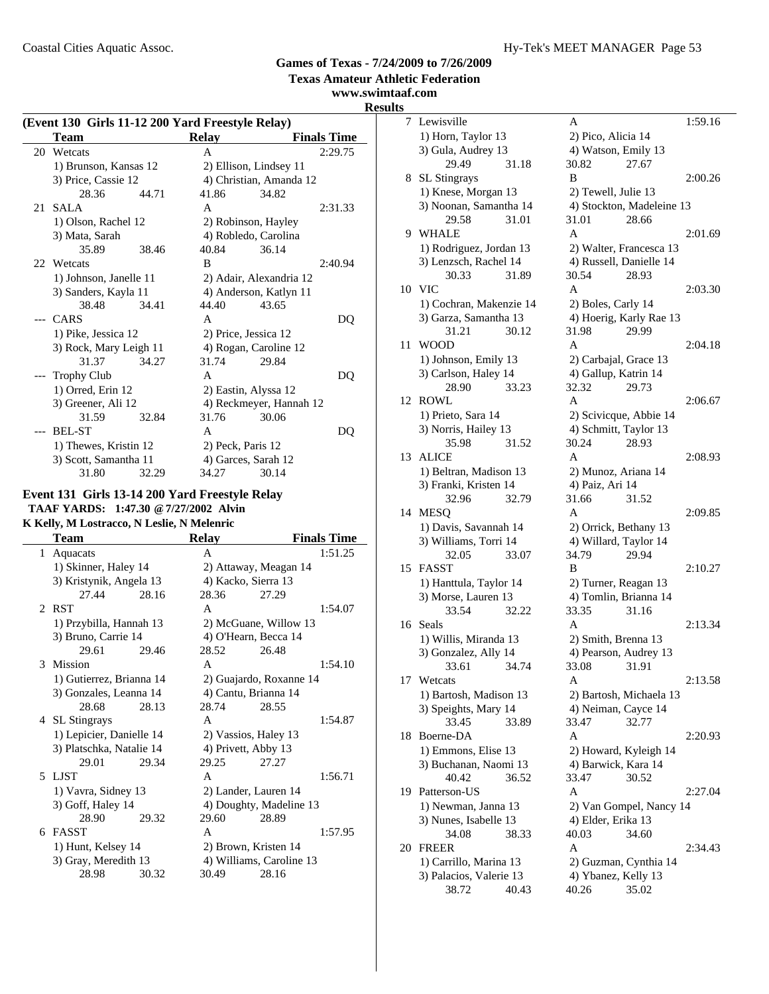**www.swimtaaf.com**

# **Results**

| (Event 130 Girls 11-12 200 Yard Freestyle Relay) |                        |       |                         |                         |                    |
|--------------------------------------------------|------------------------|-------|-------------------------|-------------------------|--------------------|
|                                                  | Team                   |       | <b>Relay</b>            |                         | <b>Finals Time</b> |
| 20                                               | Wetcats                |       | A                       |                         | 2:29.75            |
|                                                  | 1) Brunson, Kansas 12  |       |                         | 2) Ellison, Lindsey 11  |                    |
|                                                  | 3) Price, Cassie 12    |       | 4) Christian, Amanda 12 |                         |                    |
|                                                  | 28.36                  | 44.71 | 41.86                   | 34.82                   |                    |
| 21                                               | <b>SALA</b>            |       | A                       |                         | 2:31.33            |
|                                                  | 1) Olson, Rachel 12    |       |                         | 2) Robinson, Hayley     |                    |
|                                                  | 3) Mata, Sarah         |       |                         | 4) Robledo, Carolina    |                    |
|                                                  | 35.89                  | 38.46 | 40.84                   | 36.14                   |                    |
|                                                  | 22 Wetcats             |       | B                       |                         | 2:40.94            |
|                                                  | 1) Johnson, Janelle 11 |       |                         | 2) Adair, Alexandria 12 |                    |
|                                                  | 3) Sanders, Kayla 11   |       | 4) Anderson, Katlyn 11  |                         |                    |
|                                                  | 38.48                  | 34.41 | 44.40                   | 43.65                   |                    |
| $---$                                            | <b>CARS</b>            |       | A                       |                         | DQ                 |
|                                                  | 1) Pike, Jessica 12    |       | 2) Price, Jessica 12    |                         |                    |
|                                                  | 3) Rock, Mary Leigh 11 |       | 4) Rogan, Caroline 12   |                         |                    |
|                                                  | 31.37                  | 34.27 | 31.74                   | 29.84                   |                    |
|                                                  | <b>Trophy Club</b>     |       | A                       |                         | DQ                 |
|                                                  | 1) Orred, Erin 12      |       | 2) Eastin, Alyssa 12    |                         |                    |
|                                                  | 3) Greener, Ali 12     |       | 4) Reckmeyer, Hannah 12 |                         |                    |
|                                                  | 31.59                  | 32.84 | 31.76                   | 30.06                   |                    |
|                                                  | <b>BEL-ST</b>          |       | A                       |                         | DQ                 |
|                                                  | 1) Thewes, Kristin 12  |       | 2) Peck, Paris 12       |                         |                    |
|                                                  | 3) Scott, Samantha 11  |       |                         | 4) Garces, Sarah 12     |                    |
|                                                  | 31.80                  | 32.29 | 34.27                   | 30.14                   |                    |

#### **Event 131 Girls 13-14 200 Yard Freestyle Relay TAAF YARDS: 1:47.30 @7/27/2002 Alvin K Kelly, M Lostracco, N Leslie, N Melenric**

| Team       |                          |       | Relay                |                          | <b>Finals Time</b> |  |
|------------|--------------------------|-------|----------------------|--------------------------|--------------------|--|
| 1 Aquacats |                          |       | A                    |                          | 1:51.25            |  |
|            | 1) Skinner, Haley 14     |       |                      | 2) Attaway, Meagan 14    |                    |  |
|            | 3) Kristynik, Angela 13  |       |                      | 4) Kacko, Sierra 13      |                    |  |
|            | 27.44                    | 28.16 | 28.36                | 27.29                    |                    |  |
| 2 RST      |                          |       | A                    |                          | 1:54.07            |  |
|            | 1) Przybilla, Hannah 13  |       |                      | 2) McGuane, Willow 13    |                    |  |
|            | 3) Bruno, Carrie 14      |       | 4) O'Hearn, Becca 14 |                          |                    |  |
|            | 29.61                    | 29.46 | 28.52                | 26.48                    |                    |  |
| 3 Mission  |                          |       | A                    |                          | 1:54.10            |  |
|            | 1) Gutierrez, Brianna 14 |       |                      | 2) Guajardo, Roxanne 14  |                    |  |
|            | 3) Gonzales, Leanna 14   |       | 4) Cantu, Brianna 14 |                          |                    |  |
|            | 28.68                    | 28.13 | 28.74                | 28.55                    |                    |  |
|            | 4 SL Stingrays           |       | A                    |                          | 1:54.87            |  |
|            | 1) Lepicier, Danielle 14 |       |                      | 2) Vassios, Haley 13     |                    |  |
|            | 3) Platschka, Natalie 14 |       | 4) Privett, Abby 13  |                          |                    |  |
|            | 29.01                    | 29.34 | 29.25                | 27.27                    |                    |  |
| 5 LJST     |                          |       | A                    |                          | 1:56.71            |  |
|            | 1) Vavra, Sidney 13      |       |                      | 2) Lander, Lauren 14     |                    |  |
|            | 3) Goff, Haley 14        |       |                      | 4) Doughty, Madeline 13  |                    |  |
|            | 28.90                    | 29.32 | 29.60                | 28.89                    |                    |  |
| 6 FASST    |                          |       | A                    |                          | 1:57.95            |  |
|            | 1) Hunt, Kelsey 14       |       |                      | 2) Brown, Kristen 14     |                    |  |
|            | 3) Gray, Meredith 13     |       |                      | 4) Williams, Caroline 13 |                    |  |
|            | 28.98                    | 30.32 | 30.49                | 28.16                    |                    |  |

| S  | al.com                                           |       |                                               |                                  |         |
|----|--------------------------------------------------|-------|-----------------------------------------------|----------------------------------|---------|
| 7  | Lewisville                                       |       | A                                             |                                  | 1:59.16 |
|    | 1) Horn, Taylor 13                               |       | 2) Pico, Alicia 14                            |                                  |         |
|    | 3) Gula, Audrey 13                               |       | 4) Watson, Emily 13                           |                                  |         |
|    | 29.49                                            | 31.18 | 30.82                                         | 27.67                            |         |
| 8  | SL Stingrays                                     |       | B                                             |                                  | 2:00.26 |
|    | 1) Knese, Morgan 13                              |       | 2) Tewell, Julie 13                           |                                  |         |
|    | 3) Noonan, Samantha 14                           |       |                                               | 4) Stockton, Madeleine 13        |         |
|    | 29.58                                            | 31.01 | 31.01                                         | 28.66                            |         |
| 9  | WHALE                                            |       | A                                             |                                  | 2:01.69 |
|    |                                                  |       |                                               |                                  |         |
|    | 1) Rodriguez, Jordan 13<br>3) Lenzsch, Rachel 14 |       | 4) Russell, Danielle 14                       | 2) Walter, Francesca 13          |         |
|    | 30.33                                            | 31.89 | 30.54                                         | 28.93                            |         |
| 10 | <b>VIC</b>                                       |       | A                                             |                                  | 2:03.30 |
|    |                                                  |       |                                               |                                  |         |
|    | 1) Cochran, Makenzie 14                          |       | 2) Boles, Carly 14                            |                                  |         |
|    | 3) Garza, Samantha 13<br>31.21                   | 30.12 | 31.98                                         | 4) Hoerig, Karly Rae 13<br>29.99 |         |
|    |                                                  |       |                                               |                                  |         |
| 11 | <b>WOOD</b>                                      |       | A                                             |                                  | 2:04.18 |
|    | 1) Johnson, Emily 13                             |       | 2) Carbajal, Grace 13                         |                                  |         |
|    | 3) Carlson, Haley 14                             |       | 4) Gallup, Katrin 14                          | 29.73                            |         |
|    | 28.90<br><b>ROWL</b>                             | 33.23 | 32.32<br>A                                    |                                  | 2:06.67 |
| 12 |                                                  |       |                                               |                                  |         |
|    | 1) Prieto, Sara 14                               |       | 2) Scivicque, Abbie 14                        |                                  |         |
|    | 3) Norris, Hailey 13                             |       | 4) Schmitt, Taylor 13                         |                                  |         |
|    | 35.98                                            | 31.52 | 30.24                                         | 28.93                            |         |
| 13 | <b>ALICE</b>                                     |       | A                                             |                                  | 2:08.93 |
|    | 1) Beltran, Madison 13                           |       | 2) Munoz, Ariana 14                           |                                  |         |
|    | 3) Franki, Kristen 14                            |       | 4) Paiz, Ari 14                               |                                  |         |
|    | 32.96                                            | 32.79 | 31.66                                         | 31.52                            |         |
| 14 | MESQ                                             |       | A                                             |                                  | 2:09.85 |
|    | 1) Davis, Savannah 14                            |       | 2) Orrick, Bethany 13                         |                                  |         |
|    | 3) Williams, Torri 14<br>32.05                   |       | 4) Willard, Taylor 14<br>34.79                | 29.94                            |         |
| 15 | <b>FASST</b>                                     | 33.07 | B                                             |                                  | 2:10.27 |
|    |                                                  |       |                                               |                                  |         |
|    | 1) Hanttula, Taylor 14<br>3) Morse, Lauren 13    |       | 2) Turner, Reagan 13<br>4) Tomlin, Brianna 14 |                                  |         |
|    | 33.54                                            | 32.22 | 33.35                                         | 31.16                            |         |
| 16 | Seals                                            |       | A                                             |                                  | 2:13.34 |
|    |                                                  |       | 2) Smith, Brenna 13                           |                                  |         |
|    | 1) Willis, Miranda 13<br>3) Gonzalez, Ally 14    |       | 4) Pearson, Audrey 13                         |                                  |         |
|    | 33.61                                            | 34.74 | 33.08                                         | 31.91                            |         |
| 17 | Wetcats                                          |       | Α                                             |                                  | 2:13.58 |
|    | 1) Bartosh, Madison 13                           |       |                                               | 2) Bartosh, Michaela 13          |         |
|    | 3) Speights, Mary 14                             |       | 4) Neiman, Cayce 14                           |                                  |         |
|    | 33.45                                            | 33.89 | 33.47                                         | 32.77                            |         |
| 18 | Boerne-DA                                        |       | A                                             |                                  | 2:20.93 |
|    | 1) Emmons, Elise 13                              |       | 2) Howard, Kyleigh 14                         |                                  |         |
|    | 3) Buchanan, Naomi 13                            |       | 4) Barwick, Kara 14                           |                                  |         |
|    | 40.42                                            | 36.52 | 33.47                                         | 30.52                            |         |
| 19 | Patterson-US                                     |       | A                                             |                                  | 2:27.04 |
|    | 1) Newman, Janna 13                              |       |                                               | 2) Van Gompel, Nancy 14          |         |
|    | 3) Nunes, Isabelle 13                            |       | 4) Elder, Erika 13                            |                                  |         |
|    | 34.08                                            | 38.33 | 40.03                                         | 34.60                            |         |
| 20 | <b>FREER</b>                                     |       | A                                             |                                  | 2:34.43 |
|    | 1) Carrillo, Marina 13                           |       |                                               | 2) Guzman, Cynthia 14            |         |
|    | 3) Palacios, Valerie 13                          |       | 4) Ybanez, Kelly 13                           |                                  |         |
|    | 38.72                                            | 40.43 | 40.26                                         | 35.02                            |         |
|    |                                                  |       |                                               |                                  |         |